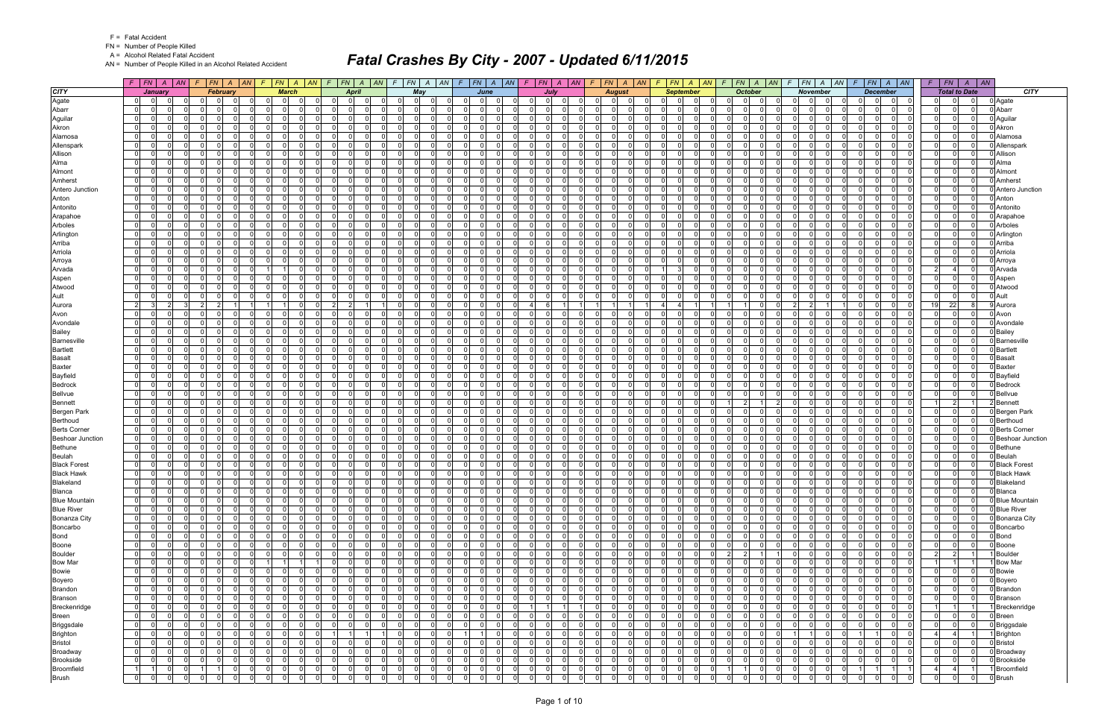FN = Number of People Killed

A = Alcohol Related Fatal Accident

AN = Number of People Killed in an Alcohol Related Accident

|                                 |                                  | $F$ $F$ $A$ $A$ |                      |                | $F$ $ FN $ $A$ $ AN $ $F$ $ FN $ $A$ $ AN $ $F$ $ FN $ $A$ $ AN $ $F$ $ FN $ $A$ $ AN $ $F$ $ FN $ $A$ $ AN $ |                |                                  |                      |                                         |                            |                      |                                     |                                         |                               |                      | $F$ $ FN $ $A$ $ AN $            |                      |                            |          | $F$   FN   A   AN   F   FN   A   AN       | $F$   $FN$   $A$   $AN$             |                      | $F$   FN   A   AN   F   FN   A   AN          |                      |                                          | $F$   $FN$    | $A \mid AN$                             |                              |
|---------------------------------|----------------------------------|-----------------|----------------------|----------------|---------------------------------------------------------------------------------------------------------------|----------------|----------------------------------|----------------------|-----------------------------------------|----------------------------|----------------------|-------------------------------------|-----------------------------------------|-------------------------------|----------------------|----------------------------------|----------------------|----------------------------|----------|-------------------------------------------|-------------------------------------|----------------------|----------------------------------------------|----------------------|------------------------------------------|---------------|-----------------------------------------|------------------------------|
| <b>CITY</b>                     |                                  | January         |                      |                | <b>February</b>                                                                                               |                | <b>March</b>                     |                      | <b>April</b>                            |                            |                      | May                                 |                                         | June                          |                      | July                             |                      | <b>August</b>              |          | <b>September</b>                          | <b>October</b>                      |                      | <b>November</b>                              |                      | <b>December</b>                          |               | <b>Total to Date</b>                    | <b>CITY</b>                  |
| Agate                           | $\overline{0}$                   | -01             |                      |                | - 0<br>- 0                                                                                                    |                | $\Omega$<br>$\Omega$             | 0                    | 0 <br>0 I                               |                            | $\Omega$             | $\Omega$<br>$\Omega$                | $\Omega$<br>$\Omega$                    | $\Omega$                      | n I                  | $\Omega$                         | 0                    | $\mathbf 0$                |          | $\Omega$<br><sup>0</sup>                  | $\mathbf 0$                         | - 0                  | $\Omega$<br>$\Omega$                         | 0.                   | $\Omega$<br>0                            |               | $\Omega$                                | 0 Agate                      |
| Abarr                           | 0                                |                 | $\Omega$             |                | $\Omega$                                                                                                      |                | 0<br>$\Omega$                    | $\Omega$             | $\overline{0}$<br>$\mathbf{0}$          |                            | 01                   | $\Omega$                            | $\Omega$                                | $\Omega$                      | $\Omega$             | $\Omega$<br>$\Omega$             | 0                    | 0                          |          | $\overline{0}$<br>0                       | $\mathbf 0$                         | $\Omega$             | $\Omega$<br>$\Omega$                         | $\Omega$             | $\overline{0}$<br>0                      |               | $\Omega$<br>$\Omega$                    | 0 Abarr                      |
| Aguilar                         | $\overline{0}$                   |                 | $\Omega$             | $\Omega$       | - O I<br>$\Omega$                                                                                             |                | $\Omega$<br>$\Omega$             | - 0 l                | 0 I<br>-01                              | $\Omega$                   | $\Omega$             | $\mathbf 0$                         | $\Omega$<br>$\Omega$                    | $\Omega$                      | $\mathbf 0$          | n l<br>$\Omega$                  | $\Omega$             | - 0 l                      |          | $\mathbf{0}$<br>$\Omega$                  | $\mathbf 0$                         | $\Omega$             | $\Omega$<br>$\Omega$<br>$\Omega$             | $\Omega$             | n l<br>$\Omega$                          |               | $\Omega$<br>$\Omega$                    | 0 Aguilar                    |
| Akron                           | $\mathbf{0}$                     |                 | $\Omega$             |                | $\Omega$<br>$\Omega$                                                                                          |                | $\Omega$<br>$\Omega$             | $\Omega$             | - Ol<br>$\Omega$                        | $\Omega$                   | $\Omega$             | $\Omega$                            | $\Omega$<br>$\Omega$                    | $\Omega$                      | $\Omega$             | n l<br>$\Omega$                  | $\Omega$             | $\mathbf 0$<br>- C         |          | -ol<br>$\Omega$                           | $\Omega$                            | $\Omega$             | $\Omega$<br>$\Omega$                         | $\Omega$             | n l<br>$\Omega$                          |               | $\Omega$<br>$\Omega$                    | 0 Akron                      |
| Alamosa                         | $\overline{0}$                   | $\Omega$        | $\Omega$             |                | $\Omega$<br>$\Omega$                                                                                          |                | $\Omega$<br>$\Omega$             | $\mathbf 0$          | 0 I<br>$\overline{0}$                   | $\Omega$                   | ΩI                   | $\mathbf 0$                         | $\Omega$<br>$\Omega$                    | $\Omega$                      | - O I                | - Ol<br>$\Omega$                 | $\Omega$             | $\mathbf 0$                |          | -01<br>$\Omega$                           | $\mathbf 0$                         | $\Omega$             | $\Omega$<br>$\Omega$                         | $\Omega$             | - Ol<br>$\Omega$                         |               | $\Omega$<br>$\Omega$                    | 0 Alamosa                    |
| Allenspark                      | $\overline{0}$                   |                 | $\Omega$             |                | $\Omega$<br>$\Omega$                                                                                          |                | $\Omega$<br>$\Omega$             | $\Omega$             | $\Omega$<br>$\Omega$                    | $\Omega$                   | $\Omega$             | $\Omega$                            | $\Omega$<br>$\Omega$                    | $\Omega$                      | $\Omega$             | n l<br>$\Omega$                  | $\Omega$             | $\Omega$                   |          | $\Omega$<br>$\Omega$                      | $\Omega$                            | $\Omega$             | $\Omega$<br>$\Omega$                         | $\Omega$             | nl<br>$\Omega$                           |               | $\Omega$                                | 0 Allenspark                 |
| Allison                         | $\overline{0}$                   |                 | $\Omega$             | $\Omega$       | $\Omega$<br>$\Omega$                                                                                          |                | 0<br>$\Omega$                    | $\mathbf 0$          | 0 I<br>$\overline{0}$                   |                            | $\Omega$             | $\mathbf 0$                         | $\Omega$<br>$\Omega$                    | $\Omega$                      | - O I                | 0 <br>$\Omega$                   | $\Omega$             | - 0 l                      |          | 0 <br>$\Omega$                            | $\mathbf 0$                         | $\Omega$             | $\Omega$<br>$\Omega$                         | $\Omega$             | - Ol<br>$\Omega$                         |               | $\Omega$<br>- O I                       | 0 Allison                    |
| Alma                            | $\Omega$                         |                 | $\Omega$             |                | $\Omega$                                                                                                      |                | $\Omega$<br>$\Omega$             | $\Omega$             | $\Omega$<br>$\Omega$                    | $\Omega$                   | $\Omega$             | $\Omega$                            | $\Omega$<br>$\Omega$                    | $\Omega$                      | $\Omega$             | n l<br>$\Omega$                  | $\Omega$             | $\Omega$                   |          | $\Omega$<br>$\Omega$                      | $\Omega$                            | $\Omega$             | $\Omega$<br>$\Omega$                         | $\Omega$             | n l<br>$\Omega$                          |               | $\Omega$<br>$\Omega$                    | 0 Alma                       |
| Almont                          | $\overline{0}$                   | $\Omega$        | $\Omega$             | $\Omega$       | $\Omega$<br>$\Omega$                                                                                          |                | $\Omega$<br>$\Omega$             | $\Omega$             | 0 I<br>$\overline{0}$                   | $\Omega$                   | $\Omega$             | $\mathbf 0$                         | $\Omega$<br>$\Omega$                    | $\Omega$                      | - O I                | - Ol<br>$\Omega$                 | $\Omega$             | $\mathbf 0$                |          | $\mathbf{0}$<br>$\Omega$                  | $\mathbf 0$                         | $\Omega$             | $\Omega$<br>$\Omega$                         | $\Omega$             | $\Omega$<br>$\Omega$                     |               | $\Omega$<br>$\Omega$                    | 0 Almont                     |
| Amherst                         | $\Omega$                         |                 | $\Omega$             |                | $\Omega$                                                                                                      |                | $\Omega$<br>$\Omega$             | $\Omega$             | $\Omega$<br>$\Omega$                    |                            | Οl                   | $\Omega$                            | $\Omega$                                | $\Omega$                      | $\Omega$             | n l                              |                      | $\Omega$                   |          | $\Omega$<br>$\Omega$                      | $\Omega$                            | $\Omega$             | $\Omega$<br>$\Omega$                         | $\Omega$             | n l<br>$\Omega$                          |               | $\Omega$                                | 0 Amherst                    |
| Antero Junction                 | $\overline{0}$                   |                 | $\Omega$             |                | - O I<br>$\Omega$                                                                                             |                | $\Omega$<br>$\Omega$             | $\mathbf 0$          | 0 I<br>$\overline{0}$                   | $\Omega$                   | $\Omega$             | $\mathbf 0$                         | $\Omega$<br>$\Omega$                    | $\Omega$                      | $\mathbf 0$          | n l<br>$\Omega$                  | $\Omega$             | - 0 l                      |          | $\mathbf{0}$<br>$\Omega$                  | $\mathbf 0$                         | $\Omega$             | $\Omega$<br>$\Omega$                         | $\Omega$             | - Ol<br>$\Omega$                         |               | $\Omega$<br>$\Omega$                    | 0 Antero Junction            |
| Anton                           | $\overline{0}$                   |                 | $\Omega$             |                | $\Omega$<br>$\Omega$                                                                                          |                | $\Omega$<br>$\Omega$             | $\Omega$             | - Ol<br>$\Omega$                        | $\Omega$                   | $\Omega$             | $\Omega$                            | $\Omega$<br>$\Omega$                    | $\Omega$                      | $\Omega$             | n l<br>$\Omega$                  | $\Omega$             | $\mathbf 0$<br>- C         |          | -ol<br>$\Omega$                           | $\mathbf 0$                         | $\Omega$             | $\Omega$<br>$\Omega$                         | $\Omega$             | n l<br>$\Omega$                          |               | $\Omega$<br>$\Omega$                    | 0 Anton                      |
| Antonito                        | 0                                |                 | $\Omega$             |                | - 0                                                                                                           |                | $\Omega$<br>$\Omega$             | $\Omega$             | $\Omega$<br>$\Omega$                    |                            | $\Omega$             | $\Omega$                            | $\Omega$<br>$\Omega$                    | $\Omega$                      | $\Omega$             | $\Omega$<br>0                    | $\Omega$             | $\mathbf 0$                |          | -01<br><sup>0</sup>                       | $\mathbf 0$                         | $\Omega$             | $\Omega$<br>$\Omega$                         | $\Omega$             | .0<br>$\Omega$                           |               | $\Omega$                                | 0 Antonito                   |
| Arapahoe                        | $\overline{0}$                   |                 | $\Omega$             |                | $\Omega$                                                                                                      |                | $\Omega$<br>$\Omega$             | $\Omega$             | $\Omega$<br>$\Omega$                    |                            | ΩI                   | $\Omega$                            | $\Omega$<br>$\Omega$                    | $\Omega$                      | $\Omega$             | nl<br>$\Omega$                   | $\Omega$             | $\Omega$                   |          | - Ol<br>$\Omega$                          | $\Omega$                            | $\Omega$             | $\Omega$<br>$\Omega$                         | $\Omega$             | n l<br>$\Omega$                          |               | $\Omega$                                | 0 Arapahoe                   |
| Arboles                         | $\Omega$                         |                 | $\Omega$             |                | $\Omega$<br>$\Omega$                                                                                          |                | $\Omega$<br>$\Omega$             | $\Omega$             | $\Omega$<br>0                           | ŋ                          | 01                   | $\Omega$                            | $\Omega$<br>$\Omega$                    | $\Omega$                      | - O I                | $\Omega$<br>$\Omega$             | 0                    | $\mathbf 0$                |          | $\overline{0}$<br>$\Omega$                | $\mathbf 0$                         | $\Omega$             | $\Omega$<br>$\Omega$                         | $\Omega$             | $\Omega$<br>$\Omega$                     |               | 0                                       | 0 Arboles                    |
| Arlington                       | $\Omega$                         | $\Omega$        | $\Omega$             | $\Omega$       | $\Omega$<br>$\Omega$                                                                                          |                | $\Omega$<br>$\Omega$             | $\Omega$             | 0 I<br>-01                              | $\Omega$                   | $\Omega$             | $\mathbf 0$<br>$\Omega$             | $\Omega$<br>$\Omega$                    | $\Omega$                      | $\overline{0}$       | $\Omega$<br>$\Omega$             | $\Omega$             | - 0 l                      |          | $\mathbf{0}$<br>$\Omega$                  | $\Omega$<br>$\mathbf 0$             | $\Omega$             | $\Omega$<br>$\Omega$                         | $\Omega$             | $\Omega$<br>$\Omega$                     |               | $\Omega$<br>$\Omega$                    | 0 Arlington                  |
| Arriba                          | $\overline{0}$                   |                 | $\Omega$             | $\Omega$       | $\Omega$<br>$\Omega$                                                                                          | $\Omega$       | $\Omega$                         | $\mathbf 0$          | 0 I<br>$\Omega$                         | $\Omega$                   | $\Omega$             | $\mathbf 0$<br>$\Omega$             | - 0<br>$\Omega$                         | $\Omega$                      | - O I                | $\Omega$<br>$\Omega$             | $\Omega$             | $\mathbf 0$<br>- 0         |          | -ol<br>$\Omega$                           | $\mathbf 0$<br>$\cap$               | $\Omega$             | $\Omega$<br>$\Omega$<br>$\Omega$             | $\Omega$             | - Ol<br>$\Omega$                         |               | $\Omega$<br>$\Omega$                    | 0 Arriba                     |
| Arriola                         | $\overline{0}$                   |                 | $\Omega$             |                | $\Omega$<br>$\Omega$                                                                                          |                | $\Omega$<br>$\Omega$             | $\Omega$             | 0 I<br>$\Omega$                         | $\Omega$                   | $\Omega$             | - 0 l<br>$\cap$                     | $\Omega$<br>$\Omega$                    | $\Omega$                      | $\overline{0}$       | $\Omega$<br>$\Omega$             | $\Omega$             | - 0 l                      |          | 0 <br>$\Omega$                            | - 0 l                               | $\Omega$             | $\Omega$<br>$\Omega$                         | $\Omega$             | $\Omega$<br>$\Omega$                     |               | $\Omega$<br>$\Omega$                    | 0 Arriola                    |
| Arroya                          | $\Omega$                         |                 | $\Omega$             |                | $\Omega$                                                                                                      |                | $\Omega$<br>$\Omega$             | $\Omega$             | $\Omega$<br>$\Omega$                    |                            | $\Omega$             | $\Omega$                            | $\Omega$                                | $\Omega$                      | $\Omega$             | 0<br>$\Omega$                    | $\Omega$             | $\Omega$                   |          | $\Omega$<br>$\Omega$                      | $\Omega$                            | $\Omega$             | $\Omega$<br>$\Omega$                         | $\Omega$             | $\Omega$<br>$\Omega$                     |               | $\Omega$                                | 0 Arroya                     |
| Arvada                          | $\overline{0}$                   | $\Omega$        | $\Omega$             | $\Omega$       | $\Omega$<br>$\Omega$                                                                                          |                | $\mathbf{1}$                     | - 0 l                | 0 I<br>$\mathbf{0}$                     | $\Omega$                   | 01                   | $\Omega$<br>$\mathbf 0$             | $\Omega$<br>$\Omega$                    | $\Omega$                      | $\overline{0}$       | $\Omega$<br>$\Omega$             | $\overline{0}$       | - 0 l<br>റ                 |          | $\Omega$<br>11                            | $\Omega$<br>0 I                     | $\Omega$             | $\overline{0}$<br>$\Omega$<br>$\Omega$       | 0 I                  | 0 I<br>$\Omega$                          | $\mathcal{P}$ | $\overline{0}$<br>$\boldsymbol{\Delta}$ | 0 Arvada                     |
| Aspen                           | $\overline{0}$                   |                 | $\Omega$             |                | $\Omega$<br>$\Omega$                                                                                          |                | $\Omega$<br>$\Omega$             | $\Omega$             | $\Omega$<br>- 0                         | $\Omega$                   | $\Omega$             | $\Omega$                            | $\Omega$<br>$\Omega$                    | $\Omega$                      | $\Omega$             | $\Omega$<br>$\Omega$             | $\Omega$             | $\mathbf 0$                |          | -01<br>$\Omega$                           | $\Omega$                            | $\Omega$             | $\Omega$<br>$\Omega$                         | $\Omega$             | $\Omega$<br>$\Omega$                     |               | $\Omega$<br>$\Omega$                    | 0 Aspen                      |
| Atwood                          | $\overline{0}$                   | $\Omega$        | $\Omega$             | $\Omega$       | $\Omega$<br>$\Omega$                                                                                          |                | $\Omega$<br>$\Omega$             | $\Omega$             | 0 I<br>$\Omega$                         | $\Omega$                   | $\Omega$             | - 0 l<br>$\cap$                     | $\Omega$<br>$\Omega$                    | $\Omega$                      | $\mathbf 0$          | $\Omega$<br>$\Omega$             | $\Omega$             | $\mathbf{0}$<br>റ          |          | 0 <br>$\Omega$<br><sup>n</sup>            | - 0 l<br>$\cap$                     | $\Omega$             | $\Omega$<br>$\Omega$<br>$\Omega$             | $\Omega$             | $\Omega$<br>$\Omega$                     |               | $\Omega$<br>$\Omega$                    | 0 Atwood                     |
| Ault                            | $\Omega$                         |                 | $\Omega$             |                | $\Omega$<br>$\Omega$                                                                                          |                | $\Omega$<br>$\Omega$             | $\Omega$             | $\Omega$<br>0                           |                            | $\overline{0}$       | $\Omega$                            | $\Omega$                                | $\Omega$                      | $\Omega$             | $\Omega$<br>$\Omega$             | 0                    | $\mathbf 0$                |          | $\overline{0}$<br>$\Omega$                | $\mathbf 0$                         | $\Omega$             | $\Omega$<br>$\Omega$                         | $\Omega$             | $\Omega$<br>$\Omega$                     |               | 0<br>$\Omega$                           | 0 Ault                       |
| Aurora                          | $\overline{2}$                   | 3               | 2 <sup>1</sup>       | $\overline{2}$ | $\overline{2}$                                                                                                |                | $\mathbf 1$                      | - 0 l                | 2 <sup>1</sup><br>$\overline{2}$        |                            | $\Omega$             | $\mathbf 0$<br>$\Omega$             | $\Omega$<br>$\Omega$                    | $\Omega$                      | $\vert$ 4            | -6                               |                      | -1 I                       |          | $\overline{4}$                            |                                     | $\Omega$             | $2 \mid$<br>$\overline{2}$                   | $\Omega$             | $\Omega$<br>$\Omega$                     | 19            | 22<br>-8                                | 9 Aurora                     |
| Avon                            | $\overline{0}$                   |                 | $\Omega$             |                | $\Omega$<br>$\Omega$                                                                                          |                | $\Omega$<br>$\Omega$             | $\Omega$             | 0 I<br>$\Omega$                         | $\Omega$                   | $\Omega$             | $\mathbf 0$<br>$\Omega$             | $\Omega$<br>$\Omega$                    | $\Omega$                      | $\Omega$             | - Ol<br>$\Omega$                 | $\Omega$             | $\mathbf 0$                |          | -ol<br>$\Omega$                           | $\mathbf 0$                         | $\Omega$             | $\Omega$<br>$\Omega$                         | $\Omega$             | - Ol<br>$\Omega$                         |               | $\Omega$<br>$\Omega$                    | 0 Avon                       |
| Avondale                        | $\Omega$                         |                 | $\Omega$             |                | $\Omega$<br>n                                                                                                 |                | $\Omega$<br>$\Omega$             | $\mathbf 0$          | 0 I<br>$\Omega$                         | $\Omega$                   | $\Omega$             | $\mathbf 0$                         | $\Omega$<br>$\Omega$                    | $\Omega$                      | - O I                | - Ol<br>$\Omega$                 | $\Omega$             | $\mathbf 0$                |          | -01<br>$\Omega$                           | $\mathbf 0$                         | $\Omega$             | $\Omega$<br>$\Omega$                         | $\Omega$             | - Ol<br>$\Omega$                         |               | $\Omega$<br>$\Omega$                    | 0 Avondale                   |
| <b>Bailey</b>                   | $\Omega$                         |                 | $\Omega$             |                | $\Omega$                                                                                                      |                | $\Omega$                         | $\Omega$             | $\Omega$<br>$\Omega$                    |                            | $\Omega$             | $\Omega$                            | $\Omega$                                | $\Omega$                      | $\Omega$             | <sup>0</sup>                     | $\Omega$             | $\Omega$                   |          | $\Omega$<br>$\Omega$                      | $\Omega$                            | n                    | $\Omega$<br><sup>n</sup>                     | $\Omega$             | $\Omega$<br>$\Omega$                     |               | $\Omega$                                | 0 Bailey                     |
| <b>Barnesville</b>              | $\Omega$                         |                 | $\Omega$             |                | $\Omega$<br>$\Omega$                                                                                          |                | $\Omega$<br>$\Omega$             | $\Omega$             | 0 I<br>$\Omega$                         |                            | $\Omega$             | $\Omega$                            | $\Omega$                                | $\Omega$                      | - O I                | n l<br>$\Omega$                  | $\Omega$             | - 0 l                      |          | 0 <br>$\Omega$                            | $\mathbf 0$                         | $\Omega$             | $\Omega$<br>$\Omega$                         | $\Omega$             | - Ol<br>$\Omega$                         |               | $\Omega$                                | 0 Barnesville                |
| <b>Bartlett</b>                 | $\Omega$                         |                 | $\Omega$             |                | $\Omega$                                                                                                      |                | $\Omega$<br>$\Omega$             | $\Omega$             | $\Omega$<br>$\Omega$                    |                            | $\Omega$             | $\Omega$                            | $\Omega$                                | $\Omega$                      | $\Omega$             | n l<br>$\Omega$                  | $\Omega$             | $\Omega$                   |          | -ol<br>$\Omega$                           | $\Omega$                            | $\Omega$             | $\Omega$<br>$\Omega$                         | $\Omega$             | - Ol<br>$\Omega$                         |               | $\Omega$                                | 0 Bartlett                   |
| <b>Basalt</b>                   | $\mathbf{0}$                     |                 | $\Omega$             | $\Omega$       | $\Omega$<br>$\Omega$                                                                                          |                | $\Omega$<br>$\Omega$             | $\Omega$             | 0 I<br>- 01                             | $\Omega$                   | $\Omega$             | - 0 l                               | $\Omega$<br>$\Omega$                    | $\Omega$                      | $\Omega$             | $\Omega$<br>- Ol                 | $\Omega$             | $\mathbf 0$                |          | -ol<br>$\Omega$                           | $\mathbf 0$                         | $\Omega$             | $\Omega$<br>$\Omega$                         | $\Omega$             | n l<br>$\Omega$                          |               | $\Omega$<br>$\Omega$                    | 0 Basalt                     |
| <b>Baxter</b>                   | $\mathbf 0$                      |                 | $\Omega$             |                | $\Omega$                                                                                                      |                | 0<br>$\Omega$                    | $\Omega$             | 0 <br>$\Omega$                          |                            | $\overline{0}$       | $\Omega$                            | $\Omega$                                | $\Omega$                      | $\Omega$             | n l<br>$\Omega$                  | $\Omega$             | - 0 l                      |          | $\mathbf{0}$<br>$\Omega$                  | $\Omega$                            | $\Omega$             | $\Omega$<br>$\Omega$                         | $\Omega$             | n l<br>$\Omega$                          |               | $\Omega$                                | 0 Baxter                     |
| Bayfield                        | $\overline{0}$                   |                 | $\Omega$             |                | $\Omega$                                                                                                      |                | $\Omega$<br>$\Omega$             | $\Omega$             | 0 I<br>$\Omega$                         | <sup>0</sup>               | $\Omega$             | $\Omega$                            | $\Omega$                                | $\Omega$                      | $\mathbf 0$          | n l<br>$\Omega$                  | $\Omega$             | - 0 l                      |          | $\Omega$<br>$\Omega$                      | $\mathbf 0$                         | $\Omega$             | $\Omega$<br>$\Omega$                         | $\Omega$             | nl<br>$\Omega$                           |               | $\Omega$                                | 0 Bayfield                   |
| Bedrock                         | $\overline{0}$                   |                 | $\Omega$             |                | $\Omega$<br>$\Omega$                                                                                          |                | $\Omega$<br>$\Omega$             | $\Omega$             | 0 I<br>$\Omega$                         | $\Omega$                   | $\Omega$             | $\Omega$                            | $\Omega$<br>$\Omega$<br>$\Omega$        | $\Omega$                      | $\Omega$             | n l<br>$\Omega$                  | $\Omega$             | $\mathbf 0$                |          | 0 <br>$\Omega$                            | $\mathbf 0$                         | $\Omega$             | $\Omega$<br>$\Omega$                         | $\Omega$             | - Ol<br>$\Omega$                         |               | $\Omega$<br>$\Omega$                    | <b>Bedrock</b>               |
| <b>Bellvue</b>                  | $\overline{0}$                   |                 | $\Omega$<br>$\Omega$ |                | $\Omega$<br>$\Omega$<br>$\Omega$                                                                              |                | $\Omega$<br>$\Omega$             | $\Omega$             | 0 I<br>$\Omega$                         | $\Omega$<br>$\Omega$       | ΩI                   | $\Omega$                            | $\Omega$<br>$\Omega$                    | $\Omega$                      | $\Omega$<br>$\Omega$ | - Ol<br>$\Omega$<br>n l          | $\Omega$<br>$\Omega$ | $\mathbf 0$                |          | -ol<br>$\Omega$<br>$\Omega$               | $\mathbf 0$                         | $\Omega$             | $\Omega$<br>$\Omega$<br>$\Omega$             | $\Omega$<br>$\Omega$ | $\Omega$<br>- Ol<br>n l                  |               | $\Omega$<br>$\Omega$                    | 0 Bellvue                    |
| <b>Bennett</b>                  | $\overline{0}$                   |                 | $\Omega$             |                |                                                                                                               |                | $\Omega$<br>$\Omega$             | $\Omega$             | $\Omega$<br>$\Omega$                    |                            | $\Omega$             | $\Omega$                            | $\Omega$                                | $\Omega$<br>$\Omega$          |                      | $\Omega$<br>n l                  |                      | - 0 l                      |          | $\Omega$                                  | $\overline{2}$                      |                      | $\Omega$                                     |                      | $\Omega$<br>n l                          |               | 2                                       | 2 Bennet                     |
| Bergen Park                     | $\overline{0}$                   |                 | $\Omega$             |                | $\Omega$<br>$\Omega$                                                                                          |                | $\Omega$<br>$\Omega$<br>$\Omega$ | $\Omega$             | 0 I<br>$\overline{0}$                   | $\Omega$                   | $\Omega$             | $\mathbf 0$                         | $\Omega$                                |                               | - O I<br>$\Omega$    | $\Omega$<br>n l                  | $\Omega$<br>$\Omega$ | - 0 l                      |          | $\Omega$<br>$\Omega$                      | $\mathbf 0$                         | $\Omega$             | $\Omega$<br>$\Omega$<br>$\Omega$             | $\Omega$             | $\Omega$                                 |               | $\Omega$<br>$\Omega$<br>$\Omega$        | 0 Bergen Park                |
| Berthoud<br><b>Berts Corner</b> | $\overline{0}$<br>$\overline{0}$ |                 | $\Omega$             | $\Omega$       | $\Omega$<br>$\Omega$<br>$\Omega$<br>$\Omega$                                                                  |                | $\Omega$<br>$\Omega$<br>$\Omega$ | $\Omega$<br>$\Omega$ | $\Omega$<br>$\Omega$<br>0 I<br>$\Omega$ | $\Omega$                   | $\Omega$<br>$\Omega$ | $\Omega$<br>$\mathbf 0$<br>$\Omega$ | $\Omega$<br>$\Omega$                    | $\Omega$<br>$\Omega$          | - O I                | $\Omega$<br>$\Omega$<br>$\Omega$ | $\Omega$             | $\mathbf 0$<br>$\mathbf 0$ |          | -ol<br>$\Omega$<br>-01<br>$\Omega$        | $\Omega$<br>$\mathbf 0$<br>$\Omega$ | $\Omega$<br>$\Omega$ | $\Omega$<br>$\Omega$<br>$\Omega$<br>$\Omega$ | $\Omega$<br>$\Omega$ | - Ol<br>$\Omega$<br>$\Omega$<br>$\Omega$ |               | $\Omega$<br>$\Omega$<br>$\Omega$        | 0 Berthoud<br>0 Berts Corner |
| <b>Beshoar Junction</b>         | $\overline{0}$                   |                 | $\Omega$             |                | $\Omega$<br>n                                                                                                 |                | $\Omega$<br>$\Omega$             | $\Omega$             | 0 <br>$\Omega$                          |                            | $\Omega$             | $\Omega$                            | $\Omega$<br>$\Omega$                    | $\Omega$                      | $\Omega$             | n l<br>n                         | $\Omega$             | $\mathbf 0$                |          | $\Omega$<br>$\Omega$                      | $\mathbf 0$                         | $\Omega$             | $\Omega$<br><sup>n</sup>                     | $\Omega$             | n l<br>$\Omega$                          |               | $\Omega$                                | 0 Beshoar Junction           |
| <b>Bethune</b>                  | 0                                |                 | $\Omega$             | $\Omega$       | $\Omega$<br>$\Omega$                                                                                          |                | $\Omega$<br>$\Omega$             | $\Omega$             | 0 <br>$\Omega$                          | $\Omega$                   | $\Omega$             | $\Omega$                            | $\Omega$<br>$\Omega$                    | $\Omega$                      | - O I                | - Ol<br>$\Omega$                 | $\Omega$             | $\mathbf 0$                |          | $\Omega$<br>$\Omega$                      | $\Omega$                            | $\Omega$             | $\Omega$<br>$\Omega$                         | $\Omega$             | - Ol<br>$\Omega$                         |               | $\Omega$<br>$\Omega$                    | 0 Bethune                    |
| <b>Beulah</b>                   | $\overline{0}$                   | $\Omega$        | $\Omega$             |                | $\Omega$<br>$\Omega$                                                                                          |                | $\Omega$<br>$\Omega$             | $\Omega$             | 0 I<br>-01                              | $\Omega$                   | $\Omega$             | $\mathbf 0$                         | $\Omega$<br>$\Omega$                    | $\Omega$                      | $\mathbf 0$          | $\Omega$<br>$\Omega$             | $\Omega$             | - 0 l                      |          | $\mathbf{0}$<br>$\Omega$                  | $\mathbf 0$                         | $\Omega$             | $\Omega$<br>$\Omega$                         | $\Omega$             | $\Omega$<br>$\Omega$                     |               | $\Omega$<br>$\Omega$                    | 0 Beulah                     |
| <b>Black Forest</b>             | $\overline{0}$                   | 0               | $\Omega$             |                | - O I<br>$\Omega$                                                                                             |                | $\Omega$<br>$\Omega$             | $\mathbf 0$          | $\Omega$<br>$\mathbf 0$                 | $\Omega$                   | $\Omega$             | $\Omega$                            | $\Omega$<br>$\Omega$                    | $\Omega$                      | - O I                | - Ol<br>$\Omega$                 | $\Omega$             | 0                          |          | -01<br>$\Omega$                           | $\mathbf 0$                         | $\Omega$             | $\Omega$<br>$\Omega$                         | $\Omega$             | $\Omega$<br>$\Omega$                     |               | $\Omega$<br>$\Omega$                    | 0 Black Forest               |
| <b>Black Hawk</b>               | $\overline{0}$                   | $\Omega$        | $\Omega$             | $\Omega$       | $\Omega$<br>$\Omega$                                                                                          |                | $\Omega$<br>$\Omega$             | $\mathbf 0$          | 0 I<br>-01                              | $\Omega$                   | $\Omega$             | - 0 l<br>$\Omega$                   | $\Omega$<br>$\Omega$                    | $\Omega$                      | $\mathbf 0$          | $\Omega$<br>$\Omega$             | $\overline{0}$       | - 0 l                      |          | $\mathbf{0}$<br>$\Omega$<br>$\Omega$      | $\Omega$<br>$\mathbf 0$             | $\Omega$             | $\Omega$<br>$\Omega$<br>$\Omega$             | $\Omega$             | $\Omega$<br>$\Omega$                     |               | $\Omega$<br>$\Omega$                    | 0 Black Hawk                 |
| Blakeland                       | 0                                | $\overline{0}$  | $\Omega$             | $\Omega$       | - O I<br>$\Omega$                                                                                             |                | $\mathbf 0$<br>$\overline{0}$    | $\mathbf 0$          | $\overline{0}$<br> 0                    | $\Omega$                   | $\overline{0}$       | $\Omega$<br>$\mathbf 0$             | $\Omega$<br>$\Omega$                    | $\Omega$                      | 0                    | $\Omega$<br>- Ol                 | $\overline{0}$       | - 0 l                      |          | $\overline{0}$<br>$\Omega$<br>$\Omega$    | $\Omega$<br>$\mathbf 0$             | $\Omega$             | $\overline{0}$<br>$\Omega$                   | $\Omega$             | - Ol<br>$\Omega$                         |               | $\Omega$<br>$\Omega$                    | 0 Blakeland                  |
| <b>Blanca</b>                   | 0                                | $\overline{0}$  | $\overline{0}$       |                | - O I<br>$\Omega$                                                                                             |                | 0<br>$\overline{0}$              | 0                    | 0 <br> 0                                | $\mathbf 0$                | $\overline{0}$       | $\Omega$<br> 0                      | $\overline{0}$                          | $\Omega$                      | $\Omega$             | $\Omega$<br>0l                   | $\Omega$             | 0 <br>$\Omega$             |          | $\mathbf 0$<br>0                          | 0l                                  | $\Omega$             | $\overline{0}$<br>$\mathbf 0$                | $\Omega$             | 0 <br>$\mathbf 0$                        |               | $\Omega$<br>0                           | 0 Blanca                     |
| <b>Blue Mountain</b>            | $\overline{0}$                   | $\overline{0}$  | $\Omega$             | $\Omega$       | - O I<br>$\Omega$                                                                                             | $\overline{0}$ | 0                                | 0                    | $\overline{0}$<br> 0                    | $\Omega$                   | $\Omega$             | $\overline{0}$<br> 0                | 0 <br>$\Omega$                          | - O I                         | - O I                | $\Omega$<br>01                   | 0                    | 0 <br>$\Omega$             |          | 0 <br>$\Omega$<br>$\mathbf 0$             | $\Omega$<br> 0                      | $\Omega$             | $\Omega$<br>$\mathbf 0$<br>$\Omega$          | $\Omega$             | 0 I<br>$\mathbf 0$                       |               | $\Omega$<br>$\Omega$                    | 0 Blue Mountain              |
| <b>Blue River</b>               | $\overline{0}$                   | $\Omega$        | $\Omega$             |                | $\Omega$<br>$\Omega$                                                                                          | $\mathbf 0$    | $\Omega$                         | - 0 l                | $\overline{0}$<br> 0                    | $\Omega$                   | $\Omega$             | - Ol<br>- 0 l                       | $\overline{0}$<br>$\Omega$              | $\Omega$                      | $\mathbf 0$          | 0 I<br>$\Omega$                  | $\Omega$             | 0 <br>$\Omega$             |          | 0 <br>$\Omega$<br>$\Omega$                | - 0 l                               | $\Omega$             | $\overline{0}$<br>$\overline{0}$             | $\Omega$             | 0 I<br>$\mathbf 0$                       |               | $\Omega$<br>$\mathbf{0}$                | 0 Blue River                 |
| Bonanza City                    | 0                                | $\mathbf 0$     | $\Omega$             | $\mathbf 0$    | $\mathbf 0$<br>$\Omega$                                                                                       | $\mathbf 0$    | 0                                | 0                    | $\overline{0}$<br> 0                    | $\mathbf 0$                | $\overline{0}$       | 0 <br>- 01                          | $\mathbf 0$<br>$\overline{0}$           | $\mathbf 0$                   | $\mathbf 0$          | $\overline{0}$<br>$\mathbf{0}$   | $\overline{0}$       | $\overline{0}$<br>- 0      |          | 0 <br>0<br>$\Omega$                       | $\Omega$<br>01                      | $\mathbf 0$          | $\overline{0}$<br>$\mathbf 0$<br>$\Omega$    | 0                    | 0 <br>$\overline{0}$                     | $\Omega$      | $\Omega$<br>$\mathbf 0$                 | 0 Bonanza City               |
| Boncarbo                        | $\overline{0}$                   | $\Omega$        | $\Omega$             | $\Omega$       | $\overline{0}$<br>$\Omega$                                                                                    | $\overline{0}$ | 0                                | 0                    | $\overline{0}$<br>$\overline{0}$        | $\mathbf 0$                | $\overline{0}$       | 0 <br>$\overline{0}$                | 0 <br> 0                                | $\mathbf 0$                   | $\mathbf 0$          | $\overline{0}$<br>0 I            | 0                    | 0 <br>$\Omega$             |          | 0 <br> 0 <br>$\Omega$                     | $\Omega$<br>$\overline{0}$          | $\Omega$             | 0 <br>$\mathbf 0$<br>- 0 l                   | $\overline{0}$       | 0 <br>$\mathbf 0$                        | $\Omega$      | $\overline{0}$<br>$\mathbf 0$           | 0 Boncarbo                   |
| <b>Bond</b>                     | 0                                | - 0             | $\Omega$             | $\Omega$       | - O I<br>$\Omega$                                                                                             | $\overline{0}$ | $\mathbf{0}$                     | 0                    | $\overline{0}$<br> 0                    | $\overline{0}$             | $\overline{0}$       | 0 <br>- 01                          | 0 <br>$\overline{0}$                    | $\mathbf 0$                   | $\mathbf 0$          | $\overline{0}$<br>$\Omega$       | $\Omega$             | 0 <br>- 0                  |          | 0 <br>0<br>$\Omega$                       | $\Omega$<br> 0                      | $\Omega$             | $\overline{0}$<br>$\mathbf 0$<br>$\Omega$    | $\mathbf 0$          | $\mathbf 0$<br>01                        |               | $\Omega$<br> 0                          | 0 Bond                       |
| Boone                           | $\overline{0}$                   | $\Omega$        | $\Omega$             | 0 I            | - O I<br>$\Omega$                                                                                             |                | $\mathbf 0$<br>$\overline{0}$    | 0                    | 0 <br> 0                                | $\Omega$                   | $\overline{0}$       | 0 <br>$\overline{0}$                | $\overline{0}$<br>$\mathbf{0}$          | $\mathbf 0$                   | 0                    | $\overline{0}$<br>0 I            | $\overline{0}$       | $\overline{0}$<br>$\Omega$ |          | $\overline{0}$<br>$\mathbf 0$<br>$\Omega$ | $\overline{0}$<br>$\overline{0}$    | $\Omega$             | $\overline{0}$<br>$\mathbf 0$<br>$\mathbf 0$ | $\overline{0}$       | 0 <br> 0                                 | $\Omega$      | $\Omega$<br>$\mathbf{0}$                | 0 Boone                      |
| <b>Boulder</b>                  | $\mathbf 0$                      |                 | $\Omega$             | $\Omega$       | - O I<br>-0                                                                                                   |                | 0<br>0                           | 0                    | 0 <br> 0                                |                            | 0                    | 0                                   | $\mathbf 0$                             | $\mathbf 0$                   | $\mathbf 0$          | 0 <br>0                          | 0                    | $\mathbf 0$                |          | $\mathbf 0$<br>0                          | $\overline{2}$<br>$\overline{2}$    |                      | $\overline{0}$<br>$\mathbf 0$                | $\Omega$             | $\Omega$<br>0                            |               | 2                                       | <b>Boulder</b>               |
| <b>Bow Mar</b>                  | $\overline{0}$                   | $\Omega$        | $\Omega$             | $\mathbf 0$    | $\mathbf 0$<br>$\Omega$                                                                                       |                | $\overline{1}$                   | $\overline{1}$       | 0 <br> 0                                | $\mathbf 0$                | $\overline{0}$       | $\overline{0}$<br> 0                | $\Omega$<br>-01                         | $\mathbf 0$                   | 0                    | $\overline{0}$<br>0 I            | 0 I                  | $\overline{0}$<br>- 0      |          | $\overline{0}$<br> 0 <br>$\Omega$         | $\Omega$<br>01                      | $\mathbf 0$          | $\overline{0}$<br>$\mathbf 0$<br>$\Omega$    | $\overline{0}$       | 0 I<br>$\mathbf 0$                       |               |                                         | <b>Bow Mar</b>               |
| <b>Bowie</b>                    | $\overline{0}$                   |                 | $\Omega$             | $\Omega$       | $\mathbf 0$<br>$\Omega$                                                                                       | $\overline{0}$ | $\overline{0}$                   | 0                    | 0 <br> 0                                | $\Omega$                   | $\overline{0}$       | 0 <br>$\Omega$                      | $\mathbf{0}$<br>$\mathbf 0$             | $\mathbf 0$                   | $\mathbf 0$          | 0 <br>$\Omega$                   | $\overline{0}$       | 0 <br>$\Omega$             |          | 0 <br>$\mathbf 0$                         | $\Omega$<br> 0                      | $\Omega$             | 0 <br>$\mathbf 0$<br>$\Omega$                | $\mathbf 0$          | 0 <br>$\overline{0}$                     |               | $\Omega$<br>$\mathbf{0}$                | 0 Bowie                      |
| Boyero                          | $\overline{0}$                   | $\Omega$        | $\Omega$             | $\Omega$       | - O I<br>$\Omega$                                                                                             | $\overline{0}$ | $\mathbf{0}$                     | 0                    | $\overline{0}$<br>$\overline{0}$        | $\Omega$                   | $\overline{0}$       | 0 <br>$\Omega$                      | $\Omega$<br>$\Omega$                    | $\mathbf 0$                   | $\overline{0}$       | 0 I<br>$\Omega$                  | $\Omega$             | 0 <br>- 0                  |          | $\overline{0}$<br>$\Omega$<br>0           | $\Omega$<br> 0                      | $\Omega$             | $\overline{0}$<br>$\mathbf 0$<br>$\Omega$    | $\overline{0}$       | $\overline{0}$<br>$\mathbf 0$            |               | $\Omega$<br>$\Omega$                    | 0 Boyero                     |
| <b>Brandon</b>                  | $\overline{0}$                   |                 | $\Omega$             | $\Omega$       | $\overline{0}$<br>$\Omega$                                                                                    |                | $\mathbf 0$<br>$\Omega$          | 0                    | 0 <br> 0                                | $\Omega$                   | $\mathbf{0}$         | 0 <br>$\Omega$                      | $\Omega$<br>$\Omega$                    | $\mathbf 0$                   | $\mathbf 0$          | $\overline{0}$<br>$\Omega$       | $\overline{0}$       | 0                          |          | 0 <br>$\mathbf 0$                         | 0                                   | $\Omega$             | $\overline{0}$<br>$\mathbf 0$<br>$\Omega$    | $\Omega$             | $\overline{0}$<br>$\mathbf 0$            |               | $\Omega$<br>$\Omega$                    | 0 Brandon                    |
| <b>Branson</b>                  | $\overline{0}$                   | $\Omega$        | $\Omega$             | $\Omega$       | - O I<br>$\Omega$                                                                                             | $\overline{0}$ | $\overline{0}$                   | 0                    | $\overline{0}$<br>$\overline{0}$        | $\Omega$                   | $\overline{0}$       | 0 <br>- 01                          | 0 <br>$\mathbf 0$                       | $\mathbf 0$                   | $\mathbf 0$          | $\overline{0}$<br> 0             | 0                    | 0 <br>- 0                  |          | $\overline{0}$<br>0                       | $\Omega$<br>01                      | $\Omega$             | $\overline{0}$<br>$\mathbf 0$<br>$\Omega$    | 0                    | 0 I<br>$\mathbf 0$                       |               | $\Omega$<br>$\mathbf 0$                 | 0 Branson                    |
| Breckenridge                    | $\overline{0}$                   |                 | $\Omega$             | $\Omega$       | $\overline{0}$<br>$\Omega$                                                                                    | $\mathbf 0$    | $\Omega$                         | 0                    | 0 <br> 0                                | $\Omega$                   | $\overline{0}$       | 0 <br>$\Omega$                      | $\mathbf{0}$<br>$\Omega$                | $\mathbf 0$                   | $\overline{1}$       | 11                               | $\Omega$             | 0                          |          | 0 <br>$\Omega$                            | $\Omega$<br>- 0 l                   | $\Omega$             | $\overline{0}$<br>$\mathbf 0$                | $\Omega$             | $\mathbf 0$<br> 0                        |               |                                         | Breckenridge                 |
| <b>Breen</b>                    | $\overline{0}$                   | $\Omega$        | $\Omega$             | $\mathbf 0$    | - O I<br>$\Omega$                                                                                             | $\overline{0}$ | $\overline{0}$                   | 0                    | $\overline{0}$<br>$\overline{0}$        | $\overline{0}$             | $\overline{0}$       | 0 <br>- 01                          | - Ol<br>$\Omega$                        | $\mathbf 0$                   | $\mathbf 0$          | $\Omega$<br>01                   | 0                    | $\overline{0}$<br>$\Omega$ |          | $\overline{0}$<br>$\Omega$<br>$\mathbf 0$ | $\Omega$<br>01                      | $\Omega$             | $\overline{0}$<br>$\mathbf 0$<br>$\Omega$    | $\overline{0}$       | 0 I<br>$\mathbf 0$                       |               | $\Omega$<br> 0                          | 0 Breen                      |
| Briggsdale                      | $\overline{0}$                   |                 | $\Omega$             |                | $\Omega$                                                                                                      |                | $\mathbf 0$<br>$\Omega$          | 0                    | 0 <br>$\mathbf{0}$                      |                            | $\overline{0}$       | 0                                   | $\Omega$<br>$\mathbf 0$                 | $\Omega$                      | $\Omega$             | $\Omega$<br>$\Omega$             | $\Omega$             | 0                          |          | $\mathbf 0$<br>0                          | 0                                   | $\Omega$             | $\mathbf{0}$<br>$\mathbf 0$                  | $\Omega$             | $\overline{0}$<br>$\mathbf 0$            |               | $\Omega$<br>$\Omega$                    | 0 Briggsdale                 |
| <b>Brighton</b>                 | $\overline{0}$                   | $\Omega$        | 0                    | - 0 l          | $\mathbf 0$<br>$\Omega$                                                                                       |                | $\overline{0}$<br>01             | 0                    | 11<br>11                                |                            | $\overline{0}$       | 0 <br>$\overline{0}$                | $\overline{1}$<br>$\overline{1}$        | $\mathbf 0$                   | 0                    | $\overline{0}$<br> 0             | 0 I                  | $\overline{0}$<br>- 0      |          | $\overline{0}$<br> 0 <br>$\Omega$         | $\Omega$<br>01                      | $\mathbf 0$          | $1 \vert$<br>$\vert$ 1<br>$\mathbf 0$        |                      | $\mathbf 0$<br>$1 \vert$                 |               | 4                                       | Brighton                     |
| <b>Bristol</b>                  | $\overline{0}$                   |                 | $\Omega$             | - 0 l          | $\overline{0}$<br>$\Omega$                                                                                    | $\mathbf 0$    | $\overline{0}$                   | 0                    | $\overline{0}$<br> 0                    | $\Omega$                   | $\overline{0}$       | 0 <br>$\Omega$                      | $\mathbf{0}$<br>$\overline{\mathbf{0}}$ | $\mathbf 0$                   | $\mathbf 0$          | $\overline{0}$<br>$\Omega$       | $\overline{0}$       | 0 <br>- 0                  |          | 0 <br>$\mathbf 0$                         | $\Omega$<br> 0                      | $\Omega$             | 0 <br>$\mathbf 0$<br>$\Omega$                | $\overline{0}$       | 0 <br>$\overline{0}$                     |               | $\Omega$<br> 0                          | 0 Bristol                    |
| Broadway                        | $\overline{0}$                   |                 | $\Omega$             |                | - O I<br>$\Omega$                                                                                             | $\overline{0}$ | $\Omega$                         | 0                    | 0 <br> 0                                | $\Omega$                   | $\Omega$             | 0 <br>$\Omega$                      | $\mathbf 0$<br>$\Omega$                 | $\mathbf 0$                   | $\overline{0}$       | 0 <br>$\Omega$                   | $\Omega$             | 0                          |          | 0 <br>$\Omega$                            | $\mathbf 0$<br>$\Omega$             | $\Omega$             | $\Omega$<br>$\mathbf 0$                      | $\Omega$             | 0 <br>$\mathbf 0$                        |               | $\Omega$<br>$\Omega$                    | 0 Broadway                   |
| <b>Brookside</b>                | $\overline{0}$                   | $\Omega$        | $\Omega$             | - 0 l          | $\overline{0}$<br>$\Omega$                                                                                    |                | $\mathbf 0$<br>$\overline{0}$    | 0                    | $\overline{0}$<br> 0                    | $\Omega$                   | $\overline{0}$       | 0 <br> 0                            | $\mathbf 0$                             | $\overline{0}$<br>$\mathbf 0$ | $\mathbf 0$          | 0 <br>$\Omega$                   | 0                    | 0 <br>$\Omega$             |          | 0 <br>$\Omega$<br>$\mathbf 0$             | $\Omega$<br>$\overline{0}$          | $\Omega$             | $\overline{0}$<br>$\mathbf 0$<br>- 0 l       | $\overline{0}$       | $\overline{0}$<br>$\mathbf 0$            | $\Omega$      | $\Omega$<br>$\mathbf{0}$                | 0 Brookside                  |
| Broomfield                      | 1                                |                 | $\overline{0}$       |                | $\mathbf{0}$<br>-11                                                                                           |                | $\mathbf 0$<br>$\overline{0}$    | 0                    | $\overline{0}$<br> 0                    | $\Omega$                   | $\overline{0}$       | 0 <br>$\overline{0}$                | $\mathbf{0}$<br>$\mathbf 0$             | $\mathbf 0$                   | $\mathbf 0$          | 0 <br> 0                         | 0                    | 0                          |          | 0 <br>0<br>$\Omega$                       | 1                                   | 0                    | $\overline{0}$<br>$\mathbf 0$<br>$\Omega$    |                      | 11<br>1                                  |               | 4                                       | Broomfield                   |
| <b>Brush</b>                    | $\overline{0}$                   | $\overline{0}$  | $\overline{0}$       | $\overline{0}$ | 0 <br>$\overline{0}$                                                                                          | $\Omega$       | $\overline{0}$<br>$\overline{0}$ | 0                    | $\overline{0}$<br> 0                    | $\overline{0}$<br>$\Omega$ | $\overline{0}$       | 0 <br> 0                            | $\mathbf 0$<br> 0                       | $\mathbf 0$                   | 0                    | 0 <br>$\overline{0}$             | $\overline{0}$       | 0 <br>$\mathbf 0$          | $\Omega$ | $\overline{0}$<br>$\overline{0}$<br> 0    | $\overline{0}$<br>$\mathbf{0}$      | $\mathbf 0$          | 0 <br>$\mathbf 0$<br> 0                      | 0                    | 0 <br>$\mathbf 0$                        | $\Omega$      | $\overline{0}$<br> 0                    | 0 Brush                      |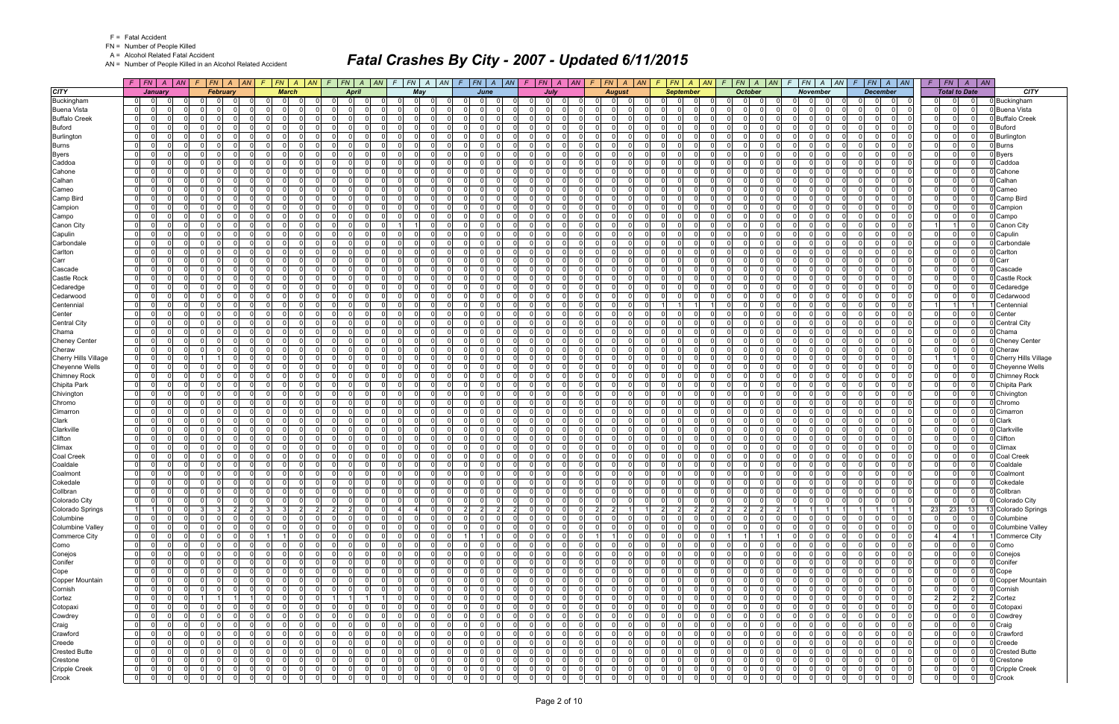FN = Number of People Killed

A = Alcohol Related Fatal Accident

AN = Number of People Killed in an Alcohol Related Accident

|                             |                                  | $F$ $ FN $ $A$ $ AN $         |                | $F$ $ FN $ $A$ $ AN$ |                | $F$ $ FN$ $ A$ $ AN$ $ F$  |                |                 |                | $FN$ $A$ $AN$  |             | $F$ $ FN $ $A$ $ AN $             |              |                            | $F$ $ FN $ $A$ $ AN $                  |                       | $F$ $ FN $ $A$ $ AN $                 | F.                                     | FN   A   AN                        | $F$ $FN$ $A$ $AN$                           |                | $\sqrt{F}$                       | FN A<br> AN                                   | F.                               | $FN$ $A$ $AN$   |             | $F$ $FN$ $A$ $AN$                                                      | F.                               |                               | $FN \mid A \mid AN$        |                             |
|-----------------------------|----------------------------------|-------------------------------|----------------|----------------------|----------------|----------------------------|----------------|-----------------|----------------|----------------|-------------|-----------------------------------|--------------|----------------------------|----------------------------------------|-----------------------|---------------------------------------|----------------------------------------|------------------------------------|---------------------------------------------|----------------|----------------------------------|-----------------------------------------------|----------------------------------|-----------------|-------------|------------------------------------------------------------------------|----------------------------------|-------------------------------|----------------------------|-----------------------------|
| <b>CITY</b>                 |                                  | January                       |                | February             |                | <b>March</b>               |                |                 | April          |                |             | May                               |              |                            | June                                   |                       | <b>July</b>                           |                                        | <b>August</b>                      | <b>September</b>                            |                |                                  | <b>October</b>                                |                                  | <b>November</b> |             | <b>December</b>                                                        |                                  | <b>Total to Date</b>          |                            | <b>CITY</b>                 |
| Buckingham                  | 0                                |                               |                |                      | 0              |                            |                |                 |                |                |             | $\Omega$                          |              |                            |                                        | 0                     | $\Omega$                              |                                        |                                    |                                             |                |                                  | 0                                             |                                  |                 | 0           | 0                                                                      | 0                                |                               |                            | Buckingham                  |
| <b>Buena Vista</b>          | $\overline{0}$                   | $\Omega$<br>0                 | $\Omega$       | $\Omega$             | $\Omega$       | $\Omega$                   |                | $\Omega$        | $\Omega$       | $\Omega$       |             | $\Omega$<br>$\Omega$              |              | $\Omega$                   | $\Omega$<br>$\Omega$                   | $\Omega$              | $\Omega$<br>$\Omega$                  | $\Omega$<br>$\Omega$                   | $\Omega$                           | 0<br>$\Omega$                               | -01            | $\Omega$                         | 0                                             | $\overline{0}$                   |                 | $\Omega$    | $\Omega$<br>$\Omega$<br>$\mathbf 0$                                    | 0                                | $\mathbf{0}$                  | $\Omega$                   | Buena Vista                 |
| <b>Buffalo Creek</b>        | $\overline{0}$                   | $\Omega$<br>$\Omega$          | $\Omega$       | $\Omega$             | - ol           | $\Omega$                   |                | $\Omega$        |                | $\Omega$       |             | $\Omega$<br>$\Omega$              |              | $\Omega$                   | -ol<br>$\Omega$                        | $\Omega$              | $\Omega$<br>$\Omega$                  | $\Omega$<br>$\Omega$                   | $\Omega$                           | $\Omega$<br>$\Omega$<br>$\Omega$            |                | 0 I                              | -01<br>$\Omega$                               | $\Omega$                         |                 | $\mathbf 0$ | $\Omega$<br>$\Omega$<br>$\Omega$                                       | $\Omega$                         | $\Omega$                      | $\Omega$                   | <b>Buffalo Creek</b>        |
| <b>Buford</b>               | 0                                | 0<br>$\Omega$                 | $\Omega$       | - 0                  | $\Omega$       | $\Omega$                   |                | $\Omega$        | $\Omega$       | $\Omega$       |             | $\Omega$<br>$\Omega$              |              | $\Omega$                   | $\Omega$<br>$\mathbf 0$                | 0 I                   | $\Omega$<br>$\Omega$                  | $\mathbf{0}$<br>റ                      | $\Omega$                           | $\Omega$<br>$\Omega$<br>0                   |                | $\Omega$                         | $\Omega$<br>$\Omega$                          | $\Omega$                         |                 | $\mathbf 0$ | $\Omega$<br>$\Omega$<br>- O I                                          | $\mathbf 0$                      | $\mathbf 0$                   | $\mathbf{0}$               | <b>Buford</b>               |
| Burlington                  | $\mathbf{0}$                     | $\Omega$                      | n l            | $\Omega$             | $\Omega$       | <sup>0</sup>               |                | $\Omega$        |                | $\Omega$       |             | $\Omega$<br>- 0                   |              | $\Omega$                   | $\Omega$<br>$\Omega$                   | $\Omega$              | $\Omega$<br>$\Omega$                  | $\Omega$<br>$\Omega$                   | $\Omega$                           | $\Omega$<br>$\Omega$<br>$\Omega$            |                | $\Omega$                         | $\Omega$<br>$\Omega$                          | $\Omega$                         |                 | $\Omega$    | $\Omega$<br>$\Omega$<br>$\Omega$                                       | $\Omega$                         | $\mathbf{0}$                  | $\mathbf 0$                | Burlington                  |
| <b>Burns</b>                | $\overline{0}$                   | 0                             | $\mathbf 0$    | $\Omega$             | -ol            | $\Omega$                   |                | $\Omega$        |                | $\Omega$       |             | $\Omega$                          | $\Omega$     | $\Omega$                   | - 0 l<br>$\Omega$                      | 0 I                   | $\Omega$<br>$\Omega$                  | $\overline{0}$<br>റ                    | $\Omega$                           | $\Omega$<br>$\Omega$                        | $\overline{0}$ | 0                                | $\Omega$<br>$\Omega$                          | $\Omega$                         |                 | $\Omega$    | $\Omega$<br>$\Omega$<br>$\Omega$                                       | 0 I                              | $\Omega$                      | $\Omega$                   | <b>Burns</b>                |
| <b>Byers</b>                | $\mathbf{0}$                     | $\Omega$                      | $\Omega$       | $\Omega$             | - ol           | $\Omega$                   |                | $\overline{0}$  | $\Omega$       | $\Omega$       | $\Omega$    | $\Omega$<br>$\Omega$              |              | $\Omega$                   | - 0 l<br>$\Omega$                      | $\overline{0}$        | 0 <br>$\Omega$                        | $\overline{0}$<br>$\Omega$             | $\Omega$                           | $\Omega$<br>$\Omega$                        | -01            | 0 I                              | -01<br>$\Omega$                               | $\overline{0}$                   |                 | $\mathbf 0$ | $\Omega$<br> 0 <br>$\Omega$                                            | $\overline{0}$                   | $\Omega$                      | $\mathbf 0$                | Byers                       |
| Caddoa                      | $\overline{0}$                   | 0                             | $\Omega$       | $\Omega$             | $\Omega$       | <sup>n</sup>               |                | $\Omega$        |                | $\Omega$       |             | $\Omega$<br>- 0                   |              | $\Omega$                   | $\mathbf 0$<br>0                       | $\Omega$              | $\Omega$<br>$\Omega$                  | $\Omega$<br>റ                          | $\Omega$                           | $\Omega$<br>$\Omega$                        | $\overline{0}$ | $\Omega$                         | $\Omega$<br>$\Omega$                          | $\Omega$                         |                 | $\Omega$    | $\Omega$<br>0<br>$\Omega$                                              | $\Omega$                         | $\Omega$                      | $\Omega$                   | Caddoa                      |
| Cahone                      | $\mathbf{0}$                     | $\Omega$<br>$\Omega$          | $\Omega$       | $\cap$               | $\Omega$       | $\Omega$                   |                | $\Omega$        | $\Omega$       | $\Omega$       |             | $\Omega$<br>$\Omega$              |              | $\Omega$                   | $\Omega$<br>$\Omega$                   | $\Omega$              | 0 I<br>$\Omega$                       | $\Omega$<br>$\Omega$                   | $\Omega$                           | $\Omega$<br>$\Omega$<br>$\Omega$            |                | $\Omega$                         | $\Omega$<br>$\Omega$                          | $\Omega$                         |                 | $\Omega$    | $\Omega$<br>$\Omega$<br>$\Omega$                                       | $\Omega$                         | $\Omega$                      | n l                        | Cahone                      |
| Calhan                      | $\overline{0}$                   | 0                             | $\Omega$       | $\Omega$             | $\mathbf 0$    | $\Omega$                   |                | 0               |                | $\Omega$       | $\Omega$    | $\overline{0}$<br>$\Omega$        |              | $\mathbf 0$                | 0 <br>$\Omega$                         | 0                     | $\Omega$<br>$\Omega$                  | $\overline{0}$                         | $\Omega$                           | 0<br>$\Omega$                               | 0              | $\overline{0}$                   | 0 <br>$\Omega$                                | $\overline{0}$                   |                 | 0           | 0<br>0l<br>$\mathbf 0$                                                 | $\mathbf 0$                      | $\mathbf{0}$                  | $\Omega$                   | Calhan                      |
| Cameo                       | $\overline{0}$                   | $\Omega$                      | $\Omega$       | $\Omega$             | $\Omega$       | ΩI                         |                | $\Omega$        |                | $\Omega$       |             | $\Omega$<br>$\Omega$              |              | $\Omega$                   | $\Omega$<br>$\Omega$                   | $\Omega$              | n l<br>$\Omega$                       | $\Omega$<br>$\Omega$                   | $\Omega$                           | $\Omega$<br>$\Omega$<br>$\Omega$            |                | $\Omega$                         | -01<br>$\Omega$                               | $\Omega$                         |                 | $\mathbf 0$ | $\Omega$<br>$\Omega$<br>$\Omega$                                       | $\Omega$                         | $\Omega$                      | $\Omega$                   | Cameo                       |
| Camp Bird                   | $\mathbf 0$                      | 0<br>0                        | $\Omega$       | - 0                  | $\Omega$       | $\Omega$                   |                | $\Omega$        | $\Omega$       | $\Omega$       |             | $\Omega$<br>$\Omega$              |              | $\Omega$                   | $\Omega$<br>$\mathbf 0$                | 0 I                   | $\Omega$<br>$\Omega$                  | $\mathbf{0}$<br>റ                      | $\Omega$                           | $\Omega$<br>$\Omega$                        | $\overline{0}$ | 0 I                              | $\overline{0}$<br>$\Omega$                    | $\Omega$                         |                 | $\mathbf 0$ | $\Omega$<br>$\Omega$<br>- O I                                          | $\Omega$                         | $\Omega$                      | $\Omega$                   | Camp Bird                   |
| Campion                     | 01                               | 0                             | $\Omega$       |                      | $\Omega$       |                            |                | $\Omega$        |                | $\Omega$       |             | $\Omega$<br>$\Omega$              |              | $\Omega$                   | - 0 l<br>0                             | $\Omega$              | $\Omega$<br>$\Omega$                  | $\Omega$<br>$\Omega$                   | $\Omega$                           | $\Omega$<br>n.<br>$\Omega$                  |                | $\Omega$                         | $\Omega$                                      | ΩI                               |                 | $\Omega$    | $\Omega$<br>0<br>$\Omega$                                              | $\Omega$                         | - O I                         | $\Omega$                   | Campion                     |
| Campo                       | $\overline{0}$                   | 0                             | $\Omega$       |                      | $\Omega$       | ΩI                         |                | $\Omega$        |                | $\Omega$       |             | $\Omega$<br>n                     |              | $\Omega$                   | $\Omega$<br><sup>n</sup>               | $\Omega$              | $\Omega$<br>0                         | $\Omega$                               |                                    | $\Omega$<br>- 0                             |                | $\Omega$                         | $\Omega$<br><sup>n</sup>                      | $\Omega$                         |                 | $\Omega$    | $\Omega$<br>$\Omega$<br>$\Omega$                                       | $\Omega$                         | $\Omega$                      | $\Omega$                   | Campo                       |
| Canon City                  | $\overline{0}$                   | 0                             | $\mathbf 0$    | $\Omega$             | $\mathbf 0$    | $\Omega$                   |                | $\overline{0}$  |                | $\Omega$       |             | $\Omega$<br><u>11</u>             |              | $\mathbf 0$                | - 0 l<br>$\Omega$                      | 0 I                   | $\Omega$<br>$\Omega$                  | $\overline{0}$<br>$\Omega$             | $\Omega$                           | $\Omega$<br>$\Omega$                        | -01            | 0 I                              | $\overline{0}$                                | $\overline{0}$                   |                 | $\mathbf 0$ | $\Omega$<br>$\Omega$<br>$\mathbf 0$                                    |                                  |                               | $\mathbf{0}$               | Canon City                  |
| Capulin                     | $\overline{0}$                   | $\Omega$                      | n l            | n                    | $\Omega$       | <sup>n</sup>               |                | $\Omega$        |                | $\Omega$       |             | $\Omega$<br>$\Omega$              |              | $\Omega$                   | $\Omega$<br><sup>0</sup>               | $\Omega$              | $\Omega$<br>$\Omega$                  | $\Omega$<br>$\Omega$                   |                                    | $\Omega$<br>$\Omega$<br>$\Omega$            |                | $\Omega$                         | $\Omega$                                      | $\Omega$                         |                 | $\Omega$    | $\Omega$<br>$\Omega$<br>$\Omega$                                       | $\Omega$                         | $\Omega$                      | $\Omega$                   | Capulin                     |
| Carbondale                  | 0                                | 0                             | $\mathbf 0$    | $\Omega$             | - 0 l          | $\Omega$                   |                | 0 I             |                | $\Omega$       |             | $\overline{0}$<br>$\Omega$        |              | $\Omega$                   | $\Omega$<br>$\mathbf 0$                | 0 I                   | $\overline{0}$<br>$\Omega$            | $\mathbf{0}$<br>$\Omega$               | $\Omega$                           | $\Omega$<br>$\Omega$                        | $\Omega$       | 0 I                              | - 01<br>$\Omega$                              | $\Omega$                         |                 | $\mathbf 0$ | $\Omega$<br>$\Omega$<br>- O I                                          | $\overline{0}$                   | 0                             | $\Omega$                   | Carbondale                  |
| Carlton                     | $\overline{0}$                   | $\Omega$                      | $\Omega$       |                      | $\Omega$       | <sup>0</sup>               |                | $\Omega$        |                | $\Omega$       |             | $\Omega$<br>$\Omega$              |              | $\Omega$                   | $\Omega$<br>U                          | $\Omega$              | $\Omega$<br>$\Omega$                  | $\Omega$                               |                                    | $\Omega$<br>U                               | $\Omega$       | $\Omega$                         | $\Omega$                                      | $\Omega$                         |                 | $\Omega$    | $\Omega$<br>$\Omega$                                                   | $\Omega$                         | $\Omega$                      | $\Omega$                   | Carlton                     |
| Carr                        | $\overline{0}$                   | 0                             | $\mathbf 0$    | $\Omega$             | $\Omega$       | $\Omega$                   |                | $\overline{0}$  |                | $\Omega$       |             | $\overline{0}$<br>$\Omega$        |              | $\Omega$                   | - 0 l<br>$\Omega$                      | 0 I                   | $\Omega$<br>$\overline{0}$            | $\overline{0}$<br>$\Omega$             | $\Omega$                           | $\Omega$<br>$\Omega$                        | $\overline{0}$ | 0 I                              | -01<br>$\Omega$                               | $\Omega$                         |                 | $\mathbf 0$ | $\Omega$<br>$\Omega$<br>$\Omega$                                       | $\overline{0}$                   | $\Omega$                      | $\Omega$                   | Carr                        |
| Cascade                     | 0                                | $\Omega$                      | n l            | $\Omega$             | $\overline{0}$ | $\Omega$                   |                | $\Omega$        |                | $\Omega$       |             | $\Omega$<br>$\Omega$              |              | $\Omega$                   | $\Omega$<br>$\Omega$                   | $\Omega$              | n l<br>$\Omega$                       | $\Omega$<br>$\Omega$                   | $\Omega$                           | $\Omega$<br>$\Omega$<br>$\Omega$            |                | $\Omega$                         | -01<br>$\Omega$                               | $\Omega$                         |                 | $\Omega$    | n l<br>$\Omega$<br>$\Omega$                                            | $\Omega$                         | $\Omega$                      | $\Omega$                   | Cascade                     |
| <b>Castle Rock</b>          | $\overline{0}$                   | $\Omega$<br>0                 | $\Omega$       | $\Omega$             | - 0 l          | 0                          |                | $\Omega$        |                | $\Omega$       |             | $\overline{0}$<br>$\Omega$        |              | $\Omega$                   | $\Omega$<br>$\mathbf 0$                | 0 I                   | $\mathbf 0$<br>$\Omega$               | 01<br>$\Omega$                         | $\Omega$                           | $\Omega$<br>$\Omega$                        | $\overline{0}$ | 0 I                              | $\overline{0}$                                | $\Omega$                         |                 | $\mathbf 0$ | $\Omega$<br>$\Omega$<br>$\Omega$                                       | $\Omega$                         | - O I                         | $\Omega$                   | Castle Rock                 |
| Cedaredge                   | $\overline{0}$                   | $\Omega$                      | $\Omega$       | $\Omega$             | $\Omega$       | ΩI                         |                | $\Omega$        |                | $\Omega$       |             | $\Omega$                          | $\Omega$     | $\Omega$                   | $\Omega$<br>U                          | $\Omega$              | n l<br>$\Omega$                       | $\Omega$                               | $\Omega$                           | $\Omega$<br>$\Omega$                        |                | $\Omega$                         | $\Omega$<br>U                                 | $\Omega$                         |                 | $\Omega$    | $\Omega$<br>$\Omega$<br>$\Omega$                                       | $\Omega$                         | $\Omega$                      | $\Omega$                   | Cedaredge                   |
| Cedarwood                   | 0                                | 0                             | $\mathbf 0$    | $\Omega$             | $\mathbf 0$    | $\Omega$                   |                | 0 I             |                | $\Omega$       | $\Omega$    | $\overline{0}$<br>$\Omega$        |              | $\overline{0}$             | - 0 l<br>$\Omega$                      | 0 I                   | $\Omega$<br>$\overline{0}$            | 01<br>$\Omega$                         | $\Omega$                           | $\Omega$<br>$\Omega$                        | $\overline{0}$ | 0 I                              | 0 <br>$\Omega$                                | $\overline{0}$                   |                 | $\mathbf 0$ | $\Omega$<br>$\Omega$<br>$\Omega$                                       | 0 I                              | $\Omega$                      | $\mathbf{0}$               | Cedarwood                   |
| Centennial                  | $\overline{0}$                   | $\Omega$                      | $\Omega$       | n                    | $\Omega$       | U                          |                | $\Omega$        |                | $\Omega$       |             | $\Omega$<br>$\Omega$              |              | $\Omega$                   | $\Omega$<br>U                          | $\Omega$              | $\Omega$<br>$\Omega$                  | $\Omega$<br>$\Omega$                   | $\Omega$                           |                                             |                | $\Omega$                         | $\Omega$                                      | $\Omega$                         |                 | $\Omega$    | $\Omega$<br>$\Omega$<br>$\Omega$                                       |                                  |                               |                            | Centennia                   |
| Center                      | $\mathbf{0}$                     | $\Omega$<br>0                 | $\mathbf 0$    | $\Omega$             | - 0 l          | $\Omega$                   |                | 0 I             |                | $\Omega$       |             | $\Omega$<br>$\Omega$              |              | $\Omega$                   | $\Omega$<br>$\mathbf 0$                | 0 I                   | $\overline{0}$<br>$\Omega$            | $\mathbf{0}$<br>$\Omega$               | $\Omega$                           | $\Omega$<br>$\Omega$                        | $\overline{0}$ | 0 I                              | - 01<br>$\Omega$                              | $\Omega$                         |                 | $\mathbf 0$ | $\Omega$<br>$\Omega$<br>- O I                                          | $\overline{0}$                   | 0                             | 0 I                        | Center                      |
| <b>Central City</b>         | $\overline{0}$                   | $\Omega$                      | $\Omega$       |                      | $\Omega$       | U                          |                | $\Omega$        |                | $\Omega$       |             | $\Omega$<br>$\Omega$              |              | $\Omega$                   | - 0 l<br>0                             | $\Omega$              | $\Omega$<br>$\Omega$                  | $\Omega$<br>$\Omega$                   | $\Omega$                           | $\Omega$<br>O.                              | $\Omega$       | $\Omega$                         | $\Omega$                                      | $\Omega$                         |                 | $\Omega$    | $\Omega$<br>$\Omega$<br>$\Omega$                                       | $\Omega$                         | $\Omega$                      | $\Omega$                   | Central City                |
| Chama                       | $\overline{0}$                   | 0                             | $\Omega$       | $\Omega$             | $\Omega$       | $\Omega$                   |                | $\Omega$        |                | $\Omega$       |             | $\Omega$<br>$\Omega$              |              | $\Omega$                   | $\Omega$<br><sup>n</sup>               | $\Omega$              | $\Omega$<br>$\Omega$                  | $\Omega$                               | $\Omega$                           | $\Omega$<br>$\Omega$                        |                | $\Omega$                         | $\Omega$<br>O                                 | $\Omega$                         |                 | $\Omega$    | 0<br>$\Omega$                                                          | 0 I                              | $\Omega$                      | $\mathbf{0}$               | Chama                       |
| <b>Cheney Center</b>        | $\mathbf{0}$                     | n l<br>$\Omega$               | - 0 l          | $\Omega$             | - ol           | $\Omega$                   | $\Omega$       | $\overline{0}$  | $\Omega$       | $\Omega$       | $\Omega$    | -01                               | $\Omega$     | $\Omega$                   | $\Omega$<br>- 0 l                      | $\overline{0}$        | $\overline{0}$<br>$\Omega$            | $\overline{0}$<br>$\Omega$             | - O I                              | $\Omega$<br>$\Omega$                        | -01            | 0 I                              | $\mathbf{0}$<br>$\Omega$                      | $\overline{0}$                   |                 | $\mathbf 0$ | $\overline{0}$<br>$\mathbf 0$<br>$\Omega$                              | $\overline{0}$                   | $\mathbf{0}$                  | $\mathbf{0}$               | <b>Cheney Center</b>        |
| Cheraw                      | 01                               | 0                             | $\Omega$       | n                    | $\Omega$       | <sup>n</sup>               |                | $\Omega$        |                | $\Omega$       |             | $\Omega$<br>$\Omega$              |              | $\Omega$                   | $\Omega$<br><sup>n</sup>               | $\Omega$              | $\Omega$<br>$\Omega$                  | $\Omega$<br>$\cap$                     | $\Omega$                           | $\Omega$<br>$\Omega$<br>$\Omega$            |                | $\Omega$                         | $\Omega$<br>$\Omega$                          | $\Omega$                         |                 | $\Omega$    | $\Omega$<br>0<br>$\Omega$                                              | $\Omega$                         | - O I                         | $\Omega$                   | Cheraw                      |
| <b>Cherry Hills Village</b> | $\overline{0}$                   | $\Omega$<br>$\Omega$          |                | $\Omega$             | -ol            | $\Omega$                   | $\Omega$       | $\Omega$        | $\Omega$       | $\Omega$       | $\Omega$    | $\Omega$                          | $\Omega$     | $\Omega$                   | - 0 l<br>$\Omega$                      | $\overline{0}$        | 0 I<br>$\Omega$                       | $\mathbf{0}$                           | $\Omega$<br>- O I                  | $\Omega$<br>$\Omega$                        | $\Omega$       | 0 I                              | $\mathbf{0}$<br>$\Omega$                      | $\overline{0}$                   |                 | $\mathbf 0$ | $\Omega$<br>$\overline{0}$<br>$\mathbf 0$                              |                                  |                               | $\Omega$                   | <b>Cherry Hills Village</b> |
| Cheyenne Wells              | $\overline{0}$                   | 0                             | $\Omega$       |                      | $\Omega$       | $\Omega$                   |                | $\Omega$        |                | $\Omega$       |             | $\Omega$<br>$\Omega$              |              | $\Omega$                   | $\Omega$<br>$\Omega$                   | $\Omega$              | $\Omega$<br>$\Omega$                  | $\Omega$                               | $\Omega$                           | $\Omega$<br>$\Omega$<br>$\Omega$            |                | $\Omega$                         | $\Omega$                                      | $\overline{0}$                   |                 | $\Omega$    | $\Omega$<br>$\Omega$                                                   | $\Omega$                         | $\mathbf{0}$                  | $\Omega$                   | Cheyenne Wells              |
| <b>Chimney Rock</b>         | $\overline{0}$                   | $\Omega$<br>n l               | - 0 l          | $\Omega$             | - ol           | $\Omega$                   | $\Omega$       | $\Omega$        | $\Omega$       | $\Omega$       | $\Omega$    | -01                               | $\Omega$     | $\overline{0}$             | $\Omega$<br>- 0 l                      | $\Omega$              | 0 I<br>$\Omega$                       | $\Omega$                               | $\Omega$<br>$\Omega$               | $\Omega$<br>$\Omega$                        | $\Omega$       | 0 I                              | 0 <br>$\Omega$                                | $\overline{0}$                   | ി               | $\mathbf 0$ | $\Omega$<br>$\overline{0}$<br>$\overline{0}$                           | $\overline{0}$                   | $\mathbf 0$                   | $\mathbf 0$                | <b>Chimney Rock</b>         |
| Chipita Park                | $\mathbf{0}$                     | 0<br>$\Omega$                 | - Ol           | $\Omega$             | $\Omega$       | $\Omega$                   |                | $\Omega$        | $\Omega$       | $\Omega$       |             | $\Omega$<br>$\Omega$              |              | $\Omega$                   | $\Omega$<br>$\mathbf 0$                | $\Omega$              | $\Omega$<br>$\Omega$                  | $\mathbf{0}$<br>$\Omega$               | $\Omega$                           | $\Omega$<br>$\Omega$                        | $\Omega$       | $\Omega$                         | $\overline{0}$<br>$\Omega$                    | $\Omega$                         |                 | $\mathbf 0$ | $\Omega$<br>$\Omega$<br>- O I                                          | $\Omega$                         | - O I                         | $\mathbf 0$                | Chipita Park                |
| Chivington                  | $\overline{0}$                   | $\Omega$<br>$\Omega$          | $\Omega$       | $\Omega$             | -ol            | $\Omega$                   | $\Omega$       | $\overline{0}$  |                | $\Omega$       |             | $\Omega$<br>$\Omega$              |              | $\Omega$                   | - 0 l<br>$\Omega$                      | $\Omega$              | n l<br>$\Omega$                       | $\Omega$<br>$\Omega$                   | $\Omega$                           | $\Omega$<br>$\Omega$                        | -01            | 0 I                              | -01<br>$\Omega$                               | $\Omega$                         |                 | $\mathbf 0$ | $\Omega$<br>$\Omega$<br>$\Omega$                                       | $\overline{0}$                   | $\mathbf{0}$                  | $\mathbf{0}$               | Chivington                  |
| Chromo                      | $\overline{0}$                   | <sup>0</sup>                  | $\Omega$       | n                    | $\Omega$       | ΩI                         |                | $\Omega$        |                | $\Omega$       |             | $\Omega$<br>$\Omega$              |              | $\Omega$                   | $\Omega$<br>$\Omega$                   | $\Omega$              | $\Omega$<br>$\Omega$                  | $\Omega$                               |                                    | $\Omega$<br>$\Omega$<br>$\Omega$            |                | $\Omega$                         | $\Omega$<br>$\Omega$                          | $\Omega$                         |                 | $\Omega$    | $\Omega$<br>$\Omega$<br>$\Omega$                                       | $\Omega$                         | $\Omega$                      | $\Omega$                   | Chromo                      |
| Cimarron                    | $\mathbf{0}$                     | n l<br>$\Omega$               | - 0 l          | $\Omega$             | - ol           | $\Omega$                   | $\Omega$       | $\overline{0}$  | $\Omega$       | $\Omega$       | $\Omega$    | -01                               | $\Omega$     | $\overline{0}$             | -ol<br>$\Omega$                        | $\overline{0}$        | 0 I<br>$\Omega$                       | $\mathbf{0}$<br>$\Omega$               | - O I                              | $\Omega$<br>$\Omega$                        | -01            | 0 I                              | 0 <br>$\Omega$                                | $\overline{0}$                   |                 | $\mathbf 0$ | $\Omega$<br> 0 <br>$\overline{0}$                                      | $\overline{0}$                   | $\mathbf{0}$                  | 0                          | Cimarror                    |
| Clark                       | 01                               | <sup>0</sup>                  | - Ol           | n                    | $\Omega$       | <sup>n</sup>               |                | $\Omega$        |                | $\Omega$       |             | $\Omega$<br>$\Omega$              |              | $\Omega$                   | <sup>0</sup><br>$\Omega$               | $\Omega$              | $\Omega$<br>$\Omega$                  | $\Omega$<br>$\Omega$                   | $\Omega$                           | $\Omega$<br>$\Omega$<br>$\Omega$            |                | $\Omega$                         | $\Omega$<br>$\Omega$                          | $\Omega$                         |                 | $\Omega$    | $\Omega$<br>$\Omega$<br>$\Omega$                                       | $\Omega$                         | 0                             | $\Omega$                   | Clark                       |
| Clarkville                  | $\overline{0}$                   | <sup>0</sup>                  | $\Omega$       | റ                    | $\Omega$       | $\Omega$                   |                | $\Omega$        |                | $\Omega$       |             | $\Omega$<br>$\Omega$              |              | $\Omega$                   | $\Omega$<br>$\Omega$                   | $\Omega$              | - Ol<br>$\Omega$                      | $\mathbf{0}$<br>$\Omega$               | $\Omega$                           | $\Omega$<br>$\Omega$                        | $\Omega$       | 0 I                              | $\Omega$<br>$\Omega$                          | $\Omega$                         |                 | $\mathbf 0$ | $\Omega$<br>$\Omega$<br>- O I                                          | $\overline{0}$                   | $\Omega$                      | n l                        | Clarkville                  |
| Clifton                     | $\overline{0}$                   | 0                             | $\Omega$       | n                    | $\mathbf 0$    | $\Omega$                   |                | $\Omega$        |                | $\Omega$       |             | $\Omega$<br>$\Omega$              |              | $\mathbf 0$                | - 0 l<br>0                             | $\Omega$              | $\Omega$<br>$\Omega$                  | $\Omega$                               |                                    | 0<br>0.                                     | $\overline{0}$ | $\Omega$                         | $\mathbf{0}$                                  | $\mathbf{0}$                     |                 | .0          | $\Omega$<br>$\Omega$<br>$\mathbf 0$                                    | $\overline{0}$                   | $\mathbf{0}$                  | $\mathbf{0}$               | Clifton                     |
| Climax                      | $\overline{0}$                   | $\Omega$                      | - 0 l          | $\Omega$             | $\Omega$       | $\Omega$                   |                | $\Omega$        |                | $\Omega$       |             | -01<br>$\Omega$                   |              | $\Omega$                   | $\Omega$<br>$\Omega$                   | $\overline{0}$        | n l<br>$\Omega$                       | $\overline{0}$<br>$\Omega$             | $\Omega$                           | $\Omega$<br>$\Omega$<br>$\Omega$            |                | 0                                | -01<br>$\Omega$                               | $\Omega$                         |                 | $\mathbf 0$ | $\Omega$<br>$\Omega$<br>$\Omega$                                       | $\overline{0}$                   | $\Omega$                      | $\Omega$                   | Climax                      |
| <b>Coal Creek</b>           | 0                                | $\Omega$                      | $\Omega$       | - 0                  | - ol           | $\Omega$                   |                | $\Omega$        |                | $\Omega$       |             | $\Omega$<br>$\Omega$              |              | $\Omega$                   | $\Omega$<br>$\Omega$                   | $\Omega$              | $\Omega$<br>$\Omega$                  | $\mathbf{0}$<br>$\Omega$               | $\Omega$                           | $\Omega$<br>$\Omega$<br>$\Omega$            |                | $\Omega$                         | -01<br>$\Omega$                               | $\Omega$                         |                 | $\mathbf 0$ | $\Omega$<br>$\Omega$<br>- O I                                          | $\Omega$                         | $\mathbf 0$                   | $\Omega$                   | Coal Creek                  |
| Coaldale                    | 01                               | $\Omega$<br>0                 | - 0 l          | $\Omega$             | $\Omega$       | $\Omega$                   |                | $\Omega$        |                | $\Omega$       |             | -01<br>$\Omega$                   |              | $\Omega$                   | - 0 l<br>$\Omega$                      | $\Omega$              | - 0 l<br>$\Omega$                     | $\Omega$<br>$\Omega$                   | $\Omega$                           | $\Omega$<br>$\Omega$                        | $\overline{0}$ | 0 I                              | $\Omega$<br>$\Omega$                          | $\Omega$                         |                 | $\mathbf 0$ | $\Omega$<br>$\Omega$<br>$\Omega$                                       | $\Omega$                         | $\mathbf 0$                   | $\Omega$                   | Coaldale                    |
| Coalmont                    | $\overline{0}$                   | $\Omega$                      | - 0 l          | $\Omega$             | 0              | $\Omega$                   |                | $\overline{0}$  |                | $\Omega$       |             | -01<br>$\Omega$                   |              | $\mathbf 0$                | - 0 l<br>$\Omega$                      | $\overline{0}$        | $\Omega$<br>$\Omega$                  | 0 <br>$\Omega$                         | $\Omega$                           | 0<br>$\Omega$<br>$\Omega$                   |                | 0                                | $\mathbf{0}$<br>0                             | $\overline{0}$                   |                 | 0l          | $\mathbf 0$<br>$\Omega$<br>$\mathbf 0$                                 | $\overline{0}$                   | $\mathbf{0}$                  | $\Omega$                   | Coalmon                     |
| Cokedale                    | $\overline{0}$                   | $\Omega$<br>$\Omega$          | - 0 l          | $\Omega$             | -ol            | $\Omega$                   |                | $\overline{0}$  |                | $\Omega$       |             | $\Omega$<br>$\Omega$              |              | $\Omega$                   | $\Omega$<br>$\Omega$                   | $\overline{0}$        | $\Omega$<br>$\Omega$                  | $\overline{0}$                         | $\Omega$                           | $\Omega$<br>$\Omega$                        | $\Omega$       | $\overline{0}$                   | $\mathbf{0}$                                  | $\Omega$                         |                 | $\Omega$    | $\Omega$<br>$\Omega$<br>$\Omega$                                       | $\overline{0}$                   | $\Omega$                      | $\Omega$                   | Cokedale                    |
| Collbran                    | $\mathbf{0}$                     | $\overline{\mathbf{0}}$<br>0  | $\Omega$       |                      | $\Omega$       | 0                          |                |                 |                | 0              |             | $\Omega$                          |              | $\Omega$                   | $\Omega$                               | $\Omega$              | 0                                     |                                        |                                    | $\Omega$                                    | 0              | $\Omega$                         | $\Omega$                                      |                                  |                 |             | $\mathbf 0$<br>$\overline{0}$                                          | $\Omega$                         | $\overline{0}$                | $\Omega$                   | 0 Collbran                  |
| Colorado City               | $\overline{0}$                   | $\Omega$<br>$\Omega$          | - 0 l          | $\Omega$             | $\Omega$       | $\Omega$                   |                | 0 I             | $\Omega$       | $\Omega$       |             | -01                               | $\Omega$     | $\Omega$                   | - 0 l<br>$\Omega$                      | 0 I                   | $\overline{0}$<br>$\Omega$            | $\mathbf{0}$                           | - O I<br>$\Omega$                  | $\Omega$<br>$\Omega$                        | 0              | 0 I                              | 0 <br>$\Omega$                                | $\Omega$                         |                 | $\mathbf 0$ | $\Omega$<br>$\Omega$<br>$\mathbf 0$                                    | $\overline{0}$                   | $\mathbf 0$                   | $\overline{0}$             | Colorado City               |
| Colorado Springs            |                                  | $\Omega$                      | 3              | $\overline{2}$       | 3              | 3                          | $\overline{2}$ | $\vert$ 2       | $\overline{2}$ | $\Omega$       |             | 4<br>0                            |              | $\overline{2}$             | $\vert$ 2<br>$\overline{2}$            | $\overline{0}$        | $\mathbf 0$<br>01                     | $\overline{2}$                         | $\overline{2}$                     | $\overline{2}$<br>2                         | $\vert$ 2      | $\overline{2}$                   | $\vert$ 2<br>$\overline{2}$                   |                                  |                 |             | 11                                                                     | 23                               | 23                            | 13                         | Colorado Springs            |
| Columbine                   | $\overline{0}$                   | $\Omega$<br>$\Omega$          | $\mathbf 0$    | $\Omega$             | 0              | $\Omega$                   |                | $\overline{0}$  | $\Omega$       | -01            | $\Omega$    | -01                               | $\Omega$     | $\overline{0}$             | 0 <br>$\Omega$                         | 0 I                   | $\overline{0}$<br>$\Omega$            | 0                                      | - O I<br>- O I                     | $\Omega$<br>$\Omega$                        | 0              | $\overline{0}$                   | 0 <br>$\Omega$                                | $\overline{0}$                   |                 | 0           | $\overline{0}$<br>$\mathbf 0$<br>$\Omega$                              | $\overline{0}$                   | $\mathbf 0$                   | $\Omega$                   | Columbine                   |
| <b>Columbine Valley</b>     | 0                                | $\Omega$<br>0                 | - 0 l          | $\Omega$             | 0              | $\Omega$                   |                | $\overline{0}$  |                | $\Omega$       |             | -01<br>$\Omega$                   |              | $\overline{0}$             | 0 <br>$\Omega$                         | $\overline{0}$        | 0 <br>$\Omega$                        | $\overline{0}$<br>$\Omega$             | $\Omega$                           | $\mathbf 0$<br>$\overline{0}$               | 0              | 0                                | 0 <br>$\Omega$                                | $\overline{0}$                   |                 | $\mathbf 0$ | $\mathbf 0$<br>$\overline{0}$<br>$\mathbf 0$                           | $\overline{0}$                   | $\overline{0}$                | 0                          | <b>Columbine Valley</b>     |
| <b>Commerce City</b>        | $\overline{0}$                   | $\Omega$<br>0                 | $\mathbf 0$    | $\Omega$             | $1 \vert$      |                            |                | $\Omega$        |                | $\Omega$       |             | $\overline{0}$<br>$\Omega$        |              |                            | 0                                      | $\Omega$              | 0 I<br>$\Omega$                       |                                        | $\Omega$                           | $\Omega$<br>$\Omega$                        | 0              |                                  |                                               | $\overline{0}$                   |                 | $\mathbf 0$ | $\Omega$<br> 0 <br>$\mathbf 0$                                         |                                  | $\left 4\right $              | 11                         | <b>Commerce City</b>        |
| Como                        | $\overline{0}$                   | $\Omega$                      | - 0 l          | $\Omega$             | 0              | $\Omega$                   |                | $\overline{0}$  |                | -01            |             | -01                               | $\Omega$     | $\mathbf 0$                | 0 <br>$\Omega$                         | $\overline{0}$        | $\overline{0}$<br>$\Omega$            | $\overline{0}$                         | - O I<br>$\Omega$                  | $\Omega$<br>$\overline{0}$                  | 0              | 0                                | $\mathbf 0$<br>$\Omega$                       | $\overline{0}$                   |                 | 0           | $\Omega$<br> 0 <br>$\mathbf 0$                                         | $\overline{0}$                   | $\mathbf 0$                   | 0                          | Como                        |
| Conejos                     | $\overline{0}$                   | $\overline{0}$                | 0              | 0                    | 0              | $\overline{0}$             |                | 0               | 0              | $\mathbf{0}$   | $\Omega$    | 0                                 | $\mathbf{0}$ | $\mathbf 0$                | 0 <br>$\overline{0}$                   | 0                     | 0 <br>$\mathbf 0$                     | $\overline{0}$                         | $\Omega$<br>0                      | 0<br>$\overline{0}$                         | 0              | $\overline{0}$                   | 0 <br>$\Omega$                                | 0                                |                 | 0           | 0<br>$\overline{0}$<br>$\mathbf 0$                                     | 0                                | $\mathbf{0}$                  | $\overline{0}$             | Conejos                     |
| Conifer                     | $\overline{0}$                   | $\Omega$<br>$\Omega$          | - 0 l          | $\Omega$             | 0              | $\Omega$                   |                | $\overline{0}$  | $\Omega$       | -01            |             | 0                                 | $\Omega$     | $\Omega$                   | 0 <br>$\Omega$                         | $\overline{0}$        | 0 <br>$\Omega$                        | $\overline{0}$                         | $\mathbf 0$<br>$\Omega$            | $\Omega$<br>$\Omega$                        | 0              | 0                                | 0 <br>$\Omega$                                | $\overline{0}$                   | $\Omega$        | 0           | $\Omega$<br>$\overline{0}$<br>$\mathbf 0$                              | $\overline{0}$                   | $\mathbf 0$                   | $\overline{0}$             | Conifer                     |
| Cope                        | 0                                | 0<br>$\Omega$<br>$\Omega$     | 0 <br>$\Omega$ | $\Omega$<br>$\Omega$ | 0 <br> 0       | $\Omega$<br>$\Omega$       | $\Omega$       | 0 I<br>$\Omega$ | 0<br>$\Omega$  | 0 <br>$\Omega$ | $\Omega$    | $\overline{0}$<br>-01<br>$\Omega$ | $\mathbf 0$  | $\overline{0}$<br>$\Omega$ | $\mathbf{0}$<br> 0 <br> 0 <br>$\Omega$ | 0 <br>$\Omega$        | 01<br>$\mathbf 0$<br>0 I<br>$\Omega$  | $\mathbf 0$<br>$\Omega$                | -01<br>0 I<br>$\Omega$<br>$\Omega$ | 0<br>$\overline{0}$<br>$\Omega$<br>$\Omega$ | 0              | 0 <br> 0                         | 0 <br>$\mathbf 0$<br>$\mathbf{0}$<br>$\Omega$ | $\overline{0}$<br>$\overline{0}$ | $\Omega$        | 0 <br>- 0 l | 0<br> 0 <br>$\mathbf 0$<br>$\Omega$                                    | $\overline{0}$<br>$\overline{0}$ | $\mathbf 0$                   | 0                          | Cope                        |
| Copper Mountain             | $\overline{0}$<br>$\overline{0}$ | 0l                            |                | $\Omega$             | 0              | $\overline{0}$             |                |                 | $\Omega$       | 0              | $\Omega$    | 0                                 |              | 0                          | 0 <br>$\mathbf{0}$                     |                       | $\mathbf 0$                           | 0                                      | $\Omega$                           | 0<br>$\overline{0}$                         | 0              | 0                                | $\Omega$                                      | $\overline{0}$                   | - 0             |             | 0 <br>$\mathbf 0$<br> 0 <br>0                                          |                                  | $\mathbf 0$<br>$\mathbf{0}$   | $\mathbf 0$<br>$\mathbf 0$ | <b>Copper Mountain</b>      |
| Cornish                     |                                  | $\Omega$                      | 0 <br>11       |                      |                |                            |                | 0               | $\overline{1}$ | $\overline{1}$ | $\Omega$    | 0                                 |              |                            | $\Omega$                               | 0                     | 0                                     |                                        | -01<br>$\Omega$                    |                                             | 0              |                                  | 0 <br>$\Omega$                                |                                  | $\Omega$        | 0           | $\mathbf 0$                                                            | 0                                |                               |                            | Cornish                     |
| Cortez                      | 0 <br>$\overline{0}$             | $\Omega$<br>0                 | $\mathbf 0$    | -0                   | 0 <br> 0       | $\overline{0}$<br>$\Omega$ |                | 0 I             | 0              | 0              |             | 0 <br>$\overline{0}$<br>$\Omega$  | $\mathbf 0$  | $\overline{0}$<br>$\Omega$ | 0 <br> 0 <br>0                         | $\overline{0}$<br>0 I | 0 <br>$\mathbf{0}$<br> 0 <br>$\Omega$ | $\overline{0}$<br>$\Omega$<br>$\Omega$ | - O I<br>$\Omega$                  | $\mathbf 0$<br> 0 <br>$\Omega$<br>$\Omega$  | 0 <br> 0       | $\overline{0}$<br>$\overline{0}$ | $\overline{0}$<br> 0 <br>$\Omega$             | $\overline{0}$<br>$\overline{0}$ |                 | 0 <br> 0    | $\mathbf 0$<br>$\overline{0}$<br>$\mathbf 0$<br>0<br>0l<br>$\mathbf 0$ | $\overline{2}$<br>$\Omega$       | $\overline{2}$<br>$\mathbf 0$ | $\vert$ 2<br>$\mathbf 0$   | Cortez<br>Cotopaxi          |
| Cotopaxi<br>Cowdrey         | 0                                | $\Omega$<br>$\Omega$          | $\mathbf{0}$   | $\Omega$             | 0              | $\Omega$                   |                | $\overline{0}$  | $\Omega$       | -01            |             | -01                               | $\Omega$     | $\Omega$                   | 0 <br>$\Omega$                         | $\overline{0}$        | 0 <br>$\Omega$                        | $\mathbf{0}$                           | $\Omega$<br>- O I                  | $\Omega$<br>$\overline{0}$                  | 0              | 0                                | 0 <br>$\Omega$                                | $\Omega$                         | $\Omega$        | - 0 l       | $\Omega$<br> 0 <br>$\mathbf 0$                                         | $\overline{0}$                   | $\mathbf 0$                   | $\overline{0}$             | Cowdrey                     |
| Craig                       | $\overline{0}$                   | 0                             | 0              | -0                   | 0              | $\overline{0}$             |                | $\mathbf 0$     |                | $\mathbf 0$    |             | 0 <br>0                           |              | 0                          | 0 <br>0                                | $\overline{0}$        | 0 <br>0                               | $\overline{0}$                         | $\Omega$                           | 0<br>$\overline{0}$                         | 0              | $\overline{0}$                   | 0                                             | $\overline{0}$                   |                 | 0           | 0<br> 0 <br>$\mathbf 0$                                                | $\overline{0}$                   | $\mathbf{0}$                  | $\mathbf 0$                | Craig                       |
| Crawford                    | $\overline{0}$                   | $\Omega$<br> 0                | 0              | $\Omega$             | $\overline{0}$ | 0 I                        |                | $\overline{0}$  | $\mathbf 0$    | 0              | $\Omega$    | 0                                 | $\Omega$     | $\mathbf 0$                | 0 <br>$\Omega$                         | 0 I                   | $\overline{0}$<br> 0                  | $\overline{0}$                         | $\mathbf 0$<br>- O I               | $\overline{0}$<br> 0                        | 0              | $\overline{0}$                   | $\overline{0}$<br>$\Omega$                    | $\overline{0}$                   | $\Omega$        | 0           | $\Omega$<br>$\overline{0}$<br>$\mathbf 0$                              | $\overline{0}$                   | $\mathbf 0$                   | 0                          | Crawford                    |
| Creede                      | 0                                | 0<br>$\Omega$                 | $\mathbf 0$    | $\Omega$             | 0              | $\Omega$                   | $\Omega$       | 0 I             | $\Omega$       | 0              | $\Omega$    | $\overline{0}$                    | $\mathbf 0$  | $\overline{0}$             | $\mathbf{0}$<br> 0                     | 0                     | 01<br>- O I                           | $\mathbf 0$                            | $\Omega$<br>-01                    | $\overline{0}$<br>$\overline{0}$            | 0              | $\overline{0}$                   | 0 <br>$\mathbf 0$                             | $\overline{0}$                   |                 | 0           | 0<br> 0 <br>$\mathbf 0$                                                | $\overline{0}$                   | $\mathbf 0$                   | $\overline{0}$             | Creede                      |
| <b>Crested Butte</b>        | $\overline{0}$                   | $\Omega$<br>$\Omega$          | $\mathbf 0$    | $\Omega$             | 0              | $\Omega$                   | $\Omega$       | $\overline{0}$  | $\Omega$       | $\Omega$       |             | 0 <br>$\Omega$                    |              | $\overline{0}$             | 0 <br>0                                | 0 I                   | 01<br>$\Omega$                        | $\overline{0}$                         | - O I<br>$\Omega$                  | $\Omega$<br>$\overline{0}$                  | 0              | $\overline{0}$                   | $\mathbf 0$<br>$\Omega$                       | $\overline{0}$                   | $\Omega$        | 0           | $\Omega$<br> 0 <br>$\mathbf 0$                                         | $\overline{0}$                   | $\mathbf 0$                   | 0                          | <b>Crested Butte</b>        |
| Crestone                    | $\overline{0}$                   | $\Omega$                      | $\Omega$       |                      | $\mathbf 0$    | 0                          |                | $\Omega$        |                | $\Omega$       |             | $\Omega$                          | $\Omega$     | $\mathbf 0$                | 0 <br>$\Omega$                         | $\Omega$              | 0 <br>$\Omega$                        | $\overline{0}$                         |                                    | $\overline{0}$                              | 0              | $\overline{0}$                   | $\mathbf 0$                                   | $\overline{0}$                   |                 | 0           | $\overline{0}$<br>$\mathbf 0$                                          | $\mathbf 0$                      | $\mathbf{0}$                  | $\Omega$                   | Crestone                    |
| Cripple Creek               | 0                                | 0l                            | 0              | $\mathbf 0$          | 0              | $\overline{0}$             |                | $\overline{0}$  | 0              | 0              | $\mathbf 0$ | 0                                 | $\mathbf 0$  | $\mathbf 0$                | 0 <br>$\overline{0}$                   | $\overline{0}$        | $\mathbf 0$<br>01                     | 0                                      | - O I<br>$\overline{0}$            | $\overline{0}$<br>$\overline{0}$            | 0              | $\overline{0}$                   | 0 <br>$\Omega$                                | $\overline{0}$                   | $\Omega$        | 0           | $\mathbf 0$<br> 0 <br>$\mathbf 0$                                      | 0                                | $\mathbf{0}$                  | $\mathbf 0$                | <b>Cripple Creek</b>        |
| Crook                       | 0                                | $\overline{0}$<br>$\mathbf 0$ | 0 <br>$\Omega$ | $\Omega$             | 0              | $\mathbf 0$                |                | $\overline{0}$  | $\mathbf 0$    | 0              | 0           | 0 <br>$\Omega$                    |              | $\mathbf 0$                | $\overline{0}$<br> 0                   | $\overline{0}$        | $\overline{0}$<br>$\overline{0}$      | 0                                      | $\mathbf 0$<br>$\Omega$            | $\mathbf 0$<br> 0                           | 0              | $\overline{0}$                   | 0 <br>$\mathbf 0$                             | $\overline{0}$                   | $\mathbf 0$     | 0           | $\mathbf 0$<br>$\overline{0}$<br>$\mathbf 0$                           | $\overline{0}$                   | $\mathbf 0$                   | 0                          | Crook                       |
|                             |                                  |                               |                |                      |                |                            |                |                 |                |                |             |                                   |              |                            |                                        |                       |                                       |                                        |                                    |                                             |                |                                  |                                               |                                  |                 |             |                                                                        |                                  |                               |                            |                             |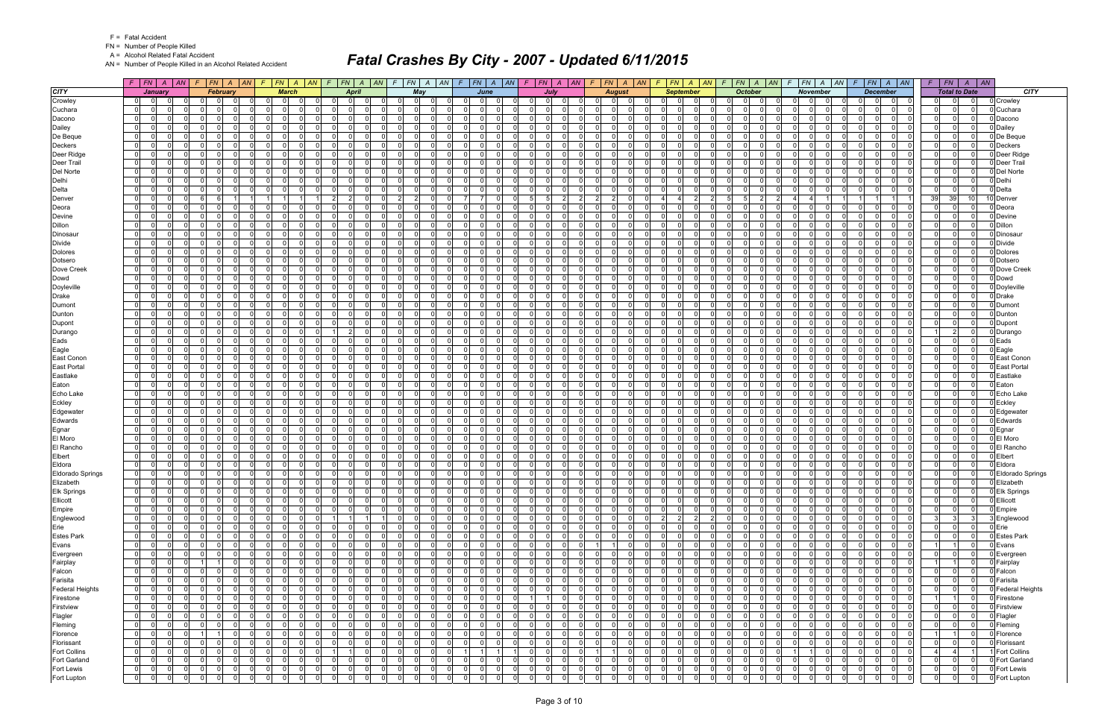FN = Number of People Killed

A = Alcohol Related Fatal Accident

AN = Number of People Killed in an Alcohol Related Accident

|                         |                                  | $F$   $FN$   $A$   $AN$          |                |                | $F$ $ FN $ $A$ $ AN $            |                      | $F$ $FN$ $A$ $AN$                | $F$ $FN$ $A$                      | AN                   | $\mathcal{F}$  | $ FN A AN$ $F$ $ FN A AN$    |                                              |                      |                                        | $F$ $FN$ $A$ $AN$              | F.                   |                            | $ FN $ A $ AN $ F $ FN $ A $ AN $ |                      |             | $F$ $ FN $ $A$ $ AN$                | $F$   FN   A   AN   F   FN   A   AN                      |                 |                                  |                 | $F$   $FN$           | $A$ $AN$                 |                     |
|-------------------------|----------------------------------|----------------------------------|----------------|----------------|----------------------------------|----------------------|----------------------------------|-----------------------------------|----------------------|----------------|------------------------------|----------------------------------------------|----------------------|----------------------------------------|--------------------------------|----------------------|----------------------------|-----------------------------------|----------------------|-------------|-------------------------------------|----------------------------------------------------------|-----------------|----------------------------------|-----------------|----------------------|--------------------------|---------------------|
| <b>CITY</b>             |                                  | January                          |                |                | February                         |                      | <b>March</b>                     | <b>April</b>                      |                      |                | May                          | June                                         |                      |                                        | July                           |                      | <b>August</b>              |                                   | <b>September</b>     |             | <b>October</b>                      | November                                                 |                 | <b>December</b>                  |                 |                      | <b>Total to Date</b>     | <b>CITY</b>         |
| Crowley                 | 0                                |                                  |                |                |                                  |                      |                                  | $\Omega$                          |                      |                | $\Omega$<br>- 0              | $\Omega$                                     |                      | $\Omega$                               | $\Omega$                       |                      | $\mathbf 0$                |                                   |                      |             | $\Omega$                            |                                                          | $\Omega$        | 0                                |                 |                      |                          | 0 Crowley           |
| Cuchara                 | $\overline{0}$                   | $\Omega$<br>$\Omega$             |                |                | $\Omega$<br>$\Omega$             | 0                    | $\Omega$<br>$\Omega$             | $\Omega$<br>-01                   |                      | $\overline{0}$ | $\Omega$                     | $\Omega$                                     | $\Omega$             | $\Omega$                               | $\Omega$<br>$\Omega$           | $\Omega$             | - 0 l                      | $\mathbf{0}$                      | $\Omega$             |             | $\mathbf 0$<br>$\Omega$             | $\Omega$<br>$\Omega$                                     | $\Omega$        | $\Omega$<br>$\Omega$             |                 | $\Omega$             | $\Omega$                 | 0 Cuchara           |
| Dacono                  | $\Omega$                         | $\Omega$<br>$\Omega$             |                | $\Omega$       | $\Omega$<br>$\Omega$             | $\Omega$             | $\Omega$<br>$\Omega$             | 0 I<br>$\overline{\mathbf{0}}$    | $\Omega$             | $\Omega$       | $\cap$<br>$\mathbf 0$        | $\Omega$<br>$\Omega$                         | $\Omega$             | $\overline{0}$                         | $\Omega$<br>$\Omega$           | $\Omega$             | - 0 l                      | -ol                               | $\Omega$             | $\Omega$    | $\Omega$<br>$\mathbf 0$             | $\Omega$<br>$\Omega$                                     | $\Omega$        | $\Omega$<br>$\Omega$             |                 | $\Omega$             | $\Omega$                 | 0 Dacono            |
| Dailey                  | $\overline{0}$                   | $\Omega$<br>0                    |                |                | $\Omega$<br>$\Omega$             | $\Omega$             | $\Omega$<br>$\Omega$             | 0 I<br>$\Omega$                   | $\Omega$             | $\Omega$       | $\Omega$                     | $\Omega$<br>$\Omega$                         | $\Omega$             | - O I                                  | $\Omega$<br>$\Omega$           | $\Omega$             | $\mathbf 0$                | -01                               | $\Omega$             |             | $\mathbf 0$<br>$\Omega$             | $\Omega$<br>$\Omega$                                     | $\Omega$        | $\Omega$<br>$\Omega$             |                 | $\Omega$             | $\Omega$                 | 0 Dailey            |
| De Beque                | $\overline{0}$                   | $\Omega$<br>$\Omega$             |                |                | $\Omega$<br>$\Omega$             | $\Omega$             | $\Omega$<br>$\Omega$             | 0 I<br>$\Omega$                   | $\Omega$             | ΩI             | $\Omega$                     | $\Omega$<br>$\Omega$                         | $\Omega$             | $\Omega$<br>$\Omega$                   | n l                            | $\Omega$             | - 0 l                      | - Ol                              | $\Omega$             |             | $\Omega$<br>- Ol                    | $\Omega$<br>$\Omega$                                     | $\Omega$        | n l<br>$\Omega$                  |                 | $\Omega$             | $\Omega$                 | 0 De Beque          |
| <b>Deckers</b>          | 0                                | $\Omega$                         |                | $\Omega$       | $\Omega$<br>$\Omega$             | $\Omega$             | $\Omega$<br>$\Omega$             | 0 I<br>$\overline{0}$             | $\Omega$             | $\Omega$       | $\Omega$                     | $\Omega$<br>$\Omega$                         | $\Omega$             | - O I                                  | $\Omega$<br>$\Omega$           | $\Omega$             | $\mathbf 0$                | $\mathbf{0}$                      | $\Omega$             |             | $\Omega$<br>$\Omega$                | $\Omega$<br>$\Omega$                                     | $\Omega$        | - Ol<br>$\Omega$                 |                 | $\Omega$             | $\Omega$                 | 0 Deckers           |
| Deer Ridge              | $\overline{0}$                   | $\Omega$<br>$\Omega$             |                | $\Omega$       | $\Omega$<br>$\Omega$             | $\Omega$             | $\Omega$<br>$\Omega$             | 0 I<br>-01                        | $\Omega$             | $\Omega$       | $\mathbf 0$<br>$\Omega$      | $\Omega$<br>$\Omega$                         | $\Omega$             | $\mathbf 0$                            | $\Omega$<br>$\Omega$           | $\Omega$             | - 0 l<br>റ                 | $\mathbf{0}$                      | $\Omega$             |             | $\Omega$<br>$\mathbf 0$             | $\Omega$<br>$\Omega$                                     | $\Omega$        | $\Omega$<br>$\Omega$             |                 | $\Omega$             | $\Omega$                 | 0 Deer Ridge        |
| Deer Trail              | $\overline{0}$                   | $\Omega$                         |                |                | $\Omega$<br>$\Omega$             | $\Omega$             | $\Omega$<br>$\Omega$             | $\Omega$<br>$\Omega$              | $\Omega$             | $\Omega$       | $\Omega$                     | $\Omega$<br>$\Omega$                         | $\Omega$             | $\Omega$<br>$\Omega$                   | - Ol                           | $\Omega$             | $\mathbf 0$                | -ol                               | $\Omega$             |             | $\Omega$<br>$\Omega$                | $\Omega$<br>$\Omega$                                     | $\Omega$        | $\Omega$<br>$\Omega$             |                 | $\Omega$             | $\Omega$                 | 0 Deer Trail        |
| Del Norte               | $\mathbf{0}$                     | $\Omega$<br>$\Omega$             |                | $\Omega$       | $\Omega$<br>$\Omega$             | $\Omega$             | $\Omega$<br>$\Omega$             | 0 I<br>$\Omega$                   | $\Omega$             | $\Omega$       | - 0 l<br>$\Omega$            | $\Omega$<br>$\Omega$                         | $\Omega$             | $\Omega$                               | $\Omega$<br>$\Omega$           | $\Omega$             | $\Omega$                   | - Ol                              | $\Omega$             |             | $\Omega$<br>$\Omega$                | $\Omega$<br>$\Omega$                                     | $\Omega$        | $\Omega$<br>$\Omega$             |                 | $\Omega$             | $\Omega$                 | 0 Del Norte         |
| Delhi                   | 0                                | $\Omega$                         |                | $\Omega$       | $\Omega$<br>$\Omega$             | 0                    | $\Omega$<br>$\mathbf 0$          | $\overline{0}$<br> 0              | $\Omega$             | $\overline{0}$ | 0                            | $\Omega$<br>0                                | $\Omega$             | $\mathbf 0$                            | $\overline{0}$<br>$\Omega$     | $\Omega$             | 0                          | $\overline{0}$                    | $\mathbf 0$          |             | 0 <br>$\Omega$                      | $\Omega$<br>$\Omega$<br>$\Omega$                         | $\Omega$        | $\Omega$<br>0                    |                 | $\Omega$             | $\mathbf 0$              | 0 Delhi             |
| Delta                   | $\Omega$                         | $\Omega$                         |                |                | $\Omega$<br>$\Omega$             | $\Omega$             | $\Omega$<br>$\Omega$             | 0 I<br>$\Omega$                   | $\Omega$             | $\Omega$       | $\Omega$                     | $\Omega$<br>$\Omega$                         | $\Omega$             | $\mathbf 0$                            | $\overline{0}$<br>$\Omega$     | $\Omega$             | - 0 l                      | -ol                               | $\Omega$             |             | $\Omega$<br>$\mathbf 0$             | $\Omega$<br>$\Omega$                                     | $\Omega$        | $\Omega$<br>$\Omega$             |                 | $\Omega$             | $\mathbf{0}$             | 0 Delta             |
| Denver                  | $\overline{0}$                   | $\Omega$                         |                | 6              | -6                               |                      |                                  | $\overline{2}$<br>$\overline{2}$  | $\Omega$             | $\overline{2}$ | $\mathbf 0$<br>$\mathcal{P}$ | - 7<br>$\overline{7}$                        | $\Omega$             | -51                                    | 2 <br>5                        | $\overline{2}$       | $\overline{2}$             | $\overline{a}$                    | $\overline{2}$       | -5          | 5 <sup>1</sup><br>2                 | $\overline{a}$                                           |                 | -1                               | 39 <sup>°</sup> | 39                   | 10 <sup>1</sup>          | Denver              |
| Deora                   | $\overline{0}$                   | $\Omega$                         |                |                | $\Omega$                         | $\Omega$             | $\Omega$<br>$\Omega$             | $\Omega$<br>$\Omega$              |                      | 0              | $\Omega$                     | $\Omega$<br>$\Omega$                         | $\Omega$             | $\Omega$<br>$\Omega$                   | - Ol                           | $\Omega$             | $\mathbf 0$                | -01                               | $\Omega$             |             | $\Omega$<br>$\Omega$                | $\Omega$<br>$\Omega$                                     | $\Omega$        | - Ol<br>$\Omega$                 |                 | $\Omega$             | $\Omega$                 | 0 Deora             |
| Devine                  | $\overline{0}$                   | $\Omega$                         |                |                | $\Omega$                         | $\Omega$             | $\Omega$<br>$\Omega$             | $\Omega$<br>$\Omega$              |                      | $\Omega$       | $\Omega$                     | $\Omega$<br>$\Omega$                         | $\Omega$             | $\Omega$                               | - Ol                           | $\Omega$             | $\mathbf 0$                | $\mathbf{0}$                      | $\Omega$             |             | $\Omega$<br><sup>n</sup>            | $\Omega$<br><sup>n</sup>                                 | $\Omega$        | - Ol<br>$\Omega$                 |                 |                      | $\Omega$                 | 0 Devine            |
| <b>Dillon</b>           | $\overline{0}$                   | $\Omega$                         |                |                | $\Omega$<br>$\Omega$             | 0                    | $\Omega$<br>$\Omega$             | 0 I<br>$\overline{0}$             |                      | $\Omega$       | $\mathbf 0$                  | $\Omega$<br>$\Omega$                         | $\Omega$             | - O I                                  | $\overline{0}$<br>$\Omega$     | $\Omega$             | - 0 l                      | $\overline{0}$                    | $\Omega$             |             | $\mathbf 0$<br>$\Omega$             | $\Omega$<br>$\Omega$                                     | $\Omega$        | $\Omega$<br>$\Omega$             |                 | $\Omega$             | $\Omega$                 | 0 Dillon            |
| Dinosaur                | $\overline{0}$                   | $\Omega$                         |                |                | $\Omega$                         | $\Omega$             | $\Omega$<br>$\Omega$             | $\Omega$<br>$\Omega$              |                      | $\Omega$       | $\Omega$                     | $\Omega$                                     | $\Omega$             | $\Omega$<br>$\Omega$                   | n l                            | $\Omega$             | - 0 l                      | $\Omega$                          | $\Omega$             |             | $\Omega$<br>$\Omega$                | $\Omega$<br>$\Omega$                                     | $\Omega$        | $\Omega$<br>$\Omega$             |                 | $\Omega$             | $\Omega$                 | ) Dinosau           |
| <b>Divide</b>           | $\overline{0}$                   | $\Omega$<br>$\Omega$             |                | $\Omega$       | $\Omega$<br>$\Omega$             | $\Omega$             | $\Omega$<br>$\Omega$             | 0 I<br>$\overline{0}$             | $\Omega$             | $\Omega$       | $\mathbf 0$                  | $\Omega$<br>$\Omega$                         | $\Omega$             | - O I                                  | $\Omega$<br>$\Omega$           | $\Omega$             | $\mathbf 0$                | -01                               | $\Omega$             |             | $\mathbf 0$<br>$\Omega$             | $\Omega$<br>$\Omega$                                     | $\Omega$        | $\Omega$<br>$\Omega$             |                 | $\Omega$             | $\Omega$                 | 0 Divide            |
| <b>Dolores</b>          | $\Omega$                         | $\Omega$                         |                |                | $\Omega$                         | $\mathbf{0}$         | $\Omega$<br>$\Omega$             | $\Omega$<br>$\Omega$              |                      | 0              | $\Omega$                     | $\Omega$                                     | $\Omega$             | $\Omega$                               | n l                            | O                    | $\Omega$                   | $\Omega$                          |                      |             | $\Omega$<br>$\Omega$                | $\Omega$<br>$\Omega$                                     | $\Omega$        | $\Omega$<br>$\Omega$             |                 |                      | $\Omega$                 | Dolores             |
| Dotsero                 | $\overline{0}$                   | $\Omega$                         |                |                | $\Omega$<br>$\Omega$             | $\Omega$             | $\Omega$<br>$\mathbf 0$          | 0 I<br>-01                        | $\Omega$             | $\Omega$       | $\mathbf 0$                  | $\Omega$<br>$\Omega$                         | $\Omega$             | $\overline{0}$                         | n l<br>$\Omega$                | $\Omega$             | - 0 l                      | $\mathbf{0}$                      | $\Omega$             |             | $\mathbf 0$<br>$\Omega$             | $\Omega$<br>$\Omega$                                     | $\Omega$        | - Ol<br>$\Omega$                 |                 | $\Omega$             | $\Omega$                 | 0 Dotsero           |
| Dove Creek              | $\overline{0}$                   | $\Omega$                         |                |                | $\Omega$<br>$\Omega$             | $\Omega$             | $\Omega$<br>$\Omega$             | 0 I<br>$\Omega$                   | $\Omega$             | $\Omega$       | $\mathbf 0$                  | $\Omega$<br>$\Omega$                         | $\Omega$             | $\Omega$                               | n l<br>$\Omega$                | $\Omega$             | - 0 l<br>റ                 | -ol                               | $\Omega$             |             | $\Omega$<br>$\mathbf 0$             | -ol<br>$\Omega$                                          | $\Omega$        | n l<br>$\Omega$                  |                 | $\Omega$             | $\Omega$                 | Dove Creek          |
| Dowd                    | $\overline{0}$                   | $\Omega$                         |                |                | $\Omega$<br>$\Omega$             | $\Omega$             | $\Omega$<br>$\mathbf 0$          | 0 I<br>$\overline{0}$             | $\Omega$             | $\Omega$       | $\mathbf 0$                  | $\Omega$<br>$\Omega$                         | $\Omega$             | - O I                                  | - Ol<br>$\Omega$               | $\Omega$             | $\mathbf 0$                | -01                               | $\Omega$             |             | $\mathbf 0$<br>$\Omega$             | $\Omega$<br>$\Omega$                                     | $\Omega$        | $\Omega$<br>$\Omega$             |                 | $\Omega$             | $\Omega$                 | 0 Dowd              |
| Doyleville              | $\overline{0}$                   | $\Omega$                         |                |                | $\Omega$                         | $\Omega$             | $\Omega$<br>$\Omega$             | $\Omega$<br>$\Omega$              |                      | $\Omega$       | $\Omega$                     | $\Omega$<br>$\Omega$                         | $\Omega$             | $\Omega$                               | nl                             | $\Omega$             | $\Omega$                   | $\Omega$                          | $\Omega$             |             | n l<br>$\Omega$                     | $\Omega$<br>$\Omega$                                     | $\Omega$        | nl<br>$\Omega$                   |                 |                      | $\Omega$                 | 0 Doyleville        |
| <b>Drake</b>            | $\overline{0}$                   | $\Omega$                         |                | $\Omega$       | $\Omega$<br>$\Omega$             | 0                    | $\Omega$<br>$\Omega$             | 0 I<br>$\overline{0}$             |                      | $\Omega$       | $\mathbf 0$                  | $\Omega$<br>$\Omega$                         | $\Omega$             | - O I                                  | 0 <br>$\Omega$                 | $\Omega$             | - 0 l                      | 0                                 | $\Omega$             |             | $\mathbf 0$<br>$\Omega$             | $\Omega$<br>$\Omega$                                     | $\Omega$        | - Ol<br>$\Omega$                 |                 | $\Omega$             | $\Omega$                 | 0 Drake             |
| Dumont                  | $\overline{0}$                   | $\Omega$                         |                |                | $\Omega$                         | $\Omega$             | $\Omega$<br>$\Omega$             | $\Omega$<br>$\Omega$              |                      | $\Omega$       | $\Omega$                     | $\Omega$<br>$\Omega$                         | $\Omega$             | $\Omega$                               | n l                            | $\Omega$             | $\Omega$                   | $\Omega$                          | $\Omega$             |             | $\Omega$<br>$\Omega$                | $\Omega$<br>$\Omega$                                     | $\Omega$        | n l<br>$\Omega$                  |                 | $\Omega$             | $\Omega$                 | 0 Dumon             |
| Dunton                  | $\overline{0}$                   | $\Omega$<br>$\Omega$             |                |                | $\Omega$<br>$\Omega$             | $\Omega$             | $\Omega$<br>$\mathbf 0$          | 0 I<br>$\overline{0}$             | $\Omega$             | $\Omega$       | $\mathbf 0$                  | $\Omega$<br>$\Omega$                         | $\Omega$             | - O I                                  | - Ol<br>$\Omega$               | $\Omega$             | $\mathbf 0$                | -01                               | $\Omega$             |             | $\mathbf 0$<br>$\Omega$             | $\Omega$<br>$\Omega$                                     | $\Omega$        | $\Omega$<br>$\Omega$             |                 | $\Omega$             | $\Omega$                 | 0 Dunton            |
| Dupont                  | $\overline{0}$                   | $\Omega$                         |                |                | $\Omega$                         | $\Omega$             | $\Omega$<br>$\Omega$             | $\Omega$<br>$\Omega$              |                      | ΩI             | $\Omega$                     | $\Omega$<br>$\Omega$                         | $\Omega$             | $\Omega$<br>$\Omega$                   | n l                            | $\Omega$             | - 0 l                      | $\Omega$                          | $\Omega$             |             | $\Omega$<br>$\Omega$                | $\Omega$<br>$\Omega$                                     | $\Omega$        | n l<br>$\Omega$                  |                 | $\Omega$             | $\Omega$                 | 0 Dupont            |
| Durango                 | $\Omega$                         | $\Omega$                         |                |                | $\Omega$                         | $\Omega$             | $\Omega$<br>$\Omega$             | $\overline{2}$                    |                      | $\Omega$       | $\Omega$                     | $\Omega$                                     | $\Omega$             | - O I                                  | $\Omega$<br>$\Omega$           | $\Omega$             | $\mathbf 0$                | $\Omega$                          | $\Omega$             |             | $\Omega$<br>$\Omega$                | $\Omega$<br>$\Omega$                                     | $\Omega$        | 0<br>$\Omega$                    |                 | 2                    | $\Omega$                 | 0 Durango           |
| Eads                    | $\overline{0}$                   | $\Omega$<br>$\Omega$             |                | $\Omega$       | $\Omega$<br>$\Omega$             | $\Omega$             | $\Omega$<br>$\Omega$             | 0 I<br> 0                         | $\Omega$             | $\overline{0}$ | $\Omega$<br>$\mathbf 0$      | $\Omega$<br>$\Omega$                         | $\Omega$             | $\mathbf 0$                            | 0 I<br>$\Omega$                | 0 I                  | - 0 l<br>റ                 | $\mathbf{0}$                      | $\Omega$             | $\Omega$    | $\Omega$<br>$\mathbf 0$             | $\overline{0}$<br>$\Omega$<br>$\Omega$                   | 0 I             | 0 I<br>$\Omega$                  |                 | $\Omega$             | $\mathbf{0}$             | 0 Eads              |
| Eagle                   | $\overline{0}$                   | $\Omega$                         |                |                | $\Omega$                         | $\Omega$             | $\Omega$<br><sup>n</sup>         | $\Omega$<br>$\Omega$              |                      | $\Omega$       | $\Omega$                     | $\Omega$<br>$\Omega$                         | $\Omega$             | $\Omega$<br>$\Omega$                   | $\Omega$                       | $\Omega$             | $\mathbf 0$                | -ol                               | $\Omega$             |             | $\Omega$<br>$\Omega$                | $\Omega$<br>$\Omega$                                     | $\Omega$        | $\Omega$<br>$\Omega$             |                 | $\Omega$             | $\Omega$                 | Eagle               |
| East Conon              | $\overline{0}$                   | $\Omega$<br>$\Omega$             |                | $\Omega$       | $\Omega$<br>$\Omega$             | $\Omega$             | $\Omega$<br>$\Omega$             | 0 I<br>$\Omega$                   | $\Omega$             | $\Omega$       | - 0 l<br>$\Omega$            | $\Omega$<br>$\Omega$                         | $\Omega$             | $\mathbf 0$                            | $\Omega$<br>$\Omega$           | $\Omega$             | $\mathbf{0}$<br>റ          | 0 <br><sup>n</sup>                | $\Omega$             | $\cap$      | $\mathbf 0$<br>$\Omega$             | $\Omega$<br>$\Omega$<br>$\Omega$                         | $\Omega$        | $\Omega$<br>$\Omega$             |                 | $\Omega$             | $\Omega$                 | 0 East Conon        |
| <b>East Portal</b>      | $\Omega$                         | $\Omega$                         |                |                | $\Omega$                         | $\Omega$             | $\Omega$<br>$\Omega$             | $\Omega$<br>$\Omega$              |                      | $\overline{0}$ | $\Omega$                     | $\Omega$                                     | $\Omega$             | $\Omega$<br>$\Omega$                   | - Ol                           | 0                    | $\mathbf 0$                | $\mathbf{0}$                      | $\Omega$             |             | $\Omega$<br>$\Omega$                | $\Omega$<br>$\Omega$                                     | $\Omega$        | - Ol<br>$\Omega$                 |                 |                      | 0                        | <b>East Portal</b>  |
| Eastlake                | $\overline{0}$                   | $\Omega$<br>$\Omega$             |                | $\Omega$       | $\Omega$<br>$\Omega$             | $\Omega$             | $\Omega$<br>$\Omega$             | 0 I<br>$\overline{0}$             | $\Omega$             | $\overline{0}$ | $\Omega$<br>$\mathbf 0$      | $\Omega$<br>$\Omega$                         | $\Omega$             | $\mathbf 0$                            | $\Omega$<br>$\Omega$           | $\Omega$             | - 0 l                      | 0                                 | $\Omega$             | $\Omega$    | $\Omega$<br>$\mathbf 0$             | $\Omega$<br>$\Omega$<br>$\Omega$                         | $\Omega$        | 0 I<br>$\Omega$                  |                 | $\Omega$             | $\mathbf{0}$             | 0 Eastlake          |
| Eaton                   | $\overline{0}$                   | $\Omega$<br>0                    |                | $\Omega$       | $\Omega$<br>$\Omega$             | $\Omega$             | $\Omega$<br>$\Omega$             | 0 I<br>$\overline{0}$             | $\Omega$<br>$\Omega$ | $\Omega$       | $\mathbf 0$                  | $\Omega$<br>$\Omega$                         | $\Omega$             | $\Omega$                               | $\Omega$<br>$\Omega$           | $\Omega$             | $\mathbf 0$                | -ol                               | $\Omega$             | $\cap$      | $\mathbf 0$<br>$\Omega$<br>$\Omega$ | $\Omega$<br>$\Omega$<br>$\Omega$                         | $\Omega$        | - Ol<br>$\Omega$                 |                 | $\Omega$<br>$\Omega$ | $\Omega$                 | Eaton               |
| Echo Lake               | $\overline{0}$                   | $\Omega$<br>$\Omega$<br>$\Omega$ |                | $\Omega$       | $\Omega$<br>$\Omega$<br>$\Omega$ | $\Omega$             | $\Omega$<br>$\Omega$             | 0 I<br>-01<br>$\Omega$            |                      | $\Omega$       | $\mathbf 0$<br>$\Omega$      | $\Omega$<br>$\Omega$<br>$\Omega$<br>$\Omega$ | $\Omega$<br>$\Omega$ | $\mathbf 0$<br>$\Omega$                | n l<br>$\Omega$<br>n l         | $\Omega$<br>$\Omega$ | - 0 l                      | -ol<br>$\Omega$                   | $\Omega$             |             | $\mathbf 0$<br>$\Omega$             | $\Omega$<br>$\Omega$<br>$\Omega$<br>$\Omega$<br>$\Omega$ | $\Omega$        | $\Omega$<br>$\Omega$<br>n l      |                 |                      | $\Omega$                 | 0 Echo Lake         |
| Eckley                  | $\Omega$                         | $\Omega$                         |                |                |                                  | $\Omega$             | $\Omega$<br>$\Omega$             | $\Omega$                          | $\Omega$             | $\Omega$       | $\Omega$                     |                                              |                      |                                        |                                |                      | $\Omega$                   |                                   | $\Omega$             | $\Omega$    | - Ol<br>$\Omega$                    | $\Omega$<br>$\Omega$                                     | $\Omega$        | $\Omega$                         |                 | $\Omega$             | $\Omega$                 | 0 Eckley            |
| Edgewater               | $\overline{0}$                   | $\Omega$<br>$\Omega$             |                | $\Omega$       | $\Omega$<br>$\Omega$<br>$\Omega$ | $\Omega$<br>$\Omega$ | - 0 l<br>$\Omega$<br>$\Omega$    | 0 I<br>$\overline{0}$<br>$\Omega$ | $\Omega$             | 01<br>$\Omega$ | $\mathbf 0$<br>$\Omega$      | - Ol<br>$\Omega$<br>$\Omega$<br>$\Omega$     | $\Omega$<br>$\Omega$ | $\overline{0}$<br>$\Omega$<br>$\Omega$ | 0 I<br>$\Omega$<br>- Ol        | 0 I<br>$\Omega$      | - 0 l<br>- 0               | $\mathbf{0}$<br>-ol               | $\Omega$<br>$\Omega$ |             | $\mathbf 0$<br>$\Omega$<br>$\Omega$ | $\mathbf{0}$<br>$\Omega$<br>$\Omega$                     | 0 I<br>$\Omega$ | 0 I<br>$\Omega$<br>$\Omega$      |                 | $\Omega$             | $\mathbf{0}$<br>$\Omega$ | 0 Edgewater         |
| Edwards                 | $\overline{0}$<br>$\overline{0}$ | 0<br>$\Omega$                    |                | $\Omega$       | $\Omega$<br>$\Omega$             | $\Omega$             | $\Omega$<br>$\Omega$<br>$\Omega$ | $\Omega$<br>0 I<br>$\Omega$       | $\Omega$             | $\Omega$       | $\Omega$<br>$\mathbf 0$      | $\Omega$<br>$\Omega$                         | $\Omega$             | - O I                                  | - Ol<br>$\Omega$               | $\Omega$             | $\mathbf 0$<br>$\mathbf 0$ | -01                               | $\Omega$             |             | $\mathbf 0$<br>$\Omega$             | $\Omega$<br>$\Omega$                                     | $\Omega$        | $\Omega$<br>$\Omega$<br>$\Omega$ |                 | $\Omega$             | $\Omega$                 | 0 Edwards           |
| Egnar<br>El Moro        | $\mathbf 0$                      | $\Omega$                         |                |                | $\Omega$                         | 0                    | $\Omega$<br>$\Omega$             | $\Omega$<br>0                     |                      | 01             | $\Omega$                     | $\Omega$<br>$\Omega$                         | $\Omega$             | $\Omega$<br>0                          | n l                            | 0                    | - 0 l                      | $\mathbf{0}$                      | 0                    |             | .0<br>$\Omega$                      | $\Omega$<br>$\Omega$                                     | $\Omega$        | - Ol<br>$\Omega$                 |                 |                      | $\Omega$                 | D Egnar<br>El Moro  |
| El Rancho               | $\overline{0}$                   | $\Omega$                         |                |                | $\Omega$<br>$\Omega$             | $\Omega$             | $\Omega$<br>$\Omega$             | 0 I<br>-01                        | <sup>0</sup>         | $\Omega$       | $\Omega$                     | $\Omega$<br>$\Omega$                         | $\Omega$             | $\overline{0}$                         | n l<br>$\Omega$                | $\Omega$             | - 0 l                      | -01                               | $\Omega$             |             | $\mathbf 0$<br>$\Omega$             | $\Omega$<br>$\Omega$                                     | $\Omega$        | nl<br>$\Omega$                   |                 |                      | $\Omega$                 | 0 El Rancho         |
| Elbert                  | $\mathbf{0}$                     | $\Omega$                         |                |                | $\Omega$<br>$\Omega$             | $\Omega$             | $\Omega$<br>$\Omega$             | 0 I<br>$\Omega$                   | $\Omega$             | $\Omega$       | $\mathbf 0$                  | $\Omega$<br>$\Omega$                         | $\Omega$             | $\overline{0}$                         | n l<br>$\Omega$                | $\Omega$             | - 0 l                      | 0                                 | $\Omega$             |             | $\mathbf 0$<br>$\Omega$             | - 0 l<br>$\Omega$                                        | $\Omega$        | n l<br>$\Omega$                  |                 | $\Omega$             | $\Omega$                 | 0 Elbert            |
| Eldora                  | $\overline{0}$                   | $\Omega$<br>$\Omega$             |                |                | $\Omega$<br>$\Omega$             | $\Omega$             | $\Omega$<br>$\mathbf 0$          | 0 I<br>$\Omega$                   | $\Omega$             | $\Omega$       | $\mathbf 0$                  | $\Omega$<br>$\Omega$                         | $\Omega$             | $\overline{0}$                         | $\Omega$<br>- Ol               | $\Omega$             | $\mathbf 0$                | -ol                               | $\Omega$             |             | $\mathbf 0$<br>$\Omega$             | $\Omega$<br>$\Omega$                                     | $\Omega$        | $\Omega$<br>$\Omega$             |                 | $\Omega$             | $\Omega$                 | 0 Eldora            |
| <b>Eldorado Springs</b> | $\overline{0}$                   | $\Omega$                         |                |                | - O I<br>$\Omega$                | $\mathbf 0$          | $\Omega$<br>$\Omega$             | $\overline{0}$<br>$\overline{0}$  | $\Omega$             | $\Omega$       | $\mathbf 0$                  | $\Omega$<br>$\Omega$                         | $\Omega$             | $\mathbf 0$                            | - Ol<br>$\Omega$               | $\overline{0}$       | $\mathbf 0$                | $\mathbf{0}$                      | $\Omega$             |             | $\mathbf 0$<br>$\Omega$             | $\Omega$<br>$\Omega$                                     | $\Omega$        | $\Omega$<br>$\mathbf 0$          |                 |                      | $\Omega$                 | 0 Eldorado Springs  |
| Elizabeth               | $\overline{0}$                   | $\overline{0}$<br>$\Omega$       |                | $\Omega$       | $\mathbf 0$<br>$\Omega$          | $\Omega$             | $\Omega$<br>$\Omega$             | $\overline{0}$<br>$\mathbf{0}$    | $\Omega$             | $\Omega$       | $\Omega$                     | $\Omega$                                     | $\Omega$             | $\mathbf 0$                            | nl<br>$\Omega$                 | $\Omega$             | $\Omega$                   | $\overline{0}$                    | $\Omega$             |             | $\Omega$<br>$\Omega$                | $\overline{0}$<br>$\Omega$                               | $\Omega$        | $\Omega$<br>$\Omega$             |                 | $\Omega$             | $\mathbf{0}$             | 0 Elizabeth         |
| Elk Springs             | $\overline{0}$                   | 0 <br>$\overline{0}$             |                |                | $\Omega$<br>$\Omega$             |                      | 0 <br>$\Omega$                   | 0 <br>$\Omega$                    | $\mathbf 0$          | $\Omega$       | $\Omega$                     | $\Omega$                                     | $\Omega$             | $\Omega$                               | $\Omega$<br>$\Omega$           | $\Omega$             | 0                          | $\Omega$                          | $\Omega$             |             | $\Omega$<br>.0                      | $\mathbf 0$<br>$\overline{0}$                            | $\Omega$        | $\overline{0}$<br>$\Omega$       |                 |                      |                          | 0 Elk Springs       |
| Ellicott                | $\overline{0}$                   | $\overline{0}$<br>$\Omega$       |                | $\Omega$       | $\overline{0}$<br>$\Omega$       | $\Omega$             | - 0 l<br>$\Omega$                | 0 I<br> 0                         | $\Omega$             | $\Omega$       | - 0 l<br>$\Omega$            | - Ol<br>$\Omega$                             | $\Omega$             | $\overline{0}$                         | 0 I<br>0 I                     | $\overline{0}$       | 0 <br>- 0                  | -01<br>$\Omega$                   | $\Omega$             | $\Omega$    | $\Omega$<br>$\mathbf 0$             | $\Omega$<br>$\overline{0}$<br>$\Omega$                   | $\Omega$        | 0 I<br>$\overline{0}$            |                 | $\Omega$             | $\Omega$                 | 0 Ellicott          |
| Empire                  | $\overline{0}$                   | $\Omega$                         |                |                | $\Omega$<br>$\Omega$             | 0                    | 0 <br>$\overline{0}$             | 0 <br> 0                          | $\Omega$             | $\overline{0}$ | 0 <br>$\overline{0}$         | $\mathbf 0$<br>$\Omega$                      | $\mathbf 0$          | $\mathbf 0$                            | 0 <br>$\Omega$                 | $\overline{0}$       | 0                          | $\mathbf 0$                       | 0                    |             | $\Omega$<br> 0                      | $\mathbf{0}$<br>$\mathbf 0$                              | $\mathbf 0$     | 0 <br>$\mathbf 0$                |                 | $\mathbf 0$          | $\mathbf 0$              | 0 Empire            |
| Englewood               | $\overline{0}$                   | $\Omega$<br>$\Omega$             |                | $\Omega$       | - O I<br>$\Omega$                | $\mathbf 0$          | 0 <br>$\overline{0}$             | $1 \vert$<br>11                   | $\mathbf{1}$         | $\overline{0}$ | $\Omega$<br> 0               | $\Omega$<br>$\mathbf{0}$                     | $\mathbf 0$          | $\mathbf 0$                            | 0 I<br>0 I                     | 0 I                  | $\overline{0}$<br>- റ      | $\overline{2}$<br>$\overline{2}$  | $\vert$ 2            | $\Omega$    | $\Omega$<br>01                      | $\overline{0}$<br>$\mathbf 0$<br>$\mathbf 0$             | $\overline{0}$  | 0 I<br>$\mathbf 0$               | -3              | 3                    | $\mathbf{3}$             | 3 Englewood         |
| Erie                    | 0                                | $\Omega$<br>0                    |                |                | $\mathbf 0$<br>$\Omega$          | $\overline{0}$       | 0 <br>$\overline{0}$             | 0 I<br> 0                         | $\mathbf 0$          | $\overline{0}$ | 0 <br>$\Omega$               | 0 <br>$\overline{\mathbf{0}}$                | $\mathbf 0$          | $\mathbf 0$                            | $\overline{0}$<br>$\Omega$     | $\overline{0}$       | 0 <br>$\Omega$             | 0 <br>$\Omega$                    | $\mathbf 0$          | $\Omega$    | 0 <br>$\Omega$                      | 0 <br>$\mathbf 0$                                        | $\mathbf 0$     | $\overline{0}$<br>$\overline{0}$ |                 | $\Omega$             | $\mathbf 0$              | 0 Erie              |
| <b>Estes Park</b>       | $\overline{0}$                   | $\Omega$<br>$\Omega$             |                | $\Omega$       | $\overline{0}$<br>$\Omega$       | $\overline{0}$       | 0 <br>$\Omega$                   | $\overline{0}$<br>$\overline{0}$  | $\Omega$             | $\overline{0}$ | - 0 l<br>$\Omega$            | $\overline{0}$<br>$\Omega$                   | $\Omega$             | $\overline{0}$                         | 0 I<br>$\Omega$                | $\Omega$             | 0 <br>- 0                  | $\overline{0}$<br>$\Omega$        | 0                    | $\Omega$    | - 0 l<br>$\Omega$                   | $\overline{0}$<br>$\mathbf 0$<br>$\Omega$                | $\overline{0}$  | 0 I<br>$\mathbf 0$               |                 | $\Omega$             | $\mathbf 0$              | 0 Estes Park        |
| Evans                   | $\overline{0}$                   | $\Omega$<br>$\Omega$             |                | - 0 l          | $\overline{0}$<br>$\Omega$       | $\mathbf 0$          | 0 <br>$\overline{0}$             | $\overline{0}$<br> 0              | $\Omega$             | $\overline{0}$ | 0 <br>$\Omega$               | $\Omega$<br>$\Omega$                         | $\mathbf 0$          | $\mathbf 0$                            | $\overline{0}$<br>$\Omega$     |                      | $\overline{1}$<br>- 0      | 0 <br>$\Omega$                    | $\mathbf 0$          | $\Omega$    | 0 <br>$\Omega$                      | $\overline{0}$<br>$\mathbf 0$<br>- 0 l                   | $\overline{0}$  | $\overline{0}$<br>$\mathbf 0$    |                 |                      | $\mathbf 0$              | 0 Evans             |
| Evergreen               | 0                                | $\mathbf{0}$<br>0                |                | $\Omega$       | $\mathbf 0$<br>$\mathbf{0}$      | $\mathbf 0$          | 0 <br> 0                         | $\overline{0}$<br>$\overline{0}$  | $\mathbf{0}$         | 0              | 0 <br>$\overline{0}$         | $\mathbf 0$<br>$\overline{0}$                | $\mathbf 0$          | $\mathbf 0$                            | 0 <br>01                       | 0                    | $\overline{0}$<br>- 0      | 0 <br>0                           | 0                    | $\Omega$    | $\overline{0}$<br>$\mathbf 0$       | $\overline{0}$<br>$\mathbf 0$<br>$\mathbf 0$             | 0               | 01<br>$\mathbf 0$                |                 | $\Omega$             | $\mathbf 0$              | 0 Evergreer         |
| Fairplay                | $\overline{0}$                   | $\Omega$                         | $\overline{0}$ |                | $\overline{1}$<br>$\Omega$       | $\mathbf 0$          | 0 <br> 0                         | 0 <br> 0                          | $\Omega$             | $\overline{0}$ | - Ol<br> 0                   | $\Omega$<br> 0                               | $\mathbf 0$          | $\overline{0}$                         | $\overline{0}$<br>0 I          | 0 I                  | 0 <br>$\Omega$             | $\overline{0}$<br>$\Omega$        | $\mathbf 0$          | $\Omega$    | $\overline{0}$<br>$\Omega$          | $\overline{0}$<br>$\mathbf 0$<br>- 0 l                   | $\overline{0}$  | $\overline{0}$<br>$\mathbf 0$    |                 |                      | $\Omega$                 | 0 Fairplay          |
| Falcon                  | 0                                | $\Omega$<br>0                    |                | $\mathbf 0$    | - O I<br>$\Omega$                | $\overline{0}$       | $\overline{0}$<br> 0             | $\overline{0}$<br>$\overline{0}$  | $\mathbf 0$          | $\overline{0}$ | 0 <br>- 01                   | 0 <br>$\overline{0}$                         | $\mathbf 0$          | $\mathbf 0$                            | $\Omega$<br>01                 | 0                    | 0 <br>- 01                 | 0 <br>$\Omega$                    | 0                    | $\Omega$    | 01<br>$\mathbf 0$                   | $\overline{0}$<br>$\mathbf 0$<br>$\mathbf 0$             | $\overline{0}$  | 01<br>$\mathbf 0$                |                 | $\Omega$             | 0                        | 0 Falcon            |
| Farisita                | $\overline{0}$                   | $\Omega$<br>$\Omega$             |                | $\Omega$       | $\overline{0}$<br>$\Omega$       | $\mathbf 0$          | $\Omega$<br>- 0 l                | $\overline{0}$<br> 0              | $\Omega$             | $\overline{0}$ | - Ol<br>- 0 l                | $\overline{0}$<br>$\overline{0}$             | $\overline{0}$       | $\mathbf 0$                            | 0 <br>$\Omega$                 | $\Omega$             | 0 <br>$\Omega$             | 0 <br>$\Omega$                    | $\Omega$             | $\Omega$    | - 0 l<br>$\Omega$                   | $\overline{0}$<br>$\overline{0}$<br>$\Omega$             | $\overline{0}$  | 0 I<br>$\mathbf 0$               |                 | $\Omega$             | $\mathbf 0$              | 0 Farisita          |
| <b>Federal Heights</b>  | $\overline{0}$                   | $\Omega$<br>0                    |                | - 0 l          | $\mathbf 0$<br>$\Omega$          | $\overline{0}$       | 0 <br>$\overline{0}$             | $\overline{0}$<br> 0              | $\mathbf 0$          | $\overline{0}$ | $\overline{0}$<br> 0         | $\mathbf{0}$<br>$\mathbf 0$                  | $\mathbf 0$          | $\mathbf 0$                            | $\overline{0}$<br>$\mathbf 0$  | $\overline{0}$       | 0 <br>- 0                  | 0 <br>$\Omega$                    | 0                    | $\Omega$    | 0 <br>$\mathbf 0$                   | $\overline{0}$<br>$\mathbf 0$<br>- 0 l                   | $\overline{0}$  | $\overline{0}$<br>$\mathbf 0$    |                 | $\Omega$             | $\Omega$                 | 0 Federal Heights   |
| Firestone               | 0                                | $\Omega$<br>$\Omega$             |                | - 0 l          | $\overline{0}$<br>0 I            | $\mathbf 0$          | 0 <br> 0                         | $\overline{0}$<br>$\overline{0}$  | $\Omega$             | $\overline{0}$ | - Ol<br> 0                   | 0 <br>$\overline{0}$                         | $\mathbf 0$          | $1 \vert$                              | 0                              | 0                    | 0 <br>$\Omega$             | 0 <br>$\Omega$                    | 0                    | $\Omega$    | $\overline{0}$<br>$\Omega$          | $\overline{0}$<br>$\mathbf 0$<br>- 0 l                   | $\overline{0}$  | $\overline{0}$<br>$\mathbf 0$    |                 | $\mathbf{1}$         | $\mathbf 0$              | 0 Firestone         |
| Firstview               | 0                                | $\Omega$<br>- 0                  |                | $\Omega$       | - O I<br>$\Omega$                | $\overline{0}$       | 0 <br>$\Omega$                   | 0 <br> 0                          | $\Omega$             | $\overline{0}$ | 0 <br>- 01                   | 0 <br>$\overline{0}$                         | $\mathbf 0$          | - O I                                  | 01<br>$\Omega$                 | $\Omega$             | 0 <br>- 0                  | 0 <br>$\Omega$                    | 0                    | $\Omega$    | 0 <br>$\Omega$                      | $\overline{0}$<br>$\mathbf 0$<br>$\Omega$                | $\mathbf 0$     | 01<br>$\mathbf 0$                |                 | $\Omega$             | $\Omega$                 | 0 Firstview         |
| Flagler                 | 0                                | $\Omega$                         | $\overline{0}$ | $\Omega$       | $\overline{0}$<br>$\Omega$       | $\mathbf 0$          | $\Omega$<br>- 0 l                | $\overline{0}$<br>$\overline{0}$  | $\Omega$             | $\overline{0}$ | $\Omega$<br> 0               | $\overline{0}$<br>$\overline{0}$             | $\overline{0}$       | $\mathbf 0$                            | 0 I<br>0 I                     | $\overline{0}$       | $\overline{0}$<br>$\Omega$ | 0 <br>$\Omega$                    | $\mathbf 0$          | $\Omega$    | $\overline{0}$<br>$\Omega$          | $\overline{0}$<br>$\overline{0}$<br>- 0 l                | $\overline{0}$  | 0 <br> 0                         | $\Omega$        | $\Omega$             | $\Omega$                 | 0 Flagler           |
| Fleming                 | $\overline{0}$                   | $\Omega$                         |                | $\Omega$       | - O I<br>$\Omega$                | $\mathbf 0$          | 0 <br>$\overline{0}$             | 0 <br> 0                          | $\Omega$             | $\overline{0}$ | 0 <br>- 0                    | $\mathbf 0$<br>$\overline{0}$                | $\mathbf 0$          | $\mathbf 0$                            | $\overline{0}$<br>$\mathbf{0}$ | 0                    | 0                          | $\overline{0}$                    | 0                    |             | 0 <br>0                             | $\overline{0}$<br>$\mathbf 0$<br>$\Omega$                | $\overline{0}$  | $\overline{0}$<br>$\mathbf 0$    |                 | $\Omega$             | $\mathbf 0$              | 0 Fleming           |
| Florence                | $\overline{0}$                   | - Ol<br> 0                       |                | $\overline{1}$ | $\overline{1}$<br>$\Omega$       | $\mathbf 0$          | 0 <br> 0                         | 0 <br> 0                          | $\mathbf 0$          | $\overline{0}$ | - Ol<br> 0                   | 0 <br> 0                                     | $\mathbf 0$          | 0                                      | $\overline{0}$<br>0 I          | 0 I                  | 0 <br>$\Omega$             | $\overline{0}$<br>$\Omega$        | 0                    | $\Omega$    | $\overline{0}$<br>$\overline{0}$    | $\overline{0}$<br>$\mathbf 0$<br>- 0 l                   | 0               | 0 <br>$\mathbf 0$                |                 |                      | $\mathbf 0$              | 0 Florence          |
| Florissant              | 0                                | $\Omega$<br>0                    |                | $\mathbf 0$    | - O I<br>$\Omega$                | $\overline{0}$       | $\overline{0}$<br> 0             | $\overline{0}$<br>$\overline{0}$  | $\mathbf 0$          | $\overline{0}$ | $\Omega$<br> 0               | 0 <br>$\overline{0}$                         | $\mathbf 0$          | $\mathbf 0$                            | $\Omega$<br>01                 | 0                    | 0 <br>- 01                 | $\overline{0}$<br>$\Omega$        | 0                    | $\Omega$    | 01<br>$\Omega$                      | 0 <br>$\mathbf 0$<br>$\mathbf 0$                         | $\mathbf 0$     | $\mathbf 0$<br>01                |                 | $\Omega$             | - O I                    | 0 Florissant        |
| Fort Collins            | $\overline{0}$                   | $\Omega$<br>$\Omega$             |                | $\Omega$       | $\mathbf 0$<br>$\Omega$          | $\overline{0}$       | $\overline{0}$<br> 0             | 11                                | $\Omega$             | $\overline{0}$ | 0 <br>$\Omega$               | $\overline{1}$<br>11                         |                      | $\mathbf 0$                            | 0 <br>$\Omega$                 |                      | $\overline{1}$<br>$\Omega$ | $\overline{0}$<br>$\Omega$        | $\mathbf 0$          | $\Omega$    | $\Omega$<br> 0                      | 11<br>$\Omega$                                           | $\overline{0}$  | 0 <br>$\mathbf 0$                |                 |                      |                          | <b>Fort Collins</b> |
| Fort Garland            | $\overline{0}$                   | $\Omega$                         |                |                | $\Omega$                         | $\mathbf 0$          | 0 <br>$\Omega$                   | $\overline{0}$<br>$\overline{0}$  |                      | $\overline{0}$ | $\mathbf 0$                  | $\Omega$                                     | $\mathbf 0$          | $\Omega$<br>$\Omega$                   | $\Omega$                       | $\mathbf{0}$         | 0                          | $\mathbf{0}$                      | 0                    |             | 0 <br>$\Omega$                      | $\overline{0}$<br>$\Omega$                               | $\mathbf 0$     | $\Omega$<br>$\mathbf 0$          |                 |                      | $\Omega$                 | 0 Fort Garland      |
| Fort Lewis              | $\overline{0}$                   | $\overline{0}$                   |                | $\mathbf 0$    | $\mathbf 0$<br>$\mathbf 0$       | $\mathbf 0$          | 0 <br>$\overline{0}$             | $\overline{0}$<br> 0              | $\Omega$             | $\overline{0}$ | 0 <br>$\Omega$               | $\mathbf 0$<br> 0                            | $\mathbf 0$          | $\mathbf 0$                            | $\overline{0}$<br> 0           | 0                    | 0 <br>- 0                  | 0 <br>$\Omega$                    | $\mathbf 0$          | $\mathbf 0$ | 01<br>$\Omega$                      | 0 <br>$\mathbf 0$<br>$\Omega$                            | 0               | $\overline{0}$<br>$\overline{0}$ | $\Omega$        | $\overline{0}$       | $\mathbf 0$              | 0 Fort Lewis        |
| Fort Lupton             | 0                                | $\mathbf 0$<br> 0                |                | 0              | $\mathbf 0$<br>$\Omega$          | $\overline{0}$       | $\overline{0}$<br> 0             | $\overline{0}$<br>$\overline{0}$  | $\mathbf 0$          | $\overline{0}$ | 0 <br>$\mathbf 0$            | $\mathbf 0$<br> 0                            | $\mathbf 0$          | 0                                      | $\overline{0}$<br>$\mathbf 0$  | $\overline{0}$       | 0 <br>$\mathbf 0$          | $\overline{0}$<br>$\mathbf 0$     | $\mathbf 0$          | 0           | 0 <br>$\Omega$                      | 0 <br>$\mathbf 0$                                        | $\overline{0}$  | 0 <br>$\mathbf 0$                |                 | $\mathbf 0$          | $\overline{0}$           | 0 Fort Lupton       |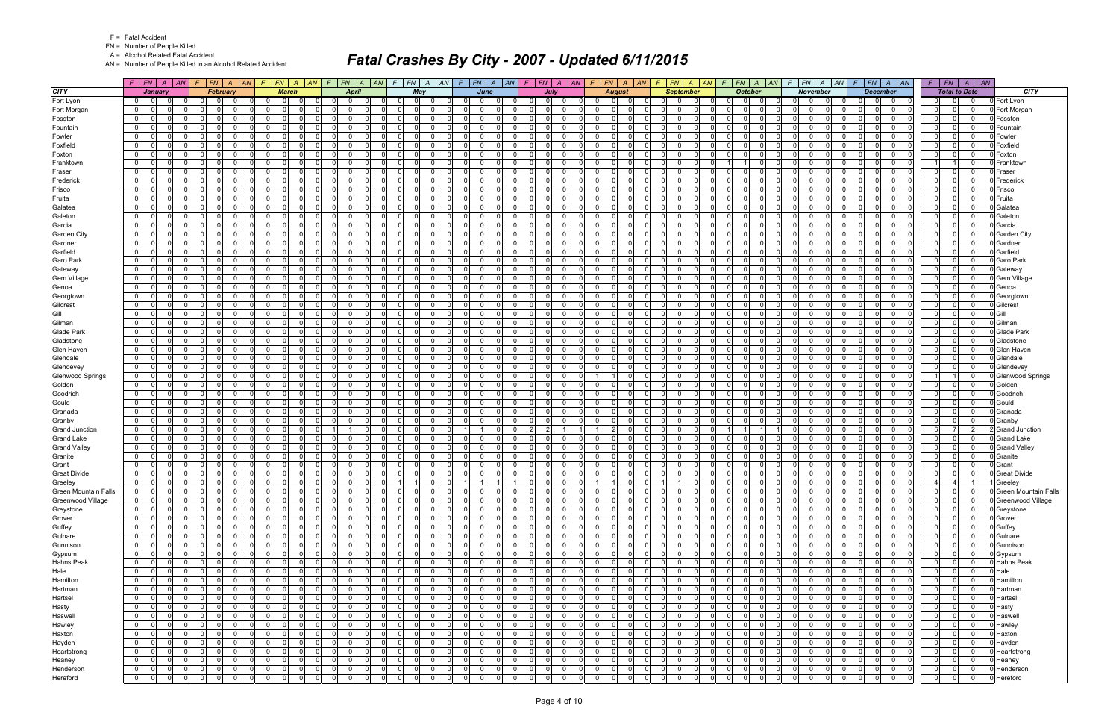FN = Number of People Killed

A = Alcohol Related Fatal Accident

AN = Number of People Killed in an Alcohol Related Accident

|                             |                                  | $F$ $F$ $\mid$ $FN$ $\mid$ $A$ $\mid$ $AN$ $\mid$ $F$ $\mid$ $FN$ $\mid$ $A$ $\mid$ $AN$ |                      |                      |                      | $F$ $\overline{FN}$   A   AN   F   FN   A   AN   F   FN   A   AN   F   FN   A   AN   F   FN   A   AN |          |                               |                      |              |                            |                                                    |                            |                      |                |                      |                |                       |                      |                                   |                | $F F N   A   AN   F   FN   A   AN   F   FN   A   AN$                  | $F$ $ FN $ $A$ $ AN $                                        |          |                               | $F$ $FN$ $A$ $AN$                      |                               | $F$   $FN$   $A$   $AN$           |                         |
|-----------------------------|----------------------------------|------------------------------------------------------------------------------------------|----------------------|----------------------|----------------------|------------------------------------------------------------------------------------------------------|----------|-------------------------------|----------------------|--------------|----------------------------|----------------------------------------------------|----------------------------|----------------------|----------------|----------------------|----------------|-----------------------|----------------------|-----------------------------------|----------------|-----------------------------------------------------------------------|--------------------------------------------------------------|----------|-------------------------------|----------------------------------------|-------------------------------|-----------------------------------|-------------------------|
| <b>CITY</b>                 |                                  | January                                                                                  |                      | <b>February</b>      |                      | <b>March</b>                                                                                         |          |                               | April                | Mav          |                            |                                                    | June                       |                      | July           |                      |                | <b>August</b>         |                      | <b>September</b>                  |                | <b>October</b>                                                        | <b>November</b>                                              |          |                               | <b>December</b>                        |                               | <b>Total to Date</b>              | <b>CITY</b>             |
| Fort Lyon                   | 01                               |                                                                                          | $\Omega$             |                      | $\mathbf 0$          | - O I                                                                                                |          |                               | <sup>0</sup>         | $\Omega$     | $\Omega$                   | $\Omega$<br>$\Omega$                               |                            | 0                    |                |                      |                | $\Omega$              |                      | $\Omega$<br>0                     |                | $\Omega$<br>$\Omega$<br>$\Omega$                                      | $\Omega$                                                     |          | $\Omega$                      | $\mathbf 0$<br>0                       | $\overline{0}$                | 0                                 | 0 Fort Lyon             |
| Fort Morgan                 | $\overline{0}$                   | $\Omega$<br>0                                                                            | $\mathbf 0$          | $\Omega$             | 0                    | $\overline{0}$                                                                                       |          | $\overline{0}$                | $\Omega$             | - 0 l        | $\Omega$                   | $\Omega$<br>$\Omega$                               |                            | $\Omega$             | $\Omega$       | $\Omega$             |                | -01                   | $\Omega$             | 0 <br>$\Omega$                    | $\Omega$       | - 0 l<br>$\Omega$<br>0 I                                              | $\overline{0}$<br>$\overline{0}$<br>$\Omega$                 |          | $\Omega$                      | 0 <br>$\overline{0}$                   | 0                             | $\overline{0}$<br> 0              | Fort Morgan             |
| Fosston                     | $\overline{0}$                   | <sup>0</sup>                                                                             | - Ol                 | $\Omega$             | - ol                 | $\Omega$                                                                                             |          | $\Omega$                      | 0                    | $\Omega$     | $\Omega$                   | $\Omega$<br>$\Omega$                               |                            | $\Omega$             |                | $\Omega$             |                | $\Omega$              | $\Omega$             | $\Omega$<br>$\Omega$              |                | $\Omega$<br>$\Omega$<br>$\Omega$                                      | $\Omega$<br>$\Omega$                                         |          | $\Omega$                      | - 0 l<br>$\Omega$                      | $\Omega$                      | 0 <br>$\Omega$                    | Fosston                 |
| Fountain                    | $\mathbf{0}$                     | <sup>0</sup>                                                                             | $\Omega$             | $\Omega$             | $\Omega$             | $\Omega$                                                                                             |          | $\Omega$                      | $\Omega$             | - 0 l        | $\Omega$                   | $\Omega$<br>$\Omega$                               |                            | $\Omega$             |                | $\Omega$             |                | $\Omega$              | $\Omega$             | $\Omega$<br>$\Omega$              |                | $\Omega$<br>$\Omega$<br>$\Omega$                                      | n l<br>$\Omega$<br>$\Omega$                                  |          | $\Omega$                      | $\Omega$<br>$\mathbf 0$                | $\Omega$                      | $\overline{0}$<br>$\Omega$        | Fountair                |
| Fowler                      | $\overline{0}$                   | 0                                                                                        | $\Omega$             | n                    | 0                    | $\Omega$                                                                                             |          | $\Omega$                      | $\Omega$             | - 0 l        | $\Omega$                   | $\Omega$<br>$\Omega$                               |                            | $\Omega$             |                | $\Omega$             |                | $\Omega$              | $\Omega$             | $\mathbf 0$<br>0                  |                | $\overline{0}$<br>$\Omega$                                            | n l<br>$\Omega$<br>$\Omega$                                  |          | $\mathbf 0$                   | - 0 l<br>$\Omega$                      | $\mathbf 0$                   | 0 <br>$\Omega$                    | Fowler                  |
| Foxfield                    | $\overline{0}$                   | <sup>0</sup>                                                                             | $\Omega$             | $\Omega$             | $\Omega$             | $\Omega$                                                                                             |          | $\Omega$                      | $\Omega$             | - 0 l        | $\Omega$                   | $\Omega$<br><sup>0</sup>                           |                            | $\Omega$             |                | $\Omega$             |                | -01                   | $\Omega$             | $\Omega$<br>$\Omega$              |                | $\Omega$<br>$\Omega$<br>$\Omega$                                      | $\Omega$<br>$\Omega$<br>$\Omega$                             |          | $\Omega$                      | $\Omega$<br>$\Omega$                   | $\Omega$                      | 0 <br>$\Omega$                    | Foxfield                |
| Foxton                      | 0                                | 0                                                                                        | - Ol                 | $\Omega$             | - ol                 | $\Omega$                                                                                             |          | $\Omega$                      | $\Omega$             | $\Omega$     | $\Omega$                   | $\overline{0}$<br>$\Omega$                         |                            | $\Omega$             |                | $\Omega$             |                | $\Omega$              | - 0                  | $\Omega$<br>$\Omega$              |                | $\Omega$<br>$\Omega$<br>$\Omega$                                      | n l<br>$\Omega$<br>$\Omega$                                  |          | $\Omega$                      | $\Omega$<br>$\mathbf 0$                | $\mathbf 0$                   | 0 <br>$\Omega$                    | Foxton                  |
| Franktown                   | $\mathbf{0}$                     | 0                                                                                        | $\Omega$             | $\Omega$             | $\Omega$             | $\Omega$                                                                                             |          | $\Omega$                      | 0                    | - 0 l        | $\Omega$                   | $\Omega$<br><sup>0</sup>                           |                            | $\Omega$             |                | $\Omega$             |                | $\Omega$              | $\Omega$             | $\Omega$<br><sup>n</sup>          |                | $\Omega$                                                              | $\Omega$<br>$\Omega$                                         |          | $\Omega$                      | $\Omega$<br>$\mathbf 0$                |                               | $\Omega$<br>$\overline{1}$        | Franktowr               |
| Fraser                      | $\overline{0}$                   | $\Omega$                                                                                 | - Ol                 | $\Omega$             | -ol                  | $\Omega$                                                                                             |          | $\Omega$                      | $\Omega$             | $\Omega$     | $\Omega$                   | $\Omega$                                           | $\Omega$                   | $\Omega$             |                | $\Omega$             |                | $\Omega$              | $\Omega$             | $\Omega$<br>$\Omega$              |                | $\Omega$<br>$\Omega$                                                  | $\Omega$<br>$\Omega$<br>$\Omega$                             |          | $\Omega$                      | - 0 l<br>$\Omega$                      | $\Omega$                      | 0 <br>$\Omega$                    | Fraser                  |
| Frederick                   | $\overline{0}$                   | 0                                                                                        | $\Omega$             | $\Omega$             | $\Omega$             | $\Omega$                                                                                             |          | $\Omega$                      | 0                    | - 0 l        | $\Omega$                   | $\Omega$                                           | $\Omega$                   | $\Omega$             |                | $\Omega$             |                | -01                   | $\Omega$             | $\overline{0}$<br>$\Omega$        |                | $\Omega$<br>0 I<br>$\Omega$                                           | $\Omega$<br>$\Omega$<br>$\Omega$                             |          | $\Omega$                      | - 0 l<br>$\Omega$                      | $\Omega$                      | $\overline{0}$<br> 0              | Frederick               |
| Frisco                      | $\overline{0}$                   | 0                                                                                        | - Ol                 | $\Omega$             | $\Omega$             | $\Omega$                                                                                             |          | $\Omega$                      | 0                    | $\Omega$     | $\Omega$                   | $\Omega$<br>$\Omega$                               |                            | $\Omega$             |                | $\Omega$             |                | $\Omega$              | $\Omega$             | $\Omega$<br><sup>n</sup>          |                | $\Omega$<br>$\Omega$<br>$\Omega$                                      | $\Omega$<br>$\Omega$                                         |          | $\Omega$                      | - 0 l<br>$\Omega$                      | $\mathbf 0$                   | 0 <br>$\Omega$                    | Frisco                  |
| Fruita                      | $\mathbf{0}$                     | $\Omega$<br>0                                                                            | $\Omega$             | $\Omega$             | $\Omega$             | $\Omega$                                                                                             |          | $\Omega$                      | $\Omega$             | - 0 l        | $\Omega$                   | $\Omega$<br>$\Omega$                               | $\Omega$                   | $\Omega$             | $\Omega$       | $\Omega$             |                | $\Omega$              | $\Omega$             | $\Omega$<br>$\Omega$              | $\Omega$       | $\Omega$<br>$\Omega$<br>$\Omega$                                      | n l<br>$\Omega$<br>$\Omega$                                  |          | $\Omega$                      | - 0 l<br>$\Omega$                      | $\overline{0}$                | $\overline{0}$<br>$\Omega$        | Fruita                  |
| Galatea                     | $\overline{0}$                   | 0                                                                                        | $\Omega$             |                      | - 0 l                | $\Omega$                                                                                             |          | $\Omega$                      | 0                    | - 0 l        | $\Omega$                   | $\Omega$<br>0                                      |                            | $\Omega$             |                | $\Omega$             |                | $\Omega$              |                      | $\mathbf 0$<br>0                  |                | $\overline{0}$<br>$\Omega$                                            | $\Omega$<br>$\Omega$                                         |          | $\Omega$                      | $\mathbf 0$<br>0                       | $\Omega$                      | 0 <br>$\Omega$                    | Galatea                 |
| Galeton                     | $\overline{0}$                   | 0                                                                                        | $\mathbf 0$          | $\Omega$             | $\Omega$             | $\Omega$                                                                                             |          | $\Omega$                      | 0                    | $\mathbf 0$  | $\Omega$                   | $\Omega$<br>$\Omega$                               | $\Omega$                   | $\Omega$             |                | $\Omega$             | $\Omega$       | $\overline{0}$        | $\Omega$             | $\Omega$<br>$\Omega$              | $\Omega$       | <sup>0</sup><br>$\Omega$<br>$\Omega$                                  | n l<br>$\Omega$<br>$\Omega$                                  |          | $\Omega$                      | - 0 l<br>$\Omega$                      | $\Omega$                      | 0 <br>$\Omega$                    | Galeton                 |
| Garcia                      | $\mathbf{0}$                     | $\Omega$                                                                                 | $\Omega$             | $\Omega$             | $\overline{0}$       | $\Omega$<br>$\Omega$                                                                                 |          | $\overline{0}$                | $\Omega$             | - 0 l        | $\Omega$                   | $\overline{0}$<br>$\Omega$                         | $\Omega$                   | $\Omega$             |                | $\Omega$             |                | $\Omega$              | $\Omega$             | $\Omega$<br>$\Omega$              | $\Omega$       | $\overline{0}$<br>$\Omega$<br>$\Omega$                                | n l<br>$\Omega$<br>$\Omega$                                  |          | $\Omega$                      | $\Omega$<br>- 0 l                      | $\overline{0}$                | 0 <br> 0                          | Garcia                  |
| <b>Garden City</b>          | $\overline{0}$                   | 0<br>0                                                                                   | $\mathbf 0$          | $\Omega$             | $\Omega$             | $\Omega$<br>$\Omega$                                                                                 |          | $\Omega$                      | 0                    | $\mathbf 0$  | $\Omega$                   | $\Omega$<br>$\Omega$                               |                            | $\Omega$             | $\Omega$       | $\Omega$             |                | $\Omega$              | $\Omega$             | $\Omega$<br><sup>n</sup>          |                | $\Omega$<br>$\Omega$<br>$\Omega$                                      | $\Omega$<br>- റ<br>$\Omega$                                  |          | $\Omega$                      | $\mathbf 0$<br>0                       | $\Omega$                      | 0 <br>$\Omega$                    | <b>Garden City</b>      |
| Gardner                     | $\mathbf{0}$                     | $\Omega$<br>$\Omega$                                                                     | $\Omega$             | $\Omega$             | 0l                   | $\Omega$<br>$\cap$                                                                                   |          | $\Omega$                      | $\Omega$             | $\Omega$     | $\Omega$                   | $\Omega$<br>$\Omega$                               | $\Omega$                   | $\Omega$             | $\cap$         | $\Omega$             | n l            | $\Omega$              | $\Omega$             | -ol<br>$\Omega$                   | $\Omega$       | $\Omega$<br>$\Omega$<br>$\Omega$                                      | nl<br>$\Omega$<br>$\Omega$                                   |          | $\Omega$                      | $\Omega$<br>$\Omega$                   | $\overline{0}$                | 0 <br>$\Omega$                    | Gardner                 |
| Garfield                    | $\overline{0}$                   | 0                                                                                        | $\Omega$             | 0                    | 0                    | $\Omega$                                                                                             |          | $\mathbf 0$                   | $\Omega$             | 0            | $\Omega$                   | $\mathbf 0$                                        | $\Omega$                   | $\mathbf 0$          |                | $\Omega$             | $\Omega$       | $\overline{0}$        | 0                    | $\overline{0}$<br>0               |                | 0 I<br>$\Omega$<br>0                                                  | $\Omega$<br>$\Omega$<br>$\Omega$                             |          | 0                             | 0 <br>0                                | 0                             | 0 <br>$\Omega$                    | Garfield                |
| Garo Park                   | $\overline{0}$                   | $\Omega$                                                                                 | $\Omega$             | $\Omega$             | -ol                  | $\Omega$                                                                                             |          | $\Omega$                      | $\Omega$             | - 0 l        | $\Omega$                   | $\Omega$                                           | ΩI                         | $\Omega$             |                | $\Omega$             |                | $\Omega$              | $\Omega$             | $\Omega$<br>$\Omega$              |                | $\Omega$<br>$\Omega$<br>$\Omega$                                      | $\Omega$<br>$\Omega$<br>$\Omega$                             |          | $\Omega$                      | $\Omega$<br>- 0 l                      | $\overline{0}$                | 0 <br>$\Omega$                    | Garo Park               |
| Gateway                     | $\mathbf 0$                      | 0<br>$\Omega$                                                                            | $\mathbf 0$          | $\Omega$             | - 0 l                | $\Omega$                                                                                             |          | $\Omega$                      | $\Omega$             | $\mathbf 0$  | $\Omega$                   | $\Omega$<br>$\Omega$                               | $\Omega$                   | $\Omega$             | <sup>0</sup>   | $\Omega$             |                | $\Omega$              | - 0                  | $\Omega$<br>0                     | $\Omega$       | 0 I<br>$\Omega$<br>$\Omega$                                           | - Ol<br>$\Omega$<br>$\Omega$                                 |          | $\Omega$                      | $\mathbf 0$<br>0                       | $\mathbf 0$                   | 0 <br>$\mathbf{0}$                | Gateway                 |
| <b>Gem Village</b>          | $\overline{0}$                   | $\Omega$                                                                                 | n l                  | $\Omega$             | n                    | <sup>0</sup>                                                                                         |          | $\Omega$                      | $\Omega$             | $\Omega$     | $\Omega$                   | $\Omega$<br><sup>0</sup>                           |                            | $\Omega$             | $\Omega$       | $\Omega$             |                | $\Omega$              | $\Omega$             | $\Omega$<br><sup>0</sup>          |                | $\Omega$<br>$\Omega$<br>$\Omega$                                      | $\Omega$<br>$\Omega$                                         |          | $\Omega$                      | - 0 l<br>$\Omega$                      | $\Omega$                      | 0 <br> 0                          | Gem Village             |
| Genoa                       | $\overline{0}$                   | 0                                                                                        | $\mathbf 0$          | $\Omega$             | -ol                  | $\Omega$<br>$\Omega$                                                                                 |          | $\Omega$                      | $\Omega$             | $\mathbf 0$  | $\Omega$                   | $\Omega$<br>$\Omega$                               | $\Omega$                   | $\Omega$             | <sup>0</sup>   | $\Omega$             | $\Omega$       | $\overline{0}$        | $\Omega$             | $\mathbf 0$<br>$\Omega$           |                | $\Omega$<br>0 I<br>$\Omega$                                           | - Ol<br>$\Omega$<br>$\Omega$                                 |          | $\Omega$                      | - 0 l<br>$\Omega$                      | $\Omega$                      | 0 <br>$\Omega$                    | Genoa                   |
| Georgtown                   | $\mathbf{0}$                     | $\Omega$                                                                                 | $\Omega$             | $\Omega$             | -ol                  | $\Omega$                                                                                             |          | $\overline{0}$                | $\Omega$             | - 0 l        | $\Omega$                   | $\overline{0}$<br>$\Omega$                         |                            | $\Omega$             | $\Omega$       | $\Omega$             |                | $\Omega$              | $\Omega$             | $\Omega$<br>$\Omega$              | $\Omega$       | $\overline{0}$<br>$\Omega$<br>$\Omega$                                | n l<br>$\Omega$<br>$\Omega$                                  |          | $\Omega$                      | $\Omega$<br>- 0 l                      | $\overline{0}$                | 0 <br>$\Omega$                    | Georgtown               |
| Gilcrest                    | $\overline{0}$                   | <sup>0</sup>                                                                             | $\Omega$             | $\Omega$             | $\Omega$             | $\Omega$                                                                                             |          | $\Omega$                      | 0                    | $\mathbf 0$  | $\Omega$                   | $\Omega$<br>0                                      |                            | $\Omega$             |                | $\Omega$             |                | $\Omega$              | $\Omega$             | $\Omega$<br><sup>n</sup>          |                | $\Omega$<br>$\Omega$<br>$\Omega$                                      | - 0<br>- 0                                                   |          | $\Omega$                      | $\mathbf 0$<br>0                       | $\Omega$                      | 0 <br>$\Omega$                    | Gilcrest                |
| Gill                        | $\mathbf{0}$                     | $\Omega$<br>$\Omega$                                                                     | $\Omega$             | $\Omega$             | 0l                   | $\Omega$<br>$\Omega$                                                                                 |          | $\Omega$                      | $\Omega$             | $\Omega$     | $\Omega$                   | $\Omega$<br>$\Omega$                               | $\Omega$                   | $\Omega$             | $\cap$         | $\Omega$             | n l            | $\Omega$              | $\Omega$             | -ol<br>$\Omega$                   | $\Omega$       | $\Omega$<br>$\Omega$<br>$\Omega$                                      | nl<br>$\Omega$<br>$\Omega$                                   |          | $\Omega$                      | $\Omega$<br>$\Omega$                   | $\overline{0}$                | 0 <br> 0                          | Gill                    |
| Gilman                      | $\overline{0}$                   | 0                                                                                        | $\Omega$             |                      | $\Omega$             | $\Omega$                                                                                             |          | $\Omega$                      | $\Omega$             | $\Omega$     | - 0                        | $\Omega$                                           | $\Omega$                   | $\Omega$             |                | $\Omega$             |                | $\Omega$              |                      | $\mathbf 0$<br>O.                 |                | $\Omega$<br>$\Omega$                                                  | $\Omega$<br>$\Omega$                                         |          | $\Omega$                      | - 0 l<br>0                             | $\Omega$                      | 0 <br>$\Omega$                    | Gilman                  |
| <b>Glade Park</b>           | $\overline{0}$                   | 0                                                                                        | $\mathbf 0$          | $\Omega$             | $\overline{0}$       | $\Omega$                                                                                             |          | $\overline{0}$                | $\Omega$             | $\mathbf{0}$ | $\Omega$                   | $\overline{0}$<br>$\Omega$                         |                            | 0 I                  |                | $\Omega$             | $\Omega$       | $\overline{0}$        | $\Omega$             | $\Omega$<br>$\Omega$              |                | 0 I<br>$\Omega$<br>$\Omega$                                           | - Ol<br>- O I<br>$\Omega$                                    |          | $\Omega$                      | - 0 l<br>$\Omega$                      | $\overline{0}$                | 0 <br>$\Omega$                    | <b>Glade Park</b>       |
| Gladstone                   | 0                                | 0                                                                                        | - Ol                 | $\Omega$             | - ol                 | $\Omega$                                                                                             |          | $\Omega$                      | 0                    | $\Omega$     | $\Omega$                   | $\overline{0}$<br>$\Omega$                         |                            | $\Omega$             |                | $\Omega$             |                | $\Omega$              | $\Omega$             | $\Omega$<br>$\Omega$              |                | $\Omega$<br>$\Omega$<br>$\Omega$                                      | n l<br>$\Omega$<br>$\Omega$                                  |          | $\Omega$                      | $\Omega$<br>$\Omega$                   | $\mathbf 0$                   | 0 <br>$\Omega$                    | Gladstone               |
| Glen Haven                  | $\overline{0}$                   | 0                                                                                        | $\Omega$             | $\Omega$             | - 0 l                | $\Omega$                                                                                             |          | $\Omega$                      | 0                    | $\mathbf 0$  | $\Omega$                   | $\Omega$<br><sup>n</sup>                           |                            | $\Omega$             |                | $\Omega$             |                | $\Omega$              | $\Omega$             | $\Omega$<br><sup>n</sup>          |                | $\Omega$<br>$\Omega$<br>$\Omega$                                      | $\Omega$<br>$\Omega$<br>$\Omega$                             |          | $\Omega$                      | $\mathbf 0$<br>0                       | $\Omega$                      | $\overline{0}$<br>$\Omega$        | Glen Haver              |
| Glendale                    | $\overline{0}$                   | $\Omega$                                                                                 | $\Omega$             | $\Omega$             | $\Omega$             | $\Omega$                                                                                             |          | $\Omega$                      | $\Omega$             | $\Omega$     | $\Omega$                   | $\Omega$<br><sup>0</sup>                           |                            | $\Omega$             |                | $\Omega$             |                | $\Omega$              |                      | $\Omega$<br>$\Omega$              |                | $\Omega$<br><sup>0</sup>                                              | $\Omega$<br>$\Omega$                                         |          | $\Omega$                      | $\Omega$<br>$\Omega$                   | $\Omega$                      | 0 <br>$\Omega$                    | Glendale                |
| Glendevey                   | 0                                | 0                                                                                        | $\mathbf 0$          | $\Omega$             | 0                    | $\Omega$                                                                                             |          | $\Omega$                      | $\Omega$             | - 0 l        | $\Omega$                   | $\Omega$<br>$\Omega$                               |                            | $\Omega$             |                | $\Omega$             |                | $\overline{0}$        | $\Omega$             | $\overline{0}$<br>$\Omega$        |                | $\Omega$<br>0 I<br>$\Omega$                                           | - Ol<br>$\Omega$<br>$\Omega$                                 |          | $\mathbf 0$                   | - 0 l<br>$\Omega$                      | $\Omega$                      | 0 <br> 0                          | Glendevey               |
| <b>Glenwood Springs</b>     | $\overline{0}$                   | $\Omega$                                                                                 | - Ol                 | $\Omega$             | $\Omega$             | $\Omega$                                                                                             |          | $\Omega$                      | 0                    | $\Omega$     | $\Omega$                   | $\Omega$                                           | $\Omega$                   | $\Omega$             |                | $\Omega$             |                | $\vert$ 1             | $\Omega$             | $\Omega$<br><sup>n</sup>          |                | $\Omega$<br>$\Omega$                                                  | $\Omega$<br>$\Omega$                                         |          | $\Omega$                      | - 0 l<br>$\Omega$                      |                               | $1 \vert$                         | <b>Glenwood Springs</b> |
| Golden                      | $\mathbf{0}$                     | $\Omega$<br>0                                                                            | $\Omega$             | $\Omega$             | - 0 l                | $\Omega$                                                                                             |          | $\Omega$                      | $\Omega$             | $\mathbf 0$  | $\Omega$                   | $\Omega$<br>$\Omega$                               | $\cap$                     | $\Omega$             |                | $\Omega$             |                | $\overline{0}$        | $\Omega$             | $\Omega$<br>$\Omega$              |                | $\Omega$<br>$\Omega$<br>$\Omega$                                      | n l<br>$\Omega$<br>$\Omega$                                  |          | $\Omega$                      | $\Omega$<br>$\mathbf 0$                | $\overline{0}$                | $\overline{0}$<br>$\overline{0}$  | Golden                  |
| Goodrich                    | $\overline{0}$                   | 0                                                                                        | $\Omega$             | $\Omega$             | $\Omega$             | $\Omega$                                                                                             |          | $\Omega$                      | $\Omega$             | $\Omega$     | $\Omega$                   | $\Omega$<br><sup>0</sup>                           |                            | $\Omega$             |                | $\Omega$             |                | $\Omega$              |                      | $\mathbf 0$<br>U                  |                | <sup>0</sup><br>$\Omega$                                              | $\Omega$<br>$\Omega$<br>$\Omega$                             |          | $\Omega$                      | - 0 l<br>$\Omega$                      | $\Omega$                      | 0 <br>$\Omega$                    | Goodrich                |
| Gould                       | $\overline{0}$                   | 0                                                                                        | $\mathbf 0$          | $\Omega$             | $\Omega$             | $\Omega$                                                                                             |          | $\Omega$                      | $\Omega$             | - 0 l        | $\Omega$                   | $\Omega$<br>0                                      |                            | $\Omega$             |                | $\Omega$             |                | -01                   | $\Omega$             | $\Omega$<br>$\Omega$              |                | $\Omega$<br>$\Omega$                                                  | $\Omega$<br>$\Omega$<br>$\Omega$                             |          | $\Omega$                      | - 0 l<br>$\Omega$                      | $\mathbf 0$                   | 0 <br>$\Omega$                    | Gould                   |
| Granada                     | 0                                | $\Omega$                                                                                 | - Ol                 | $\Omega$             | - ol                 | $\Omega$<br>$\Omega$                                                                                 |          | $\Omega$                      | $\Omega$             | $\Omega$     | $\Omega$                   | $\overline{0}$<br>$\Omega$                         | $\Omega$                   | $\Omega$             |                | $\Omega$             |                | $\Omega$              | $\Omega$             | $\Omega$<br>$\Omega$              |                | $\Omega$<br>$\Omega$<br>$\Omega$                                      | - Ol<br>$\Omega$<br>$\Omega$                                 |          | $\Omega$                      | $\Omega$<br>$\Omega$                   | $\overline{0}$                | 0 <br>$\Omega$                    | Granada                 |
| Granby                      | $\overline{0}$                   | $\Omega$<br>0                                                                            | $\Omega$             | $\Omega$             | - 0 l                | $\Omega$                                                                                             |          | $\Omega$                      | 0                    | - 0 l        | $\Omega$                   | $\Omega$<br><sup>0</sup>                           |                            | $\Omega$             |                | $\Omega$             |                | $\Omega$              | $\Omega$             | $\Omega$<br><sup>0</sup>          |                | $\Omega$<br><sup>0</sup><br>$\Omega$                                  | n l<br>$\Omega$<br>$\Omega$                                  |          | $\Omega$                      | $\Omega$<br>$\mathbf 0$                | $\Omega$                      | $\overline{0}$<br>$\Omega$        | Granby                  |
| <b>Grand Junction</b>       | $\overline{0}$                   | $\Omega$                                                                                 | - 0 l                | $\Omega$             | -ol                  | $\Omega$<br>$\Omega$                                                                                 |          |                               | $\Omega$             | - 0 l        | $\Omega$                   |                                                    | $\Omega$                   | $\overline{2}$       | $\overline{2}$ | $\mathbf{1}$         |                | $\vert$ 2             | $\Omega$             | -ol<br>$\Omega$                   | $\Omega$       |                                                                       | $\Omega$<br>- Ol<br>$\Omega$                                 |          | $\Omega$                      | - 0 l<br>$\Omega$                      | 6                             | $\overline{7}$<br>2 <sup>1</sup>  | <b>Grand Junction</b>   |
| <b>Grand Lake</b>           | $\overline{0}$                   | 0                                                                                        | $\Omega$             | $\Omega$             | $\mathbf 0$          | $\Omega$                                                                                             |          | $\Omega$                      | 0                    | $\mathbf 0$  | $\Omega$                   | $\Omega$<br>0                                      |                            | $\Omega$             |                | $\Omega$             |                | $\Omega$              |                      | $\mathbf 0$<br>$\Omega$           |                | $\Omega$<br>$\Omega$<br>$\Omega$                                      | - Ol<br>$\Omega$<br>$\Omega$                                 |          | 0                             | $\Omega$<br>$\mathbf 0$                | $\mathbf 0$                   | 0 <br>$\Omega$                    | <b>Grand Lake</b>       |
| <b>Grand Valley</b>         | $\mathbf{0}$                     | $\Omega$<br>$\Omega$                                                                     | $\Omega$             | $\Omega$             | $\overline{0}$       | $\Omega$<br>$\Omega$                                                                                 |          | $\Omega$                      | $\Omega$             | - 0 l        | $\Omega$                   | $\overline{0}$<br>$\Omega$                         | $\Omega$                   | $\Omega$             | $\Omega$       | $\Omega$             |                | -01                   | $\Omega$             | -ol<br>$\Omega$                   | $\Omega$       | $\Omega$<br>$\Omega$<br>$\Omega$                                      | nl<br>$\Omega$<br>$\Omega$                                   |          | $\Omega$                      | - 0 l<br>$\Omega$                      | $\mathbf 0$                   | 0 <br>$\Omega$                    | <b>Grand Valley</b>     |
| Granite                     | $\mathbf{0}$                     | <sup>0</sup>                                                                             | $\Omega$             | $\Omega$             | -ol                  | $\Omega$<br>$\Omega$                                                                                 |          | $\Omega$                      | 0                    | $\Omega$     | $\Omega$                   | $\Omega$<br>$\Omega$                               | $\Omega$                   | $\Omega$             | $\Omega$       | $\Omega$             |                | $\Omega$              | $\Omega$             | $\Omega$<br>$\Omega$              | $\Omega$       | <sup>0</sup><br>$\Omega$<br>$\Omega$                                  | - Ol<br>$\Omega$<br>$\Omega$                                 |          | $\Omega$                      | $\Omega$<br>$\mathbf 0$                | $\mathbf 0$                   | 0 <br>$\mathbf 0$                 | Granite                 |
| Grant                       | $\overline{0}$                   | $\Omega$                                                                                 | $\Omega$             | $\Omega$             | - 0 l                | $\Omega$<br>$\cap$                                                                                   |          | $\Omega$                      | $\Omega$             | $\Omega$     | $\Omega$                   | $\Omega$<br>$\Omega$                               | $\Omega$                   | $\Omega$             | $\Omega$       | $\Omega$             |                | $\Omega$              | $\Omega$             | $\mathbf 0$<br>$\Omega$           | $\Omega$       | $\Omega$<br>$\Omega$<br>$\Omega$                                      | n l<br>$\Omega$<br>$\Omega$                                  |          | $\Omega$                      | - 0 l<br>$\Omega$                      | $\Omega$                      | $\overline{0}$<br>$\Omega$        | Grant                   |
| <b>Great Divide</b>         | $\overline{0}$                   | 0                                                                                        | $\mathbf 0$          | $\Omega$             | 0                    | $\Omega$                                                                                             |          | $\Omega$                      | 0                    | $\mathbf 0$  | $\Omega$                   | $\Omega$                                           | $\Omega$                   | $\Omega$             |                | $\Omega$             |                | $\overline{0}$        | $\Omega$             | $\overline{0}$<br>$\Omega$        |                | 0 I<br>$\Omega$<br>$\Omega$                                           | n l<br>$\Omega$<br>$\Omega$                                  |          | $\mathbf 0$                   | $\Omega$<br>$\mathbf 0$                | $\Omega$                      | 0                                 | <b>Great Divide</b>     |
| Greeley                     | $\overline{0}$                   | $\Omega$<br> 0                                                                           | 0 I<br>$\Omega$      | $\overline{0}$       | $\overline{0}$       | $\mathbf{0}$<br>$\Omega$                                                                             | - 0      | 0 <br>$\Omega$                | - 0 l                | 11           | $\mathbf{0}$               | $\overline{1}$                                     |                            | $\overline{0}$       | - Ol           | $\overline{0}$       |                | $\overline{1}$        | $\Omega$<br>$\Omega$ | $\overline{1}$                    | $\Omega$       | 0 <br>$\overline{0}$<br>$\overline{0}$                                | 0 I<br>$\overline{0}$                                        | $\Omega$ | $\overline{0}$<br>$\Omega$    | $\Omega$<br>0 I                        | $\overline{4}$                | $\overline{4}$                    | Greeley                 |
| <b>Green Mountain Falls</b> | $\overline{0}$                   | $\overline{0}$<br>0l                                                                     | $\mathbf 0$          | $\Omega$             | 0                    | 0<br>- 01                                                                                            |          | $\Omega$                      | $\Omega$             | $\mathbf 0$  | $\Omega$                   | 0<br>$\Omega$                                      | - 01                       | $\Omega$             | $\Omega$       | $\Omega$             |                | $\overline{0}$        | $\Omega$             | 0<br>$\Omega$                     | $\Omega$       | $\Omega$<br>$\mathbf 0$<br>$\Omega$                                   | .0<br>-01<br>$\Omega$                                        |          | $\Omega$                      | $\overline{0}$<br>$\mathbf 0$          | $\Omega$                      | 0                                 | 0 Green Mountain Falls  |
| Greenwood Village           | 0                                | $\mathbf 0$<br>$\Omega$                                                                  | $\mathbf 0$          | $\Omega$             | $\overline{0}$       | - O I<br>$\Omega$                                                                                    |          | $\Omega$                      | $\Omega$             | $\mathbf{0}$ | $\Omega$                   | - 0 l<br>$\Omega$                                  | $\Omega$                   | $\Omega$             | $\Omega$       | $\Omega$             |                | -01                   | $\Omega$             | 0 <br>$\Omega$                    | $\Omega$       | $\overline{0}$<br>$\overline{0}$<br>$\overline{0}$                    | $\overline{0}$<br>- Ol<br>$\Omega$                           |          | $\Omega$                      | $\overline{0}$<br>$\Omega$             | $\overline{0}$                | 0 <br> 0                          | Greenwood Village       |
| Greystone                   |                                  | $\overline{0}$<br>$\Omega$                                                               | 0                    | 0                    | $\overline{0}$       | 0                                                                                                    |          | 0                             | $\Omega$             | 0            | 0                          | 0 <br>$\mathbf 0$                                  | $\Omega$                   | $\mathbf 0$          |                | $\Omega$             | $\Omega$       | $\overline{0}$        | $\Omega$             | 0 <br>$\mathbf{0}$                | $\Omega$       | 0 <br> 0 <br>$\Omega$                                                 | 0 <br>$\mathbf 0$<br>$\Omega$                                |          | 0                             | $\overline{0}$<br>$\overline{0}$       | $\overline{0}$                | $\overline{0}$<br> 0              | Greystone               |
| Grover                      | $\overline{0}$                   | 0<br>$\overline{0}$                                                                      | $\mathbf 0$          | $\Omega$             | $\overline{0}$       | $\overline{0}$<br>$\Omega$                                                                           |          | $\overline{0}$<br>$\Omega$    | $\mathbf 0$          | 0            | $\mathbf 0$                | 0 <br>$\overline{0}$                               | - Ol                       | $\overline{0}$       | $\Omega$       | $\mathbf{0}$         | $\Omega$       | -01                   | $\Omega$             | 0 <br>0 I                         | $\Omega$       | $\overline{0}$<br> 0 <br>$\overline{0}$                               | $\mathbf 0$<br>$\overline{0}$<br>$\Omega$                    |          | $\Omega$                      | $\overline{0}$<br>$\overline{0}$       | $\overline{0}$                | 0 <br> 0                          | Grover                  |
| Guffey                      | $\mathbf 0$                      | $\Omega$<br>$\Omega$                                                                     | $\mathbf 0$          | 0                    | $\overline{0}$       | - O I                                                                                                |          | $\overline{0}$<br>0           | $\Omega$             | $\mathbf{0}$ | $\mathbf 0$                | $\mathbf 0$<br>$\mathbf 0$                         | $\Omega$                   | $\Omega$             | 0              | $\Omega$             |                | $\overline{0}$        | $\Omega$             | 0 <br>$\Omega$                    | $\Omega$       | 0 I<br>$\mathbf 0$<br>$\Omega$                                        | $\Omega$<br>- O I<br>$\Omega$                                |          | 0                             | $\overline{0}$<br> 0                   | 0                             | 0 <br>$\mathbf 0$                 | Guffey                  |
| Gulnare                     | 0                                | $\Omega$<br>0                                                                            | - 0 l                | $\Omega$             | 0                    | $\Omega$                                                                                             |          | $\Omega$                      | $\Omega$             | $\mathbf{0}$ | $\Omega$                   | $\mathbf 0$<br>$\Omega$                            | $\Omega$                   | $\Omega$             | $\Omega$       | $\Omega$             |                | -01                   | $\Omega$             | 0 <br>$\Omega$                    | $\Omega$       | $\overline{0}$<br>$\Omega$<br>$\mathbf 0$                             | $\overline{0}$<br>$\Omega$<br>$\Omega$                       |          | $\overline{0}$                | 0 <br>$\Omega$                         | $\mathbf 0$                   | $\overline{0}$<br>$\Omega$        | Gulnare                 |
| Gunnison                    |                                  | $\overline{0}$<br>$\overline{0}$                                                         | 0                    | 0                    | $\overline{0}$       | $\overline{0}$<br>- 01                                                                               |          | 0                             | $\mathbf{0}$         | 0            | 0                          | 0 <br>$\overline{0}$                               | $\mathbf 0$                | $\mathbf 0$          |                | $\overline{0}$       |                | 0                     | $\Omega$             | 0 <br>01                          | 0              | 0 <br>$\mathbf{0}$<br>0                                               | 0 <br>$\mathbf 0$<br>$\mathbf{0}$                            |          | 0                             | $\mathbf{0}$<br>0                      | $\overline{0}$                | 0 <br>0                           | Gunnison                |
| Gypsum                      | $\overline{0}$                   | $\Omega$                                                                                 | 0                    | $\Omega$             | 0                    | 0                                                                                                    |          | $\overline{0}$                | $\Omega$             | 0            | $\mathbf 0$                | $\overline{0}$                                     | $\overline{0}$<br>$\Omega$ | 0                    | $\Omega$       | -01                  |                | 0                     | $\Omega$             | 0 <br>$\overline{0}$              | $\Omega$       | $\overline{0}$<br>$\mathbf 0$<br>$\mathbf 0$                          | $\overline{0}$<br>$\mathbf 0$<br>$\Omega$                    |          | $\overline{0}$                | 0 <br>$\overline{0}$                   | 0                             | 0 <br>$\Omega$                    | Gypsum                  |
| <b>Hahns Peak</b>           | $\overline{0}$                   | $\Omega$                                                                                 | $\mathbf 0$          | $\Omega$             | 0                    | $\Omega$<br>$\Omega$                                                                                 |          | $\overline{0}$                | $\Omega$             | - 0 l        | $\mathbf 0$                | $\overline{0}$<br>$\Omega$                         | $\Omega$                   | $\Omega$             |                | $\Omega$             |                | -01                   | $\Omega$             | 0 <br>$\Omega$                    | $\Omega$       | $\Omega$<br>$\Omega$<br>$\Omega$                                      | $\mathbf 0$<br>$\Omega$                                      |          | $\overline{0}$                | 0 <br>$\Omega$                         | $\mathbf 0$                   | 0 <br>$\overline{0}$              | 0 Hahns Peak            |
| Hale                        | 0                                | $\Omega$<br>$\Omega$                                                                     | $\mathbf 0$          | $\Omega$             | $\overline{0}$       | - O I<br>- 01                                                                                        |          | $\overline{0}$<br>$\Omega$    | $\Omega$             | $\mathbf{0}$ | - O I                      | 0 <br>$\Omega$                                     | $\Omega$                   | 0 I                  | $\Omega$       | $\Omega$             |                | $\overline{0}$        | $\Omega$             | 0 <br>$\Omega$                    | $\Omega$       | $\overline{0}$<br>$\overline{0}$<br>- O I                             | $\Omega$<br>- O I                                            | 0 I      | $\mathbf 0$                   | $\Omega$<br>$\mathbf 0$                | 0                             | 0 <br>0 I                         | Hale                    |
| Hamilton                    | $\overline{0}$                   | $\Omega$                                                                                 | $\Omega$             | $\Omega$             | 0                    | $\Omega$                                                                                             |          | $\mathbf 0$                   | $\Omega$             | 0            | $\mathbf 0$                | $\mathbf 0$<br>$\Omega$                            | $\Omega$                   | $\Omega$             |                | $\Omega$             |                | -01                   | $\Omega$             | 0 <br>$\Omega$                    |                | $\overline{0}$<br>$\Omega$                                            | $\Omega$<br>$\overline{0}$<br>$\Omega$                       |          | $\mathbf 0$                   | 0 <br>0                                | $\mathbf 0$                   | 0 <br>$\mathbf 0$                 | Hamilton                |
| Hartman                     |                                  | $\overline{0}$<br>$\Omega$<br>$\Omega$                                                   | 01                   | $\mathbf 0$          | $\overline{0}$       | 0 <br>$\Omega$                                                                                       |          | $\overline{0}$<br>$\Omega$    | 0                    | 0            | 0                          | 0 <br>$\overline{0}$                               | $\overline{0}$             | 0                    | $\Omega$       | -01                  | $\Omega$       | 0                     | $\Omega$             | 0 <br>$\overline{0}$              | $\overline{0}$ | 0 <br>$\mathbf 0$<br>$\overline{0}$                                   | 0 <br>$\mathbf 0$                                            | 0        | $\mathbf 0$                   | $\overline{0}$<br> 0                   | 0                             | 0 <br>$\Omega$                    | 0 Hartmar               |
| Hartsel                     | 0                                | 0                                                                                        | $\mathbf 0$          | $\Omega$             | 0                    | $\Omega$<br>$\Omega$                                                                                 |          | $\overline{0}$                | $\Omega$             | - 0 l        | $\mathbf 0$                | $\overline{0}$<br>$\Omega$                         | $\Omega$                   | $\Omega$             |                | -01                  |                | -01                   | $\Omega$             | 0 <br>$\Omega$                    | $\Omega$       | $\overline{0}$<br>$\overline{0}$<br>$\Omega$                          | $\overline{0}$<br>- Ol<br>$\Omega$                           |          | $\overline{0}$                | 0 <br>$\Omega$                         | $\mathbf 0$                   | 0 <br>$\Omega$                    | Hartsel                 |
| Hasty                       | $\overline{0}$<br>$\overline{0}$ | 0<br>$\Omega$<br>$\Omega$                                                                | $\mathbf 0$<br>- 0 l | $\Omega$<br>$\Omega$ | $\overline{0}$<br> 0 | $\Omega$<br>$\Omega$<br>$\Omega$                                                                     |          | $\overline{0}$<br>$\Omega$    | $\Omega$<br>$\Omega$ | 0 <br>-ol    | - O I<br>$\mathbf 0$       | $\mathbf 0$<br>$\Omega$<br>$\mathbf 0$<br>$\Omega$ | $\Omega$<br>$\Omega$       | $\Omega$<br>$\Omega$ | $\Omega$       | $\Omega$<br>$\Omega$ |                | $\overline{0}$<br>-01 | $\Omega$<br>$\Omega$ | 0 <br>$\Omega$<br> 0 <br>$\Omega$ | $\Omega$       | 0 I<br>$\Omega$<br>$\Omega$<br>$\overline{0}$<br>$\Omega$<br>$\Omega$ | $\Omega$<br>- O I<br>$\Omega$<br>n l<br>$\Omega$<br>$\Omega$ |          | $\overline{0}$<br>$\mathbf 0$ | 0<br>$\mathbf 0$<br>$\Omega$           | $\overline{0}$<br>$\mathbf 0$ | 0 <br>$\Omega$<br> 0 <br>$\Omega$ | Hasty                   |
| Haswell                     | 0                                | $\Omega$                                                                                 |                      | $\Omega$             | $\overline{0}$       |                                                                                                      |          |                               | $\Omega$             | 0            |                            | 0 <br>$\overline{0}$                               | $\Omega$                   |                      | $\Omega$       | $\Omega$             |                |                       | $\Omega$             | $\mathbf{0}$                      | $\Omega$       | $\Omega$<br>$\mathbf 0$                                               | $\overline{0}$<br>$\mathbf 0$                                |          | $\mathbf 0$                   | 0 <br>$\overline{0}$<br>$\overline{0}$ | $\overline{0}$                | 0 <br>$\Omega$                    | Haswell                 |
| Hawley                      | $\overline{0}$                   | $\overline{0}$<br>$\Omega$                                                               | 0 <br>- 0 l          | $\Omega$             | 0                    | 0 <br>$\Omega$<br>$\Omega$                                                                           |          | 0 <br>$\overline{0}$          | $\overline{0}$       | 0            | $\mathbf 0$<br>$\mathbf 0$ | $\overline{0}$<br>$\Omega$                         | $\Omega$                   | 0 <br>$\Omega$       |                | $\overline{0}$       |                | 0 <br>-01             | $\Omega$             | 0 <br> 0 <br>$\Omega$             | $\Omega$       | 0 <br>$\overline{0}$<br>$\mathbf 0$<br>$\mathbf 0$                    | $\mathbf 0$<br>n l<br>$\mathbf 0$<br>$\Omega$                |          | $\overline{0}$                | 0 <br>$\Omega$                         | $\mathbf 0$                   | $\mathbf{0}$                      | Hawley<br>Haxton        |
| Haxton                      | 0                                | $\Omega$<br>$\Omega$                                                                     | $\mathbf 0$          | $\Omega$             | $\overline{0}$       | - O I<br>$\Omega$                                                                                    |          | $\overline{0}$<br>$\Omega$    | $\Omega$             | $\mathbf{0}$ | - O I                      | 0 <br>$\Omega$                                     | $\Omega$                   | 0 I                  | $\Omega$       | $\Omega$             | $\Omega$       | $\overline{0}$        | $\Omega$             | 0 <br>$\Omega$                    | $\mathbf 0$    | 0 I<br>$\mathbf 0$<br>- O I                                           | $\Omega$<br>- O I                                            | 0 I      | $\overline{0}$                | $\Omega$<br>$\mathbf 0$                | 0                             | 0 <br> 0 <br>$\Omega$             | Hayden                  |
| Hayden<br>Heartstrong       | $\overline{0}$                   | $\Omega$                                                                                 | $\Omega$             | $\Omega$             | 0                    | $\Omega$                                                                                             |          | $\Omega$                      | $\Omega$             | - 0 l        | $\Omega$                   | $\mathbf 0$<br>$\Omega$                            | $\Omega$                   | $\Omega$             |                | $\Omega$             |                | -01                   | $\Omega$             | 0 <br>$\Omega$                    |                | $\overline{0}$<br>$\Omega$<br>$\Omega$                                | $\overline{0}$<br>$\Omega$                                   |          | $\mathbf 0$                   | 0 <br>$\Omega$                         | $\mathbf 0$                   | 0 <br>$\Omega$                    | Heartstrong             |
| Heaney                      | $\overline{0}$                   | 0l<br>0                                                                                  | 01                   | 0                    | $\mathbf{0}$         | $\overline{0}$<br>- 01                                                                               |          | 0                             | 0                    | 0            | $\mathbf 0$                | 0 <br>$\mathbf 0$                                  | 0                          | 0                    | 0              | $\mathbf{0}$         | - O I          | 0                     | $\mathbf{0}$         | 0 <br> 0                          | $\overline{0}$ | $\mathbf{0}$<br> 0 <br>$\mathbf 0$                                    | 0 <br>$\mathbf 0$<br>$\mathbf 0$                             |          | $\mathbf 0$                   | 0 <br>$\mathbf{0}$                     | $\overline{0}$                | $\overline{0}$<br>0               | 0 Heaney                |
| Henderson                   | $\overline{0}$                   | $\Omega$<br> 0                                                                           | 0 <br>- 01           | $\overline{0}$       | $\mathbf{0}$         | 0 <br>$\overline{0}$                                                                                 | $\Omega$ | $\overline{0}$<br>0           | 0                    | 0            | 0                          | 0 <br>$\overline{0}$                               | $\mathbf 0$                | $\overline{0}$       | $\mathbf{0}$   | 0                    | - O I          | 0                     | 0                    | 0 <br>$\overline{0}$              | $\mathbf 0$    | $\overline{0}$<br> 0 <br>$\mathbf 0$                                  | $\overline{0}$<br>$\mathbf 0$                                | 0        | $\mathbf 0$                   | 0 <br> 0                               | $\overline{0}$                | $\overline{0}$<br> 0              | Henderson               |
| Hereford                    | $\overline{0}$                   | $\overline{0}$<br>$\mathbf 0$                                                            | 0 <br>$\Omega$       | $\Omega$             | $\overline{0}$       | $\mathbf 0$<br>$\Omega$                                                                              |          | $\overline{0}$<br>$\mathbf 0$ | 0                    | 0            | 0                          | 0 <br>$\mathbf 0$                                  | $\Omega$                   | $\Omega$             | $\overline{0}$ | 0                    | $\overline{0}$ | 0                     | $\Omega$             | 0 <br>$\mathbf 0$                 | $\Omega$       | $\mathbf 0$<br>$\overline{0}$<br> 0                                   | $\overline{0}$<br>$\mathbf 0$<br>$\Omega$                    |          | $\mathbf 0$                   | $\overline{0}$<br> 0                   | 0                             | $\overline{0}$<br> 0              | Hereford                |
|                             |                                  |                                                                                          |                      |                      |                      |                                                                                                      |          |                               |                      |              |                            |                                                    |                            |                      |                |                      |                |                       |                      |                                   |                |                                                                       |                                                              |          |                               |                                        |                               |                                   |                         |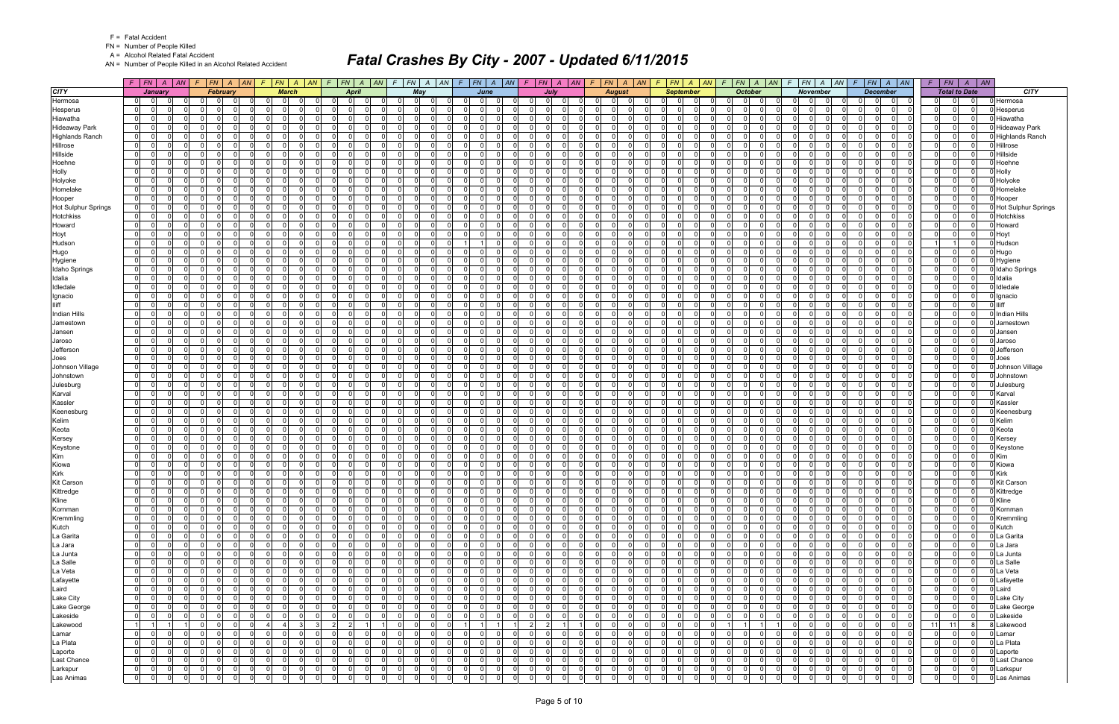FN = Number of People Killed

A = Alcohol Related Fatal Accident

AN = Number of People Killed in an Alcohol Related Accident

|                            | $F$   $FN$   $A$   $AN$                                        |              | $F$   FN   A   AN   F   FN   A   AN                            |                                                             |                      |                      |                      |                               |                                  |                                  |                                                    | $F   FN   A   AN   F   FN   A   AN   F   FN   A   AN$ |                    |                            | $F$ $ FN $ $A$ $ AN $      |                            |                      |                 | $F$ $ FN $ $A$ $ AN $ $F$ $ FN $ $A$ $ AN $ $F$ $ FN $ $A$ $ AN$ |                         |                            |                                                 |          |                                  | $F$ $FN$ $A$ $AN$          |                                  | $F$ $ FN $ $A$ $ AN$                          |                |                      | $F$   $FN$   $A$   $AN$    |                            |
|----------------------------|----------------------------------------------------------------|--------------|----------------------------------------------------------------|-------------------------------------------------------------|----------------------|----------------------|----------------------|-------------------------------|----------------------------------|----------------------------------|----------------------------------------------------|-------------------------------------------------------|--------------------|----------------------------|----------------------------|----------------------------|----------------------|-----------------|------------------------------------------------------------------|-------------------------|----------------------------|-------------------------------------------------|----------|----------------------------------|----------------------------|----------------------------------|-----------------------------------------------|----------------|----------------------|----------------------------|----------------------------|
| <b>CITY</b>                | January                                                        |              | February                                                       | <b>March</b>                                                |                      |                      | <b>April</b>         |                               |                                  | May                              |                                                    | June                                                  |                    | July                       |                            |                            | <b>August</b>        |                 |                                                                  | <b>September</b>        |                            | <b>October</b>                                  |          |                                  | <b>November</b>            |                                  | <b>December</b>                               |                | <b>Total to Date</b> |                            | <b>CITY</b>                |
| Hermosa                    | 01<br>$\overline{0}$                                           |              | ി<br>- 0                                                       | $\Omega$<br>$\Omega$                                        | 0                    | 0I                   | 0                    | $\Omega$                      | $\Omega$                         | $\Omega$<br>$\Omega$             | $\Omega$                                           | - Ol<br>$\Omega$                                      | n I                | $\Omega$                   |                            | <sup>n</sup>               | $\Omega$             | - 0             | 0I<br>$\Omega$                                                   | $\Omega$                | n I                        | 0 I                                             |          | 0<br>$\mathbf 0$                 | - 0                        | $\Omega$                         | $\Omega$<br>$\Omega$                          | $\mathbf 0$    | $\Omega$             | $\Omega$                   | Hermosa                    |
| Hesperus                   | $\overline{0}$<br>$\mathbf 0$                                  |              | $\Omega$<br>റ<br>n                                             | $\Omega$<br>0                                               | 0                    | 0                    | $\mathbf{0}$         |                               | 01                               | $\Omega$                         |                                                    | $\Omega$<br>$\Omega$                                  | $\Omega$           | $\Omega$                   |                            | $\Omega$                   |                      | $\Omega$        | $\mathbf 0$<br>$\Omega$                                          | $\Omega$                | $\Omega$                   | $\Omega$<br>$\Omega$                            |          | $\Omega$<br>$\mathbf 0$          | $\Omega$                   | $\overline{0}$                   | $\Omega$<br>$\mathbf 0$                       | $\overline{0}$ | $\overline{0}$       | $\Omega$                   | Hesperus                   |
| Hiawatha                   | 0 <br>01                                                       | <sup>0</sup> | 0 <br>$\Omega$<br>$\Omega$                                     | $\Omega$<br>$\Omega$                                        | -01                  | 0 I                  | -01                  | $\Omega$                      | $\Omega$                         | $\mathbf 0$                      | $\Omega$                                           | $\Omega$<br>$\Omega$                                  | $\mathbf{0}$       | $\Omega$                   | $\Omega$                   | $\Omega$                   | $\Omega$             | $\Omega$        | $\Omega$<br>$\Omega$                                             | $\Omega$                | $\mathbf 0$                | n l<br>$\Omega$                                 |          | <sup>0</sup><br>$\Omega$         | $\Omega$                   | 0 I                              | $\Omega$<br>$\Omega$                          | 0              | $\Omega$             | $\Omega$                   | Hiawatha                   |
| <b>Hideaway Park</b>       | 0 I<br>- 0 l<br>$\Omega$                                       |              | $\Omega$<br>$\Omega$                                           | $\Omega$<br>$\Omega$                                        | $\Omega$             | 0 I                  | $\Omega$             | $\Omega$                      | $\Omega$                         | $\Omega$                         | $\Omega$                                           | n l<br>$\Omega$                                       | - 0 l              | - 0                        | $\Omega$                   | $\Omega$                   |                      | $\Omega$        | $\Omega$<br>$\Omega$                                             | $\Omega$                | $\Omega$                   | $\Omega$<br>$\Omega$                            |          | $\Omega$<br>$\Omega$             | $\Omega$                   | - 0 l                            | $\Omega$<br>$\Omega$                          | 0              | $\Omega$             | $\Omega$                   | Hideaway Park              |
| <b>Highlands Ranch</b>     | $\overline{0}$<br>- 01                                         |              | $\Omega$<br>$\Omega$                                           | $\Omega$<br>$\Omega$                                        | $\Omega$             | 0 I                  | $\Omega$             |                               | 01                               | $\mathbf 0$                      | $\Omega$                                           | 0<br>$\Omega$                                         | - 0 l              | $\Omega$                   |                            | $\Omega$                   |                      | $\Omega$        | $\Omega$<br>$\Omega$                                             | <sup>n</sup>            | $\Omega$                   | $\Omega$<br>$\Omega$                            |          | $\Omega$<br>$\mathbf 0$          | $\Omega$                   | 0 I                              | $\Omega$                                      | 0              | $\Omega$             | $\Omega$                   | <b>Highlands Ranch</b>     |
| Hillrose                   | $\overline{0}$<br> 0 <br>$\Omega$                              |              | $\Omega$<br>$\Omega$                                           | $\Omega$<br>$\Omega$                                        | $\Omega$             | $\Omega$             | $\Omega$             | $\Omega$                      | $\Omega$                         | $\Omega$                         | $\Omega$                                           | $\Omega$<br>$\Omega$                                  | $\Omega$           | $\Omega$                   |                            | $\Omega$                   |                      | $\Omega$        | $\Omega$<br>$\Omega$                                             | $\Omega$                | $\Omega$                   | $\Omega$<br>$\Omega$                            |          | $\Omega$<br>$\Omega$             | $\Omega$                   | n                                | $\Omega$<br>$\Omega$                          | 0              | $\Omega$             | $\Omega$                   | <b>Hillrose</b>            |
| Hillside                   | 01<br>$\mathbf{0}$<br>O                                        |              | 01<br>$\Omega$                                                 | $\Omega$<br>$\Omega$                                        | $\Omega$             | $\overline{0}$       | $\overline{0}$       |                               | $\overline{0}$                   | $\mathbf 0$                      | $\Omega$                                           | $\Omega$<br>$\Omega$                                  | $\mathbf 0$        | $\Omega$                   | $\Omega$                   | $\Omega$                   |                      | $\Omega$        | $\Omega$<br>$\Omega$                                             | $\Omega$                | - O I                      | $\Omega$<br>$\Omega$                            |          | $\Omega$<br>$\mathbf 0$          | $\Omega$                   | 0 I                              | $\Omega$<br>$\Omega$                          | 0              | $\Omega$             | $\Omega$                   | Hillside                   |
| Hoehne                     | $\Omega$<br>$\Omega$                                           |              | $\Omega$<br>റ<br>$\Omega$                                      | $\Omega$<br>$\Omega$                                        | $\Omega$             | $\Omega$             | $\Omega$             | $\Omega$                      | $\Omega$                         | $\Omega$                         | $\Omega$                                           | $\Omega$<br>$\Omega$                                  | $\Omega$           | n                          |                            | $\Omega$                   |                      | $\Omega$        | $\Omega$<br>$\Omega$                                             | $\Omega$                | $\Omega$                   | $\Omega$<br>$\Omega$                            |          | $\Omega$<br>$\Omega$             | $\Omega$                   | $\Omega$                         | $\Omega$<br>$\Omega$                          | 0              | $\Omega$             | $\Omega$                   | Hoehne                     |
| Holly                      | 01<br>- 01<br>$\Omega$                                         |              | $\mathbf{0}$<br>- O I<br>$\cap$                                | $\Omega$<br>$\Omega$                                        | $\Omega$             | 0 I                  | $\Omega$             | $\Omega$                      | $\Omega$                         | $\mathbf 0$                      | $\Omega$                                           | - Ol<br>$\Omega$                                      | - 0 l              | $\Omega$                   | $\Omega$                   | $\Omega$                   |                      | $\Omega$        | $\Omega$<br>$\Omega$                                             | $\Omega$                | $\Omega$                   | $\Omega$<br>- Ol                                |          | $\Omega$<br>$\mathbf 0$          | $\Omega$                   | $\overline{0}$                   | $\Omega$<br>$\Omega$                          | 0              | $\mathbf{0}$         | $\Omega$                   | Holly                      |
| Holyoke                    | $\Omega$<br>$\Omega$                                           |              | $\Omega$                                                       | $\Omega$                                                    | $\Omega$             | $\Omega$             | $\Omega$             |                               | 01                               | $\Omega$                         |                                                    | $\Omega$<br>$\Omega$                                  | $\Omega$           |                            |                            | $\Omega$                   |                      | $\Omega$        | $\Omega$<br>$\Omega$                                             |                         | $\Omega$                   | $\Omega$<br>$\Omega$                            |          | $\Omega$<br>$\Omega$             | $\Omega$                   | $\Omega$                         | $\Omega$<br>$\Omega$                          | 0              | $\Omega$             | $\Omega$                   | Holyoke                    |
| Homelake                   | 0 <br>01                                                       | <sup>0</sup> | $\overline{0}$<br>0I                                           | $\Omega$<br>$\Omega$                                        | $\Omega$             | 0 I                  | -01                  | $\Omega$                      | $\Omega$                         | $\mathbf 0$                      | $\Omega$                                           | $\Omega$<br>$\Omega$                                  | $\mathbf{0}$       | $\Omega$                   | $\Omega$                   | $\Omega$                   |                      | $\Omega$        | $\Omega$<br>$\Omega$                                             | $\Omega$                | $\overline{0}$             | $\Omega$<br>$\Omega$                            |          | <sup>0</sup><br>- 0 l            | $\Omega$                   | 0 I                              | $\Omega$<br>$\Omega$                          | 0              | $\Omega$             | $\Omega$                   | Homelake                   |
| Hooper                     | 0 I<br>- 0 l<br>$\Omega$                                       |              | $\Omega$<br>$\Omega$                                           | $\Omega$<br>$\Omega$                                        | $\Omega$             | 0 I                  | $\Omega$             | $\Omega$                      | $\Omega$                         | $\Omega$                         | $\Omega$                                           | n l<br>$\Omega$                                       | - 0 l              | $\Omega$                   | $\Omega$                   | $\Omega$                   |                      | $\Omega$        | $\Omega$<br>$\Omega$                                             | $\Omega$                | $\Omega$                   | $\Omega$<br>$\Omega$                            |          | $\Omega$<br>- 0 l                | $\Omega$                   | - 0 l                            | $\Omega$<br>$\Omega$                          | 0              | $\Omega$             | $\Omega$                   | Hooper                     |
| <b>Hot Sulphur Springs</b> | $\Omega$<br> 0                                                 |              | $\Omega$<br>n                                                  | $\Omega$<br>$\Omega$                                        | $\Omega$             | $\overline{0}$       | $\Omega$             |                               | $\Omega$                         | $\Omega$                         | $\Omega$                                           | 0<br>$\Omega$                                         | $\Omega$           | $\Omega$                   |                            | $\Omega$                   |                      | $\Omega$        | $\Omega$<br>$\Omega$                                             | $\Omega$                | $\Omega$                   | $\Omega$<br><sup>0</sup>                        |          | $\Omega$<br>$\mathbf 0$          | - 0                        | 0 I                              | $\Omega$                                      | 0              | $\mathbf{0}$         | $\Omega$                   | <b>Hot Sulphur Springs</b> |
| Hotchkiss                  | 0 I<br>$\Omega$<br>$\Omega$                                    |              | $\Omega$                                                       | $\Omega$<br>$\Omega$                                        |                      | $\Omega$             | $\Omega$             | U                             | $\Omega$                         | $\Omega$                         | $\Omega$                                           | $\Omega$<br>$\Omega$                                  | $\Omega$           | $\Omega$                   |                            | $\Omega$                   |                      | $\Omega$        | $\Omega$<br>$\Omega$                                             | $\Omega$                | $\Omega$                   | $\Omega$<br>$\Omega$                            |          | $\Omega$<br>$\Omega$             | $\Omega$                   | $\Omega$                         | $\Omega$<br>$\Omega$                          | 0              | $\Omega$             | $\Omega$                   | <b>Hotchkiss</b>           |
| Howard                     | 0 <br> 0                                                       |              | $\Omega$<br>$\Omega$                                           | $\Omega$                                                    | $\Omega$             | 0                    | $\Omega$             |                               | $\overline{0}$                   | 0                                |                                                    | $\Omega$<br>$\Omega$                                  | $\mathbf 0$        | $\Omega$                   |                            | $\Omega$                   |                      | $\Omega$        | $\Omega$<br>$\Omega$                                             | $\Omega$                | $\Omega$                   | $\Omega$<br>$\Omega$                            |          | $\Omega$<br>$\Omega$             | - 0                        | 0                                | $\Omega$<br>$\mathbf{0}$                      | $\mathbf 0$    | $\mathbf{0}$         | $\Omega$                   | Howard                     |
| Hoyt                       | $\Omega$<br> 0                                                 | <sup>0</sup> | $\Omega$<br>$\Omega$<br>0I                                     | $\Omega$<br>$\Omega$                                        | $\Omega$             | 0 I                  | -01                  | $\Omega$                      | $\Omega$<br>$\Omega$             | $\mathbf 0$                      | $\Omega$                                           | n l<br>$\overline{0}$                                 | $\mathbf{0}$       | $\Omega$                   | $\Omega$                   | $\Omega$                   | $\Omega$             | $\Omega$        | $\Omega$<br>$\Omega$                                             | $\Omega$                | $\mathbf{0}$               | n l<br>$\Omega$                                 |          | <sup>0</sup><br>- 0 l            | $\Omega$                   | 0                                | $\Omega$<br>$\Omega$                          | 0              | $\Omega$             | $\overline{0}$             | Hoyt                       |
| Hudson                     | 0 I<br>$\mathbf 0$<br>$\Omega$                                 |              | $\mathbf 0$<br>$\Omega$                                        | $\Omega$<br>$\Omega$                                        | 0                    | 0 I                  | $\Omega$             | $\Omega$                      | $\Omega$                         | $\mathbf 0$                      |                                                    | - O I<br>11                                           | $\mathbf 0$        | $\Omega$                   | $\Omega$                   | $\Omega$                   |                      | $\Omega$        | $\Omega$<br>$\Omega$                                             | $\Omega$                | $\Omega$                   | $\Omega$<br>$\Omega$                            |          | $\Omega$<br>$\mathbf 0$          | $\Omega$                   | - 0 l                            | $\Omega$<br>$\Omega$                          | $\overline{1}$ |                      | $\Omega$                   | Hudson                     |
| Hugo                       | 0 I<br>$\mathbf{0}$                                            |              | $\overline{0}$<br>$\Omega$<br>$\Omega$                         | $\Omega$<br>$\Omega$                                        | $\Omega$             | $\overline{0}$       | $\Omega$             | $\Omega$                      | $\Omega$<br>$\Omega$             | - 0 l                            | $\Omega$                                           | $\Omega$<br>$\Omega$                                  | - 0 l              | $\Omega$                   | $\Omega$                   | $\Omega$                   | $\Omega$             | $\Omega$        | $\Omega$<br>$\Omega$                                             | $\Omega$                | $\mathbf 0$                | nl<br>$\Omega$                                  |          | $\Omega$<br>- 0 l                | $\Omega$                   | $\overline{0}$                   | $\Omega$<br>$\Omega$                          | 0              | 0                    | $\Omega$                   | Hugo                       |
| Hygiene                    | $\overline{0}$<br>$\Omega$                                     |              | $\Omega$<br>$\Omega$                                           | $\Omega$                                                    | $\Omega$             | $\Omega$             | $\Omega$             |                               | $\Omega$                         | $\Omega$                         | $\Omega$                                           | $\Omega$<br>$\Omega$                                  | $\Omega$           | n                          |                            | $\Omega$                   |                      |                 | $\Omega$<br>$\Omega$                                             |                         | $\Omega$                   | <sup>0</sup><br>$\Omega$                        |          | $\Omega$<br>$\Omega$             | $\Omega$                   | $\Omega$                         | $\Omega$<br>$\Omega$                          | 0              | $\Omega$             | $\Omega$                   | Hygiene                    |
| <b>Idaho Springs</b>       | 0 <br>$\Omega$<br>01                                           |              | $\overline{0}$<br>$\Omega$<br>- O I                            | $\Omega$<br> 0                                              | -01                  | 0 I                  | -01                  | $\Omega$                      | $\overline{0}$<br>$\Omega$       | $\mathbf 0$                      | $\Omega$                                           | $\Omega$<br>$\overline{0}$                            | $\mathbf{0}$       | $\Omega$                   | $\Omega$                   | $\overline{0}$             | $\Omega$             | $\Omega$        | - 0 l<br>$\Omega$                                                | $\Omega$                | $\overline{0}$             | n l<br>0 I                                      |          | $\Omega$<br>- 0 l                | $\Omega$                   | 0 I                              | $\Omega$<br>$\Omega$                          | 0              | 0                    | $\Omega$                   | Idaho Springs              |
| Idalia                     | 0 I<br>$\Omega$                                                |              | $\Omega$<br>റ<br>$\Omega$                                      | $\Omega$<br>$\Omega$                                        | $\Omega$             | $\Omega$             | $\Omega$             | $\Omega$                      | $\Omega$                         | $\Omega$                         | - 0                                                | 0<br>$\Omega$                                         | $\mathbf 0$        | $\Omega$                   |                            | $\Omega$                   |                      | $\Omega$        | $\Omega$<br>$\Omega$                                             | $\Omega$                | $\Omega$                   | $\Omega$<br><sup>0</sup>                        |          | $\Omega$<br>$\Omega$             | - 0                        | - 0 l                            | $\Omega$                                      | 0              | $\Omega$             | $\Omega$                   | Idalia                     |
| Idledale                   | 0 I<br> 0                                                      | U            | $\mathbf{0}$<br>$\Omega$<br>- O I                              | $\Omega$<br>$\Omega$                                        | $\Omega$             | 0 I                  | $\Omega$             | $\Omega$                      | $\Omega$                         | - 0 l<br>$\cap$                  | $\Omega$                                           | n l<br>$\Omega$                                       | $\mathbf{0}$       | $\Omega$                   | $\Omega$                   | $\Omega$                   | $\Omega$             | $\Omega$        | $\Omega$<br>$\Omega$                                             | $\Omega$                | $\Omega$                   | n l<br>$\Omega$                                 |          | <sup>0</sup><br>- 0 l            | $\Omega$                   | 0 I                              | $\Omega$<br>- Ol                              | $\mathbf{0}$   | $\Omega$             | $\Omega$                   | Idledale                   |
| Ignacio                    | $\Omega$<br>$\Omega$                                           |              | $\Omega$<br>$\Omega$                                           | $\Omega$                                                    | $\Omega$             | $\Omega$             | $\Omega$             |                               | $\overline{0}$                   | $\Omega$                         |                                                    | 0<br>$\Omega$                                         | $\Omega$           | $\Omega$                   |                            | $\Omega$                   |                      | $\Omega$        | $\Omega$<br>$\Omega$                                             |                         | $\Omega$                   | $\Omega$<br>$\Omega$                            |          | $\Omega$<br>$\Omega$             | - 0                        | $\Omega$                         | O<br>$\Omega$                                 | $\mathbf 0$    | $\mathbf{0}$         | $\Omega$                   | Ignacio                    |
|                            | 0 I<br> 0 <br>$\Omega$                                         |              | $\Omega$<br>$\Omega$<br>- O I                                  | $\Omega$<br>$\Omega$                                        | $\Omega$             | 0 I                  | -01                  | $\Omega$                      | $\overline{0}$<br>$\Omega$       | $\mathbf 0$                      | $\Omega$                                           | n l<br>$\Omega$                                       | $\mathbf{0}$       | $\Omega$                   | $\Omega$                   | $\Omega$                   | $\Omega$             | $\Omega$        | $\Omega$<br>$\Omega$                                             | $\Omega$                | $\overline{0}$             | n l<br>$\Omega$                                 |          | <sup>0</sup><br>- 0 l            | $\Omega$                   | 0 I                              | $\Omega$<br>$\Omega$                          | 0              | $\Omega$             | $\Omega$                   |                            |
| <b>Indian Hills</b>        | 01<br>$\overline{0}$<br>$\Omega$                               |              | $\mathbf{0}$<br>$\cap$<br>$\Omega$                             | $\Omega$<br>$\Omega$                                        | $\Omega$             | 0 I                  | $\Omega$             | $\Omega$                      | $\Omega$<br>$\cap$               | $\mathbf 0$                      | - 0                                                | $\Omega$<br>$\Omega$                                  | $\mathbf 0$        | $\Omega$                   | $\Omega$                   | $\Omega$                   |                      | $\Omega$        | $\Omega$<br>$\Omega$                                             | $\Omega$                | $\Omega$                   | $\Omega$<br>$\Omega$                            |          | $\Omega$<br>$\mathbf 0$          | $\Omega$                   | - 0 l                            | $\Omega$<br>$\Omega$                          | 0              | $\Omega$             | $\Omega$                   | <b>Indian Hills</b>        |
| Jamestown                  | 01<br>- 01                                                     |              | $\Omega$<br>$\Omega$<br>$\Omega$                               | $\Omega$<br>$\Omega$                                        | $\Omega$             | 0 I<br>$\Omega$      | $\Omega$             |                               | $\Omega$                         | $\mathbf 0$                      | $\Omega$                                           | 0<br>$\Omega$                                         | $\mathbf 0$        | ∩                          |                            | $\Omega$                   | $\cap$               | $\Omega$        | $\Omega$<br>$\Omega$<br>$\Omega$                                 | $\Omega$                | - O I                      | $\Omega$<br>n                                   |          | $\Omega$<br>$\mathbf 0$          | $\Omega$                   | 0 I                              | $\Omega$<br>$\Omega$                          | 0              | $\Omega$             | $\Omega$                   | Jamestown                  |
| Jansen                     | $\overline{0}$<br>$\Omega$                                     |              | $\Omega$                                                       | $\Omega$                                                    |                      |                      | $\Omega$             | $\Omega$                      | $\Omega$                         | $\Omega$                         |                                                    | $\Omega$<br>$\Omega$<br>$\Omega$<br>$\Omega$          | $\Omega$           |                            |                            | $\Omega$                   |                      | $\Omega$        | $\Omega$<br>$\Omega$<br>$\Omega$                                 | $\Omega$<br>$\Omega$    | $\Omega$                   | $\Omega$                                        |          | $\Omega$<br>$\Omega$<br>$\Omega$ | റ                          | $\Omega$                         | $\Omega$<br>$\Omega$                          | $\Omega$       | $\Omega$<br>$\Omega$ | $\Omega$<br>$\Omega$       | Jansen                     |
| Jaroso<br>Jefferson        | 0 I<br>$\mathbf 0$<br>$\Omega$<br>- 0 l                        |              | $\Omega$<br>$\Omega$<br>$\Omega$<br>$\Omega$                   | $\Omega$<br>$\Omega$<br>$\Omega$<br>$\Omega$                | $\Omega$<br>$\Omega$ | 0 I<br>$\Omega$      | $\Omega$<br>$\Omega$ |                               | $\Omega$<br>$\Omega$             | $\mathbf 0$<br>$\Omega$          | $\Omega$<br>$\Omega$                               | $\Omega$<br>$\Omega$                                  | - 0 l<br>$\Omega$  | $\Omega$<br>n              |                            | $\Omega$<br>$\Omega$       |                      |                 | $\Omega$<br>$\Omega$                                             | $\Omega$                | $\overline{0}$<br>$\Omega$ | $\Omega$<br>$\Omega$<br>$\Omega$                |          | $\Omega$<br>$\Omega$<br>$\Omega$ | $\Omega$<br>- 0            | $\overline{0}$<br>$\Omega$       | $\Omega$<br>$\Omega$<br>$\Omega$              | 0 <br> 0       | $\Omega$             | $\Omega$                   | Jaroso<br>Jefferson        |
|                            | 0 <br>0 I<br>$\Omega$                                          |              | $\Omega$<br>$\Omega$<br>$\Omega$                               | $\Omega$<br>$\Omega$                                        | $\Omega$             | 0 I                  | $\Omega$             | $\Omega$                      | $\Omega$                         | - 0 l                            | $\Omega$                                           | $\Omega$<br>$\Omega$                                  | - 0 l              | $\Omega$                   | $\Omega$                   | $\Omega$                   |                      | $\Omega$        | $\Omega$<br>$\Omega$                                             | $\Omega$                | $\Omega$                   | $\Omega$<br>$\Omega$                            |          | $\Omega$<br>$\mathbf 0$          | $\Omega$                   | $\overline{0}$                   | $\Omega$<br>$\Omega$                          | 0              | $\Omega$             | $\Omega$                   |                            |
| Joes<br>Johnson Village    | $\overline{0}$<br>$\Omega$                                     |              | $\Omega$<br>$\Omega$                                           | $\Omega$<br>$\Omega$                                        | $\Omega$             | 0                    | $\Omega$             |                               | $\overline{0}$                   | $\Omega$                         | $\Omega$                                           | $\Omega$<br>$\Omega$                                  | $\Omega$           | n                          |                            | $\Omega$                   |                      | $\Omega$        | $\Omega$<br>$\Omega$                                             | $\Omega$                | $\Omega$                   | $\Omega$<br>$\Omega$                            |          | $\Omega$<br>- 0 l                | - 0                        | $\Omega$                         | $\Omega$<br>$\Omega$                          | 0              | $\Omega$             | $\Omega$                   | Joes<br>Johnson Village    |
| Johnstown                  | 0 I<br>- 0 l<br>U                                              |              | $\Omega$<br>$\Omega$                                           | $\Omega$<br>$\Omega$                                        | $\Omega$             | 0 I                  | $\Omega$             | <sup>0</sup>                  | $\Omega$                         | $\Omega$                         |                                                    | $\Omega$<br>$\Omega$                                  | - 0 l              | $\Omega$                   |                            | $\Omega$                   |                      | $\Omega$        | $\Omega$<br>$\Omega$                                             |                         | $\Omega$                   | $\Omega$<br>$\Omega$                            |          | $\Omega$<br>$\Omega$             | $\Omega$                   | $\Omega$                         | $\Omega$<br>$\Omega$                          | 0              | $\Omega$             | $\Omega$                   | Johnstown                  |
| Julesburg                  | - 0 l<br>0 I<br>$\Omega$                                       |              | $\Omega$<br>$\Omega$                                           | $\Omega$<br>$\Omega$                                        | $\Omega$             | 0 I                  | $\Omega$             | $\Omega$                      | $\Omega$                         | $\mathbf 0$                      | $\Omega$                                           | n l<br>$\Omega$                                       | - 0 l              | - 0                        | $\Omega$                   | $\Omega$                   |                      | $\Omega$        | $\Omega$<br>$\Omega$                                             | $\Omega$                | $\Omega$                   | $\Omega$<br>$\Omega$                            |          | $\Omega$<br>$\Omega$             | $\Omega$                   | - 0 l                            | $\Omega$<br>$\Omega$                          | 0              | $\Omega$             | $\Omega$                   | Julesburg                  |
| Karval                     | 0 I<br>$\mathbf 0$                                             |              | $\Omega$<br>$\Omega$                                           | $\Omega$<br>$\Omega$                                        | $\Omega$             | 0 I                  | $\Omega$             | $\Omega$                      | $\Omega$                         | $\Omega$                         | $\Omega$                                           | $\Omega$<br>$\Omega$                                  | $\Omega$           | $\Omega$                   |                            | 0                          |                      | $\Omega$        | $\Omega$<br>$\Omega$                                             | $\Omega$                | $\Omega$                   | $\Omega$<br>- 0                                 |          | $\Omega$<br>$\Omega$             | - 0                        | - 0 l                            | $\Omega$<br>$\Omega$                          | 0              | $\Omega$             | $\Omega$                   | Karval                     |
| Kassler                    | $\overline{0}$<br>$\Omega$<br>U                                |              | $\Omega$<br>$\Omega$                                           | $\Omega$<br>$\Omega$                                        | $\Omega$             | 0                    | $\Omega$             | $\Omega$                      | $\Omega$                         | $\Omega$                         | $\Omega$                                           | $\Omega$<br>$\Omega$                                  | - 0 l              | n                          |                            | $\Omega$                   |                      | $\Omega$        | $\Omega$<br>$\Omega$                                             | $\Omega$                | $\Omega$                   | $\Omega$<br>$\Omega$                            |          | $\Omega$<br>$\Omega$             | - 0                        | $\Omega$                         | $\Omega$<br>$\Omega$                          | 0              | $\Omega$             | $\Omega$                   | Kassler                    |
| Keenesburg                 | 0 I<br>$\mathbf 0$                                             |              | $\Omega$<br>$\Omega$                                           | $\Omega$<br>$\Omega$                                        | $\Omega$             | 0 I                  | $\Omega$             |                               | $\Omega$                         | $\mathbf 0$                      |                                                    | $\Omega$<br>$\Omega$                                  | - 0 l              | $\Omega$                   |                            | $\Omega$                   |                      | $\Omega$        | $\Omega$<br>$\Omega$                                             | $\Omega$                | $\Omega$                   | $\Omega$<br>$\Omega$                            |          | $\Omega$<br>$\Omega$             | $\Omega$                   | $\overline{0}$                   | $\Omega$<br>$\Omega$                          | 0              | $\Omega$             | $\Omega$                   | Keenesburg                 |
| Kelim                      | $\Omega$<br>- 0 l                                              |              | $\Omega$<br>$\Omega$                                           | $\Omega$<br>$\Omega$                                        | $\Omega$             | $\Omega$             | $\Omega$             | $\Omega$                      | $\Omega$                         | $\Omega$                         | $\Omega$                                           | n l<br>$\Omega$                                       | - 0 l              | - 0                        |                            | $\Omega$                   |                      |                 | $\Omega$<br>$\Omega$                                             | $\Omega$                | $\Omega$                   | $\Omega$<br>$\Omega$                            |          | $\Omega$<br>$\Omega$             | - 0                        | $\overline{0}$                   | $\Omega$<br>$\Omega$                          | 0              | $\Omega$             | $\Omega$                   | Kelim                      |
| Keota                      | 0 I<br>$\mathbf 0$                                             | <sup>n</sup> | $\mathbf{0}$<br>$\Omega$                                       | $\Omega$<br>$\Omega$                                        | $\Omega$             | 0 I                  | $\Omega$             | $\Omega$                      | $\Omega$<br>$\cap$               | $\mathbf 0$                      | - 0                                                | 0<br>- O I                                            | $\mathbf 0$        | - 0                        | $\Omega$                   | $\Omega$                   | $\Omega$             | $\Omega$        | $\Omega$<br>$\Omega$                                             | $\Omega$                | $\Omega$                   | $\Omega$<br>$\Omega$                            |          | $\Omega$<br>$\mathbf 0$          | $\Omega$                   | - 0 l                            | $\Omega$<br>$\Omega$                          | 0              | $\Omega$             | $\Omega$                   | Keota                      |
| Kersey                     | 0 I<br>$\Omega$                                                |              | $\Omega$<br>$\Omega$                                           | $\Omega$<br>$\Omega$                                        | $\Omega$             | 0                    | $\Omega$             |                               | $\Omega$                         | $\Omega$                         | $\Omega$                                           | $\Omega$<br>$\Omega$                                  | $\Omega$           | n                          |                            | $\Omega$                   |                      | $\Omega$        | $\Omega$<br>$\Omega$                                             | $\Omega$                | $\Omega$                   | $\Omega$<br>n                                   |          | $\Omega$<br>$\Omega$             | - 0                        | n l                              | $\Omega$                                      | 0              | $\mathbf{0}$         | $\Omega$                   | Kersey                     |
| Keystone                   | 0 I<br>$\mathbf 0$                                             | <sup>0</sup> | 01<br>$\Omega$                                                 | $\Omega$<br>$\Omega$                                        | $\Omega$             | 0 I                  | $\Omega$             | $\Omega$                      | $\Omega$                         | $\mathbf 0$                      | $\Omega$                                           | 0<br>- O I                                            | - 0 l              | $\Omega$                   | $\Omega$                   | $\Omega$                   |                      | $\Omega$        | $\Omega$<br>$\Omega$                                             | $\Omega$                | $\Omega$                   | $\Omega$<br>$\Omega$                            |          | $\Omega$<br>$\mathbf 0$          | $\Omega$                   | $\overline{0}$                   | $\Omega$<br>$\Omega$                          | $\mathbf 0$    | $\mathbf{0}$         | $\Omega$                   | Keystone                   |
| Kim                        | $\overline{0}$<br>$\mathbf{0}$<br>$\Omega$                     |              | $\overline{0}$<br>0I                                           | $\Omega$<br>$\Omega$                                        | $\Omega$             | 0 I                  | -01                  | $\Omega$                      | $\overline{0}$                   | $\mathbf 0$                      | $\Omega$                                           | $\Omega$<br>$\Omega$                                  | - 0 l              | $\Omega$                   | $\Omega$                   | $\Omega$                   |                      | $\Omega$        | $\Omega$<br>$\Omega$                                             | $\Omega$                | $\overline{0}$             | n l<br>$\Omega$                                 |          | <sup>0</sup><br>- 0 l            | $\Omega$                   | 0 I                              | $\Omega$<br>$\Omega$                          | 0              | $\Omega$             | $\Omega$                   | Kim                        |
| Kiowa                      | $\Omega$<br>$\overline{0}$<br><sup>n</sup>                     |              | 01<br>$\Omega$<br>$\Omega$                                     | $\Omega$<br>$\Omega$                                        | $\overline{0}$       | $\overline{0}$       | $\Omega$             | $\Omega$                      | $\Omega$                         | $\mathbf 0$                      | $\overline{0}$                                     | $\Omega$<br>- O I                                     | $\mathbf 0$        | - 0                        | $\Omega$                   | $\Omega$                   | $\Omega$             | - 0             | $\Omega$<br>$\Omega$                                             | $\Omega$                | - O I                      | $\Omega$<br>$\Omega$                            |          | $\Omega$<br> 0                   | $\Omega$                   | $\overline{0}$                   | $\Omega$<br>$\Omega$                          | 0              | $\Omega$             | $\Omega$                   | Kiowa                      |
| Kirk                       | 0 I<br> 0 <br>$\Omega$                                         |              | $\mathbf{0}$<br>$\Omega$<br>- O I                              | $\Omega$<br>$\Omega$                                        | $\overline{0}$       | 0 I                  | -01                  | $\Omega$                      | $\Omega$                         | $\mathbf 0$                      | $\Omega$                                           | $\Omega$<br>$\Omega$                                  | - 0 l              | $\Omega$                   | $\Omega$                   | $\Omega$                   | $\Omega$             | $\Omega$        | -ol<br>$\Omega$                                                  | $\Omega$                | $\overline{0}$             | n l<br>$\Omega$                                 |          | $\Omega$<br>- 0 l                | $\Omega$                   | $\overline{0}$                   | $\Omega$<br>$\Omega$                          | 0              | $\Omega$             | $\Omega$                   | <b>Kirk</b>                |
| <b>Kit Carson</b>          | $\overline{0}$<br> 0 <br>$\Omega$                              |              | $\overline{0}$<br>$\Omega$<br>$\Omega$                         | $\mathbf 0$<br>$\overline{0}$                               | 0                    | $\overline{0}$       | 0                    | $\Omega$                      | $\overline{0}$                   | $\mathbf 0$                      | $\Omega$                                           | 0 <br>$\Omega$                                        | 0                  | $\Omega$                   |                            | $\mathbf 0$                | $\Omega$             | - 0             | $\Omega$<br>$\Omega$                                             | $\Omega$                | 0                          | $\Omega$<br>$\Omega$                            |          | - 0 l<br>$\overline{0}$          | $\Omega$                   | 0                                | $\Omega$<br>$\Omega$                          | 0              | $\Omega$             | $\Omega$                   | Kit Carson                 |
| Kittredge                  | 0 <br>$\overline{0}$                                           | 0            | $\overline{0}$<br>- O I<br>$\Omega$                            | 0                                                           | 0                    | 0                    | 0                    | $\mathbf 0$                   | $\overline{0}$                   | 0                                |                                                    | 0 <br>$\mathbf 0$                                     | $\mathbf{0}$       | $\Omega$                   | $\Omega$                   | $\Omega$                   |                      | $\Omega$        | $\Omega$<br>$\mathbf{0}$                                         | $\Omega$                | $\mathbf{0}$               | $\Omega$<br>0l                                  |          | 0 <br>01                         | $\Omega$                   | $\Omega$                         | $\mathbf 0$<br>$\mathbf 0$                    | $\Omega$       | $\Omega$             | $\Omega$                   | 0 Kittredge                |
| Kline                      | $\overline{0}$<br>$\overline{\mathbf{0}}$<br>$\Omega$          |              | 0<br>$\Omega$<br>- O I                                         | - O I<br>01                                                 | 0                    | $\overline{0}$       | 0                    | 0                             | 01                               | 0 <br>- 01                       | 0                                                  | 0 <br>$\mathbf 0$                                     | 0                  | $\Omega$                   | $\Omega$                   | $\Omega$                   | - O I                | $\overline{0}$  | 0 <br>$\mathbf{0}$                                               | $\Omega$                | $\overline{0}$             | $\Omega$<br>0 I                                 |          | $\overline{0}$<br>$\Omega$       | - 01                       | $\mathbf 0$                      | $\overline{0}$<br>$\Omega$                    | 0              | 0                    | $\overline{0}$             | Kline                      |
| Kornman                    | $\overline{0}$<br> 0                                           | $\Omega$     | 0 <br>$\Omega$<br>- O I                                        | $\Omega$<br>$\Omega$                                        | -01                  | $\overline{0}$       | 0                    | $\Omega$                      | $\overline{0}$                   | - 0 l<br>$\Omega$                | $\mathbf 0$                                        | 0 <br>$\overline{0}$                                  | 0                  | $\Omega$                   | $\Omega$                   | $\Omega$                   | $\overline{0}$       | -01             | $\overline{0}$<br>$\mathbf{0}$                                   | $\Omega$                | 0                          | 0 I<br>$\Omega$                                 |          | $\Omega$<br>$\overline{0}$       | $\Omega$                   | 0                                | $\overline{0}$<br>$\overline{0}$              | 0              | 0                    | $\overline{0}$             | Kornman                    |
| Kremmling                  | $\overline{0}$<br>$\overline{\mathbf{0}}$<br>$\Omega$          |              | $\overline{0}$<br>-01<br>- O I                                 | 0<br>01                                                     | 0                    | 0                    | $\overline{0}$       | $\overline{0}$                | $\overline{0}$<br>$\overline{0}$ | 0                                | 0                                                  | $\overline{0}$<br>$\overline{0}$                      | 0                  | $\mathbf 0$                | $\Omega$                   | $\overline{0}$             | $\overline{0}$       | $\overline{0}$  | $\overline{0}$<br>$\overline{0}$                                 | $\mathbf 0$             | 0                          | 0 <br>0 I                                       |          | 0 <br>$\overline{0}$             | $\overline{0}$             | 0                                | $\mathbf 0$<br>$\overline{0}$                 | 0              | 0                    | $\overline{0}$             | 0 Kremmling                |
| Kutch                      | 0 I<br>$\overline{0}$<br>$\Omega$                              |              | $\overline{0}$<br>$\Omega$<br>- O I                            | $\mathbf 0$<br> 0                                           | 0                    | $\overline{0}$       | 0                    | $\mathbf 0$                   | $\overline{0}$                   | - 0 l<br>$\Omega$                | 0                                                  | 0 <br>$\mathbf 0$                                     | 0                  | $\overline{0}$             | $\overline{0}$             | 0                          | $\Omega$             | -01             | 0 <br> 0                                                         | $\Omega$                | 0                          | - 0 l<br>0 I                                    |          | $\mathbf 0$<br> 0                | $\mathbf 0$                | $\overline{0}$                   | $\mathbf{0}$<br>$\overline{0}$                | $\mathbf{0}$   | $\overline{0}$       | $\overline{0}$             | 0 Kutch                    |
| La Garita                  | 0 <br>$\overline{O}$<br>$\Omega$                               |              | 0 <br>- O I<br>- O I                                           | $\Omega$<br>$\overline{0}$                                  | 0                    | $\overline{0}$       | 0                    | $\mathbf 0$                   | $\overline{0}$                   | 0 <br>- 01                       | 0                                                  | 0 <br>$\mathbf 0$                                     | 0                  | $\Omega$                   | $\Omega$                   | $\Omega$                   | $\Omega$             | $\overline{0}$  | 0 <br>$\overline{0}$                                             | $\mathbf 0$             | 0                          | 0 <br>$\Omega$                                  |          | $\Omega$<br>$\overline{0}$       | $\overline{0}$             | $\overline{0}$                   | $\mathbf 0$<br>$\overline{0}$                 | 0              | 0                    | $\Omega$                   | 0 La Garita                |
| La Jara                    | $\overline{0}$<br>$\overline{0}$<br>$\Omega$                   |              | $\overline{0}$<br>- O I<br>- O I                               | $\mathbf 0$<br> 0                                           | 0                    | $\overline{0}$       | $\overline{0}$       | $\overline{0}$                | $\overline{0}$                   | $\overline{0}$<br>$\overline{0}$ | $\overline{0}$                                     | $\overline{0}$<br>$\mathbf 0$                         | 0                  | $\Omega$                   | $\Omega$                   | $\mathbf 0$                | - O I                | -01             | $\overline{0}$<br> 0                                             | $\Omega$                | 0                          | $\overline{0}$<br> 0                            |          | 0 <br>$\overline{0}$             | $\mathbf 0$                | $\overline{0}$                   | $\overline{0}$<br>$\overline{0}$              | 0              | 0                    | $\overline{0}$             | 0 La Jara                  |
| La Junta                   | 0 <br>$\mathbf 0$<br>$\Omega$                                  |              | $\overline{0}$<br>$\Omega$                                     | 0                                                           | 0                    | 0                    | $\overline{0}$       |                               | 0                                | 0                                |                                                    | 0 <br>$\mathbf 0$                                     | $\overline{0}$     | $\Omega$                   |                            | 0                          |                      | 0               | $\mathbf 0$<br>$\overline{0}$                                    | $\Omega$                | $\overline{0}$             | $\Omega$<br>$\Omega$                            |          | $\overline{0}$<br>01             | - 0                        | 0                                | $\Omega$<br>0                                 | $\overline{0}$ | $\mathbf{0}$         | $\Omega$                   | La Junta                   |
| La Salle                   | $\overline{0}$<br> 0 <br>$\Omega$                              |              | $\overline{0}$<br>- O I<br>- O I                               | $\Omega$<br>0 I                                             | 0                    | 0                    | $\overline{0}$       | $\mathbf 0$                   | $\overline{0}$                   | $\Omega$<br> 0                   | $\Omega$                                           | $\overline{0}$<br>$\overline{0}$                      | 0                  | $\Omega$                   | $\Omega$                   | $\overline{0}$             | $\Omega$             | $\overline{0}$  | 0 <br>-01                                                        | $\Omega$                | 0                          | - 0 l<br>0 I                                    |          | 0 <br>$\overline{0}$             | $\overline{0}$             | $\overline{0}$                   | $\overline{0}$<br>$\overline{0}$              | 0              | 0                    | $\overline{0}$             | 0 La Salle                 |
| La Veta                    | $\overline{0}$<br> 0 <br>$\Omega$                              |              | $\overline{0}$<br>$\Omega$<br>- O I                            | $\mathbf 0$<br>$\overline{0}$                               | 0                    | 0                    | 0                    | $\Omega$                      | $\overline{0}$                   | 0 <br>$\Omega$                   | $\overline{0}$                                     | $\mathbf 0$<br> 0                                     | 0                  | $\Omega$                   | $\Omega$                   | $\overline{0}$             | $\Omega$             | -01             | $\mathbf 0$<br>$\mathbf{0}$                                      | $\mathbf 0$             | 0                          | $\Omega$<br>$\Omega$                            |          | 0 <br> 0                         | $\mathbf 0$                | $\overline{0}$                   | $\mathbf 0$<br>$\mathbf 0$                    | 0              | 0                    | $\overline{0}$             | 0 La Veta                  |
| Lafayette                  | 0 <br> 0 <br>$\Omega$                                          |              | 0 <br>- O I<br>- O I                                           | $\Omega$<br>$\overline{0}$                                  | 0                    | 0                    | $\overline{0}$       | $\Omega$                      | $\overline{0}$                   | 0 <br>- 01                       | 0                                                  | 0 <br>$\mathbf 0$                                     | 0                  | $\Omega$                   | $\Omega$                   | $\mathbf 0$                | - O I                | $\overline{0}$  | 0 <br>$\Omega$                                                   | $\Omega$                | 0                          | - 0 l<br>0 I                                    |          | 0 <br>$\overline{0}$             | $\mathbf 0$                | $\overline{0}$                   | $\overline{0}$<br>- O I                       | 0              | $\overline{0}$       | $\Omega$                   | Lafayette                  |
| Laird                      | $\overline{0}$<br> 0 <br>$\Omega$                              |              | 0 <br>$\Omega$<br>$\Omega$                                     | $\mathbf 0$<br>$\overline{0}$                               | 0                    | 0                    | 0                    | $\Omega$                      | $\overline{0}$                   | 0                                | $\mathbf 0$                                        | 0 <br>$\mathbf 0$                                     | 0                  | $\Omega$                   | $\Omega$                   | $\mathbf 0$                | $\Omega$             | -01             | 0 <br>$\Omega$                                                   | $\Omega$                | $\mathbf 0$                | $\Omega$<br>$\Omega$                            |          | $\Omega$<br>$\overline{0}$       | $\mathbf 0$                | $\overline{0}$                   | $\overline{0}$<br>$\Omega$                    | 0              | $\Omega$             | $\overline{0}$             | Laird                      |
| Lake City                  | 0 <br> 0 <br>$\Omega$                                          |              | 0 <br>$\Omega$<br>- O I                                        | 0<br> 0                                                     | 0                    | $\overline{0}$       | 0                    | $\Omega$                      | $\overline{0}$                   | 0 <br>- 01                       | $\mathbf 0$                                        | $\overline{0}$<br>$\mathbf 0$                         | 0                  | 0                          | $\Omega$                   | 0                          | $\Omega$             | $\overline{0}$  | 0 <br> 0                                                         | $\mathbf 0$             | 0                          | - 0 l<br> 0                                     |          | $\overline{0}$<br> 0             | $\mathbf 0$                | 0                                | - O I<br>$\overline{0}$                       | $\mathbf 0$    | 0                    | $\overline{0}$             | 0 Lake City                |
| Lake George                | $\overline{0}$<br>$\overline{0}$<br>$\Omega$                   |              | $\overline{0}$<br>$\Omega$<br>$\Omega$                         | $\Omega$<br>$\Omega$                                        | 0                    | 0                    | 0                    | $\Omega$                      | $\overline{0}$<br>- 0            | - 0 l                            | $\Omega$                                           | $\mathbf 0$<br> 0                                     | 0                  | $\Omega$                   | $\Omega$                   | $\overline{0}$             | $\Omega$             | $\Omega$        | $\mathbf 0$<br>$\mathbf{0}$                                      | $\Omega$                | 0                          | $\Omega$<br>$\Omega$                            |          | 0 <br>$\Omega$                   | $\overline{0}$             | $\overline{0}$                   | $\mathbf 0$<br>$\overline{0}$                 | 0              | 0                    | $\overline{0}$             | Lake George                |
| Lakeside                   | $\overline{\mathbf{0}}$<br>$\Omega$<br> 0                      |              | $\overline{0}$<br>$\Omega$<br>- O I                            | $\Omega$<br>$\overline{0}$                                  | 0                    | 0                    | $\overline{0}$       | $\overline{0}$                | $\overline{0}$                   | - 0 l<br>ി                       | $\overline{0}$                                     | 0 <br>$\overline{0}$                                  | $\mathbf{0}$       | $\Omega$                   | $\Omega$                   | $\mathbf 0$                | $\Omega$             | $\overline{0}$  | $\overline{0}$<br> 0                                             | $\Omega$                | 0                          | 0 I<br>$\mathbf 0$                              |          | 0 <br>$\overline{0}$             | $\overline{0}$             | $\overline{0}$                   | $\overline{0}$<br>- O I                       | 0              | 0                    | $\overline{0}$             | Lakeside                   |
| Lakewood                   | 11                                                             |              | $\overline{0}$<br>$\Omega$                                     | $\overline{4}$<br>4 <sup>1</sup>                            | 3                    | $2 \mid$             | $\overline{2}$       |                               | $\overline{0}$                   | 0                                |                                                    | 11                                                    | $\overline{2}$     | $\overline{2}$             |                            | $\overline{0}$             |                      | $\Omega$        | $\mathbf 0$<br>$\Omega$                                          | $\Omega$                | 1                          |                                                 |          | 0 <br>$\overline{0}$             | $\Omega$                   | $\overline{0}$                   | $\Omega$<br>$\overline{0}$                    | 11             | 11                   | 8 <sup>1</sup>             | Lakewood                   |
| Lamar                      | $\overline{0}$<br>$\overline{\mathbf{0}}$<br>$\overline{0}$    |              | $\overline{0}$<br>- O I<br>- O I                               | $\mathbf 0$<br> 0                                           | 0                    | 0                    | $\overline{0}$       | $\overline{0}$                | 0                                | $\overline{0}$<br> 0             | 0                                                  | 0 <br>$\overline{0}$                                  | 0                  | 0                          | $\overline{0}$             | $\overline{0}$             | $\Omega$             | $\overline{0}$  | 0 <br> 0                                                         | $\mathbf 0$             | 0                          | $\overline{0}$<br>$\overline{0}$                |          | $\overline{0}$<br> 0             | $\mathbf 0$                | 0                                | $\overline{0}$<br> 0                          | 0              | 0                    | $\overline{0}$             | 0 Lamar                    |
| La Plata                   | $\overline{0}$<br>$\overline{0}$<br>$\Omega$<br>01<br>$\Omega$ |              | 0 <br>$\Omega$<br>- O I<br>01<br>- 0<br>$\Omega$               | $\mathbf 0$<br>$\overline{0}$<br>$\Omega$<br>$\overline{0}$ | 0                    | $\overline{0}$<br> 0 | 0 <br> 0             | $\Omega$<br>$\Omega$          | $\overline{0}$<br>$\overline{0}$ | 0 <br>$\Omega$<br>$\mathbf 0$    | $\overline{\mathbf{0}}$<br>$\overline{\mathbf{0}}$ | $\overline{0}$<br>$\mathbf 0$<br> 0 <br>$\mathbf 0$   | 0 <br>$\mathbf{0}$ | $\overline{0}$<br>$\Omega$ | $\overline{0}$<br>$\Omega$ | $\overline{0}$<br>$\Omega$ | $\Omega$<br>$\Omega$ | -01<br>$\Omega$ | $\mathbf 0$<br>$\mathbf{0}$<br>$\mathbf 0$<br>$\Omega$           | $\mathbf 0$<br>$\Omega$ | 0 <br> 0                   | $\overline{0}$<br>- 0 l<br>$\Omega$<br>$\Omega$ |          | 0 <br> 0 <br>$\Omega$            | $\overline{0}$<br>$\Omega$ | $\overline{0}$<br>$\overline{0}$ | $\mathbf 0$<br> 0 <br>$\Omega$<br>$\mathbf 0$ | 0 <br> 0       | 0 <br>0              | $\overline{0}$<br>$\Omega$ | La Plata                   |
| Laporte<br>Last Chance     | 0 <br>$\overline{0}$<br>$\overline{0}$                         | $\Omega$     | 0 <br>- O I<br>$\Omega$                                        | $\mathbf 0$<br>$\overline{0}$                               | 0 <br> 0             | $\overline{0}$       | 0                    | $\Omega$                      | $\overline{0}$                   | $\mathbf 0$<br> 0                | $\mathbf 0$                                        | 0 <br>$\mathbf 0$                                     | 0                  | $\Omega$                   | $\Omega$                   | $\overline{0}$             | $\overline{0}$       | -01             | 0 <br> 0                                                         | $\mathbf 0$             | 0                          | 0 <br> 0                                        |          | 01<br> 0 <br>$\overline{0}$      | $\mathbf 0$                | $\overline{0}$                   | $\Omega$<br>$\overline{0}$                    | 0              | 0                    | $\Omega$                   | Laporte<br>Last Chance     |
| Larkspur                   | $\overline{0}$<br>$\overline{0}$                               | $\Omega$     | 0 <br>$\Omega$<br>0 I                                          | $\mathbf 0$<br> 0                                           | 0                    | $\overline{0}$       | $\mathbf 0$          | $\mathbf{0}$                  | $\overline{0}$                   | 0                                | $\mathbf 0$                                        | 0 <br>$\mathbf 0$                                     | 0                  | $\mathbf 0$                | $\overline{0}$             | 0                          | $\mathbf 0$          | 0               | 0 <br>$\overline{0}$                                             | $\mathbf 0$             | 0                          | 0 <br>0l                                        |          | 0 <br>$\overline{0}$             | $\mathbf 0$                | $\overline{0}$                   | $\overline{0}$<br>$\mathbf 0$                 | 0              | 0                    | $\overline{0}$             | 0 Larkspur                 |
| Las Animas                 | 0 <br>$\overline{0}$<br>$\overline{0}$                         | $\Omega$     | $\overline{0}$<br>$\overline{0}$<br>$\overline{0}$<br>$\Omega$ | $\overline{0}$<br>$\overline{0}$                            | 0                    | $\overline{0}$       | $\overline{0}$       | $\overline{0}$<br>$\mathbf 0$ | 0 <br>$\overline{0}$             | $\overline{0}$                   | $\mathbf 0$                                        | $\overline{0}$<br>$\overline{0}$                      | 0                  | 0                          | $\overline{0}$             | $\Omega$<br> 0             | 0                    | 0 <br>$\Omega$  | $\overline{0}$<br>$\overline{0}$                                 | $\mathbf 0$             | 0                          | $\overline{0}$<br>$\overline{0}$                | $\Omega$ | 0 <br>$\overline{0}$             | $\mathbf 0$<br>$\Omega$    | 0                                | $\overline{0}$<br>$\overline{0}$              | 0              | $\overline{0}$       | $\overline{0}$             | 0 Las Animas               |
|                            |                                                                |              |                                                                |                                                             |                      |                      |                      |                               |                                  |                                  |                                                    |                                                       |                    |                            |                            |                            |                      |                 |                                                                  |                         |                            |                                                 |          |                                  |                            |                                  |                                               |                |                      |                            |                            |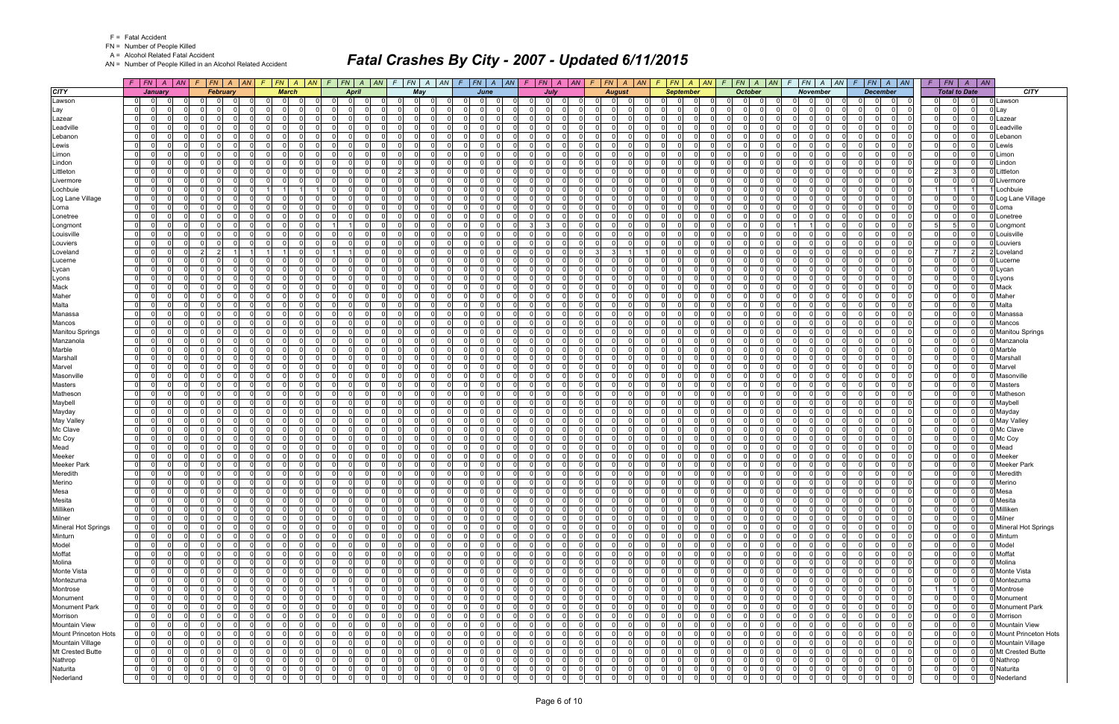FN = Number of People Killed

A = Alcohol Related Fatal Accident

AN = Number of People Killed in an Alcohol Related Accident

|                         |                | $F$ $F$ $N$ $A$ $A$ $N$ $F$ $F$ $N$ $A$ $A$ $N$ |                               |                 |                         |                |                |                |          | $F$ $ FN$ $ A$ $ AN$ $ F$ $ FN$ $ A$ $ AN$ |                | $F$ $ FN $ $A$ $ AN $ |                |                | $F$ $ FN $ $A$ $ AN $ $F$ $ FN $ $A$ $ AN $ |     |                |                                  |                               | $F$ $FN$ $A$ $AN$ |                                  | $F$ $FN$ $A$ $AN$        |     | $F$ $ FN $ $A$ $ AN $                           | $F$ $FN$ $A$ $AN$             |                |                                  | $F$ $ FN$ $ A$ $ AN$             |                                  | $F$   $FN$   $A$   $AN$       |        |                             |
|-------------------------|----------------|-------------------------------------------------|-------------------------------|-----------------|-------------------------|----------------|----------------|----------------|----------|--------------------------------------------|----------------|-----------------------|----------------|----------------|---------------------------------------------|-----|----------------|----------------------------------|-------------------------------|-------------------|----------------------------------|--------------------------|-----|-------------------------------------------------|-------------------------------|----------------|----------------------------------|----------------------------------|----------------------------------|-------------------------------|--------|-----------------------------|
| <b>CITY</b>             |                | January                                         |                               | <b>February</b> |                         | <b>March</b>   |                |                | April    |                                            |                | May                   |                |                | June                                        |     |                | July                             |                               | <b>August</b>     |                                  | <b>September</b>         |     | <b>October</b>                                  | <b>November</b>               |                |                                  | <b>December</b>                  |                                  | <b>Total to Date</b>          |        | <b>CITY</b>                 |
| Lawson                  | $\overline{0}$ | $\overline{0}$                                  | $\Omega$                      | $\Omega$        | $\mathbf 0$             | - O I          |                |                | $\Omega$ | $\Omega$                                   |                | $\mathbf 0$           | റ              | $\Omega$       | $\Omega$                                    |     | $\Omega$       | - O I<br>$\Omega$                | $\Omega$                      | n                 | $\Omega$                         | 0                        |     | $\mathbf 0$<br>$\Omega$<br>$\Omega$             | - 0                           | $\Omega$       | $\Omega$                         | 0 <br>$\Omega$                   | $\Omega$<br>$\mathbf{0}$         | $\Omega$                      |        | 0 Lawson                    |
| Lay                     | $\overline{0}$ | 0                                               | .0                            | $\Omega$        | 0                       | $\Omega$       |                | $\Omega$       |          | 0                                          |                | $\mathbf 0$           | n              | 0              | $\Omega$                                    |     | $\Omega$       | $\Omega$                         | $\Omega$                      |                   | $\overline{0}$                   | 0<br>$\Omega$            |     | $\Omega$<br>$\Omega$<br>$\Omega$                | - Ol<br>- 0                   | $\Omega$       | 0                                | 0 <br>$\Omega$                   | 0 <br>$\mathbf 0$                | $\overline{0}$                |        | Lay                         |
| Lazear                  | $\overline{0}$ | <sup>0</sup>                                    | $\mathbf 0$                   | $\Omega$        | - 0 l                   | $\Omega$       |                | $\overline{0}$ |          | 0                                          |                | - 0 l                 | $\Omega$       | $\Omega$       | $\Omega$                                    |     | $\Omega$       | $\Omega$                         | -01                           | $\Omega$          | $\Omega$                         | $\Omega$                 |     | $\overline{0}$<br>$\Omega$<br>$\Omega$          | $\Omega$<br>$\Omega$          | $\Omega$       | $\Omega$                         | - 0 l<br>$\Omega$                | $\overline{0}$<br> 0             | $\Omega$                      |        | Lazear                      |
| Leadville               | $\mathbf{0}$   | <sup>n</sup>                                    | - Ol                          | $\Omega$        | ol                      | $\Omega$       |                | $\Omega$       |          | 0                                          |                | $\Omega$              | - 0            | $\overline{0}$ | $\Omega$                                    |     | $\Omega$       | $\Omega$                         | $\Omega$                      | $\Omega$          | $\Omega$                         | 0                        |     | $\Omega$<br>$\Omega$                            | $\Omega$                      | $\Omega$       | $\Omega$                         | $\Omega$<br>$\Omega$             | $\mathbf 0$<br> 0                | $\Omega$                      |        | Leadville                   |
| Lebanon                 | $\overline{0}$ | 0                                               | $\Omega$                      | $\Omega$        | $\Omega$                | 0              |                | $\Omega$       |          | 0                                          |                | $\mathbf 0$           | $\Omega$       | $\Omega$       | 0                                           |     | $\Omega$       | $\Omega$                         | $\overline{0}$                | $\Omega$          | $\Omega$                         | <sup>n</sup>             |     | <sup>0</sup><br>$\Omega$<br>$\Omega$            | $\Omega$                      | $\Omega$       | $\Omega$                         | $\Omega$<br>$\mathbf 0$          | $\Omega$<br> 0                   | $\Omega$                      |        | Lebanor                     |
| Lewis                   | 0              | $\Omega$                                        | $\Omega$                      | $\Omega$        | $\Omega$                | $\Omega$       |                | $\Omega$       |          | $\Omega$                                   |                | $\Omega$              | $\Omega$       | $\Omega$       | <sup>0</sup>                                |     | $\Omega$       | $\Omega$                         | $\Omega$                      | $\Omega$          | $\Omega$                         | $\Omega$                 |     | $\Omega$<br>$\Omega$                            | $\Omega$                      | $\Omega$       | $\Omega$                         | $\Omega$<br>$\Omega$             | $\Omega$<br> 0                   | $\Omega$                      |        | Lewis                       |
| Limon                   | $\overline{0}$ | 0                                               | $\mathbf 0$                   | $\Omega$        | 0                       | $\Omega$       |                | $\overline{0}$ |          | $\Omega$                                   |                | $\mathbf 0$           | $\Omega$       | $\Omega$       | $\Omega$                                    |     | $\Omega$       | $\Omega$                         | $\overline{0}$                | $\Omega$          | $\overline{0}$                   | $\Omega$                 |     | $\Omega$<br>0 I<br>$\Omega$                     | $\Omega$<br>- O I             | $\Omega$       | $\Omega$                         | $\Omega$<br>$\mathbf 0$          | $\mathbf{0}$<br>$\overline{0}$   | $\Omega$                      |        | Limon                       |
| Lindon                  | $\overline{0}$ | 0                                               | - Ol                          | $\Omega$        | $\Omega$                | <sup>n</sup>   |                | $\Omega$       |          | 0                                          |                | $\Omega$              | $\Omega$       | $\Omega$       | <sup>n</sup>                                |     | $\Omega$       | $\Omega$                         | $\Omega$                      | $\Omega$          | $\Omega$                         | <sup>n</sup>             |     | ΩI<br>$\Omega$                                  | $\Omega$                      | $\Omega$       | $\Omega$                         | $\Omega$<br><sup>n</sup>         | $\Omega$<br> 0                   | $\Omega$                      |        | Lindon                      |
| Littleton               | $\mathbf{0}$   | 0                                               | $\mathbf 0$                   | $\Omega$        | - 0 l                   | $\Omega$       |                | $\Omega$       |          | $\Omega$                                   |                | 3 <sup>1</sup>        | $\Omega$       | $\Omega$       | $\Omega$<br>$\Omega$                        |     | $\Omega$       | $\Omega$                         | $\overline{0}$                | $\Omega$          | $\Omega$                         | $\Omega$                 |     | $\Omega$<br>$\Omega$<br>$\Omega$                | $\Omega$<br>$\Omega$          | $\Omega$       | $\Omega$                         | $\Omega$<br>$\mathbf 0$          | $\overline{2}$<br>3              | $\Omega$                      |        | Littleton                   |
| Livermore               | $\overline{0}$ | $\Omega$                                        | $\Omega$                      |                 | $\Omega$                |                |                | $\Omega$       |          | $\Omega$                                   |                | $\Omega$              | $\Omega$       | $\Omega$       | <sup>0</sup>                                |     | $\Omega$       | $\Omega$                         | $\Omega$                      |                   | $\Omega$                         | n                        |     | $\Omega$<br>$\Omega$                            | $\Omega$                      |                | $\Omega$                         | $\Omega$<br>$\Omega$             | 0 <br>$\Omega$                   | $\Omega$                      |        | Livermore                   |
| Lochbuie                | $\overline{0}$ | 0                                               | $\mathbf 0$                   | $\Omega$        | $1 \vert$               |                |                | $\overline{0}$ |          | $\Omega$                                   |                | $\mathbf 0$           | $\Omega$       | $\Omega$       | $\Omega$                                    |     | $\Omega$       | $\Omega$                         | $\overline{0}$                | $\Omega$          | $\Omega$                         | $\Omega$                 |     | $\Omega$<br>0 I<br>$\Omega$                     | $\Omega$<br>- O I             | $\Omega$       | $\Omega$                         | - 0 l<br>$\Omega$                | $1 \vert$                        |                               |        | Lochbuie                    |
| Log Lane Village        | $\mathbf{0}$   | 0                                               | $\Omega$                      | $\Omega$        | - ol                    | $\Omega$       | $\Omega$       | $\Omega$       |          | $\Omega$                                   |                | $\Omega$              | $\Omega$       | $\overline{0}$ | $\Omega$<br>$\Omega$                        |     | $\Omega$       | $\Omega$                         | $\Omega$                      | $\Omega$          | $\Omega$                         | $\Omega$                 |     | $\Omega$<br>$\Omega$<br>$\Omega$                | $\Omega$                      | $\Omega$       | $\Omega$                         | $\Omega$<br>$\Omega$             | $\Omega$<br> 0                   | $\Omega$                      |        | Log Lane Village            |
| Loma                    | 01             | 0                                               | $\Omega$                      | $\Omega$        | $\Omega$                | 0              |                | $\Omega$       |          | 0                                          |                | $\mathbf 0$           | - 0            | $\Omega$       | 0                                           |     | $\Omega$       | $\Omega$                         | $\Omega$                      | $\Omega$          | $\Omega$                         | <sup>n</sup>             |     | 0.<br>$\Omega$                                  | - 0                           | $\Omega$       | $\Omega$                         | 0<br>$\mathbf 0$                 | $\Omega$<br> 0                   | $\Omega$                      |        | Loma                        |
| Lonetree                | $\overline{0}$ | $\Omega$                                        | n l                           | $\Omega$        | $\Omega$                | $\Omega$       |                | $\Omega$       |          | $\Omega$                                   |                | $\Omega$              | $\Omega$       | $\Omega$       | <sup>0</sup>                                |     | $\Omega$       | $\Omega$                         | $\Omega$                      | $\Omega$          | $\Omega$                         | $\Omega$                 |     | <sup>0</sup><br>$\Omega$<br>$\Omega$            | $\Omega$                      | $\Omega$       | $\Omega$                         | $\Omega$<br>$\Omega$             | $\Omega$<br>$\mathbf{0}$         | $\Omega$                      |        | Lonetree                    |
| Longmont                | $\overline{0}$ | 0                                               | $\Omega$                      | 0               | $\mathbf 0$             | 0              |                |                |          | 0                                          |                | $\mathbf 0$           | $\Omega$       | $\mathbf 0$    | 0                                           |     | 3              | $\Omega$<br>3                    | $\Omega$                      | $\Omega$          | $\mathbf 0$                      | 0                        |     | $\Omega$<br>$\Omega$                            |                               | $\Omega$       | $\Omega$                         | $\Omega$<br>0                    | 5 <sup>1</sup><br>5              | $\Omega$                      |        | Longmon                     |
| Louisville              | $\overline{0}$ | $\Omega$<br>$\Omega$                            | - 0 l                         | $\Omega$        | $\overline{0}$          | $\Omega$       | $\Omega$       | $\overline{0}$ |          | $\Omega$                                   |                | $\mathbf{0}$          | $\Omega$       | $\overline{0}$ | $\Omega$<br>$\Omega$                        |     | $\Omega$       | $\Omega$<br>$\Omega$             | -01                           | $\Omega$          | -01                              | $\Omega$                 |     | $\Omega$<br>$\Omega$<br>$\Omega$                | n l<br>$\Omega$               | $\Omega$       | $\Omega$                         | - 0 l<br>$\Omega$                | $\overline{0}$<br>$\mathbf{0}$   | $\Omega$                      |        | Louisville                  |
| Louviers                | $\mathbf 0$    | <sup>0</sup>                                    | $\Omega$                      | $\Omega$        | - 0 l                   | $\Omega$       |                | $\Omega$       |          | $\Omega$                                   |                | $\mathbf 0$           | $\Omega$       | $\Omega$       | $\Omega$<br>$\Omega$                        |     | $\Omega$       | $\Omega$<br>$\Omega$             | $\Omega$                      | - 0               | $\Omega$                         | 0<br>$\Omega$            |     | $\Omega$<br>$\Omega$<br>$\Omega$                | n l<br>$\Omega$               | $\Omega$       | $\Omega$                         | $\Omega$<br>$\mathbf 0$          | $\Omega$<br>$\mathbf{0}$         | $\mathbf 0$                   |        | Louviers                    |
| Loveland                | $\overline{0}$ | $\Omega$                                        | $\overline{2}$                |                 | 1 <sup>1</sup>          |                | $\Omega$       |                |          | $\Omega$                                   |                | $\mathbf{0}$          | $\Omega$       | $\Omega$       | $\Omega$<br>$\Omega$                        |     | $\Omega$       | $\Omega$<br>$\Omega$             | $\mathcal{B}$<br>$\mathbf{3}$ |                   | -ol                              | $\Omega$<br>$\Omega$     |     | $\Omega$<br>$\Omega$<br>$\Omega$                | $\Omega$<br>- Ol              | $\Omega$       | $\Omega$                         | - 0 l<br>$\Omega$                | $\overline{7}$<br>$\overline{7}$ | $\vert$ 2                     |        | Loveland                    |
| Lucerne                 | $\overline{0}$ | U                                               | $\Omega$                      | $\Omega$        | $\Omega$                | $\Omega$       |                | $\Omega$       |          | <sup>0</sup>                               |                | $\Omega$              | $\Omega$       | $\Omega$       | <sup>0</sup>                                |     | $\Omega$       | $\Omega$                         | $\Omega$                      |                   | $\Omega$                         | <sup>n</sup>             |     | $\Omega$<br>$\Omega$                            | $\Omega$                      | $\Omega$       | $\Omega$                         | $\Omega$<br><sup>n</sup>         | $\Omega$<br> 0                   | $\Omega$                      |        | Lucerne                     |
| Lycan                   | $\mathbf{0}$   | $\Omega$<br>$\Omega$                            | - 0 l                         | $\Omega$        | $\overline{0}$          | $\Omega$       | $\Omega$       | $\overline{0}$ |          | $\Omega$                                   |                | $\mathbf{0}$          | $\Omega$       | $\overline{0}$ | $\Omega$<br>$\Omega$                        |     | 0 I            | $\Omega$<br>$\Omega$             | -01                           | $\overline{0}$    | -ol                              | $\Omega$<br>$\Omega$     |     | $\overline{0}$<br>$\Omega$<br>$\Omega$          | $\Omega$<br>- Ol              | $\Omega$       | $\Omega$                         | $\Omega$<br>- 0 l                | 0 <br> 0                         | 0 I                           |        | Lycan                       |
| Lyons                   | 01             | <sup>0</sup>                                    | - Ol                          | $\Omega$        | $\Omega$                | $\Omega$       |                | $\Omega$       |          | 0                                          |                | $\Omega$              | $\Omega$       | $\Omega$       | 0                                           |     | $\Omega$       | $\Omega$                         | $\Omega$                      | $\Omega$          | $\Omega$                         | <sup>n</sup>             |     | $\Omega$<br>$\Omega$                            | $\Omega$                      | $\Omega$       | $\Omega$                         | $\mathbf 0$<br>0                 | $\Omega$<br> 0                   | $\mathbf{0}$                  |        | Lyons                       |
| Mack                    | 0              | $\Omega$                                        | $\Omega$                      | $\Omega$        | $\overline{0}$          | $\Omega$       | $\Omega$       | $\Omega$       |          | $\Omega$                                   |                | $\mathbf{0}$          | $\Omega$       | $\Omega$       | $\Omega$<br>$\Omega$                        |     | $\Omega$       | $\Omega$<br>$\Omega$             | -01<br>n I                    | $\Omega$          | -ol                              | $\Omega$<br>$\Omega$     |     | $\Omega$<br>$\Omega$<br>$\Omega$                | $\Omega$<br>n l               | $\Omega$       | $\Omega$                         | - 0 l<br>$\Omega$                | $\overline{0}$                   | 0 <br>$\Omega$                |        | Mack                        |
| Maher                   | $\overline{0}$ | 0                                               | $\Omega$                      | 0               | $\mathbf 0$             | $\Omega$       |                | $\Omega$       |          | 0                                          |                | $\mathbf 0$           | $\Omega$       | $\Omega$       | 0                                           |     | $\Omega$       | $\Omega$                         | $\Omega$                      | $\Omega$          | $\mathbf 0$                      | <sup>n</sup>             |     | $\Omega$<br>$\Omega$                            | $\Omega$<br>$\Omega$          | $\Omega$       | $\Omega$                         | $\Omega$<br>0                    | 0 <br>$\Omega$                   | $\Omega$                      |        | Maher                       |
| Malta                   | $\overline{0}$ | $\Omega$<br>$\Omega$                            | - 0 l                         | $\Omega$        | $\overline{\mathbf{0}}$ | $\Omega$       | $\Omega$       | $\Omega$       |          | $\Omega$                                   |                | $\mathbf{0}$          | $\Omega$       | $\overline{0}$ | $\Omega$<br>$\Omega$                        |     | $\Omega$       | $\Omega$<br>$\Omega$             | -01                           | $\Omega$          | -01                              | $\Omega$<br>$\Omega$     |     | $\Omega$<br>$\Omega$<br>$\Omega$                | n l<br>$\Omega$               | $\Omega$       | $\Omega$                         | - 0 l<br>$\Omega$                | $\overline{0}$<br> 0             | $\Omega$                      |        | Malta                       |
| Manassa                 | 0              | <sup>0</sup>                                    | $\Omega$                      | $\Omega$        | - 0 l                   | $\Omega$       |                | $\Omega$       |          | $\Omega$                                   |                | $\Omega$              | $\Omega$       | $\Omega$       | $\Omega$<br>$\Omega$                        |     | $\Omega$       | $\Omega$                         | $\Omega$                      | $\Omega$          | $\Omega$                         | <sup>n</sup>             |     | $\Omega$<br>$\Omega$<br>$\Omega$                | $\Omega$<br>$\Omega$          | $\Omega$       | $\Omega$                         | $\Omega$<br>$\mathbf 0$          | $\Omega$<br> 0                   | $\Omega$                      |        | Manassa                     |
| Mancos                  | $\overline{0}$ | 0                                               | $\Omega$                      | $\Omega$        | $\Omega$                | <sup>n</sup>   |                | $\Omega$       |          | <sup>0</sup>                               |                | $\mathbf 0$           | റ              | $\Omega$       | <sup>n</sup>                                |     | $\Omega$       | $\Omega$                         | $\Omega$                      | n                 | $\Omega$                         | <sup>n</sup>             |     | $\Omega$<br>$\Omega$<br>$\Omega$                | $\Omega$<br>ΩI                | $\Omega$       | $\Omega$                         | $\mathbf 0$<br>0                 | 0 <br>$\Omega$                   | $\Omega$                      |        | Mancos                      |
| <b>Manitou Springs</b>  | $\overline{0}$ | U                                               | $\Omega$                      |                 | $\Omega$                | $\Omega$       |                | $\Omega$       |          | <sup>0</sup>                               |                | $\Omega$              | n              | $\Omega$       | <sup>n</sup>                                |     | $\Omega$       | $\Omega$                         | $\Omega$                      |                   | $\Omega$                         | <sup>n</sup>             |     | $\Omega$<br>$\Omega$                            | $\Omega$                      | $\Omega$       |                                  | $\Omega$<br>n                    | $\Omega$<br> 0                   |                               |        | <b>Manitou Springs</b>      |
| Manzanola               | $\overline{0}$ | 0                                               | $\Omega$                      | $\Omega$        | $\Omega$                | $\Omega$       |                | $\Omega$       |          | $\Omega$                                   |                | $\mathbf 0$           | $\Omega$       | $\Omega$       | $\Omega$                                    |     | $\Omega$       | $\Omega$                         | $\overline{0}$                | $\Omega$          | $\overline{0}$                   | $\Omega$                 |     | $\Omega$<br>0 I<br>$\Omega$                     | - Ol<br>$\Omega$              | $\Omega$       | $\Omega$                         | $\Omega$<br>$\Omega$             | $\Omega$<br>$\mathbf{0}$         | $\Omega$                      |        | Manzanola                   |
| Marble                  | $\overline{0}$ | 0                                               | - Ol                          | $\Omega$        | $\Omega$                | $\Omega$       |                | $\Omega$       |          | <sup>0</sup>                               |                | $\Omega$              | $\Omega$       | $\Omega$       | $\Omega$                                    |     | $\Omega$       | $\Omega$                         | $\Omega$                      | $\Omega$          | $\Omega$                         | <sup>n</sup>             |     | n.<br>$\Omega$                                  | $\Omega$                      | $\Omega$       | $\Omega$                         | $\Omega$<br><sup>n</sup>         | $\Omega$<br> 0                   | $\Omega$                      |        | Marble                      |
| Marshall                | $\mathbf{0}$   | <sup>0</sup>                                    | $\Omega$                      | $\Omega$        | $\Omega$                | $\Omega$       |                | $\Omega$       |          | $\Omega$                                   |                | - 0 l                 | $\Omega$       | $\Omega$       | $\Omega$<br>$\cap$                          |     | $\Omega$       | $\Omega$                         | $\Omega$                      | $\Omega$          | $\Omega$                         | $\Omega$                 |     | $\Omega$<br>$\Omega$<br>$\Omega$                | n l<br>$\Omega$               | $\Omega$       | $\Omega$                         | $\Omega$<br>$\mathbf 0$          | $\Omega$<br>$\mathbf{0}$         | $\Omega$                      |        | Marshal                     |
| Marvel                  | $\overline{0}$ | 0                                               | $\Omega$                      | $\Omega$        | $\mathbf 0$             | $\Omega$       |                | $\Omega$       |          | $\Omega$                                   |                | - 0 l                 | $\Omega$       | $\Omega$       | $\Omega$                                    |     | $\Omega$       | $\Omega$                         | $\Omega$                      |                   | $\mathbf 0$                      | 0                        |     | $\Omega$<br>$\Omega$                            | $\Omega$                      | $\Omega$       | $\Omega$                         | - 0 l<br>$\Omega$                | 0 <br>$\Omega$                   | $\Omega$                      |        | Marvel                      |
| Masonville              | $\overline{0}$ | <sup>0</sup>                                    | $\mathbf 0$                   | $\Omega$        | $\Omega$                | $\Omega$       |                | $\Omega$       |          | $\Omega$                                   |                | - 0 l                 | $\Omega$       | $\Omega$       | <sup>0</sup>                                |     | $\Omega$       | $\Omega$                         | $\overline{0}$                | $\Omega$          | $\Omega$                         | <sup>0</sup>             |     | $\Omega$<br>$\Omega$                            | $\Omega$                      | $\Omega$       | $\Omega$                         | $\Omega$<br>$\Omega$             | $\Omega$<br> 0                   |                               |        | Masonville                  |
| <b>Masters</b>          | 0              | 0                                               | - Ol                          | $\Omega$        | - ol                    | $\Omega$       |                | $\Omega$       |          | $\Omega$                                   |                | $\Omega$              | $\Omega$       | $\overline{0}$ | $\Omega$                                    |     | $\Omega$       | $\Omega$                         | $\Omega$                      | $\Omega$          | $\Omega$                         | $\Omega$                 |     | $\Omega$<br>$\Omega$<br>$\Omega$                | $\Omega$                      | $\Omega$       | $\Omega$                         | $\Omega$<br>$\Omega$             | $\mathbf 0$<br> 0                | $\Omega$                      |        | <b>Masters</b>              |
| Matheson                | $\overline{0}$ | 0                                               | $\Omega$                      | $\Omega$        | $\Omega$                | $\Omega$       |                | $\Omega$       |          | 0                                          |                | $\mathbf 0$           | $\Omega$       | $\Omega$       | <sup>n</sup>                                |     | $\Omega$       | $\Omega$                         | $\Omega$                      | $\Omega$          | $\Omega$                         | <sup>n</sup>             |     | <sup>0</sup><br>$\Omega$<br>$\Omega$            | $\Omega$                      | $\Omega$       | $\Omega$                         | $\mathbf 0$<br>0                 | $\Omega$<br> 0                   | $\Omega$                      |        | Mathesor                    |
| Maybell                 | $\overline{0}$ | <sup>0</sup>                                    | - Ol                          | $\Omega$        | -ol                     | $\Omega$       |                | $\Omega$       |          | $\Omega$                                   |                | $\Omega$              | $\Omega$       | $\Omega$       | $\Omega$                                    |     | $\Omega$       | $\Omega$                         | $\Omega$                      | $\Omega$          | $\Omega$                         | 0                        |     | $\Omega$<br>$\Omega$                            | $\Omega$                      | $\Omega$       | $\Omega$                         | - 0 l<br>0                       | 0 <br>$\Omega$                   | $\Omega$                      |        | Maybell                     |
| Mayday                  | $\overline{0}$ | 0                                               | $\Omega$                      | $\Omega$        | $\Omega$                | $\Omega$       |                | $\Omega$       |          | 0                                          |                | - 0 l                 | $\Omega$       | $\Omega$       | $\Omega$                                    |     | $\Omega$       | $\Omega$                         | $\overline{0}$                | $\Omega$          | $\Omega$                         | $\Omega$                 |     | $\Omega$<br>0 I<br>$\Omega$                     | $\Omega$<br>$\Omega$          | $\Omega$       | $\Omega$                         | $\Omega$<br>$\Omega$             | $\overline{0}$<br>$\Omega$       | $\Omega$                      |        | Mayday                      |
| May Valley              | $\overline{0}$ | <sup>0</sup>                                    | - Ol                          | $\Omega$        | $\Omega$                | $\Omega$       |                | $\Omega$       |          | 0                                          |                | $\Omega$              | $\Omega$       | $\Omega$       | $\Omega$                                    |     | $\Omega$       | $\Omega$                         | $\Omega$                      | $\Omega$          | $\Omega$                         | 0                        |     | $\Omega$<br>$\Omega$                            | $\Omega$                      | $\Omega$       | $\Omega$                         | $\Omega$<br>0                    | $\Omega$<br> 0                   |                               |        | May Valley                  |
| Mc Clave                | $\mathbf 0$    | 0                                               | $\Omega$                      | $\Omega$        | - 0 l                   | $\Omega$       |                | $\Omega$       |          | $\Omega$                                   |                | $\mathbf 0$           | $\Omega$       | $\Omega$       | $\Omega$<br>$\Omega$                        |     | $\Omega$       | $\Omega$                         | $\Omega$                      | $\Omega$          | $\Omega$                         | $\Omega$<br>$\Omega$     |     | $\Omega$<br>$\Omega$<br>0                       | $\Omega$<br>0                 | $\Omega$       | $\Omega$                         | $\Omega$<br>$\mathbf 0$          | $\mathbf 0$<br>$\mathbf{0}$      | $\Omega$                      |        | Mc Clave                    |
| Mc Coy                  | $\overline{0}$ | 0                                               | $\Omega$                      | n               | - 0 l                   | $\Omega$       |                | $\Omega$       |          | 0                                          |                | $\Omega$              | റ              | $\Omega$       | <sup>n</sup>                                |     | $\Omega$       | $\Omega$                         | $\Omega$                      | n                 | $\Omega$                         | <sup>n</sup>             |     | $\Omega$<br>$\Omega$                            | $\Omega$                      | $\Omega$       | $\Omega$                         | $\mathbf 0$<br>0                 | 0 <br>$\Omega$                   | $\Omega$                      |        | Mc Coy                      |
| Mead                    | $\overline{0}$ | 0                                               | $\mathbf 0$                   | 0               | - 0 l                   | $\Omega$       |                | $\Omega$       |          | 0                                          |                | $\mathbf 0$           | $\Omega$       | $\Omega$       | $\Omega$                                    |     | $\Omega$       | $\Omega$                         | $\overline{0}$                | $\Omega$          | $\Omega$                         | 0                        |     | 0 I<br>$\Omega$<br>$\Omega$                     | $\Omega$<br>$\Omega$          | $\Omega$       | $\Omega$                         | $\mathbf 0$<br>0                 | 0 <br>$\Omega$                   | $\Omega$                      |        | Mead                        |
| Meeker                  | $\mathbf{0}$   | 0                                               | $\Omega$                      | $\Omega$        | - 0 l                   | $\Omega$       |                | $\Omega$       |          | $\Omega$                                   |                | - 0 l                 | $\Omega$       | $\Omega$       | $\Omega$                                    |     | $\Omega$       | $\Omega$                         | $\Omega$                      | - 0               | $\Omega$                         | $\Omega$                 |     | $\Omega$<br>$\Omega$<br>$\Omega$                | - Ol<br>$\Omega$              | $\Omega$       | $\Omega$                         | - 0 l<br>$\Omega$                | $\Omega$<br> 0                   | $\Omega$                      |        | Meeker                      |
| <b>Meeker Park</b>      | $\overline{0}$ | 0<br>$\Omega$                                   | $\mathbf 0$                   | $\Omega$        | - 0 l                   | $\Omega$       |                | $\Omega$       |          | 0                                          |                | $\mathbf 0$           | $\Omega$       | $\Omega$       | $\Omega$<br>$\Omega$                        |     | $\Omega$       | $\Omega$                         | $\overline{0}$                | - 0               | $\Omega$                         | 0<br>$\Omega$            |     | <sup>0</sup><br>$\Omega$<br>0                   | 0<br>-01                      | $\Omega$       | $\Omega$                         | 0 <br>0                          | $\Omega$<br> 0                   | $\Omega$                      |        | <b>Meeker Park</b>          |
| Meredith                | 0              | $\Omega$<br>$\Omega$                            | $\mathbf 0$                   | $\Omega$        | 0 I                     | $\Omega$       | $\Omega$       | $\Omega$       | $\Omega$ | $\Omega$                                   |                | - 0 l                 | $\Omega$       | $\Omega$       | $\Omega$<br>$\Omega$                        |     | $\Omega$       | $\Omega$<br>$\Omega$             | -01<br>- O I                  | $\Omega$          | -ol                              | $\Omega$<br>$\Omega$     |     | $\Omega$<br>$\Omega$<br>$\Omega$                | $\Omega$<br>- Ol              | $\Omega$       | $\Omega$                         | - 0 l<br>$\Omega$                | $\Omega$<br>$\overline{0}$       | $\Omega$                      |        | Meredith                    |
| Merino                  | $\overline{0}$ | $\Omega$<br>$\Omega$                            | $\mathbf 0$                   | $\Omega$        | $\overline{0}$          | $\overline{0}$ |                | $\Omega$       |          | 0                                          |                | - 0 l                 | $\Omega$       | 0              | $\Omega$                                    |     | $\Omega$       | $\Omega$                         | $\Omega$<br>$\overline{0}$    | $\Omega$          | 0                                | $\Omega$                 |     | $\Omega$<br> 0 <br>$\Omega$                     | $\overline{0}$<br>- O I       | $\Omega$       | $\Omega$                         | $\Omega$<br>$\Omega$             | 0 <br>$\Omega$                   |                               |        | Merino                      |
| Mesa                    | $\overline{0}$ | $\Omega$<br>$\overline{0}$                      | 0l                            | $\Omega$        | 0                       | $\Omega$       |                |                |          | 0                                          |                | $\Omega$              | $\Omega$       | 0              | $\Omega$                                    |     |                | 0                                | $\Omega$                      | $\Omega$          | 0                                | $\Omega$                 |     | 0<br>$\Omega$                                   | $\Omega$                      | $\Omega$       | $\Omega$                         | $\Omega$<br> 0                   | 0 <br>$\Omega$                   | $\Omega$                      | 0 Mesa |                             |
| Mesita                  | 0              | $\Omega$<br>$\Omega$                            | $\mathbf 0$                   | $\Omega$        | 0                       | $\Omega$       |                | $\Omega$       | 0        | $\Omega$                                   |                | 0                     | 0              | $\mathbf 0$    | $\Omega$<br>$\Omega$                        |     | $\Omega$       | $\Omega$<br>0                    | $\overline{0}$                | $\Omega$          | $\overline{0}$                   | $\mathbf 0$<br>$\Omega$  |     | 0 I<br>0<br>$\Omega$                            | $\Omega$<br>- O I             | $\Omega$       | $\mathbf 0$                      | $\overline{0}$<br> 0             | $\mathbf 0$<br>$\mathbf{0}$      | 0                             |        | Mesita                      |
| Milliken                | $\overline{0}$ | $\Omega$                                        | - 0 l                         | $\Omega$        | 0                       | $\Omega$       |                | $\Omega$       |          | $\Omega$                                   |                | - 0 l                 | $\Omega$       | $\mathbf 0$    | $\Omega$<br>$\Omega$                        |     | $\Omega$       | $\Omega$<br>$\Omega$             | -01                           | $\Omega$          | 0                                | $\Omega$<br>$\Omega$     |     | $\overline{0}$<br>- 0 l<br>$\Omega$             | $\overline{0}$<br>$\Omega$    | $\Omega$       | $\Omega$                         | 0 <br>$\Omega$                   | $\mathbf 0$                      | 0 <br> 0                      |        | Milliken                    |
| Milner                  | $\overline{0}$ | $\Omega$<br>$\Omega$                            | 0                             | 0               | $\overline{0}$          | 0              | $\Omega$       | 0              |          | 0                                          |                | $\mathbf 0$           | 0              | 0              | $\overline{0}$<br>$\Omega$                  |     | 0              | $\Omega$<br>0                    | $\Omega$<br> 0                | $\Omega$          | 0                                | 0<br>$\Omega$            |     | 0 <br>0<br>$\Omega$                             | $\Omega$<br>$\mathbf 0$       | $\mathbf{0}$   | $\mathbf 0$                      | $\overline{0}$<br>$\mathbf 0$    | 0 <br> 0                         | $\overline{0}$                |        | Milner                      |
| Mineral Hot Springs     | $\overline{0}$ | $\Omega$<br>$\Omega$                            | $\mathbf 0$                   | $\Omega$        | $\overline{0}$          | $\mathbf{0}$   | $\Omega$       | $\overline{0}$ |          | $\Omega$                                   |                | $\mathbf{0}$          | $\overline{0}$ | 0              | $\overline{0}$<br>$\Omega$                  |     | 0 I            | $\mathbf{0}$<br>$\Omega$         | -01                           | $\Omega$          | 0                                | $\Omega$<br>$\Omega$     |     | $\overline{0}$<br>- 0 l<br>$\overline{0}$       | 0 <br>$\overline{0}$          | $\Omega$       | $\overline{0}$                   | 0 <br>$\overline{0}$             | 0 <br> 0                         | $\Omega$                      |        | <b>Mineral Hot Springs</b>  |
| Minturn                 | $\overline{0}$ | 0<br>$\Omega$                                   | 0                             | $\Omega$        | 0                       | $\Omega$       | $\Omega$       | $\Omega$       |          | $\Omega$                                   |                | $\mathbf 0$           | $\Omega$       | $\Omega$       | $\Omega$<br>$\Omega$                        |     | $\Omega$       | $\Omega$<br>0                    | $\overline{0}$                | -0                | 0                                | $\Omega$<br>$\Omega$     |     | 0 I<br>0<br>$\Omega$                            | $\mathbf 0$<br>0              | $\Omega$       | $\overline{0}$                   | 0 <br>0                          | $\mathbf 0$<br>$\mathbf{0}$      | 0                             |        | Minturn                     |
| Model                   | $\overline{0}$ | $\Omega$<br>$\Omega$                            | 0 I                           | $\Omega$        | $\overline{0}$          | $\Omega$       | $\Omega$       | $\overline{0}$ | $\Omega$ | $\mathbf 0$                                |                | $\mathbf{0}$          | - O I          | 0              | $\Omega$<br>$\Omega$                        |     | 0 I            | $\overline{0}$<br>$\Omega$       | - O I<br>$\overline{0}$       | $\Omega$          | 0                                | $\Omega$<br>$\Omega$     |     | $\overline{0}$<br>$\overline{0}$<br>$\mathbf 0$ | $\mathbf 0$<br>$\overline{0}$ | 0 I            | $\overline{0}$                   | $\overline{0}$<br>$\Omega$       | 0                                | 0 <br>$\mathbf 0$             |        | Model                       |
| Moffat                  | $\overline{0}$ | 0                                               | $\Omega$                      | 0               | 0                       | 01             |                | $\Omega$       |          | 0                                          |                | 0                     | 0              | 0              | 0                                           |     | 0              | $\Omega$                         | $\overline{0}$                | -0                | 0                                | 0                        |     | $\Omega$<br>$\Omega$                            | $\Omega$<br>- 0               | 0              | 0                                | $\mathbf 0$<br>0                 | 0 <br>$\mathbf 0$                |                               |        | Moffat                      |
| Molina                  | $\overline{0}$ | $\Omega$<br>$\Omega$                            | 01                            | $\mathbf 0$     | 0                       | $\Omega$       | $\Omega$       | $\overline{0}$ |          | $\Omega$                                   |                | 0                     | $\mathbf 0$    | 0              | $\Omega$<br>$\Omega$                        |     | 0 I            | -01<br>$\Omega$                  | 0                             | $\Omega$          | 0                                | $\Omega$<br>$\Omega$     |     | $\overline{0}$<br>$\Omega$<br>$\Omega$          | $\overline{0}$<br>$\mathbf 0$ | $\Omega$       | $\overline{0}$                   | 0 <br>$\Omega$                   | 0 <br> 0                         | $\Omega$                      |        | Molina                      |
| Monte Vista             | 0              | $\Omega$                                        | $\mathbf 0$                   | $\Omega$        | 0                       | $\Omega$       | $\Omega$       | $\overline{0}$ |          | $\Omega$                                   |                | - 0 l                 | $\mathbf 0$    | $\overline{0}$ | $\Omega$<br>$\Omega$                        |     | $\Omega$       | $\Omega$                         | -01                           | $\Omega$          | 0                                | $\Omega$                 |     | $\overline{0}$<br>$\Omega$<br>$\Omega$          | n l<br>$\overline{0}$         | $\Omega$       | $\overline{0}$                   | 0 <br>$\Omega$                   | $\overline{0}$<br> 0             | $\Omega$                      |        | Monte Vista                 |
| Montezuma               | $\overline{0}$ | $\Omega$<br>0                                   | $\mathbf 0$                   | $\Omega$        | 0                       | $\Omega$       |                | $\Omega$       |          | $\Omega$                                   |                | $\mathbf 0$           | $\Omega$       | $\Omega$       | $\Omega$<br>$\Omega$                        |     | $\Omega$       | $\Omega$<br>$\Omega$             | $\overline{0}$                | $\Omega$          | 0                                | $\Omega$<br>$\Omega$     |     | 0 I<br>$\Omega$<br>$\Omega$                     | $\Omega$<br>- O I             | $\Omega$       | $\overline{0}$                   | 0<br> 0                          | $\mathbf 0$                      | 0 <br>$\Omega$                |        | Montezuma                   |
| Montrose                | $\overline{0}$ | $\Omega$                                        | - 0 l                         | $\Omega$        | 0                       | $\Omega$       |                |                |          | $\Omega$                                   |                | -ol                   | $\Omega$       | $\mathbf 0$    | $\Omega$<br>$\Omega$                        |     | $\Omega$       | $\Omega$                         | -01                           | $\Omega$          | $\mathbf{0}$                     | $\Omega$                 |     | $\overline{0}$<br>$\Omega$<br>$\Omega$          | n l<br>$\overline{0}$         | $\Omega$       | $\mathbf 0$                      | 0 <br>$\Omega$                   |                                  | $\Omega$                      |        | Montrose                    |
| Monument                | 0              | $\Omega$                                        | 0                             | $\mathbf{0}$    | 0                       | $\mathbf 0$    |                | 0              |          | $\Omega$                                   |                | $\mathbf 0$           | $\mathbf 0$    | $\overline{0}$ | $\mathbf 0$<br>$\Omega$                     |     | 0              | -01<br>$\Omega$                  | 0                             | $\Omega$          | 0                                | $\mathbf{0}$<br>$\Omega$ |     | 0 <br>0<br>$\Omega$                             | $\overline{0}$<br>$\mathbf 0$ | $\mathbf 0$    | $\mathbf 0$                      | $\overline{0}$<br> 0             | 0                                | $\overline{0}$<br>$\mathbf 0$ |        | Monument                    |
| Monument Park           | $\overline{0}$ | 0                                               | - 0 l                         | $\Omega$        | 0                       | $\Omega$       | $\Omega$       | $\overline{0}$ |          | $\Omega$                                   |                | - 0 l                 | $\Omega$       | $\overline{0}$ | $\Omega$<br>$\Omega$                        |     | $\Omega$       | $\Omega$                         | -01                           | $\Omega$          | $\mathbf 0$                      | $\Omega$                 |     | $\Omega$<br>$\Omega$<br>$\Omega$                | $\overline{0}$<br>$\Omega$    | $\Omega$       | $\mathbf 0$                      | $\Omega$<br> 0                   | $\mathbf 0$<br> 0                | $\Omega$                      |        | <b>Monument Park</b>        |
| Morrison                | 0              | $\Omega$<br>$\Omega$                            | $\mathbf 0$                   | $\Omega$        | 0                       | $\Omega$       | $\Omega$       | $\overline{0}$ |          | $\Omega$                                   |                | $\mathbf{0}$          | $\mathbf 0$    | $\mathbf 0$    | $\Omega$<br>$\Omega$                        |     | $\Omega$       | $\Omega$<br>$\Omega$             | $\overline{0}$                | $\Omega$          | 0                                | $\Omega$<br>$\Omega$     |     | 0 I<br>$\Omega$<br>$\Omega$                     | - Ol<br>- O I                 | $\Omega$       | $\overline{0}$                   | $\Omega$<br> 0                   | $\overline{0}$                   | 0 <br>$\mathbf 0$             |        | Morrison                    |
| <b>Mountain View</b>    | $\overline{0}$ | $\Omega$                                        | $\Omega$                      | $\Omega$        | $\mathbf 0$             | 0              |                | $\Omega$       |          | $\Omega$                                   |                | - 0 l                 | $\Omega$       | $\mathbf 0$    | $\Omega$                                    |     | $\Omega$       | $\Omega$                         | $\Omega$                      |                   | $\mathbf 0$                      | $\Omega$                 |     | $\overline{0}$<br>$\Omega$                      | $\Omega$<br>$\Omega$          | $\Omega$       | $\mathbf 0$                      | 0 <br>$\Omega$                   | 0 <br>$\mathbf 0$                | $\Omega$                      |        | <b>Mountain View</b>        |
| Mount Princeton Hots    | $\overline{0}$ | 0<br>$\Omega$                                   | 01                            | $\mathbf 0$     | 0                       | $\mathbf 0$    | $\Omega$       | $\overline{0}$ |          | - 0 l                                      |                | 0                     | $\mathbf 0$    | 0              | $\mathbf 0$<br>$\Omega$                     |     | 0 I            | -01<br>$\Omega$                  | $\Omega$<br> 0                | $\Omega$          | 0                                | $\Omega$<br>$\Omega$     |     | $\overline{0}$<br>$\overline{0}$<br>$\Omega$    | $\mathbf 0$<br>$\overline{0}$ | $\mathbf 0$    | $\overline{0}$                   | 0 <br>$\Omega$                   | 0 <br> 0                         | $\Omega$                      |        | <b>Mount Princeton Hots</b> |
| <b>Mountain Village</b> | 0              | $\Omega$<br>0                                   | $\mathbf 0$                   | $\Omega$        | 0                       | $\Omega$       |                | $\overline{0}$ |          | $\Omega$                                   |                | - 0 l                 | $\mathbf 0$    | $\overline{0}$ | $\Omega$<br>$\Omega$                        |     | $\Omega$       | $\Omega$                         | -01<br>$\Omega$               | $\Omega$          | 0                                | $\Omega$<br>$\Omega$     |     | $\overline{0}$<br>$\Omega$<br>0                 | $\Omega$<br>$\overline{0}$    | $\Omega$       | $\overline{0}$                   | $\Omega$<br> 0                   | 0 <br> 0                         | $\Omega$                      |        | <b>Mountain Village</b>     |
| Mt Crested Butte        | $\overline{0}$ | 0                                               | $\mathbf 0$                   | $\Omega$        | 0                       | $\Omega$       |                | $\Omega$       |          | $\Omega$                                   |                | $\mathbf 0$           | $\Omega$       | $\Omega$       | $\Omega$<br>$\Omega$                        |     | $\Omega$       | $\Omega$                         | $\overline{0}$                | - 0               | $\mathbf 0$                      | 0<br>$\Omega$            |     | $\Omega$<br>$\Omega$<br>0                       | - O I<br>$\Omega$             | $\Omega$       | $\Omega$                         | 0 <br>0                          | $\mathbf 0$<br>$\mathbf{0}$      |                               |        | Mt Crested Butte            |
| Nathrop                 | 0              | $\Omega$<br>$\overline{0}$                      | $\mathbf 0$                   | $\Omega$        | $\overline{0}$          | $\Omega$       | $\Omega$       | $\Omega$       |          | $\mathbf 0$                                |                | 0                     | $\mathbf 0$    | 0              | $\mathbf 0$<br>$\Omega$                     |     | $\overline{0}$ | $\Omega$<br>$\Omega$             | 0 <br>- O I                   | $\Omega$          | 0                                | $\mathbf 0$<br>$\Omega$  |     | $\overline{0}$<br>$\overline{0}$<br>$\Omega$    | $\mathbf 0$<br>$\Omega$       | $\mathbf 0$    | $\mathbf 0$                      | $\overline{0}$<br>$\overline{0}$ | $\overline{0}$<br>$\overline{0}$ | $\Omega$                      |        | Nathrop                     |
| Naturita                | 0              | 0l                                              | 0                             | $\mathbf{0}$    | 0                       | $\mathbf 0$    |                | 0              | 0        | 0                                          |                | 0                     | $\mathbf 0$    | 0              | $\overline{0}$<br>$\mathbf 0$               |     | 0              | $\overline{0}$<br>0              | - O I<br> 0                   | $\mathbf 0$       | 0                                | $\mathbf{0}$<br>0        |     | 0 <br>$\overline{0}$<br>0                       | $\overline{0}$<br>$\mathbf 0$ | 0              | $\mathbf 0$                      | $\overline{0}$<br> 0             | $\overline{0}$<br> 0             | $\overline{0}$                |        | Naturita                    |
| Nederland               | 0              | $\overline{0}$<br>$\overline{0}$                | $\mathbf 0$<br>$\overline{0}$ | $\mathbf 0$     | $\mathbf 0$             | 0              | 0 <br>$\Omega$ | 0              | 0        | $\overline{0}$                             | $\overline{0}$ | 0                     | $\mathbf 0$    | $\overline{0}$ | $\overline{0}$<br> 0                        | - 0 | $\overline{0}$ | $\overline{0}$<br>$\overline{0}$ | 0 <br>$\overline{0}$          | $\mathbf 0$       | $\overline{0}$<br>$\overline{0}$ | 0 <br>$\overline{0}$     | - 0 | 0 <br> 0 <br>$\overline{0}$                     | $\overline{0}$<br> 0          | $\overline{0}$ | $\overline{0}$<br>$\overline{0}$ | $\overline{0}$<br> 0             | $\overline{0}$<br>$\overline{0}$ | $\overline{0}$                |        | 0 Nederland                 |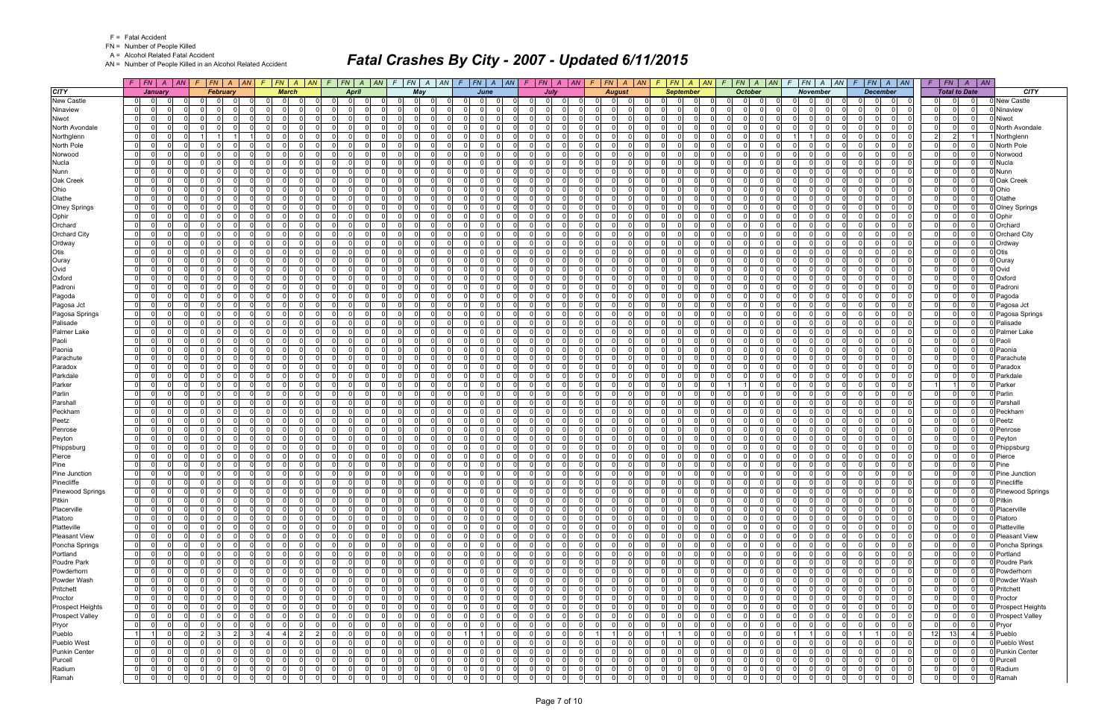FN = Number of People Killed

A = Alcohol Related Fatal Accident

AN = Number of People Killed in an Alcohol Related Accident

|                        |                                                                   | $F$ $F$ $\mid$ $FN$ $\mid$ $A$ $\mid$ $AN$ $\mid$ $F$ $\mid$ $FN$ $\mid$ $A$ $\mid$ $AN$                          |                                                         | F FN A AN F FN A AN F FN A AN F FN A AN F FN A AN F FN A AN F FN A AN F FN A AN F FN A AN F FN A AN |                                                                            |                                  |                                              |                                  |                      |                                                                   |                                                      |                                              | $F$ $F N$ $A$ $A N$ $F$ $F N$ $A$ $A N$                     | $F$   $FN$   $A$   $AN$                                   |                         |
|------------------------|-------------------------------------------------------------------|-------------------------------------------------------------------------------------------------------------------|---------------------------------------------------------|-----------------------------------------------------------------------------------------------------|----------------------------------------------------------------------------|----------------------------------|----------------------------------------------|----------------------------------|----------------------|-------------------------------------------------------------------|------------------------------------------------------|----------------------------------------------|-------------------------------------------------------------|-----------------------------------------------------------|-------------------------|
| <b>CITY</b>            | January                                                           | <b>February</b>                                                                                                   | <b>March</b>                                            | April                                                                                               | Mav                                                                        | June                             | July                                         |                                  | <b>August</b>        | <b>September</b>                                                  | <b>October</b>                                       | <b>November</b>                              | <b>December</b>                                             | <b>Total to Date</b>                                      | <b>CITY</b>             |
| <b>New Castle</b>      | $\Omega$<br>01                                                    | - O I                                                                                                             | $\overline{0}$                                          | $\Omega$<br>0                                                                                       | $\Omega$<br>$\Omega$<br>$\Omega$                                           | $\Omega$                         | 0                                            | $\Omega$                         |                      | $\Omega$<br>$\Omega$<br>0                                         | $\overline{0}$<br>0I<br>$\Omega$                     | $\Omega$<br>$\Omega$                         | 0<br>0                                                      | $\Omega$                                                  | <b>New Castle</b>       |
| Ninaview               | 0 <br>$\overline{0}$<br>$\Omega$                                  | $\overline{0}$<br>0 I<br>$\mathbf 0$<br>$\Omega$                                                                  | 0                                                       | $\overline{0}$<br>$\Omega$<br>0                                                                     | $\overline{0}$<br>- 0 l<br>$\Omega$                                        | $\Omega$                         | $\Omega$<br>$\Omega$<br>$\Omega$             | -01<br>$\Omega$                  | $\Omega$             | $\mathbf 0$<br>$\overline{\mathbf{0}}$<br>$\Omega$                | 0 I<br> 0 <br>$\Omega$                               | $\overline{0}$<br>- O I<br>$\Omega$          | 0 <br>$\mathbf 0$<br>$\Omega$                               | $\mathbf 0$<br>0 I<br>0 I                                 | Ninaview                |
| Niwot                  | 0 <br>$\overline{0}$<br><sup>n</sup>                              | $\Omega$<br>$\Omega$<br>$\Omega$<br>റ                                                                             | $\Omega$<br>ി                                           | $\overline{0}$<br><sup>0</sup>                                                                      | - 0 l<br>0 I<br>$\Omega$                                                   | $\Omega$                         | $\Omega$<br>$\Omega$                         | $\Omega$                         | $\Omega$             | $\Omega$<br>$\Omega$<br>$\Omega$                                  | $\Omega$<br>- 0 l<br>$\Omega$                        | $\Omega$<br>$\Omega$                         | $\mathbf 0$<br>$\Omega$<br>$\Omega$                         | $\Omega$<br>$\mathbf 0$<br>$\Omega$                       | Niwot                   |
| North Avondale         | 0 <br>$\Omega$<br>$\Omega$                                        | $\overline{0}$<br>$\Omega$<br>$\Omega$<br>$\Omega$                                                                | - 01<br>$\Omega$                                        | $\Omega$<br>0                                                                                       | 0 I<br>$\Omega$<br>$\Omega$                                                | $\Omega$                         | $\Omega$<br>$\Omega$                         | $\Omega$<br>$\Omega$             | $\Omega$             | $\Omega$<br>$\Omega$<br>$\Omega$                                  | $\Omega$<br>$\overline{0}$<br>$\Omega$               | $\overline{0}$<br>- O I                      | $\Omega$<br>$\Omega$<br>- O I                               | $\overline{0}$<br>$\Omega$<br> 0                          | <b>North Avondale</b>   |
| Northglenn             | 0 <br>$\Omega$<br>$\Omega$                                        | $\mathbf 0$                                                                                                       | 01                                                      | $\overline{0}$<br>0                                                                                 | $\Omega$<br>$\overline{0}$<br>$\Omega$                                     | $\Omega$                         | $\Omega$<br>$\Omega$                         | $\Omega$                         |                      | $\mathbf 0$<br>$\Omega$<br>$\Omega$                               | $\Omega$<br>$\Omega$<br>$\Omega$                     | $\Omega$                                     | $\Omega$<br>$\mathbf 0$<br>$\Omega$                         | 2 <br>$\overline{2}$                                      | Northglenn              |
| North Pole             | 0 <br>$\Omega$<br>n.                                              | $\Omega$<br>$\Omega$<br>$\Omega$<br>$\Omega$                                                                      | - 0 l                                                   | $\Omega$<br>0                                                                                       | 0 I<br>$\Omega$<br>$\Omega$                                                | $\Omega$                         | $\Omega$<br>$\Omega$                         | -01                              |                      | $\Omega$<br>$\Omega$                                              | $\Omega$<br>- 0 l<br>$\Omega$                        | $\overline{0}$<br>$\Omega$                   | $\Omega$<br>$\overline{0}$<br>$\Omega$                      | $\Omega$<br>$\Omega$<br>-01                               | North Pole              |
| Norwood                | $\overline{0}$<br>$\Omega$<br>$\Omega$                            | $\Omega$<br>$\Omega$<br>$\Omega$<br>$\Omega$                                                                      | $\mathbf 0$<br>$\Omega$                                 | $\overline{0}$<br>$\Omega$                                                                          | - 0 l<br>0 I<br>- O I                                                      | $\Omega$<br>റ                    | $\Omega$<br>$\Omega$                         | $\Omega$                         | $\Omega$             | $\overline{0}$<br>$\Omega$<br>$\Omega$                            | - 0 l<br>$\Omega$<br>$\Omega$                        | 01<br>$\Omega$                               | $\Omega$<br>- O I<br>-0                                     | $\mathbf 0$<br>$\Omega$<br>$\Omega$                       | Norwood                 |
| <b>Nucla</b>           | $\overline{0}$<br>$\Omega$<br>$\Omega$                            | $\Omega$<br>$\Omega$<br>$\Omega$<br>$\Omega$                                                                      | $\Omega$                                                | $\Omega$<br>0                                                                                       | $\Omega$<br>$\mathbf 0$<br>$\Omega$                                        | $\Omega$                         | $\Omega$<br>$\Omega$                         | $\Omega$                         | $\Omega$             | $\Omega$<br>$\Omega$<br>$\Omega$                                  | $\Omega$<br>- 01<br>$\Omega$                         | $\Omega$<br>- O I                            | $\Omega$<br>0<br>- O I                                      | $\Omega$<br>$\overline{0}$<br>- O I                       | Nucla                   |
| Nunn                   | 0 <br>$\Omega$<br>$\Omega$                                        | $\overline{0}$<br>$\Omega$<br>$\Omega$                                                                            | $\Omega$                                                | $\Omega$<br>0                                                                                       | $\Omega$<br>- 0 l<br>$\Omega$                                              | $\Omega$                         | $\Omega$<br>$\Omega$                         | $\Omega$                         | $\Omega$             | $\Omega$<br>$\Omega$<br>$\Omega$                                  | $\Omega$<br>- 0 l<br>$\Omega$                        | $\Omega$<br>$\Omega$                         | $\Omega$<br>$\mathbf 0$<br>$\Omega$                         | $\overline{0}$<br>$\Omega$<br>$\Omega$                    | Nunn                    |
| Oak Creek              | $\overline{0}$<br>$\Omega$<br>$\Omega$                            | $\Omega$<br>$\Omega$<br>$\Omega$<br>$\Omega$                                                                      | $\mathbf{0}$                                            | $\overline{0}$<br>0                                                                                 | 0 I<br>$\mathbf 0$<br>$\Omega$                                             | $\Omega$                         | $\Omega$<br>$\Omega$                         | $\Omega$                         | $\Omega$             | $\Omega$<br>$\Omega$<br>$\Omega$                                  | $\mathbf{0}$<br>0 I<br>$\Omega$                      | $\overline{0}$<br>- O I                      | $\mathbf 0$<br>$\Omega$                                     | $\Omega$<br>$\Omega$<br>$\Omega$                          | Oak Creek               |
| Ohio                   | 0 <br>$\Omega$<br>$\Omega$                                        | $\Omega$<br>$\Omega$<br>റ<br>$\Omega$                                                                             | $\Omega$<br>ി                                           | $\Omega$<br>0                                                                                       | - 0<br>0 I<br>$\Omega$                                                     | $\Omega$                         | $\Omega$<br>$\Omega$                         | $\Omega$                         | $\Omega$             | $\Omega$<br>$\Omega$<br>0                                         | $\Omega$<br>- 0 l<br>$\Omega$                        | $\Omega$<br>$\Omega$                         | $\Omega$<br>$\Omega$<br>$\mathbf 0$                         | $\Omega$<br> 0 <br>$\Omega$                               | Ohio                    |
| Olathe                 | 0 <br>$\Omega$<br>$\Omega$                                        | $\overline{0}$<br>$\Omega$<br>$\Omega$<br>$\Omega$                                                                | - 01<br>$\Omega$                                        | $\overline{0}$<br>$\Omega$                                                                          | 0 I<br>$\overline{0}$<br>$\Omega$                                          | $\Omega$<br>$\Omega$             | $\Omega$<br>$\Omega$<br>$\Omega$             | $\Omega$<br>$\Omega$             | $\Omega$             | $\Omega$<br>$\Omega$<br>$\Omega$                                  | $\Omega$<br> 0 <br>$\Omega$                          | $\overline{0}$<br>- O I                      | $\Omega$<br>$\overline{0}$<br>$\Omega$                      | $\overline{0}$<br>$\mathbf 0$<br>0 I                      | Olathe                  |
| <b>Olney Springs</b>   | 0 <br>$\Omega$<br>$\Omega$                                        | $\mathbf 0$<br>$\Omega$<br>$\Omega$                                                                               | $\Omega$                                                | $\Omega$<br>$\Omega$                                                                                | - 0 l<br>$\Omega$<br>$\Omega$                                              | $\Omega$                         | $\Omega$<br>$\Omega$                         | $\Omega$                         |                      | $\mathbf 0$<br>$\Omega$<br>0                                      | $\Omega$<br>$\Omega$                                 | $\Omega$<br>$\Omega$                         | $\Omega$<br>$\overline{0}$                                  | $\Omega$<br>$\Omega$<br>$\mathbf 0$                       | <b>Olney Springs</b>    |
| Ophir                  | 0 <br>$\Omega$<br>$\Omega$                                        | $\Omega$<br>$\Omega$<br>$\Omega$<br>$\Omega$                                                                      | $\mathbf{0}$<br>- 0                                     | $\Omega$<br>0                                                                                       | $\Omega$<br>0 I<br>$\Omega$                                                | $\Omega$<br>$\Omega$             | $\Omega$<br>$\Omega$                         | $\Omega$<br>$\overline{0}$       | $\Omega$             | $\Omega$<br>$\Omega$<br>$\Omega$                                  | $\Omega$<br>$\mathbf 0$<br>$\Omega$                  | $\overline{0}$<br>$\Omega$                   | $\Omega$<br>$\Omega$<br>$\mathbf 0$                         | 0 I<br>$\mathbf 0$<br>$\Omega$                            | Ophir                   |
| Orchard                | 0 <br>$\Omega$<br>$\Omega$                                        | $\Omega$<br>$\overline{0}$<br>$\Omega$<br>$\Omega$                                                                | $\mathbf{0}$<br>$\Omega$                                | $\overline{0}$<br>$\Omega$                                                                          | 0 I<br>$\overline{0}$<br>$\overline{0}$                                    | $\Omega$<br>$\Omega$             | $\Omega$<br>$\Omega$                         | $\Omega$<br>$\Omega$             | $\Omega$             | $\Omega$<br>$\Omega$<br>$\Omega$                                  | $\Omega$<br> 0 <br>$\Omega$                          | $\overline{0}$<br>- O I                      | 0 <br>$\overline{0}$<br>$\Omega$                            | 0 l<br>$\overline{0}$<br>$\mathbf 0$                      | Orchard                 |
| <b>Orchard City</b>    | 0 <br>$\Omega$<br>0                                               | $\Omega$<br>$\Omega$<br>- 0<br>$\Omega$                                                                           | $\mathbf 0$<br>- 0                                      | $\Omega$<br><sup>0</sup>                                                                            | $\Omega$<br>0 I<br>$\Omega$                                                | $\Omega$                         | $\Omega$<br>$\Omega$                         | $\Omega$                         | $\Omega$             | $\Omega$<br>$\mathbf 0$<br>0                                      | $\Omega$<br>$\overline{0}$<br>$\Omega$               | $\Omega$<br>$\Omega$                         | $\Omega$<br>$\Omega$<br>$\mathbf 0$                         | $\Omega$<br>$\mathbf 0$<br>$\Omega$                       | <b>Orchard City</b>     |
| Ordway                 | 0 <br>$\Omega$<br>$\Omega$                                        | $\Omega$<br>$\Omega$<br>- Ol<br>$\Omega$                                                                          | $\Omega$<br>$\Omega$                                    | $\Omega$<br>$\Omega$                                                                                | $\Omega$<br>0 I<br>$\Omega$                                                | $\Omega$<br>$\Omega$             | $\Omega$<br>$\Omega$<br>$\Omega$             | $\Omega$<br>$\Omega$             | $\Omega$             | $\Omega$<br>$\Omega$<br>$\Omega$                                  | $\Omega$<br> 0 <br>$\Omega$                          | $\Omega$<br>- Ol<br>$\Omega$                 | $\Omega$<br>$\Omega$<br>$\overline{0}$                      | $\Omega$<br>$\mathbf 0$<br>$\overline{0}$                 | Ordway                  |
| Otis                   | 0 <br>$\Omega$<br>0                                               | $\Omega$<br>$\overline{0}$<br>$\Omega$<br>$\Omega$                                                                | $\mathbf 0$                                             | $\overline{0}$<br>0                                                                                 | $\mathbf 0$<br>01<br>0                                                     | $\Omega$                         | $\Omega$<br>$\mathbf 0$                      | $\Omega$<br>$\overline{0}$       | $\Omega$             | 0<br>$\mathbf 0$<br>0                                             | 0 I<br> 0 <br>$\Omega$                               | $\overline{0}$<br>0 I                        | $\overline{0}$<br>$\mathbf 0$<br>0                          | $\mathbf 0$<br>$\mathbf 0$<br>$\mathbf{0}$                | Otis                    |
| Ouray                  | $\overline{0}$<br>$\Omega$<br>$\Omega$                            | $\Omega$<br>$\Omega$<br>$\Omega$<br>$\Omega$                                                                      | $\Omega$                                                | $\Omega$<br>0                                                                                       | ol<br>0 I<br>$\overline{0}$                                                | $\Omega$                         | $\Omega$<br>$\Omega$                         | $\Omega$                         | $\Omega$             | $\Omega$<br>$\Omega$<br>$\Omega$                                  | $\Omega$<br>$\mathbf{0}$<br>$\Omega$                 | $\Omega$<br>$\Omega$                         | $\Omega$<br>$\Omega$<br>$\overline{0}$                      | $\Omega$<br>$\mathbf 0$<br>$\overline{0}$                 | Ouray                   |
| Ovid                   | 01<br>$\Omega$<br>0                                               | $\Omega$<br>$\Omega$<br>- 0<br>$\Omega$                                                                           | $\mathbf{0}$<br>- 0                                     | 01<br>$\Omega$                                                                                      | $\Omega$<br>0 I<br>$\Omega$                                                | $\Omega$<br>$\Omega$             | $\Omega$<br>$\Omega$                         | $\Omega$<br>$\Omega$             | $\Omega$             | $\Omega$<br>0<br>$\mathbf 0$                                      | 0 I<br>$\overline{0}$<br>$\Omega$                    | 01<br>- O I                                  | $\Omega$<br>$\Omega$<br>$\mathbf 0$                         | $\overline{0}$<br>$\Omega$<br>$\mathbf 0$                 | Ovid                    |
| Oxford                 | $\overline{0}$<br>$\Omega$<br>$\Omega$                            | $\Omega$<br>$\Omega$<br>$\Omega$                                                                                  | $\Omega$                                                | $\Omega$<br>0                                                                                       | $\Omega$<br>0 I<br>$\Omega$                                                | $\Omega$                         | $\Omega$<br>$\Omega$                         | $\Omega$                         | $\Omega$             | $\Omega$<br>$\Omega$<br>$\Omega$                                  | $\Omega$<br>$\Omega$<br>$\Omega$                     | $\Omega$<br>$\Omega$                         | $\Omega$<br>$\Omega$<br>$\Omega$                            | $\Omega$<br>$\mathbf 0$<br>$\overline{0}$                 | Oxford                  |
| Padroni                | 0 <br>$\Omega$<br>$\Omega$                                        | $\overline{0}$<br>$\Omega$<br>$\Omega$<br>$\Omega$                                                                | $\mathbf{0}$<br>- 0                                     | $\overline{0}$<br>$\Omega$                                                                          | $\Omega$<br>01<br>$\Omega$                                                 | $\Omega$<br>$\Omega$             | $\Omega$<br>$\Omega$<br><sup>0</sup>         | $\Omega$<br>$\overline{0}$       | $\Omega$             | $\mathbf 0$<br>$\Omega$<br>$\mathbf 0$                            | $\Omega$<br>$\mathbf 0$<br>$\Omega$                  | $\overline{0}$<br>- O I                      | $\Omega$<br>$\Omega$<br>$\mathbf 0$                         | $\Omega$<br>$\Omega$<br>$\Omega$                          | Padroni                 |
| Pagoda                 | $\overline{0}$<br>$\Omega$<br>$\Omega$                            | $\Omega$<br>$\overline{0}$<br>$\Omega$<br>$\Omega$                                                                | $\mathbf{0}$                                            | $\overline{0}$<br>0                                                                                 | 0 I<br>$\overline{0}$<br>- 0 l                                             | $\Omega$                         | $\Omega$<br>$\Omega$<br>$\Omega$             | $\Omega$<br>$\Omega$             | $\Omega$             | $\Omega$<br>$\Omega$<br>- 0 l                                     | 0 I<br>$\mathbf{0}$<br>$\Omega$                      | $\overline{0}$<br>- O I                      | 0 <br>$\overline{0}$<br>$\Omega$                            | $\overline{0}$<br>$\mathbf 0$<br>$\overline{0}$           | Pagoda                  |
| Pagosa Jct             | 0 <br>- 0<br><sup>n</sup>                                         | $\Omega$<br>$\Omega$<br>- 0<br>$\Omega$                                                                           | $\mathbf 0$<br>$\Omega$                                 | $\Omega$<br><sup>0</sup>                                                                            | $\Omega$<br>$\mathbf 0$<br>$\Omega$                                        | $\Omega$                         | $\Omega$<br>$\Omega$                         | $\Omega$                         | $\Omega$             | $\Omega$<br>0<br>$\Omega$                                         | $\Omega$<br>$\Omega$<br>$\Omega$                     | $\Omega$<br>$\Omega$                         | $\Omega$<br>$\mathbf 0$<br>0                                | $\Omega$<br> 0 <br>$\Omega$                               | Pagosa Jct              |
| Pagosa Springs         | $\overline{0}$<br>$\Omega$<br>$\Omega$                            | $\overline{0}$<br>$\Omega$<br>$\Omega$<br>$\Omega$                                                                | $\Omega$<br>$\Omega$                                    | $\Omega$<br>$\Omega$                                                                                | $\Omega$<br>0 I<br>$\Omega$                                                | $\Omega$<br>$\Omega$             | $\Omega$<br>$\cap$<br>$\Omega$               | $\Omega$<br>$\Omega$             | $\Omega$             | $\Omega$<br>$\Omega$<br>$\Omega$                                  | $\Omega$<br> 0 <br>$\Omega$                          | $\Omega$<br>- Ol<br>$\Omega$                 | $\Omega$<br>$\Omega$<br>$\overline{0}$                      | $\overline{0}$<br>$\mathbf 0$<br>$\Omega$                 | Pagosa Springs          |
| Palisade               | 0 <br>$\Omega$<br>0.                                              | $\Omega$<br>$\Omega$<br>$\Omega$                                                                                  | $\Omega$                                                | $\Omega$<br><sup>0</sup>                                                                            | $\Omega$<br>$\Omega$<br>$\Omega$                                           | $\Omega$                         | $\Omega$<br>$\Omega$                         | $\Omega$                         |                      | $\mathbf 0$<br>$\Omega$<br>0                                      | $\Omega$<br>$\Omega$<br>$\Omega$                     | $\overline{0}$<br>$\Omega$                   | 0<br>$\mathbf{0}$                                           | $\mathbf{0}$<br>$\Omega$<br>$\Omega$                      | Palisade                |
| <b>Palmer Lake</b>     | 0 <br>$\Omega$<br>$\Omega$                                        | $\overline{0}$<br>$\Omega$<br>0 I<br>$\mathbf 0$                                                                  | $\mathbf{0}$<br>$\Omega$                                | $\overline{0}$<br>$\Omega$                                                                          | - 01<br>0 I<br>- O I                                                       | $\Omega$                         | 0 I<br>$\Omega$                              | $\Omega$<br>$\overline{0}$       | $\Omega$             | $\Omega$<br>$\Omega$<br>$\Omega$                                  | 01<br>- 01<br>$\Omega$                               | $\overline{0}$<br>- O I<br>$\Omega$          | $\Omega$<br>$\overline{0}$<br>$\mathbf 0$                   | $\overline{0}$<br>0 I<br> 0                               | Palmer Lake             |
| Paoli                  | 0 <br>$\Omega$<br><sup>n</sup>                                    | $\Omega$<br>$\Omega$<br>$\Omega$<br>$\Omega$                                                                      | $\Omega$<br>$\Omega$                                    | $\overline{0}$<br>0                                                                                 | $\Omega$<br>$\Omega$<br>- 01                                               | $\Omega$                         | $\Omega$<br>$\Omega$                         | $\Omega$<br>$\Omega$             | $\Omega$             | $\Omega$<br>$\Omega$<br>$\Omega$                                  | $\Omega$<br>- 0 l<br>$\Omega$                        | $\overline{0}$<br>$\Omega$                   | $\Omega$<br>- O I<br>$\Omega$                               | $\overline{0}$<br>$\Omega$<br> 0                          | Paoli                   |
| Paonia                 | 0 <br>$\Omega$<br>0                                               | $\Omega$<br>$\Omega$<br>$\Omega$<br>$\Omega$                                                                      | $\mathbf 0$<br>$\Omega$                                 | $\overline{0}$<br>0                                                                                 | $\Omega$<br>0 I<br>$\Omega$                                                | $\Omega$                         | $\Omega$<br>$\Omega$                         | $\Omega$                         | $\Omega$             | $\Omega$<br>$\Omega$<br>0                                         | 0 I<br>$\overline{0}$<br>$\Omega$                    | $\Omega$<br>- O I                            | $\Omega$<br>0<br>- O I                                      | $\Omega$<br> 0 <br>$\Omega$                               | Paonia                  |
| Parachute              | $\overline{0}$<br>$\Omega$<br>n.                                  | $\Omega$<br>$\Omega$<br>$\Omega$                                                                                  | $\Omega$                                                | $\Omega$<br>0                                                                                       | $\Omega$<br>n l<br>$\Omega$                                                | ΩI                               | $\Omega$<br>$\Omega$                         | $\Omega$                         |                      | $\Omega$<br>$\Omega$<br>$\Omega$                                  | $\Omega$<br>$\Omega$<br>$\Omega$                     | $\Omega$<br>$\Omega$                         | $\Omega$<br>$\Omega$                                        | $\Omega$<br>$\Omega$<br>$\Omega$                          | Parachute               |
| Paradox                | $\overline{0}$<br>$\Omega$<br>$\Omega$                            | $\overline{0}$<br>0 I<br>$\mathbf 0$<br>$\Omega$                                                                  | $\mathbf{0}$                                            | $\overline{0}$<br>$\Omega$                                                                          | 0 I<br>$\overline{0}$<br>$\Omega$                                          | $\Omega$                         | $\Omega$<br>$\Omega$                         | $\Omega$<br>$\overline{0}$       | $\Omega$             | $\overline{0}$<br>$\Omega$<br>$\Omega$                            | 0 I<br>- 01<br>$\Omega$                              | $\overline{0}$<br>- O I                      | $\Omega$<br>$\overline{0}$<br>$\mathbf 0$                   | -01<br>$\Omega$<br> 0                                     | Paradox                 |
| Parkdale               | $\Omega$<br>$\Omega$                                              | $\Omega$<br>$\Omega$<br>$\Omega$<br>$\Omega$                                                                      | $\Omega$                                                | $\Omega$<br>0                                                                                       | - 0<br>0 I<br>$\Omega$                                                     | $\Omega$                         | $\Omega$<br>$\Omega$                         | $\Omega$                         |                      | $\Omega$<br>$\Omega$<br>$\Omega$                                  | $\Omega$<br>$\Omega$<br>$\Omega$                     | $\Omega$<br>$\Omega$                         | $\Omega$<br>$\Omega$<br>- O I                               | $\Omega$<br>$\mathbf 0$<br>$\Omega$                       | Parkdale                |
| Parker                 | 0 <br>$\Omega$<br>$\Omega$                                        | $\overline{0}$<br>$\Omega$<br>$\Omega$<br>$\Omega$                                                                | - 01<br>$\Omega$                                        | $\overline{0}$<br>$\Omega$                                                                          | $\Omega$<br>0 I<br>- O I                                                   | $\Omega$<br>$\Omega$             | $\Omega$<br>$\Omega$                         | $\Omega$<br>$\overline{0}$       | $\Omega$             | $\Omega$<br>$\Omega$<br>$\mathbf 0$                               | 11<br>$\Omega$                                       | 01<br>- O I<br>$\cap$                        | $\Omega$<br>$\Omega$<br>- O I                               | $\Omega$                                                  | Parker                  |
| Parlin                 | 0 <br>$\Omega$<br>n.                                              | $\Omega$<br>$\Omega$<br>$\Omega$                                                                                  | $\Omega$                                                | $\Omega$<br>$\Omega$                                                                                | $\Omega$<br>$\Omega$<br>$\Omega$                                           | $\Omega$                         | $\Omega$<br>$\Omega$                         | $\Omega$                         |                      | $\mathbf 0$<br>$\Omega$<br>0                                      | $\Omega$<br>$\Omega$                                 | $\overline{0}$<br>$\Omega$                   | $\Omega$<br>$\overline{0}$                                  | $\Omega$<br>$\Omega$<br>$\Omega$                          | Parlin                  |
| Parshall               | $\overline{0}$<br>$\Omega$                                        | $\Omega$<br>$\Omega$<br>$\Omega$<br>$\Omega$                                                                      | $\mathbf 0$<br>$\Omega$                                 | $\overline{0}$<br>$\Omega$                                                                          | 0 I<br>$\Omega$<br>$\Omega$                                                | $\Omega$                         | $\Omega$<br>$\Omega$                         | $\overline{0}$                   | $\Omega$             | $\Omega$<br>$\Omega$<br>$\Omega$                                  | $\Omega$<br> 0 <br>$\Omega$                          | $\overline{0}$<br>- O I                      | $\Omega$<br>$\Omega$<br>- O I                               | $\overline{0}$<br>$\Omega$<br>$\Omega$                    | Parshal                 |
| Peckham                | 0 <br>$\Omega$<br>$\Omega$                                        | $\Omega$<br>$\Omega$<br>$\Omega$<br>$\Omega$                                                                      | $\mathbf{0}$<br>$\Omega$                                | $\overline{0}$<br>0                                                                                 | ol<br>0 I<br>$\overline{0}$                                                | $\Omega$<br>$\Omega$             | $\Omega$<br>$\Omega$                         | $\Omega$<br>$\Omega$             | $\Omega$             | $\mathbf 0$<br>$\Omega$<br>$\Omega$                               | $\Omega$<br>$\mathbf{0}$<br>$\Omega$                 | $\overline{0}$<br>- O I                      | $\Omega$<br>- O I<br>$\Omega$                               | $\Omega$<br>$\mathbf 0$<br>$\Omega$                       | Peckham                 |
| Peetz                  | 0 <br>$\Omega$<br>0                                               | $\Omega$<br>$\Omega$<br>$\Omega$<br>$\Omega$                                                                      | $\mathbf 0$<br>$\Omega$                                 | $\overline{0}$<br>0                                                                                 | 0 I<br>$\Omega$<br>$\Omega$                                                | $\Omega$                         | $\Omega$<br>$\Omega$                         | $\Omega$                         | $\Omega$             | $\Omega$<br>$\Omega$<br>$\Omega$                                  | 01<br>$\overline{0}$<br>$\Omega$                     | $\Omega$<br>- O I                            | $\Omega$<br>0<br>- O I                                      | $\Omega$<br>-01<br>$\mathbf 0$                            | Peetz                   |
| Penrose                | 0 <br>$\Omega$<br>$\Omega$                                        | $\overline{0}$<br>$\Omega$<br>$\Omega$<br>$\Omega$                                                                | $\mathbf{0}$<br>$\Omega$                                | $\overline{0}$<br>$\Omega$                                                                          | 0 I<br>$\Omega$<br>- 0 l                                                   | $\Omega$<br>$\Omega$             | $\Omega$<br>$\Omega$                         | -01<br>$\Omega$                  | $\Omega$             | $\Omega$<br>$\Omega$<br>$\Omega$                                  | 0 I<br>$\mathbf{0}$<br>$\Omega$                      | $\overline{0}$<br>- O I<br>$\cap$            | $\Omega$<br>$\Omega$<br>$\overline{0}$                      | $\overline{0}$<br>$\mathbf 0$<br>$\Omega$                 | Penrose                 |
| Peyton                 | 0 <br>$\Omega$<br><sup>n</sup>                                    | $\Omega$<br>$\Omega$<br>$\Omega$<br>$\Omega$                                                                      | $\mathbf 0$                                             | $\Omega$<br>0                                                                                       | $\Omega$<br>$\mathbf 0$<br>$\Omega$                                        | $\Omega$                         | $\Omega$<br>$\Omega$                         | $\Omega$                         | $\Omega$             | $\mathbf 0$<br>$\Omega$<br>$\Omega$                               | $\Omega$<br>$\mathbf 0$<br>O                         | $\overline{0}$<br>$\Omega$                   | $\Omega$<br>$\overline{0}$                                  | $\Omega$<br>$\mathbf 0$<br>$\Omega$                       | Peyton                  |
| Phippsburg             | 0 <br>$\overline{0}$<br>$\Omega$                                  | $\Omega$<br>- Ol<br>$\Omega$<br>$\Omega$                                                                          | $\Omega$<br>$\Omega$                                    | $\Omega$<br>$\Omega$                                                                                | 0 I<br>$\overline{0}$<br>$\overline{\mathbf{0}}$                           | $\Omega$<br>$\Omega$             | $\Omega$<br>$\Omega$<br>$\Omega$             | $\Omega$<br>$\Omega$             | $\Omega$             | $\Omega$<br>$\Omega$<br>$\Omega$                                  | $\Omega$<br> 0 <br>$\Omega$                          | $\Omega$<br>$\Omega$<br>- O I                | $\Omega$<br>$\overline{0}$<br>$\Omega$                      | $\Omega$<br>$\mathbf 0$<br>$\Omega$                       | Phippsburg              |
| Pierce                 | 0 <br>$\Omega$<br><sup>n</sup>                                    | $\overline{0}$<br>$\Omega$<br>$\Omega$<br>$\Omega$                                                                | $\mathbf{0}$<br>$\Omega$                                | $\overline{0}$<br>0                                                                                 | $\Omega$<br>0 I<br>- O I                                                   | $\Omega$<br>$\Omega$             | $\Omega$<br>$\Omega$                         | $\Omega$<br>$\Omega$             | $\Omega$             | $\Omega$<br>$\Omega$<br>$\mathbf 0$                               | $\Omega$<br>$\overline{0}$<br>$\Omega$               | 01<br>- O I                                  | $\Omega$<br>$\Omega$<br>- O I                               | 0 <br>$\mathbf 0$<br>$\overline{0}$                       | Pierce                  |
| Pine                   | 0 <br>$\Omega$<br>$\Omega$                                        | $\overline{0}$<br>$\Omega$<br>$\Omega$<br>$\Omega$                                                                | $\mathbf{0}$<br>$\Omega$                                | $\overline{0}$<br>0                                                                                 | 0 I<br>- 0 l<br>$\Omega$                                                   | $\Omega$<br>$\Omega$             | $\Omega$<br>$\Omega$<br>$\Omega$             | $\Omega$<br>$\Omega$             | $\Omega$             | $\mathbf 0$<br>- 0 l<br>$\Omega$                                  | $\Omega$<br> 0 <br>$\Omega$                          | $\overline{0}$<br>- O I<br>$\cap$            | $\mathbf 0$<br>$\Omega$<br>$\mathbf 0$                      | $\Omega$<br>$\mathbf{0}$<br>-01                           | Pine                    |
| Pine Junction          | $\overline{0}$<br>$\Omega$<br>$\Omega$                            | $\overline{0}$<br>$\Omega$<br>0 I<br>$\Omega$                                                                     | $\mathbf{0}$                                            | $\overline{0}$<br>$\Omega$                                                                          | 0 <br>01<br>$\Omega$                                                       | $\Omega$                         | $\Omega$<br>$\Omega$                         | $\Omega$<br>$\overline{0}$       | $\Omega$             | $\mathbf 0$<br>$\Omega$<br>$\Omega$                               | 0 I<br>$\mathbf 0$<br>$\Omega$                       | $\overline{0}$<br>- O I                      | $\Omega$<br>$\Omega$<br>$\overline{0}$                      | 0 I<br>$\Omega$<br>$\Omega$                               | Pine Junction           |
| Pinecliffe             | $\mathbf 0$<br> 0 <br>0 I                                         | $\overline{0}$<br>$\mathbf 0$<br>$\overline{0}$<br>$\Omega$                                                       | 0 <br>$\Omega$<br>- 0                                   | 0 <br>$\Omega$<br>0 I<br>$\Omega$                                                                   | $\overline{0}$<br>$\overline{0}$<br> 0                                     | 0 <br>- Ol<br>- 0                | $\overline{0}$<br>$\overline{0}$<br>- Ol     | - 0 l<br>-01                     | $\Omega$<br>$\Omega$ | $\mathbf 0$<br>0 I<br>$\Omega$                                    | $\overline{0}$<br> 0 <br>$\mathbf{0}$                | 0 <br>$\Omega$<br>0 I                        | $\mathbf 0$<br>$\mathbf 0$<br> 0                            | $\overline{0}$<br>$\mathbf 0$<br>$\Omega$                 | Pinecliffe              |
| Pinewood Springs       | $\overline{0}$<br> 0 <br>$\Omega$                                 | 0 I<br>$\mathbf 0$<br>$\overline{0}$<br>- 0                                                                       | $\mathbf 0$<br>-01                                      | $\Omega$<br>0                                                                                       | 01<br>$\mathbf 0$<br> 0                                                    | $\mathbf 0$<br>- 01              | $\Omega$<br>$\Omega$<br>$\Omega$             | $\overline{0}$                   | $\Omega$             | $\Omega$<br>$\Omega$<br> 0                                        | $\overline{0}$<br>- 01<br>$\Omega$                   | $\overline{0}$<br>$\Omega$<br>- O I          | $\Omega$<br>$\overline{0}$<br>$\mathbf 0$                   | $\mathbf 0$<br>$\overline{0}$<br>$\Omega$                 | 0 Pinewood Springs      |
| Pitkin                 | $\overline{0}$<br>$\overline{0}$<br>ΩI                            | $\mathbf{0}$<br>$\Omega$<br>0 I                                                                                   | $\overline{0}$<br>- 01<br>$\Omega$                      | $\overline{0}$<br>$\Omega$                                                                          | 0 I<br>$\overline{0}$<br> 0                                                | $\Omega$<br>$\Omega$             | $\Omega$<br>$\Omega$<br>$\Omega$             | -01<br>$\Omega$                  | $\Omega$             | $\mathbf 0$<br>$\Omega$<br>$\mathbf 0$                            | 0 I<br> 0 <br>$\Omega$                               | $\overline{0}$<br>$\Omega$<br>- O I          | $\Omega$<br>$\Omega$<br> 0                                  | $\overline{0}$<br> 0 <br> 0                               | Pitkin                  |
| Placerville            | $\overline{0}$<br>$\mathbf 0$<br>$\Omega$                         | $\overline{0}$<br>$\mathbf{0}$<br>$\Omega$<br>$\Omega$                                                            | $\mathbf 0$                                             | $\overline{0}$<br>$\Omega$                                                                          | 0 <br>$\overline{0}$<br>$\mathbf 0$                                        | 0 <br>$\Omega$                   | $\Omega$<br>$\mathbf 0$                      | $\Omega$<br>$\overline{0}$       | $\Omega$             | $\overline{0}$<br>$\overline{0}$<br> 0                            | 0 <br> 0 <br>0                                       | 0 <br>- O I                                  | 0<br>$\overline{0}$<br> 0                                   | 0 <br> 0 <br> 0                                           | Placerville             |
| Platoro                | 0 <br>$\overline{0}$<br><sup>0</sup>                              | $\overline{0}$<br>- O I<br>0 I<br>$\mathbf 0$                                                                     | 0<br>$\Omega$                                           | $\overline{0}$<br>$\Omega$<br>- 0                                                                   | $\mathbf 0$<br>$\overline{0}$<br>01                                        | $\mathbf{0}$<br>- Ol             | $\overline{0}$<br>$\mathbf{0}$<br>$\Omega$   | -01<br>$\Omega$                  | $\Omega$             | $\mathbf 0$<br>$\overline{0}$<br>$\Omega$                         | 0 I<br> 0 <br>$\overline{0}$                         | 0 <br>- O I<br>- 0                           | $\overline{0}$<br>$\mathbf 0$<br>$\Omega$                   | $\overline{0}$<br>$\mathbf 0$<br>$\overline{0}$           | Platoro                 |
| Platteville            | $\overline{0}$<br>$\mathbf 0$<br>0                                | $\Omega$<br> 0 <br>$\overline{0}$<br>0 I                                                                          | 0 <br>- 0                                               | $\overline{0}$<br>0                                                                                 | 0 <br>01<br>$\mathbf 0$                                                    | $\mathbf 0$<br>$\Omega$          | $\Omega$<br>$\Omega$                         | $\overline{0}$<br>$\Omega$       | $\Omega$             | $\overline{0}$<br>$\mathbf{0}$<br> 0                              | 01<br> 0 <br>$\Omega$                                | $\overline{0}$<br>- O I                      | 0<br> 0 <br>$\overline{0}$                                  | 0 <br>$\mathbf 0$<br>$\mathbf{0}$                         | Platteville             |
| <b>Pleasant View</b>   | 0 <br>$\Omega$<br>$\Omega$                                        | $\overline{0}$<br>$\Omega$<br>$\Omega$<br>$\mathbf 0$                                                             | $\mathbf 0$<br>$\Omega$                                 | $\overline{0}$<br>0                                                                                 | 0 I<br>$\overline{0}$<br> 0                                                | $\Omega$<br>$\Omega$             | $\Omega$<br>$\Omega$                         | -01                              | $\Omega$             | $\mathbf 0$<br>- 0 l<br>$\Omega$                                  | 0 <br>01<br>$\Omega$                                 | $\overline{0}$<br>- O I<br>$\Omega$          | $\Omega$<br>$\mathbf 0$<br>$\overline{0}$                   | $\Omega$<br>$\mathbf 0$<br>-01                            | <b>Pleasant View</b>    |
| Poncha Springs         | $\overline{0}$<br>$\mathbf 0$<br>0                                | 0 <br> 0 <br>01                                                                                                   | $\overline{0}$<br> 0 <br>0                              | $\overline{0}$<br>0                                                                                 | 0 <br>$\overline{0}$<br>$\mathbf 0$                                        | $\Omega$<br>$\mathbf 0$          | $\overline{0}$<br>$\mathbf 0$                | 0I<br>$\mathbf{0}$               | $\Omega$             | $\mathbf 0$<br> 0 <br>01                                          | 0 <br>$\overline{0}$<br>0                            | $\overline{0}$<br>0 I<br>0                   | $\overline{0}$<br> 0 <br>0                                  | 0 <br>$\mathbf{0}$<br>$\mathbf{0}$                        | Poncha Springs          |
| Portland               | 0 <br>$\overline{0}$<br>$\Omega$                                  | $\overline{0}$<br>0 I<br>$\mathbf{0}$<br>$\Omega$                                                                 | 0 <br>$\Omega$                                          | $\overline{0}$<br>$\Omega$                                                                          | 0 <br>01<br>$\mathbf 0$                                                    | 0 <br>$\Omega$                   | $\mathbf{0}$<br>0 I<br>$\Omega$              | $\overline{0}$<br>$\Omega$       | $\Omega$             | $\mathbf 0$<br>$\overline{0}$<br>$\mathbf 0$                      | $\overline{0}$<br> 0 <br>$\Omega$                    | 0 <br>$\overline{0}$<br>$\Omega$             | $\Omega$<br> 0 <br>$\mathbf 0$                              | 0 <br> 0 <br> 0                                           | Portland                |
| Poudre Park            | 0 <br>$\overline{0}$<br>0                                         | $\Omega$<br>$\Omega$<br>$\Omega$<br>$\Omega$                                                                      | $\mathbf 0$<br>$\Omega$                                 | $\overline{0}$<br>0                                                                                 | 0 I<br>$\mathbf 0$<br>- 0 l                                                | $\Omega$<br>$\Omega$             | $\Omega$<br>$\Omega$                         | -01                              | $\Omega$             | $\mathbf 0$<br>$\Omega$<br>$\mathbf 0$                            | $\Omega$<br> 0 <br>$\Omega$                          | $\overline{0}$<br>$\Omega$<br>$\Omega$       | $\Omega$<br>$\Omega$<br>$\mathbf 0$                         | $\Omega$<br>$\mathbf 0$<br>$\Omega$                       | Poudre Park             |
| Powderhorn             | $\overline{0}$<br>$\Omega$<br>$\Omega$                            | $\Omega$<br>0 I<br>$\mathbf{0}$                                                                                   | $\overline{0}$<br>$\overline{0}$<br>-01                 | $\overline{0}$<br>$\Omega$<br>$\Omega$                                                              | 0 <br>01<br>$\overline{0}$                                                 | $\Omega$<br>$\Omega$             | $\Omega$<br>$\Omega$<br>$\Omega$             | $\Omega$<br>$\overline{0}$       | $\Omega$             | $\overline{0}$<br>$\Omega$<br>$\mathbf 0$                         | 0 <br>01<br>$\Omega$                                 | 0 <br>- O I<br>$\Omega$                      | $\Omega$<br>$\overline{0}$<br>$\overline{0}$                | $\overline{0}$<br>$\overline{0}$<br>$\overline{0}$        | Powderhorn              |
| Powder Wash            | $\overline{0}$<br>$\mathbf 0$<br>$\Omega$                         | $\mathbf 0$<br>$\Omega$<br>$\Omega$<br>$\Omega$                                                                   | 0                                                       | $\overline{0}$<br>0                                                                                 | 0 <br>$\overline{0}$<br>$\mathbf 0$                                        | $\overline{0}$                   | $\Omega$<br>$\Omega$                         | -01                              | $\Omega$             | $\mathbf 0$<br>- 0 l<br>$\Omega$                                  | $\Omega$<br> 0 <br>$\Omega$                          | $\overline{0}$<br>$\Omega$                   | $\mathbf 0$<br>$\overline{0}$<br>$\mathbf 0$                | $\mathbf 0$<br>$\overline{0}$<br> 0                       | Powder Wash             |
| Pritchett              | $\overline{0}$<br>$\overline{0}$<br>$\Omega$                      | $\overline{0}$<br>- O I<br>0 I<br>$\mathbf 0$                                                                     | 0 <br>- O I                                             | $\overline{0}$<br>$\Omega$<br>$\Omega$                                                              | $\overline{0}$<br> 0 <br> 0                                                | $\Omega$<br> 0                   | $\Omega$<br>0 I<br>$\Omega$                  | $\Omega$<br> 0                   | $\Omega$             | $\mathbf 0$<br> 0 <br>$\Omega$                                    | $\overline{0}$<br> 0 <br>$\mathbf 0$                 | $\overline{0}$<br>- O I<br>$\overline{0}$    | $\mathbf 0$<br>$\Omega$<br>$\overline{0}$                   | $\overline{0}$<br> 0 <br>$\overline{0}$                   | Pritchett               |
| Proctor                | 0 <br>$\overline{0}$<br>$\Omega$                                  | $\overline{0}$<br>$\Omega$<br>$\Omega$<br>$\Omega$                                                                | $\mathbf 0$<br>- 0                                      | $\overline{0}$<br>$\Omega$                                                                          | 0 I<br>$\mathbf 0$<br> 0                                                   | $\Omega$<br>$\Omega$             | $\Omega$<br>$\Omega$                         | -01                              | $\Omega$             | $\mathbf 0$<br>$\Omega$<br>$\mathbf 0$                            | 0 I<br> 0 <br>$\Omega$                               | $\overline{0}$<br>- O I<br>$\Omega$          | 0 <br>0<br>$\mathbf 0$                                      | $\overline{0}$<br>$\overline{0}$<br>$\mathbf{0}$          | Proctor                 |
| Prospect Heights       | $\overline{0}$<br>$\overline{0}$<br>0                             | $\overline{0}$<br>$\Omega$<br>0 I<br>$\mathbf 0$<br>$\Omega$                                                      | $\mathbf{0}$<br>- 0                                     | $\overline{0}$<br>0<br>$\Omega$                                                                     | 0 <br>01<br>$\mathbf 0$                                                    | $\Omega$<br>$\Omega$<br>$\Omega$ | $\Omega$<br>$\Omega$<br>$\Omega$<br>$\Omega$ | $\overline{0}$                   | $\Omega$             | $\mathbf 0$<br>$\Omega$<br>$\mathbf 0$                            | 01<br> 0 <br>$\Omega$                                | $\overline{0}$<br>- O I                      | $\Omega$<br>$\overline{0}$<br>$\mathbf 0$                   | $\overline{0}$<br>$\mathbf 0$<br>$\overline{0}$           | <b>Prospect Heights</b> |
| <b>Prospect Valley</b> | $\overline{0}$<br>$\overline{0}$<br>$\Omega$<br>$\Omega$          | $\overline{0}$<br>$\Omega$<br>$\Omega$                                                                            | - 0 l<br>$\Omega$                                       | $\Omega$<br>$\Omega$                                                                                | $\mathbf 0$<br>$\overline{0}$<br>$\overline{0}$                            | $\Omega$<br>$\Omega$             | $\Omega$<br>$\Omega$                         | -01                              | $\Omega$             | $\mathbf 0$<br>- 0 l<br>$\Omega$                                  | $\Omega$<br> 0 <br>$\Omega$<br>$\Omega$              | $\overline{0}$<br>$\Omega$<br>$\Omega$       | $\Omega$<br>$\Omega$<br>$\mathbf 0$<br>$\Omega$             | $\overline{0}$<br>$\mathbf 0$<br>$\Omega$                 | <b>Prospect Valley</b>  |
| Pryor                  | $\overline{0}$<br>$\mathbf 0$<br>$1 \vert$<br>$\overline{1}$<br>0 | $\overline{0}$<br>0 I<br>$\mathbf 0$<br>0<br>$\overline{4}$<br>$\overline{2}$<br>3 <sup>1</sup><br>$\overline{2}$ | $\mathbf 0$<br>- 0<br>$\overline{2}$<br>$\vert 4 \vert$ | $\overline{0}$<br>$\overline{0}$<br>0                                                               | 0 <br>01<br>$\mathbf 0$<br>$\overline{0}$<br>$\mathbf 0$<br>$\overline{1}$ | 0 <br>$\Omega$                   | 0 I<br>$\Omega$<br>$\Omega$                  | $\overline{0}$<br>$\overline{1}$ | $\Omega$<br>$\Omega$ | $\mathbf 0$<br>01<br>$\mathbf 0$<br>$\overline{1}$<br>$\mathbf 0$ | $\overline{0}$<br> 0 <br>$\Omega$<br> 0 <br>$\Omega$ | 0 <br>$\overline{0}$<br>$\Omega$             | 0 <br>$\mathbf 0$<br>1                                      | 0 <br> 0 <br>$\overline{0}$<br>12<br>13<br>$\overline{4}$ | Pryor                   |
| Pueblo<br>Pueblo West  | 0 <br>$\Omega$<br>$\Omega$                                        | $\overline{0}$<br>$\Omega$<br>0 I<br>$\mathbf{0}$                                                                 | - 01<br>-01                                             | $\overline{0}$<br>$\Omega$<br>0                                                                     | 0 <br>01<br>- O I                                                          | $\Omega$<br>$\Omega$             | $\Omega$<br>$\Omega$<br>$\Omega$             | $\overline{0}$<br>0I             | $\Omega$             | $\mathbf 0$<br>$\overline{0}$<br>$\overline{0}$                   | 01<br>$\overline{O}$<br>$\Omega$                     | 0 <br>- O I<br>- 0                           | $\mathbf 0$<br>$\Omega$<br>$\overline{0}$<br>$\overline{0}$ | $\overline{0}$<br>$\overline{0}$<br>$\mathbf 0$           | Pueblo<br>Pueblo West   |
| <b>Punkin Center</b>   | 0 <br>$\Omega$<br>$\Omega$                                        | $\Omega$<br>$\mathbf 0$<br>$\Omega$<br>$\Omega$                                                                   | $\Omega$                                                | $\Omega$<br>0                                                                                       | - 0 l<br>$\Omega$<br>$\mathbf 0$                                           | $\Omega$                         | $\Omega$<br>$\Omega$                         | -01                              | $\Omega$             | $\mathbf 0$<br>- 0 l<br>$\Omega$                                  | $\Omega$<br>$\Omega$<br>$\Omega$                     | $\Omega$<br>$\Omega$                         | $\Omega$<br>$\Omega$<br>$\overline{0}$                      | $\Omega$<br>$\mathbf 0$<br>$\Omega$                       | <b>Punkin Center</b>    |
| Purcell                | $\overline{0}$<br>$\mathbf 0$<br>01                               | $\mathbf 0$<br> 0 <br> 0                                                                                          | $\overline{0}$<br> 0 <br>-01                            | $\overline{0}$<br>$\mathbf 0$                                                                       | $\overline{0}$<br> 0 <br> 0                                                | 0 <br> 0                         | 0 <br>$\mathbf{0}$<br>0                      | 0 <br>$\mathbf 0$                | $\mathbf{0}$         | $\mathbf 0$<br> 0 <br>01                                          | 0 <br>$\overline{0}$<br>$\mathbf 0$                  | 0 <br>-01<br>0 I                             | 0<br>$\overline{0}$<br> 0                                   | 0 <br>$\overline{0}$<br>$\overline{0}$                    | Purcell                 |
| Radium                 | $\overline{0}$<br>$\mathbf 0$<br>$\Omega$                         | $\overline{0}$<br>$\mathbf 0$<br>0 I<br>$\mathbf 0$                                                               | $\mathbf 0$<br>$\Omega$                                 | $\overline{0}$<br>$\Omega$<br>$\overline{0}$                                                        | $\overline{0}$<br> 0 <br> 0                                                | $\overline{0}$<br>$\mathbf 0$    | $\overline{0}$<br> 0 <br>$\mathbf{0}$        | 0 <br>$\mathbf 0$                | 0 I                  | $\mathbf 0$<br>$\overline{0}$<br> 0                               | $\overline{0}$<br> 0 <br>$\Omega$                    | $\overline{0}$<br>$\Omega$<br>$\overline{0}$ | $\mathbf 0$<br> 0 <br>$\mathbf 0$                           | 0 <br>$\overline{0}$<br>$\overline{0}$                    | Radium                  |
| Ramah                  | $\overline{0}$<br>$\overline{0}$<br>$\mathbf 0$                   | 0 <br>$\Omega$<br>0 I<br>$\Omega$                                                                                 | 0 <br>$\Omega$                                          | $\overline{0}$<br>$\Omega$<br>$\Omega$                                                              | 0 <br>$\overline{0}$<br>$\Omega$                                           | $\mathbf 0$                      | $\Omega$<br>$\Omega$<br>$\mathbf{0}$         | -01                              | $\Omega$             | $\mathbf 0$<br>$\mathbf{0}$<br>$\Omega$                           | $\overline{0}$<br> 0 <br>$\Omega$                    | 0 <br>- O I<br>$\Omega$                      | $\mathbf 0$<br>$\overline{0}$<br>$\mathbf 0$                | $\mathbf 0$<br>$\mathbf 0$<br>$\mathbf{0}$                | Ramah                   |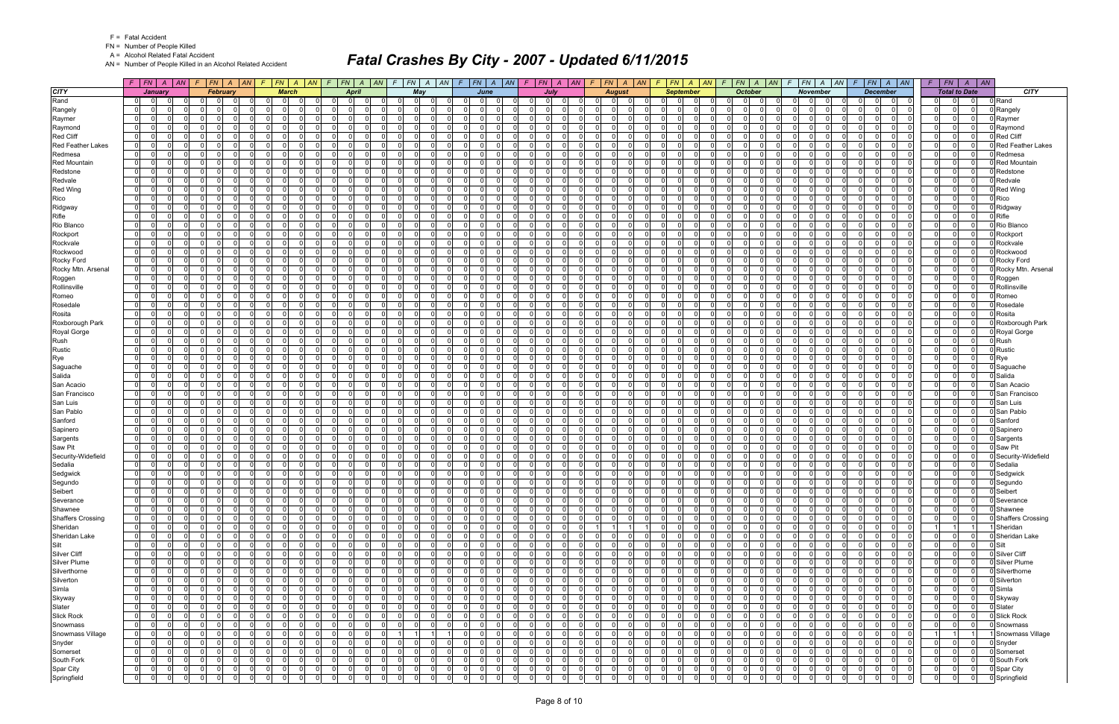FN = Number of People Killed

A = Alcohol Related Fatal Accident

AN = Number of People Killed in an Alcohol Related Accident

|                                      |                              | $F$   $FN$   $A$   $AN$                    |                          | $F$   FN   A   AN   F   FN   A   AN   F   FN   A   AN |                                              |                      |                            |                                              |     |                            |                                                   | $F$ $F$ $\vert$ $F$ $\vert$ $A$ $\vert$ $A$ $\vert$ $F$ $\vert$ $F$ $\vert$ $F$ $\vert$ $F$ $\vert$ $F$ $\vert$ $\vert$ $F$ $\vert$ $\vert$ $F$ $\vert$ $\vert$ $F$ $\vert$ $\vert$ $F$ $\vert$ $\vert$ $F$ $\vert$ $\vert$ $F$ $\vert$ $\vert$ $F$ $\vert$ $\vert$ $F$ $\vert$ $\vert$ $F$ $\vert$ $\vert$ $F$ |                                              |                      |                                  |                                         |                      | $F$   FN   A   AN   F   FN   A   AN                      | $F$ $ FN $ $A$ $ AN $ |                                          |          |                                                                   | $F$ $FN$ $A$ $AN$ $F$ $FN$ $A$ $AN$                          | $F$   $FN$   $A$   $AN$                                  |                             |
|--------------------------------------|------------------------------|--------------------------------------------|--------------------------|-------------------------------------------------------|----------------------------------------------|----------------------|----------------------------|----------------------------------------------|-----|----------------------------|---------------------------------------------------|-----------------------------------------------------------------------------------------------------------------------------------------------------------------------------------------------------------------------------------------------------------------------------------------------------------------|----------------------------------------------|----------------------|----------------------------------|-----------------------------------------|----------------------|----------------------------------------------------------|-----------------------|------------------------------------------|----------|-------------------------------------------------------------------|--------------------------------------------------------------|----------------------------------------------------------|-----------------------------|
| <b>CITY</b>                          |                              | January                                    |                          | <b>February</b>                                       |                                              | <b>March</b>         |                            | <b>April</b>                                 |     |                            | May                                               | June                                                                                                                                                                                                                                                                                                            |                                              | <b>July</b>          |                                  | <b>August</b>                           |                      | <b>September</b>                                         |                       | <b>October</b>                           |          | <b>November</b>                                                   | <b>December</b>                                              | <b>Total to Date</b>                                     | <b>CITY</b>                 |
| Rand                                 | $\Omega$                     | - 0                                        |                          | $\Omega$                                              | $\Omega$<br>$\Omega$                         |                      | $\Omega$                   | $\Omega$                                     |     |                            | - 0 l                                             | $\Omega$<br>$\Omega$                                                                                                                                                                                                                                                                                            | <sup>0</sup>                                 | $\Omega$             |                                  | $\overline{0}$<br>0                     |                      | $\overline{0}$<br><sup>0</sup>                           |                       | $\mathbf 0$<br><sup>0</sup>              |          | <sup>0</sup>                                                      | $\Omega$<br>$\Omega$                                         | $\Omega$                                                 | D Rand                      |
| Rangely                              | $\mathbf 0$                  | - O I                                      | $\Omega$                 | $\cap$<br>0                                           | $\Omega$<br>$\overline{0}$                   | $\Omega$             | $\overline{0}$             | $\Omega$<br>$\Omega$                         |     | $\Omega$                   | $\overline{0}$<br>- 0                             | $\mathbf{0}$<br>$\Omega$                                                                                                                                                                                                                                                                                        | $\Omega$<br>$\Omega$                         | 0 I                  | $\overline{0}$                   | -01<br>$\overline{0}$                   |                      | $\overline{0}$<br>$\Omega$<br>$\Omega$                   |                       | $\Omega$<br>01                           |          | $\overline{0}$<br>$\mathbf 0$                                     | $\Omega$<br>$\Omega$<br>$\Omega$                             | $\mathbf{0}$<br> 0 <br>$\Omega$                          | D Rangely                   |
| Raymer                               | $\mathbf{0}$                 | $\Omega$                                   | $\Omega$                 |                                                       | $\Omega$<br>$\Omega$                         | $\Omega$             | $\Omega$                   | $\Omega$<br>$\Omega$                         |     | $\Omega$                   | - 0 l<br>- 0                                      | 0                                                                                                                                                                                                                                                                                                               | $\Omega$<br>$\cap$                           | $\Omega$             | $\Omega$                         | $\Omega$<br>-01                         |                      | $\Omega$<br>$\Omega$                                     |                       | $\Omega$<br>$\Omega$                     |          | n<br>$\Omega$                                                     | $\Omega$<br>$\Omega$                                         | $\Omega$<br>$\Omega$<br>$\Omega$                         | Raymer                      |
| Raymond                              | $\mathbf{0}$                 | $\Omega$<br><sup>0</sup>                   | $\Omega$                 | $\Omega$                                              | $\Omega$<br>$\Omega$                         | $\Omega$             | $\Omega$                   | $\Omega$<br>$\Omega$                         |     | $\Omega$                   | $\overline{0}$<br>$\Omega$                        | 0                                                                                                                                                                                                                                                                                                               | $\Omega$<br>$\Omega$                         | $\Omega$             | $\Omega$                         | $\Omega$<br>-01                         |                      | $\mathbf 0$<br>$\Omega$                                  |                       | $\mathbf 0$<br>$\Omega$                  |          | n l<br>$\Omega$                                                   | $\Omega$<br>$\Omega$                                         | $\Omega$<br>$\Omega$<br> 0                               | Raymond                     |
| Red Cliff                            | $\overline{0}$               | $\Omega$                                   | $\Omega$                 | $\Omega$                                              | $\Omega$<br>$\Omega$                         | $\Omega$             | $\Omega$                   | $\Omega$<br>$\Omega$                         |     | $\Omega$                   | - 0 l<br>റ                                        | $\overline{0}$                                                                                                                                                                                                                                                                                                  | $\Omega$<br>$\Omega$                         | $\Omega$             | $\overline{0}$                   | $\Omega$<br> 0                          |                      | $\mathbf{0}$<br>$\Omega$                                 |                       | $\Omega$<br>$\Omega$                     |          | $\Omega$<br>$\Omega$                                              | $\Omega$<br>$\Omega$                                         | 0 <br>$\Omega$                                           | Red Cliff                   |
| <b>Red Feather Lakes</b>             | $\mathbf{0}$                 | $\Omega$<br>$\Omega$                       | $\Omega$                 | $\Omega$                                              | $\Omega$<br>$\Omega$                         | U                    | $\Omega$                   | $\Omega$<br>$\Omega$                         |     | $\Omega$                   | - 0 l<br>$\Omega$                                 | - 0 l<br>O                                                                                                                                                                                                                                                                                                      | $\Omega$<br>$\Omega$                         | $\Omega$             | $\Omega$                         | $\Omega$<br>-01                         |                      | $\Omega$<br>$\Omega$                                     |                       | $\Omega$<br>$\mathbf 0$                  |          | $\Omega$<br>$\Omega$                                              | $\Omega$<br>$\Omega$<br><sup>n</sup>                         | $\Omega$<br>$\Omega$                                     | <b>Red Feather Lakes</b>    |
| Redmesa                              | 0                            | $\Omega$<br>$\Omega$                       | $\Omega$                 | $\Omega$                                              | - 0 l<br>$\Omega$                            | $\Omega$             | $\Omega$                   | $\Omega$<br>$\Omega$                         |     | $\Omega$                   | - 0 l<br>- 0                                      | -ol<br>$\Omega$                                                                                                                                                                                                                                                                                                 | $\Omega$<br>$\Omega$                         | $\Omega$             | $\Omega$                         | $\Omega$<br>$\overline{0}$              |                      | $\mathbf{0}$<br>$\Omega$                                 |                       | $\mathbf 0$<br>$\Omega$                  |          | $\Omega$<br>$\overline{0}$                                        | $\Omega$<br>$\Omega$<br>$\cap$                               | $\Omega$<br>$\Omega$<br>$\Omega$                         | D Redmesa                   |
| <b>Red Mountain</b><br>Redstone      | $\mathbf{0}$<br> 0           | $\Omega$<br>$\Omega$                       | U<br>$\Omega$            | $\Omega$<br>$\Omega$                                  | $\Omega$<br>$\Omega$<br>$\Omega$<br>$\Omega$ | U<br>$\Omega$        | $\Omega$<br>$\Omega$       | $\Omega$<br>$\Omega$<br>$\Omega$<br>$\Omega$ |     | $\Omega$<br>$\Omega$       | - 0 l<br>- 0<br>-ol<br>- 0                        | -ol<br>-ol                                                                                                                                                                                                                                                                                                      | $\Omega$<br>$\Omega$<br>$\Omega$<br>$\Omega$ | $\Omega$<br>$\Omega$ | $\Omega$<br>$\Omega$             | $\Omega$<br>-01<br>$\Omega$<br>-01      |                      | $\Omega$<br>$\Omega$<br>$\Omega$<br>$\Omega$             |                       | $\Omega$<br>$\Omega$<br>$\Omega$<br>- Ol |          | $\Omega$<br>$\Omega$<br>n<br>$\Omega$                             | $\Omega$<br>$\Omega$<br>$\Omega$<br>$\Omega$                 | $\Omega$<br>$\Omega$<br>$\Omega$<br>$\Omega$<br>$\Omega$ | Red Mountain                |
| Redvale                              | $\mathbf{0}$                 | $\Omega$                                   | $\Omega$                 | $\Omega$                                              | $\Omega$<br>$\Omega$                         | $\Omega$             | $\Omega$                   | $\Omega$<br>$\Omega$                         |     | $\Omega$                   | - 0 l<br>- 0                                      | $\mathbf{0}$                                                                                                                                                                                                                                                                                                    | $\Omega$                                     | $\Omega$             | $\Omega$                         | -01<br>$\Omega$                         |                      | $\Omega$<br>$\Omega$                                     |                       | $\Omega$<br>$\Omega$                     |          | $\Omega$<br>$\Omega$                                              | $\Omega$<br>$\Omega$                                         | $\Omega$<br> 0                                           | Redstone<br>Redvale         |
| <b>Red Wing</b>                      | $\mathbf{0}$                 | $\Omega$<br>$\Omega$                       | $\Omega$                 |                                                       | $\Omega$<br>$\Omega$                         | $\Omega$             | $\Omega$                   | $\Omega$<br>$\Omega$                         |     | $\Omega$                   | - 0 l<br>- 0                                      | -ol                                                                                                                                                                                                                                                                                                             | $\Omega$                                     | $\Omega$             | $\Omega$                         | $\Omega$<br>-01                         |                      | $\Omega$<br>$\Omega$                                     |                       | $\Omega$<br>$\Omega$                     |          | n<br>$\Omega$                                                     | $\Omega$<br>$\Omega$                                         | $\Omega$<br>$\Omega$                                     | Red Wing                    |
| Rico                                 | $\mathbf{0}$                 | $\Omega$<br>$\Omega$                       | $\Omega$                 | $\Omega$                                              | $\overline{0}$<br>$\Omega$                   | $\Omega$             | $\Omega$                   | $\Omega$<br>$\Omega$                         |     | $\Omega$                   | $\overline{0}$<br>$\Omega$                        | 0 <br>$\Omega$                                                                                                                                                                                                                                                                                                  | $\Omega$<br>$\Omega$                         | $\Omega$             | $\Omega$                         | $\Omega$<br>-01                         |                      | $\overline{0}$<br>$\Omega$                               |                       | $\mathbf 0$<br>$\Omega$                  |          | n l<br>$\Omega$                                                   | $\Omega$<br>$\Omega$<br>$\Omega$                             | $\Omega$<br> 0                                           | Rico                        |
| Ridgway                              | $\overline{0}$               | n                                          | 0                        | $\Omega$                                              | $\Omega$<br>$\Omega$                         | 0                    | $\Omega$                   | $\Omega$<br>0                                |     | $\Omega$                   | 0 <br>- 0                                         | $\Omega$                                                                                                                                                                                                                                                                                                        | $\Omega$                                     | $\Omega$             | $\Omega$                         | 0<br>$\overline{0}$                     |                      | $\Omega$<br>$\Omega$                                     |                       | $\Omega$<br>$\Omega$                     |          | $\Omega$<br>$\Omega$                                              | $\Omega$<br>$\Omega$                                         | $\Omega$<br> 0                                           | D Ridgway                   |
| Rifle                                | 0                            | $\Omega$                                   | $\Omega$                 | $\Omega$                                              | $\Omega$<br>$\Omega$                         | $\Omega$             | $\Omega$                   | $\Omega$<br>$\Omega$                         |     | $\Omega$                   | - 0 l<br>- 0                                      | - 0 l<br>$\Omega$                                                                                                                                                                                                                                                                                               | $\Omega$<br>$\Omega$                         | $\Omega$             | $\Omega$                         | -01<br>$\Omega$                         |                      | $\Omega$<br>$\Omega$                                     |                       | $\mathbf 0$<br>$\Omega$                  |          | $\Omega$<br>$\Omega$                                              | $\Omega$<br>$\Omega$<br>$\Omega$                             | $\Omega$<br>$\Omega$                                     | 0 Rifle                     |
| Rio Blanco                           | $\mathbf{0}$                 | $\Omega$<br>$\Omega$                       | $\Omega$                 | $\Omega$                                              | - 0 l<br>$\Omega$                            | $\Omega$             | $\overline{0}$             | n l<br>$\Omega$                              |     | $\Omega$                   | - 0 l<br>$\Omega$                                 | $\mathbf{0}$<br>$\Omega$                                                                                                                                                                                                                                                                                        | $\Omega$<br>$\Omega$                         | 0I                   | $\mathbf{0}$                     | 0 <br>-01                               |                      | $\Omega$<br>$\Omega$                                     |                       | $\Omega$<br>$\mathbf 0$                  |          | $\overline{0}$<br>$\Omega$                                        | $\Omega$<br>$\Omega$<br>$\Omega$                             | $\overline{0}$<br>$\Omega$<br>$\Omega$                   | Rio Blanco                  |
| Rockport                             | $\mathbf 0$                  | $\Omega$<br><sup>0</sup>                   | $\Omega$                 | - 0                                                   | - 0 l<br>$\Omega$                            | $\Omega$             | $\Omega$                   | $\Omega$<br>- 0                              |     | $\Omega$                   | $\mathbf 0$<br>- 0                                | -ol                                                                                                                                                                                                                                                                                                             | $\Omega$<br>$\Omega$                         | $\Omega$             | $\Omega$                         | $\Omega$<br>$\overline{0}$              |                      | $\Omega$<br>$\Omega$                                     |                       | $\Omega$<br>$\mathbf 0$                  |          | n l<br>$\Omega$                                                   | $\Omega$<br>$\Omega$                                         | $\cap$<br>$\Omega$<br>$\Omega$                           | Rockport                    |
| Rockvale                             | $\mathbf{0}$                 | $\Omega$<br>$\Omega$                       | $\Omega$                 | $\Omega$<br>$\Omega$                                  | 0l<br>$\Omega$                               | $\Omega$             | $\Omega$                   | $\Omega$<br>$\Omega$                         |     | $\Omega$                   | $\overline{0}$<br>$\Omega$                        | $\Omega$<br>$\Omega$                                                                                                                                                                                                                                                                                            | $\Omega$<br>$\Omega$                         | $\Omega$             | $\Omega$                         | $\Omega$<br>$\Omega$                    |                      | $\Omega$<br>$\Omega$<br>$\Omega$                         |                       | - 0 l<br>$\Omega$                        |          | $\Omega$<br>$\Omega$                                              | $\Omega$<br>$\Omega$<br>$\Omega$                             | $\Omega$<br>$\Omega$<br>$\Omega$                         | Rockvale                    |
| Rockwood                             | $\mathbf 0$                  | -0                                         | $\Omega$                 | $\Omega$                                              | $\overline{0}$<br>$\Omega$                   | $\Omega$             | $\mathbf 0$                | $\Omega$<br>0                                |     | $\Omega$                   | 0 <br>- 0                                         | $\overline{0}$<br>ŋ                                                                                                                                                                                                                                                                                             | $\mathbf{0}$                                 | $\Omega$             | $\Omega$                         | $\Omega$<br> 0                          |                      | $\overline{0}$<br>$\Omega$                               |                       | $\Omega$<br>$\mathbf 0$                  |          | $\Omega$<br>$\Omega$                                              | $\Omega$<br>0<br><sup>0</sup>                                | $\Omega$<br>$\Omega$                                     | Rockwood                    |
| Rocky Ford                           | $\mathbf{0}$                 | $\Omega$<br>$\Omega$                       | $\Omega$                 | $\Omega$                                              | $\Omega$<br>$\Omega$                         | $\Omega$             | $\Omega$                   | n l<br>- 0                                   |     | ΩI                         | - 0 l<br>$\Omega$                                 | 0                                                                                                                                                                                                                                                                                                               | $\Omega$<br>$\Omega$                         | 0I                   | $\Omega$                         | $\Omega$<br>-01                         |                      | $\Omega$<br>$\Omega$                                     |                       | $\Omega$<br>$\mathbf 0$                  |          | n<br>$\Omega$                                                     | $\Omega$<br>$\Omega$<br>$\Omega$                             | $\Omega$<br>$\Omega$<br> 0                               | Rocky Ford                  |
| Rocky Mtn. Arsenal                   | $\mathbf 0$                  | $\Omega$<br>$\Omega$                       | $\Omega$                 | $\Omega$                                              | - 0 l<br>$\Omega$                            | $\Omega$             | - O I                      | $\Omega$<br>$\Omega$                         |     | $\Omega$                   | 0 <br>$\Omega$                                    | 0 <br><sup>n</sup>                                                                                                                                                                                                                                                                                              | $\Omega$<br>$\Omega$                         | $\Omega$             | $\overline{0}$                   | $\mathbf 0$<br>$\overline{0}$           |                      | $\mathbf 0$<br>$\Omega$<br>$\Omega$                      |                       | $\mathbf 0$<br>$\Omega$                  |          | $\Omega$<br>$\Omega$                                              | $\Omega$<br>$\Omega$<br>$\Omega$                             | $\Omega$<br>$\Omega$<br>$\Omega$                         | Rocky Mtn. Arsenal          |
| Roggen                               | $\mathbf{0}$                 | $\Omega$<br>$\Omega$                       | <sup>0</sup>             | $\Omega$                                              | $\Omega$<br>$\Omega$                         |                      | $\Omega$                   | nl<br>$\Omega$                               |     | $\Omega$                   | - 0 l<br>$\Omega$                                 | $\Omega$                                                                                                                                                                                                                                                                                                        | $\Omega$                                     | $\Omega$             | $\Omega$                         | $\Omega$<br>$\Omega$                    |                      | $\Omega$<br>$\Omega$                                     |                       | $\Omega$<br>- Ol                         |          | $\Omega$<br>$\Omega$                                              | $\Omega$<br>$\Omega$<br>$\Omega$                             | $\Omega$<br>$\Omega$<br>$\Omega$                         | Roggen                      |
| Rollinsville                         | 0                            | $\Omega$<br><sup>0</sup>                   | $\Omega$                 | - 0                                                   | $\Omega$<br>$\Omega$                         | $\Omega$             | $\overline{0}$             | $\Omega$<br>$\Omega$                         |     | $\Omega$                   | - 0 l<br>- 0                                      | 0 <br>$\Omega$                                                                                                                                                                                                                                                                                                  | $\Omega$<br>$\Omega$                         | $\Omega$             | $\Omega$                         | 0 <br>$\Omega$                          |                      | $\overline{0}$<br>$\Omega$                               |                       | $\mathbf 0$<br>$\Omega$                  |          | $\Omega$<br>$\Omega$                                              | $\Omega$<br>$\Omega$<br>$\Omega$                             | $\Omega$<br>$\mathbf{0}$                                 | <b>D</b> Rollinsville       |
| Romeo                                | $\mathbf{0}$                 | $\Omega$<br>$\Omega$                       | $\Omega$<br>$\Omega$     | $\Omega$                                              | 0 I<br>$\Omega$                              | $\Omega$             | $\overline{0}$             | n l<br>$\Omega$                              |     | $\Omega$<br>$\Omega$       | -ol<br>$\Omega$                                   | $\mathbf{0}$                                                                                                                                                                                                                                                                                                    | $\Omega$<br>$\Omega$                         | $\Omega$             | $\Omega$                         | 0 <br>-01<br>$\Omega$                   |                      | $\overline{0}$<br>$\Omega$                               |                       | $\Omega$<br>$\mathbf 0$                  | $\Omega$ | $\overline{0}$<br>$\Omega$                                        | $\Omega$<br>$\Omega$<br>$\Omega$                             | $\overline{0}$<br> 0 <br>$\Omega$<br>$\Omega$            | D Romeo                     |
| Rosedale<br>Rosita                   | $\mathbf{0}$<br>$\mathbf{0}$ | -0<br><sup>n</sup><br>$\Omega$<br>$\Omega$ | $\Omega$                 | $\Omega$<br>$\Omega$<br>$\Omega$                      | $\Omega$<br>$\Omega$<br>0l<br>$\Omega$       | $\Omega$<br>$\Omega$ | $\Omega$<br>$\Omega$       | $\Omega$<br>$\Omega$<br>n l<br>$\Omega$      |     | $\Omega$                   | $\mathbf 0$<br>- 0<br>$\overline{0}$<br>$\Omega$  | - 0 l<br>$\Omega$<br>$\Omega$                                                                                                                                                                                                                                                                                   | $\Omega$<br>$\Omega$<br>$\Omega$<br>$\Omega$ | $\Omega$<br>$\Omega$ | $\Omega$<br>$\Omega$             | $\overline{0}$<br>$\Omega$<br>$\Omega$  |                      | $\Omega$<br>$\Omega$<br>$\Omega$<br>$\Omega$<br>$\Omega$ |                       | $\Omega$<br>$\Omega$<br>0 I<br>$\Omega$  |          | $\Omega$<br>$\Omega$<br>$\Omega$                                  | $\Omega$<br>$\Omega$<br>- Ol<br>$\Omega$<br>$\Omega$         | $\Omega$<br>$\Omega$<br>$\Omega$<br>$\Omega$<br>$\Omega$ | Rosedale<br>0 Rosita        |
| Roxborough Park                      | $\overline{0}$               | $\Omega$                                   | $\Omega$                 |                                                       | $\Omega$<br>$\Omega$                         | 0                    | $\Omega$                   | $\Omega$<br>-0                               |     | 0                          | - 0 l                                             | $\Omega$                                                                                                                                                                                                                                                                                                        | $\Omega$                                     | $\Omega$             | $\Omega$                         | 0<br>$\Omega$                           |                      | $\mathbf{0}$<br>$\Omega$                                 |                       | $\Omega$<br>$\Omega$                     |          | $\Omega$<br>$\Omega$                                              | $\Omega$<br>$\Omega$                                         | $\Omega$<br>$\mathbf{0}$                                 | 0 Roxborough Park           |
| Royal Gorge                          | $\mathbf{0}$                 | $\Omega$<br>$\Omega$                       | $\Omega$                 | $\Omega$                                              | - 0 l<br>$\Omega$                            | $\Omega$             | $\overline{0}$             | - Ol<br>$\Omega$                             |     | $\Omega$                   | 0 I<br>$\Omega$                                   | $\mathbf{0}$<br>$\Omega$                                                                                                                                                                                                                                                                                        | $\Omega$<br>$\Omega$                         | - O I                | $\overline{0}$                   | -01<br>$\overline{0}$                   |                      | $\mathbf{0}$<br>$\Omega$                                 |                       | $\mathbf 0$<br>$\Omega$                  |          | $\Omega$<br>$\Omega$                                              | $\Omega$<br>$\Omega$<br>$\Omega$                             | $\Omega$<br> 0 <br>$\Omega$                              | 0 Royal Gorge               |
| Rush                                 | 0                            | $\Omega$                                   | $\Omega$                 | $\Omega$                                              | - 0 l<br>$\Omega$                            | $\Omega$             | $\overline{0}$             | $\Omega$<br>$\Omega$                         |     | $\Omega$                   | - 0 l<br>$\Omega$                                 | -ol                                                                                                                                                                                                                                                                                                             | $\Omega$<br>$\Omega$                         | $\Omega$             | $\Omega$                         | $\Omega$<br>-01                         |                      | $\mathbf{0}$<br>$\Omega$                                 |                       | $\Omega$<br>$\mathbf 0$                  |          | $\Omega$<br>$\Omega$                                              | $\Omega$<br>$\Omega$                                         | $\Omega$<br>$\Omega$<br>$\Omega$                         | 0 Rush                      |
| Rustic                               | $\mathbf{0}$                 | - 0                                        | $\Omega$                 | $\Omega$                                              | - 0 l<br>$\Omega$                            | 0                    | $\Omega$                   | $\Omega$<br>- 0                              |     | $\Omega$                   | $\mathbf 0$<br>- 0                                | - 0 l                                                                                                                                                                                                                                                                                                           | $\Omega$<br>$\Omega$                         | $\Omega$             | $\Omega$                         | 0<br>$\overline{0}$                     |                      | $\overline{0}$<br>$\Omega$                               |                       | $\mathbf 0$<br>$\Omega$                  |          | $\Omega$<br>$\Omega$                                              | $\Omega$<br>$\Omega$                                         | $\Omega$<br> 0 <br>$\Omega$                              | Rustic                      |
| Rye                                  | $\Omega$                     | $\Omega$                                   | $\Omega$                 |                                                       | $\Omega$<br>$\Omega$                         | $\Omega$             | $\Omega$                   | $\Omega$<br>$\Omega$                         |     | $\Omega$                   | $\Omega$<br>$\Omega$                              | $\Omega$                                                                                                                                                                                                                                                                                                        | $\Omega$                                     | $\Omega$             | $\Omega$                         | $\Omega$<br>$\Omega$                    |                      | $\Omega$<br>$\Omega$                                     |                       | n l<br>$\Omega$                          |          | $\Omega$<br>$\Omega$                                              | $\Omega$<br>$\Omega$                                         | $\Omega$<br>$\Omega$                                     | Rye                         |
| Saguache                             | $\mathbf{0}$                 | $\Omega$                                   | $\Omega$                 | $\Omega$                                              | $\Omega$<br>$\Omega$                         | $\Omega$             | - O I                      | $\Omega$<br>$\Omega$                         |     | $\Omega$                   | - 0 l<br>$\Omega$                                 | 0                                                                                                                                                                                                                                                                                                               | $\Omega$<br>$\Omega$                         | $\Omega$             | -01                              | -01<br>$\Omega$                         |                      | $\overline{0}$<br>$\Omega$                               |                       | $\mathbf 0$<br>$\Omega$                  |          | $\Omega$<br>$\Omega$                                              | $\Omega$<br>$\Omega$                                         | $\Omega$<br> 0 <br>0                                     | 0 Saquache                  |
| Salida                               | $\mathbf{0}$                 | $\Omega$                                   | $\Omega$                 |                                                       | $\Omega$<br>$\Omega$                         | $\Omega$             | $\Omega$                   | $\Omega$<br>$\Omega$                         |     | $\Omega$                   | - 0 l<br>റ                                        | -ol                                                                                                                                                                                                                                                                                                             | $\Omega$<br>$\Omega$                         | $\Omega$             | $\Omega$                         | $\Omega$<br>-01                         |                      | $\Omega$<br>$\Omega$                                     |                       | - Ol<br>$\Omega$                         |          | n<br>$\Omega$                                                     | $\Omega$<br>$\Omega$                                         | $\Omega$<br>$\Omega$                                     | 0 Salida                    |
| San Acacio                           | $\mathbf{0}$                 | $\Omega$<br>$\Omega$                       | $\Omega$                 | $\Omega$                                              | - 0 l<br>$\Omega$                            | $\Omega$             | $\overline{0}$             | $\Omega$<br>$\Omega$                         |     | $\Omega$                   | $\overline{0}$<br>$\Omega$                        | 0 <br>$\Omega$                                                                                                                                                                                                                                                                                                  | $\Omega$<br>$\Omega$                         | $\Omega$             | $\Omega$                         | $\Omega$<br>$\overline{0}$              |                      | $\overline{0}$<br>$\Omega$                               |                       | $\mathbf 0$<br>$\Omega$                  |          | n l<br>$\Omega$                                                   | $\Omega$<br>$\Omega$                                         | $\Omega$<br>$\Omega$<br>$\Omega$                         | 3 San Acacio                |
| San Francisco                        | $\Omega$                     | $\Omega$                                   | $\Omega$                 | $\Omega$                                              | $\Omega$<br>$\Omega$                         | <sup>0</sup>         | $\Omega$                   | $\Omega$<br>$\Omega$                         |     | $\Omega$                   | -ol                                               | $\Omega$                                                                                                                                                                                                                                                                                                        | $\Omega$                                     | $\Omega$             | $\Omega$                         | $\Omega$<br>$\Omega$                    |                      | $\mathbf{0}$<br>$\Omega$                                 |                       | $\Omega$<br>$\Omega$                     |          | $\Omega$<br>$\Omega$                                              | $\Omega$<br>$\Omega$                                         | $\Omega$<br>$\Omega$                                     | 3 San Francisco             |
| San Luis                             | $\mathbf{0}$                 | $\Omega$                                   | $\Omega$                 | $\Omega$                                              | $\Omega$<br>$\Omega$                         | $\Omega$             | $\Omega$                   | $\Omega$<br>- 0                              |     | $\Omega$                   | - 0 l<br>- 0                                      | $\mathbf{0}$<br>$\Omega$                                                                                                                                                                                                                                                                                        | $\Omega$<br>$\Omega$                         | $\Omega$             | $\Omega$                         | $\Omega$<br>-01                         |                      | $\Omega$<br>$\Omega$                                     |                       | $\mathbf 0$<br>$\Omega$                  |          | n l<br>$\Omega$                                                   | $\Omega$<br>$\Omega$                                         | $\Omega$<br>$\Omega$<br>$\Omega$                         | 0 San Luis                  |
| San Pablo                            | 0                            | $\Omega$<br>$\Omega$<br>$\Omega$           | $\Omega$<br><sup>0</sup> | $\Omega$<br>$\Omega$                                  | -ol<br>$\Omega$<br>$\Omega$                  | $\Omega$<br>0        | $\mathbf 0$                | $\Omega$<br>$\Omega$<br>$\Omega$             |     | $\Omega$<br>$\Omega$       | - 0 l<br>$\Omega$<br>- 0                          | 0 <br>-ol                                                                                                                                                                                                                                                                                                       | $\Omega$<br>$\Omega$<br>$\Omega$<br>$\Omega$ | 0I<br>$\Omega$       | $\Omega$<br>$\Omega$             | $\Omega$<br>-01<br>$\Omega$             |                      | $\overline{0}$<br>$\Omega$<br>$\mathbf 0$<br>$\Omega$    |                       | $\Omega$<br>$\mathbf 0$<br>$\Omega$      |          | $\overline{0}$<br>$\Omega$<br>$\Omega$<br>$\Omega$                | $\Omega$<br>$\Omega$<br>$\Omega$<br>$\Omega$<br>$\Omega$     | $\Omega$<br>$\Omega$<br>$\Omega$<br>$\Omega$<br>$\Omega$ | San Pablo                   |
| Sanford<br>Sapinero                  | $\mathbf{0}$<br> 0           | $\Omega$<br>$\Omega$                       | $\Omega$                 | $\Omega$<br>$\Omega$                                  | - 0 l<br>- 0 l<br>$\Omega$                   | $\Omega$             | $\mathbf 0$<br>$\mathbf 0$ | - 0<br>n l<br>$\Omega$                       |     | $\Omega$                   | - 0 l<br>0 I<br>$\Omega$                          | $\mathbf{0}$<br>$\Omega$                                                                                                                                                                                                                                                                                        | $\Omega$<br>$\Omega$                         | $\Omega$             | $\Omega$                         | $\overline{0}$<br>$\Omega$<br>-01       |                      | $\Omega$<br>$\Omega$                                     | $\cap$                | $\mathbf 0$<br>$\mathbf 0$<br>$\Omega$   |          | $\Omega$<br>$\Omega$                                              | $\Omega$<br>$\Omega$<br>$\Omega$                             | $\Omega$<br>$\Omega$<br>$\Omega$                         | <b>Sanford</b><br>Sapinero  |
| Sargents                             | 0                            | - 0                                        | $\Omega$                 | $\Omega$                                              | $\Omega$<br>$\Omega$                         | $\Omega$             | $\Omega$                   | $\Omega$<br>$\Omega$                         |     | $\Omega$                   | - 0 l                                             | $\overline{0}$                                                                                                                                                                                                                                                                                                  | $\Omega$                                     | $\Omega$             | $\Omega$                         | $\Omega$<br>$\Omega$                    |                      | $\overline{0}$<br>$\Omega$                               |                       | $\mathbf 0$<br>$\Omega$                  |          | $\Omega$<br>$\Omega$                                              | $\Omega$<br>$\Omega$                                         | $\mathbf{0}$<br>$\mathbf{0}$                             | 3 Sargents                  |
| Saw Pit                              | $\mathbf{0}$                 | $\cap$<br>$\Omega$                         | $\Omega$                 | $\Omega$                                              | $\Omega$<br>$\Omega$                         | $\Omega$             | $\Omega$                   | n l<br>$\Omega$                              |     | $\Omega$                   | - 0 l<br>$\Omega$                                 | $\mathbf{0}$<br>$\Omega$                                                                                                                                                                                                                                                                                        | $\Omega$<br>$\Omega$                         | 0I                   | $\Omega$                         | $\Omega$<br>-01                         |                      | $\Omega$<br>$\Omega$                                     |                       | $\Omega$<br>$\mathbf 0$                  |          | $\Omega$<br>$\Omega$                                              | $\Omega$<br>$\Omega$<br>$\Omega$                             | $\Omega$<br>$\Omega$<br>$\Omega$                         | 0 Saw Pit                   |
| Security-Widefield                   | $\mathbf{0}$                 | $\Omega$<br><sup>0</sup>                   | $\Omega$                 | $\Omega$                                              | - 0 l<br>$\Omega$                            | $\Omega$             | $\Omega$                   | $\Omega$<br>$\Omega$                         |     | $\Omega$                   | - 0 l<br>$\Omega$                                 | - Ol<br>$\Omega$                                                                                                                                                                                                                                                                                                | $\Omega$                                     | 0I                   | $\overline{0}$                   | $\Omega$<br>$\overline{0}$              |                      | $\Omega$<br>$\Omega$                                     |                       | $\mathbf 0$<br>$\Omega$                  |          | $\Omega$<br>$\Omega$                                              | $\Omega$<br>$\Omega$<br>$\Omega$                             | $\Omega$<br>$\Omega$<br>$\Omega$                         | <b>Security-Widefield</b>   |
| Sedalia                              | $\mathbf{0}$                 | ΩI<br>$\Omega$                             | $\Omega$                 | $\Omega$<br>$\Omega$                                  | $\overline{0}$<br>$\Omega$                   | $\Omega$             | $\overline{0}$             | n l<br>$\Omega$                              |     | $\Omega$                   | - 0 l<br>$\Omega$                                 | 0                                                                                                                                                                                                                                                                                                               | $\Omega$<br>$\Omega$                         | $\Omega$             | $\Omega$                         | $\Omega$<br>-01                         |                      | $\Omega$<br>$\Omega$<br>$\Omega$                         |                       | $\Omega$<br>$\mathbf 0$                  |          | $\Omega$<br>$\Omega$                                              | $\Omega$<br>$\Omega$<br>-01                                  | $\Omega$<br>$\Omega$<br>$\Omega$                         | J Sedalia                   |
| Sedgwick                             | 0                            | $\Omega$                                   | $\Omega$                 | $\Omega$<br>$\Omega$                                  | 0 <br>$\Omega$                               | $\Omega$             | $\overline{0}$             | $\Omega$<br>$\Omega$                         |     | $\Omega$                   | 0                                                 | 0                                                                                                                                                                                                                                                                                                               | $\Omega$<br>$\Omega$                         | $\Omega$             | $\Omega$                         | $\overline{0}$<br>$\overline{0}$        |                      | $\overline{0}$<br>$\Omega$                               |                       | $\mathbf 0$<br>$\Omega$                  |          | $\Omega$<br>$\Omega$                                              | $\Omega$<br>$\overline{0}$<br>$\Omega$                       | $\Omega$<br>$\Omega$                                     | 0 Sedgwick                  |
| Segundo                              | 0                            | $\Omega$<br>$\overline{0}$                 | 0l                       | $\Omega$<br>$\Omega$                                  | $\overline{0}$<br>- Ol                       | $\mathbf 0$          | 0                          | $\overline{0}$                               | 0 I | 0 I                        | - ol<br>$\mathbf 0$                               | $\Omega$<br>$\overline{0}$<br>n.                                                                                                                                                                                                                                                                                | ol<br>$\Omega$                               | 0 I                  | 0                                | -ol<br>0 I                              | $\Omega$<br>$\Omega$ | 0 <br>$\overline{0}$<br>$\overline{0}$                   | $\Omega$              | 0 I<br>$\overline{0}$                    |          | 0 <br>$\mathbf 0$                                                 | - ol<br>$\Omega$<br>0 I<br>$\Omega$                          | $\Omega$<br> 0 <br>$\Omega$                              | 0 Segundo                   |
| Seibert                              | $\mathbf 0$                  | $\overline{0}$<br>$\Omega$                 | 0                        | $\mathbf 0$<br>$\overline{0}$                         | $\mathbf 0$<br>$\Omega$                      | $\Omega$             | $\Omega$                   | $\mathbf 0$<br>$\Omega$                      |     | $\Omega$                   | $\mathbf 0$<br>- 01                               | 0 <br>$\Omega$                                                                                                                                                                                                                                                                                                  | $\mathbf{0}$                                 | - OI                 | $\overline{0}$                   | $\overline{0}$<br>$\mathbf 0$<br>- 0    |                      | $\Omega$<br>0                                            |                       | 0 I<br>$\Omega$                          |          | $\Omega$<br>$\mathbf 0$                                           | $\Omega$<br>$\Omega$<br> 0                                   | $\Omega$<br>$\mathbf 0$                                  | 0 Seibert                   |
| Severance                            | $\mathbf{0}$                 | $\Omega$<br>- O I                          | $\Omega$                 | $\Omega$<br>$\Omega$                                  | 0 I<br>$\mathbf 0$                           | $\Omega$             | $\Omega$                   | - 0 l<br>0 I                                 |     | $\Omega$                   | $\overline{0}$<br>$\Omega$                        | 0 <br>$\Omega$                                                                                                                                                                                                                                                                                                  | $\Omega$                                     | - O I                | $\mathbf{0}$                     | $\overline{0}$<br> 0                    |                      | $\Omega$<br>$\Omega$<br>$\Omega$                         |                       | $\Omega$<br>$\mathbf 0$                  |          | $\overline{0}$<br>$\mathbf 0$<br>$\Omega$                         | $\Omega$<br>$\Omega$<br> 0                                   | $\mathbf{0}$<br> 0                                       | 0 Severance                 |
| Shawnee                              | 0                            | $\mathbf 0$                                | $\overline{0}$           | $\mathbf 0$<br>0                                      | $\overline{0}$<br>$\Omega$                   | $\Omega$             | $\mathbf 0$                | $\mathbf 0$<br> 0                            |     | 0                          | $\overline{0}$<br>- 0                             | 0 <br>0                                                                                                                                                                                                                                                                                                         | $\mathbf 0$                                  | 0 I                  | $\mathbf 0$                      | 0 <br>$\mathbf 0$                       |                      | $\overline{0}$<br>0                                      |                       | 01<br>$\Omega$                           |          | $\overline{0}$<br>$\mathbf 0$                                     | $\mathbf 0$<br>$\Omega$<br> 0                                | 0 <br>$\mathbf 0$                                        | 0 Shawnee                   |
| <b>Shaffers Crossing</b><br>Sheridan | $\mathbf{0}$                 | $\overline{0}$<br>$\Omega$<br><sup>0</sup> | 0 I<br>$\Omega$          | $\Omega$<br>- 0<br>$\Omega$                           | 0 I<br>$\mathbf{0}$<br>$\Omega$              | $\Omega$             | $\mathbf{0}$               | $\overline{0}$<br>0 I                        |     | $\overline{0}$<br>$\Omega$ | $\overline{0}$<br>$\overline{0}$                  | $\overline{0}$<br>$\Omega$<br>$\Omega$                                                                                                                                                                                                                                                                          | $\Omega$<br>$\Omega$                         | - O I                | 0                                | 0 <br> 0                                |                      | 0 <br>$\Omega$<br>$\Omega$<br>$\overline{0}$             | $\Omega$              | $\overline{0}$<br>0 I<br>$\Omega$        |          | 0 <br>$\overline{0}$<br>$\Omega$                                  | $\overline{0}$<br>$\overline{0}$<br>$\Omega$                 | $\mathbf 0$<br> 0 <br>$\Omega$                           | 0 Shaffers Crossing         |
| Sheridan Lake                        | 0 <br> 0                     | - O I<br>$\Omega$<br>$\Omega$              | $\Omega$                 | 0<br>$\Omega$<br>$\Omega$                             | $\overline{0}$<br>- 0 l<br>$\Omega$          | $\Omega$<br>$\Omega$ | - O I<br>$\overline{0}$    | $\mathbf 0$<br>$\Omega$<br>- 0 l<br>$\Omega$ |     | $\Omega$                   | $\mathbf 0$<br>- 01<br>$\overline{0}$<br>$\Omega$ | 0 <br>$\mathbf{0}$<br>$\Omega$                                                                                                                                                                                                                                                                                  | $\mathbf 0$<br>$\mathbf 0$<br>$\Omega$       | - O I<br>$\Omega$    | $\mathbf 0$<br>$\mathbf{0}$      | $\overline{1}$<br>11<br> 0 <br>$\Omega$ |                      | 0<br>$\Omega$<br>$\mathbf 0$                             |                       | 0 <br>$\Omega$<br>$\mathbf 0$            |          | $\overline{0}$<br>$\mathbf 0$<br>$\overline{0}$<br>$\overline{0}$ | $\mathbf 0$<br> 0 <br>$\Omega$<br>$\Omega$<br>$\Omega$<br> 0 | $\Omega$<br> 0 <br>$\Omega$                              | Sheridan<br>0 Sheridan Lake |
| Silt                                 | 0                            | $\mathbf{0}$<br>$\Omega$                   | 0                        | $\mathbf 0$<br>0                                      | 0 <br>$\mathbf{0}$                           | $\mathbf{0}$         | $\mathbf 0$                | 0l<br> 0                                     |     | $\overline{0}$             | $\overline{0}$<br>- 0                             | $\overline{0}$<br>0                                                                                                                                                                                                                                                                                             | $\overline{0}$<br>$\Omega$                   | 0 I                  | 0                                | $\overline{0}$<br> 0                    |                      | $\overline{0}$<br>$\mathbf 0$                            |                       | $\mathbf 0$<br>0                         |          | $\overline{0}$<br>$\mathbf 0$                                     | $\mathbf 0$<br>$\overline{0}$<br> 0                          | 0 <br>$\mathbf{0}$                                       | 0 Silt                      |
| Silver Cliff                         | 0                            | $\Omega$                                   | $\Omega$                 | 0                                                     | 0 <br>$\Omega$                               | $\Omega$             | $\mathbf 0$                | - 0 l<br> 0                                  |     | $\overline{0}$             | $\overline{0}$<br>- 0                             | 0 <br>$\Omega$                                                                                                                                                                                                                                                                                                  | $\mathbf 0$<br>$\Omega$                      | - OI                 | 0                                | 0 <br> 0                                |                      | $\overline{0}$<br>0                                      |                       | 01<br>$\Omega$                           |          | $\overline{0}$<br>$\mathbf 0$                                     | 0 <br> 0 <br>$\Omega$                                        | $\mathbf 0$<br> 0 <br>$\Omega$                           | 0 Silver Cliff              |
| <b>Silver Plume</b>                  | 0                            | $\Omega$<br>$\Omega$                       | $\Omega$                 | $\Omega$                                              | $\Omega$<br>$\Omega$                         | $\Omega$             | $\Omega$                   | $\Omega$<br>$\Omega$                         |     | $\Omega$                   | 0 <br>$\Omega$                                    | - 0 l<br>$\Omega$                                                                                                                                                                                                                                                                                               | $\Omega$<br>$\Omega$                         | $\Omega$             | $\overline{0}$                   | $\Omega$<br> 0                          |                      | $\mathbf{0}$<br>$\Omega$                                 |                       | $\Omega$<br>$\mathbf 0$                  |          | $\overline{0}$<br>$\mathbf 0$                                     | $\Omega$<br>$\Omega$<br>$\Omega$                             | $\Omega$<br>$\Omega$<br>$\Omega$                         | 0 Silver Plume              |
| Silverthorne                         | 0                            | - O I<br>$\Omega$                          | $\Omega$                 | $\Omega$<br>$\Omega$                                  | $\overline{0}$<br>$\Omega$                   | $\Omega$             | $\mathbf{0}$               | 0 I<br>$\mathbf 0$                           |     | $\Omega$                   | $\overline{0}$<br>$\Omega$                        | 0 <br>$\Omega$                                                                                                                                                                                                                                                                                                  | $\mathbf 0$<br>$\Omega$                      | 0 I                  | - 01                             | 0 <br> 0                                |                      | 0 <br>$\Omega$<br>0                                      | $\Omega$              | 0 I<br>$\Omega$                          |          | $\overline{0}$<br>- O I                                           | $\Omega$<br> 0 <br>$\Omega$                                  | 0 <br>$\Omega$<br>$\mathbf{0}$                           | 0 Silverthorne              |
| Silverton                            | 0                            | $\Omega$                                   | $\Omega$                 | - 0                                                   | 0<br>$\Omega$                                | $\Omega$             | $\Omega$                   | $\Omega$<br>$\Omega$                         |     | $\Omega$                   | $\overline{0}$<br>- 0                             | $\mathbf{0}$                                                                                                                                                                                                                                                                                                    | $\mathbf 0$                                  | $\Omega$             | 0                                | 0 <br>0                                 |                      | $\mathbf{0}$<br>0                                        |                       | $\Omega$<br> 0                           |          | $\overline{0}$<br>$\mathbf 0$                                     | $\mathbf 0$<br>$\Omega$<br> 0                                | 0<br> 0                                                  | 0 Silverton                 |
| Simla                                | 0                            | - O I<br>$\Omega$                          | 0 I                      | $\mathbf 0$<br>0                                      | $\overline{0}$<br>$\mathbf 0$                | $\Omega$             | 0                          | 0                                            | 0 I | 0                          | $\overline{0}$<br>- O I                           | $\overline{0}$<br>$\Omega$                                                                                                                                                                                                                                                                                      | $\overline{0}$<br>- O I                      | 01                   | 0                                | 0 <br>$\overline{0}$                    |                      | $\overline{0}$<br>$\Omega$<br>0                          | $\Omega$              | 01<br>$\Omega$                           |          | $\overline{0}$<br>$\mathbf 0$                                     | $\overline{0}$<br> 0 <br>- O I                               | $\mathbf 0$<br> 0 <br>$\Omega$                           | 0 Simla                     |
| Skyway                               | 0                            | $\Omega$                                   | $\Omega$                 | $\Omega$                                              | 0 <br>$\Omega$                               | $\Omega$             | $\overline{0}$             | - 0 l<br>$\Omega$                            |     | $\Omega$                   | 0 <br>- 01                                        | 0 <br>$\Omega$                                                                                                                                                                                                                                                                                                  | $\mathbf 0$<br>$\Omega$                      | - O I                | 0                                | 0 <br> 0                                |                      | $\mathbf{0}$<br>0                                        | $\Omega$              | 0 <br>$\Omega$                           |          | $\overline{0}$<br>$\mathbf 0$                                     | $\Omega$<br> 0 <br>$\Omega$                                  | $\Omega$<br>$\Omega$<br>$\Omega$                         | 0 Skyway                    |
| Slater                               | $\mathbf 0$                  | $\Omega$                                   | $\Omega$                 | $\mathbf 0$<br>0                                      | 0 I<br>$\Omega$                              | $\Omega$             | $\mathbf{0}$               | 0 I<br>$\mathbf 0$                           |     | $\Omega$                   | $\mathbf 0$<br>$\Omega$                           | 0 <br>$\Omega$                                                                                                                                                                                                                                                                                                  | $\mathbf{0}$<br>$\Omega$                     | - O I                | $\overline{0}$                   | $\Omega$<br> 0                          |                      | 0 <br>0                                                  |                       | $\mathbf 0$<br>$\Omega$                  |          | $\Omega$<br>$\mathbf 0$                                           | -01<br>$\Omega$<br>$\Omega$                                  | $\Omega$<br>$\mathbf{0}$<br>$\mathbf 0$                  | 0 Slater                    |
| <b>Slick Rock</b>                    | 0                            | $\Omega$                                   | $\Omega$                 | $\Omega$                                              | 0 <br>$\Omega$                               | $\Omega$             | $\Omega$                   | $\Omega$<br>$\Omega$                         |     | $\Omega$                   | $\overline{0}$<br>- 0                             | 0 <br>$\Omega$                                                                                                                                                                                                                                                                                                  | $\mathbf 0$                                  | $\Omega$             | $\overline{0}$                   | $\Omega$<br> 0                          |                      | $\mathbf{0}$<br>$\mathbf 0$                              |                       | - 0 l<br>$\Omega$                        |          | $\Omega$<br>$\Omega$                                              | $\Omega$<br>$\Omega$<br> 0                                   | $\Omega$<br> 0                                           | 0 Slick Rock                |
| Snowmass                             | $\mathbf 0$                  | $\Omega$                                   | $\overline{0}$           | 0                                                     | 0 <br>$\Omega$                               | $\Omega$             | $\mathbf 0$                | 0 <br>$\mathbf 0$                            |     | $\overline{0}$             | $\overline{0}$<br>- 0                             | 0 <br>$\Omega$                                                                                                                                                                                                                                                                                                  | $\mathbf 0$<br>$\Omega$                      | - OI                 | 0                                | $\overline{0}$<br>$\mathbf 0$           |                      | $\overline{0}$<br>0                                      |                       | 01<br>$\Omega$                           |          | $\overline{0}$<br>$\mathbf 0$                                     | 0 <br> 0 <br>$\Omega$                                        | $\Omega$<br> 0 <br>$\Omega$                              | 0 Snowmass                  |
| Snowmass Village                     | 0                            | $\Omega$<br>$\Omega$                       | $\Omega$                 | - 0                                                   | $\mathbf 0$<br>$\Omega$                      | $\Omega$             | $\mathbf 0$                | 0 <br>$\Omega$                               |     |                            | $\overline{1}$                                    | 0 <br>$\Omega$                                                                                                                                                                                                                                                                                                  | $\mathbf 0$<br>$\Omega$                      | $\Omega$             | $\overline{0}$                   | $\Omega$<br> 0                          |                      | $\mathbf{0}$<br>$\Omega$                                 | $\Omega$              | $\Omega$<br>$\mathbf 0$                  |          | $\overline{0}$<br>$\mathbf 0$                                     | $\Omega$<br> 0 <br>$\Omega$                                  |                                                          | 1 Snowmass Village          |
| Snyder<br>Somerset                   | 0 <br>$\overline{0}$         | - O I<br>$\Omega$<br>$\Omega$              | $\Omega$<br>$\Omega$     | $\Omega$<br>$\Omega$<br>$\Omega$                      | $\overline{0}$<br>- O I<br>- 0 l<br>$\Omega$ | $\Omega$<br>$\Omega$ | $\mathbf{0}$<br>$\Omega$   | 0 I<br>$\Omega$<br>$\Omega$                  | 0 I | $\Omega$<br>$\Omega$       | $\overline{0}$<br>- 01<br> 0 <br>- 0              | 0 <br>$\Omega$<br>- 0 l                                                                                                                                                                                                                                                                                         | $\mathbf 0$<br>$\Omega$<br>$\mathbf 0$       | 0 I<br>$\Omega$      | $\overline{0}$<br>$\overline{0}$ | 0 <br> 0 <br> 0 <br>0                   |                      | $\mathbf{0}$<br>$\Omega$<br>0<br>$\Omega$<br>$\mathbf 0$ |                       | 0 I<br>$\Omega$<br>$\Omega$<br>$\Omega$  |          | $\overline{0}$<br>- O I<br>$\Omega$<br>$\Omega$                   | $\Omega$<br> 0 <br>$\Omega$<br>$\Omega$<br>$\Omega$          | 0 <br>$\Omega$<br>$\Omega$<br>$\Omega$<br>$\Omega$<br> 0 | 0 Snyder<br>Somerset        |
| South Fork                           | 0                            | 0 <br>$\Omega$                             | 0                        | $\overline{0}$<br>0                                   | 01<br>$\mathbf{0}$                           | $\mathbf{0}$         | $\mathbf 0$                | $\mathbf 0$<br> 0                            |     | 0                          | $\overline{0}$<br>$\overline{0}$                  | 0 <br>$\Omega$                                                                                                                                                                                                                                                                                                  | $\overline{0}$<br> 0                         | 0 I                  | 0                                | $\overline{0}$<br> 0                    |                      | 0 <br> 0 <br>$\Omega$                                    | $\Omega$              | $\mathbf 0$<br>0 I                       |          | 0 <br>$\mathbf 0$                                                 | 0 <br>$\overline{0}$<br> 0                                   | $\mathbf 0$<br> 0 <br>$\Omega$                           | 0 South Fork                |
| Spar City                            | 0                            | 0 I<br>$\Omega$                            | 0                        | $\Omega$<br>$\overline{0}$                            | 0 <br> 0                                     | $\mathbf 0$          | $\mathbf 0$                | - 0 l<br> 0                                  |     | $\overline{0}$             | $\mathbf{0}$<br>- O I                             | 0 <br>$\Omega$                                                                                                                                                                                                                                                                                                  | $\mathbf 0$<br>- O I                         | 0 I                  | 0                                | 0 <br> 0 <br>- 0                        | $\Omega$             | 0 <br>$\mathbf 0$<br>$\Omega$                            | $\Omega$              | $\Omega$<br>01                           |          | $\overline{0}$<br>$\mathbf 0$                                     | $\overline{0}$<br>$\Omega$<br> 0                             | $\mathbf 0$<br> 0 <br> 0                                 | 0 Spar City                 |
| Springfield                          | 0                            | $\overline{0}$<br>$\Omega$                 | $\overline{0}$           | $\overline{0}$<br>$\overline{0}$                      | $\overline{0}$<br>$\mathbf 0$                | $\Omega$             | $\mathbf 0$                | - 0 l<br>$\Omega$                            |     | $\overline{0}$             | $\overline{0}$<br>$\Omega$                        | $\overline{0}$<br>0                                                                                                                                                                                                                                                                                             | $\mathbf 0$<br>- O I                         | - O I                | 0                                | 0 <br> 0                                | $\Omega$             | $\mathbf 0$<br>$\Omega$<br>$\Omega$                      | $\Omega$              | 0 <br>$\Omega$                           |          | 0 <br>$\mathbf 0$                                                 | $\Omega$<br> 0 <br>$\overline{0}$                            | $\mathbf 0$<br> 0 <br>$\Omega$                           | 0 Springfield               |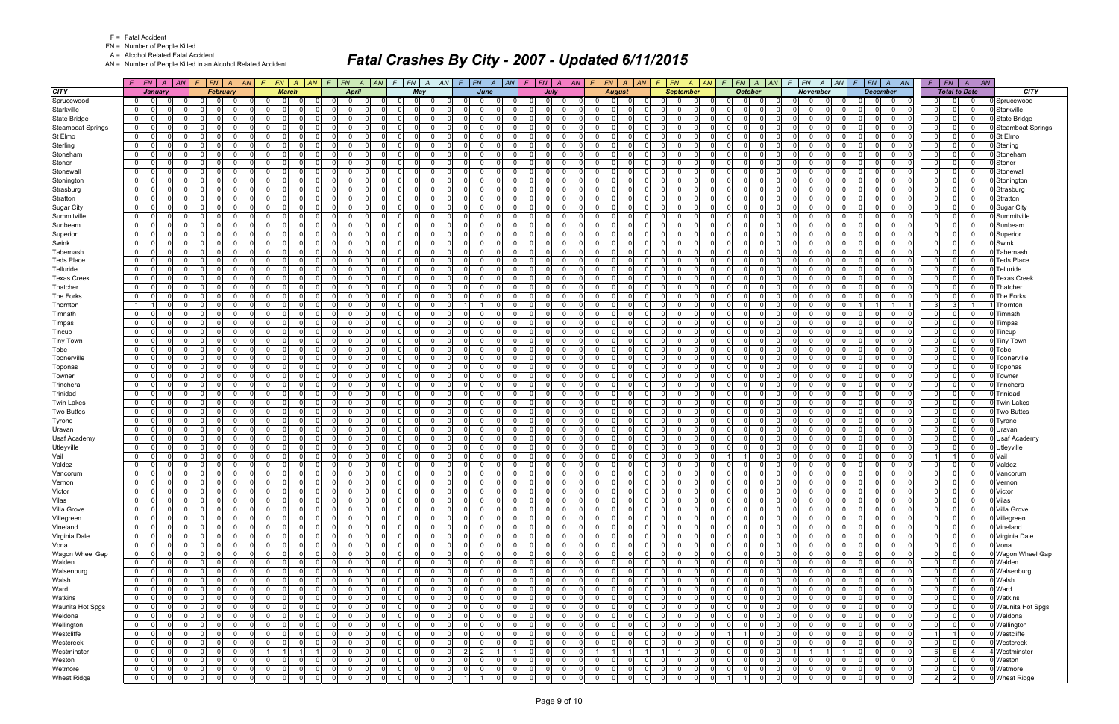FN = Number of People Killed

A = Alcohol Related Fatal Accident

AN = Number of People Killed in an Alcohol Related Accident

|                          | $F$ $F$ $N$ $A$ $A$ $N$                            | $F N$ $A$ $AN$<br>F.                                                             | $F$   FN   A   AN   F                                    | $FN \mid A \mid AN$                              | $FN$ $A$ $AN$<br>$\mathcal{F}$               | $F$ $ FN$ $ A$ $ AN$                                                     | $F$   $FN$   $A$   $AN$                                         | F N A AN<br>F.                                                     | $FN \mid A \mid AN$<br>-F                                                | $F$   $FN$   $A$<br> AN                                        | $FN$ $A$ $AN$                                | $F$   $FN$   $A$   $AN$                                              | FN<br>F.             | $\vert$ AN<br>$\overline{A}$                 |                          |
|--------------------------|----------------------------------------------------|----------------------------------------------------------------------------------|----------------------------------------------------------|--------------------------------------------------|----------------------------------------------|--------------------------------------------------------------------------|-----------------------------------------------------------------|--------------------------------------------------------------------|--------------------------------------------------------------------------|----------------------------------------------------------------|----------------------------------------------|----------------------------------------------------------------------|----------------------|----------------------------------------------|--------------------------|
| <b>CITY</b>              | January                                            | <b>February</b>                                                                  | <b>March</b>                                             | April                                            | May                                          | June                                                                     | July                                                            | <b>August</b>                                                      | <b>September</b>                                                         | <b>October</b>                                                 | <b>November</b>                              | <b>December</b>                                                      |                      | <b>Total to Date</b>                         | <b>CITY</b>              |
| Sprucewood               | 0 <br>$\overline{0}$                               | $\Omega$<br>0<br>0                                                               | $\mathbf{0}$                                             | $\Omega$<br>$\Omega$<br>$\Omega$                 | $\mathbf{0}$<br>-0                           | $\Omega$<br>0<br>$\mathbf 0$                                             | $\mathbf 0$<br>0 I<br>$\Omega$                                  | 0 I<br>-01<br>$\Omega$                                             | $\Omega$<br>0<br>0                                                       | .0<br> 0                                                       | $\Omega$<br>$\Omega$<br>- 01                 | $\mathbf 0$<br>$\Omega$<br>0                                         | $\overline{0}$       | $\Omega$<br>$\Omega$                         | Sprucewood               |
| Starkville               | $\overline{0}$<br>$\Omega$                         | -ol<br>$\Omega$<br>$\Omega$                                                      | $\Omega$                                                 | $\Omega$<br>$\Omega$                             | $\Omega$                                     | $\Omega$<br>$\Omega$<br>$\Omega$                                         | $\Omega$<br>n l                                                 | $\Omega$<br>$\Omega$<br>$\Omega$                                   | $\Omega$<br>$\Omega$<br>$\Omega$                                         | $\Omega$<br>$\Omega$                                           | $\Omega$<br>$\Omega$<br>$\Omega$             | $\Omega$<br>$\Omega$<br>$\Omega$                                     | 0                    | $\Omega$<br>$\Omega$                         | Starkville               |
| <b>State Bridge</b>      | $\overline{0}$<br>$\Omega$<br>$\Omega$             | - 0 l<br>$\Omega$<br>$\Omega$<br>$\Omega$                                        | $\Omega$                                                 | $\Omega$<br>0                                    | - 0 l<br>$\Omega$                            | $\Omega$<br>- 0 l<br>$\Omega$                                            | $\Omega$<br>0 I<br>$\Omega$                                     | $\overline{0}$<br>റ<br>$\Omega$                                    | $\Omega$<br>$\Omega$<br>$\Omega$                                         | 0 I<br>$\Omega$<br>$\Omega$                                    | $\Omega$<br>$\Omega$                         | $\Omega$<br>$\Omega$<br>$\Omega$                                     | 0                    | $\Omega$<br>$\Omega$                         | State Bridge             |
| <b>Steamboat Springs</b> | 0 <br>$\Omega$<br>$\Omega$                         | $\Omega$<br>- 0 l<br>$\Omega$                                                    | $\overline{0}$                                           | $\overline{0}$<br>$\Omega$                       | - 0 l<br>$\Omega$                            | $\Omega$<br>$\Omega$<br>$\Omega$                                         | $\overline{0}$<br>$\Omega$<br>$\Omega$                          | $\overline{0}$<br>$\Omega$<br>0I                                   | $\Omega$<br>$\Omega$<br>$\Omega$                                         | 0 I<br>$\Omega$<br>$\Omega$                                    | $\Omega$<br>$\Omega$                         | - 0 l<br>$\Omega$<br>$\Omega$                                        | 0                    | $\Omega$<br>$\Omega$                         | <b>Steamboat Springs</b> |
| St Elmo                  | 0 <br>$\Omega$<br>0                                | $\Omega$<br>$\Omega$<br>റ<br>$\Omega$                                            | $\Omega$<br>$\Omega$                                     | $\Omega$<br>0                                    | $\mathbf 0$<br>$\Omega$                      | $\Omega$<br>$\mathbf 0$<br>0                                             | $\Omega$<br>$\Omega$<br>$\Omega$                                | 01<br>$\Omega$<br>$\Omega$                                         | $\Omega$<br>0<br>$\Omega$                                                | $\overline{0}$<br>$\Omega$<br>$\Omega$                         | $\Omega$<br>$\Omega$                         | $\Omega$<br>$\Omega$<br>$\Omega$                                     | 0                    | $\Omega$<br>$\Omega$                         | St Elmo                  |
| Sterling                 | 0 <br>$\Omega$<br>$\Omega$                         | $\Omega$<br>$\Omega$<br>$\Omega$<br>$\Omega$                                     | $\Omega$<br>$\Omega$                                     | $\Omega$<br>$\Omega$                             | $\Omega$<br>$\Omega$                         | $\Omega$<br>$\Omega$<br>$\Omega$                                         | $\Omega$<br>0 I<br>$\Omega$                                     | $\Omega$<br>$\Omega$<br>$\Omega$                                   | $\Omega$<br>$\Omega$<br>$\Omega$                                         | 0l<br>$\Omega$<br>$\Omega$                                     | $\Omega$<br>$\Omega$<br>$\Omega$             | $\Omega$<br>$\Omega$<br>$\Omega$                                     | 0 I                  | $\Omega$<br>$\Omega$                         | Sterling                 |
| Stoneham                 | 0 <br>-0<br>0                                      | 0<br>$\mathbf 0$<br>$\Omega$                                                     | $\mathbf{0}$                                             | $\mathbf{0}$<br>0                                | $\mathbf 0$<br>0                             | $\overline{0}$<br>$\Omega$<br>$\Omega$                                   | $\Omega$<br>$\Omega$<br>$\Omega$                                | $\mathbf{0}$<br>$\Omega$                                           | $\Omega$<br>0<br>$\Omega$                                                | $\Omega$<br>$\Omega$<br><sup>0</sup>                           | $\Omega$<br>$\Omega$                         | $\Omega$<br>$\Omega$<br>$\Omega$                                     | $\Omega$             | $\Omega$<br>$\Omega$                         | Stoneham                 |
| Stoner                   | 0 <br>$\Omega$<br>$\Omega$                         | - Ol<br>$\Omega$<br>- 0 l<br>$\Omega$                                            | $\Omega$<br>$\Omega$                                     | $\overline{0}$<br>$\Omega$                       | - 0 l<br>$\Omega$                            | $\overline{0}$<br>$\Omega$<br>$\Omega$                                   | $\Omega$<br>$\Omega$<br>$\Omega$                                | $\Omega$<br>$\Omega$<br>$\Omega$                                   | $\Omega$<br>$\Omega$<br>$\Omega$                                         | 0 I<br>$\overline{0}$<br>$\Omega$                              | $\Omega$<br>-01                              | $\Omega$<br>$\Omega$<br>$\Omega$                                     | 0                    | $\Omega$<br>$\Omega$                         | Stoner                   |
| Stonewall                | 0 <br>$\Omega$<br>0                                | - 0 l<br>$\Omega$<br>- 0<br>$\Omega$                                             | $\overline{0}$<br>- 0                                    | $\Omega$<br>$\Omega$                             | $\Omega$<br>$\Omega$                         | $\overline{0}$<br>$\Omega$<br>$\mathbf 0$                                | 0 I<br>$\Omega$<br>$\Omega$                                     | $\mathbf{0}$<br>$\Omega$<br>$\Omega$                               | $\Omega$<br>0<br>$\Omega$                                                | 0 I<br>$\Omega$<br>$\Omega$                                    | $\Omega$<br>$\Omega$                         | - Ol<br>$\Omega$<br>$\Omega$                                         | 0                    | $\Omega$<br>$\Omega$                         | Stonewal                 |
| Stonington               | $\overline{0}$<br>$\Omega$<br>$\Omega$             | -ol<br>$\Omega$<br>$\Omega$                                                      | $\Omega$                                                 | $\Omega$<br>$\Omega$                             | $\Omega$<br>$\Omega$                         | $\Omega$<br>$\Omega$<br>$\Omega$                                         | $\Omega$<br>0 I<br>$\Omega$                                     | $\overline{0}$<br>$\Omega$<br>$\Omega$                             | $\Omega$<br>$\Omega$<br>$\Omega$                                         | $\overline{0}$<br>$\Omega$<br>$\Omega$                         | $\Omega$<br>$\Omega$<br>$\Omega$             | $\Omega$<br>$\Omega$<br>$\Omega$                                     | 0                    | $\Omega$<br>$\Omega$                         | Stoningtor               |
| Strasburg                | 0 <br>$\Omega$<br>$\Omega$                         | $\Omega$<br>$\Omega$<br>$\Omega$                                                 | $\Omega$                                                 | $\Omega$<br>0                                    | - 0 l<br>$\Omega$                            | $\Omega$<br>$\Omega$<br>0                                                | $\Omega$<br>$\Omega$<br>$\Omega$                                | $\Omega$<br>$\Omega$                                               | $\Omega$<br>0<br>$\Omega$                                                | 0 <br>$\Omega$<br>$\Omega$                                     | $\Omega$<br>$\Omega$                         | $\Omega$<br>$\Omega$<br>$\Omega$                                     | $\Omega$             | $\Omega$<br>$\Omega$                         | Strasburg                |
| Stratton                 | 0 <br>$\Omega$<br>$\Omega$                         | $\Omega$<br>- 0 l<br>$\Omega$<br>- O I                                           | $\overline{0}$<br>$\Omega$                               | $\overline{0}$<br>$\Omega$                       | - 0 l<br>$\Omega$                            | -01<br>$\Omega$<br>- 0 l                                                 | $\overline{0}$<br>$\Omega$<br>$\Omega$                          | $\overline{0}$<br>$\Omega$<br>$\Omega$                             | $\Omega$<br>$\Omega$<br>$\overline{0}$                                   | 0 I<br>$\Omega$<br>$\Omega$                                    | $\Omega$<br>-01                              | - 0 l<br>$\Omega$<br>$\Omega$                                        | 0                    | $\Omega$<br>$\overline{0}$                   | Stratton                 |
| <b>Sugar City</b>        | 0 <br>$\Omega$                                     | $\Omega$<br>$\Omega$<br>n                                                        | $\Omega$                                                 | $\Omega$                                         | $\Omega$<br>C                                | $\Omega$<br>$\Omega$                                                     | $\Omega$<br><sup>0</sup>                                        | $\Omega$                                                           | n<br>$\Omega$                                                            | - Ol<br>- 0                                                    | <sup>0</sup><br>$\Omega$                     | $\Omega$<br>$\Omega$<br>$\Omega$                                     | $\Omega$             | $\Omega$<br>$\Omega$                         | <b>Sugar City</b>        |
| Summitville              | 0 <br>$\Omega$<br>$\Omega$                         | $\Omega$<br>- O I<br>$\overline{0}$                                              | 0 I<br>$\overline{0}$<br>$\Omega$                        | $\overline{0}$<br>$\Omega$                       | $\mathbf{0}$<br>$\Omega$                     | -01<br>$\Omega$<br>$\Omega$                                              | $\Omega$<br>0 I<br>0 I                                          | $\mathbf{0}$<br>$\Omega$<br>- O I                                  | $\Omega$<br>$\Omega$<br>- O I                                            | 0 I<br>$\Omega$<br>$\Omega$                                    | $\Omega$<br>$\Omega$<br>$\overline{0}$       | $\Omega$<br>$\Omega$<br>$\Omega$                                     | 0 I                  | $\Omega$<br>$\Omega$                         | Summitville              |
| Sunbeam                  | $\overline{0}$<br>0                                | $\Omega$<br>$\Omega$<br>$\Omega$                                                 | $\Omega$                                                 | $\Omega$<br>$\Omega$                             | $\Omega$<br>$\Omega$                         | $\Omega$<br>$\Omega$<br>$\Omega$                                         | $\Omega$<br>n l<br>$\Omega$                                     | $\Omega$<br>$\Omega$                                               | 0<br>$\Omega$                                                            | $\overline{0}$<br>$\Omega$                                     | $\Omega$<br>$\Omega$                         | $\Omega$<br>$\Omega$<br>$\Omega$                                     | $\Omega$             | $\Omega$<br>$\Omega$                         | Sunbeam                  |
| Superior                 | 0 <br>$\Omega$<br>$\Omega$                         | $\Omega$<br>- O I<br>$\Omega$<br>$\Omega$                                        | $\Omega$                                                 | $\Omega$<br>$\Omega$                             | - 0 l<br>$\Omega$                            | $\Omega$<br>$\Omega$<br>$\Omega$                                         | $\Omega$<br>0 I<br>- Ol                                         | $\overline{0}$<br>$\Omega$<br>$\Omega$                             | $\Omega$<br>0<br>$\Omega$                                                | 0 I<br>$\Omega$<br>$\Omega$                                    | $\Omega$<br>$\Omega$                         | $\Omega$<br>$\Omega$<br>$\Omega$                                     | 0                    | $\Omega$<br>$\Omega$                         | Superior                 |
| Swink                    | $\overline{0}$<br>$\Omega$<br>$\Omega$             | $\Omega$<br>$\Omega$<br>$\Omega$<br>റ                                            | $\Omega$                                                 | $\overline{0}$<br>0                              | $\Omega$<br>$\Omega$                         | $\Omega$<br>$\Omega$<br>$\Omega$                                         | n l<br>$\Omega$<br>$\Omega$                                     | $\overline{0}$<br>$\Omega$                                         | $\Omega$<br>$\Omega$<br>$\Omega$                                         | $\overline{0}$<br>$\Omega$<br>$\Omega$                         | $\Omega$<br>$\Omega$                         | $\Omega$<br>$\Omega$<br>$\Omega$                                     | 0                    | $\Omega$<br>$\Omega$                         | Swink                    |
| Tabernash                | $\overline{0}$<br>$\Omega$<br>O                    | - 0 l<br>$\Omega$<br>$\Omega$                                                    | $\Omega$                                                 | $\Omega$<br>0                                    | $\Omega$<br>$\Omega$                         | $\Omega$<br>$\Omega$<br>0                                                | <sup>0</sup><br>- Ol<br>$\Omega$                                | $\Omega$<br>$\Omega$<br>$\Omega$                                   | $\Omega$<br>0<br>$\Omega$                                                | 0 I<br>$\Omega$<br>U                                           | 0<br>$\Omega$                                | $\Omega$<br>$\Omega$<br>$\Omega$                                     | 0                    | $\Omega$<br>$\Omega$                         | Tabernasl                |
| <b>Teds Place</b>        | $\overline{0}$<br>$\Omega$<br>$\Omega$             | $\Omega$<br>$\Omega$<br>$\Omega$                                                 | $\Omega$                                                 | $\Omega$<br>$\Omega$                             | $\Omega$<br>$\Omega$                         | $\Omega$<br>$\Omega$<br>$\Omega$                                         | <sup>0</sup><br>n l<br>$\Omega$                                 | $\Omega$<br>$\Omega$                                               | $\Omega$<br>$\Omega$                                                     | $\overline{0}$<br>U<br>$\Omega$                                | $\Omega$<br>$\Omega$                         | $\Omega$<br>$\Omega$<br>$\Omega$                                     | $\Omega$             | $\Omega$<br>$\Omega$                         | <b>Teds Place</b>        |
| Telluride                | $\overline{0}$<br>$\Omega$<br>$\Omega$             | $\Omega$<br>$\Omega$<br>$\Omega$                                                 | -01                                                      | $\Omega$<br>$\Omega$                             | - 0 l<br>$\Omega$                            | $\Omega$<br>$\Omega$<br>$\Omega$                                         | $\Omega$<br>0 I<br>$\Omega$                                     | $\overline{0}$<br>$\Omega$                                         | $\Omega$<br>$\Omega$<br>$\Omega$                                         | 0 I<br>$\Omega$<br>$\Omega$                                    | $\Omega$<br>$\Omega$                         | $\Omega$<br>$\Omega$<br>$\Omega$                                     | $\mathbf 0$          | $\Omega$<br>$\Omega$                         | Telluride                |
| <b>Texas Creek</b>       | $\overline{0}$<br>$\Omega$<br>$\Omega$             | $\Omega$<br>$\Omega$<br>$\Omega$                                                 | $\Omega$                                                 | $\Omega$<br>0                                    | $\Omega$<br>$\Omega$                         | $\Omega$<br>$\Omega$<br>$\Omega$                                         | <sup>0</sup><br>$\Omega$<br>$\Omega$                            | $\Omega$<br>$\cap$<br>$\Omega$                                     | $\Omega$<br>0<br>$\Omega$                                                | $\Omega$<br>$\Omega$                                           | $\Omega$<br>$\Omega$                         | $\Omega$<br>$\Omega$<br>$\Omega$                                     | 0                    | $\Omega$<br>$\Omega$                         | <b>Texas Creek</b>       |
| Thatcher                 | $\overline{0}$<br>$\Omega$<br>$\Omega$             | - 0 l<br>$\Omega$<br>- O I<br>$\Omega$                                           | $\overline{0}$<br>$\Omega$                               | $\Omega$<br>$\Omega$                             | $\Omega$<br>$\Omega$                         | $\Omega$<br>$\Omega$<br>$\Omega$                                         | $\Omega$<br>0 I<br>$\Omega$                                     | $\mathbf{0}$<br>$\Omega$<br>- O I                                  | $\Omega$<br>0<br>$\Omega$                                                | 0 I<br>$\Omega$<br>$\Omega$                                    | -01<br>$\Omega$                              | $\Omega$<br>$\Omega$<br>$\Omega$                                     | 0                    | $\Omega$<br>$\Omega$                         | Thatcher                 |
| The Forks                | 0 <br>$\Omega$<br>0                                | 0 <br>$\Omega$<br>$\Omega$                                                       | $\Omega$                                                 | $\Omega$<br>$\Omega$                             | $\Omega$<br>n                                | $\Omega$<br>$\Omega$<br>0                                                | $\Omega$<br>n l<br>$\Omega$                                     | $\Omega$<br>$\Omega$                                               | $\Omega$<br>$\Omega$<br>$\Omega$                                         | $\overline{0}$<br>$\Omega$                                     | $\Omega$<br>$\Omega$                         | $\Omega$<br>$\Omega$<br>$\Omega$                                     | 0                    | $\Omega$<br>$\Omega$                         | <b>The Forks</b>         |
| Thornton                 | 11<br>$\Omega$                                     | $\Omega$<br>$\Omega$<br>$\Omega$                                                 | $\Omega$                                                 | $\Omega$<br>$\Omega$                             | - 0 l<br>$\Omega$                            | $\Omega$<br>$\mathbf{1}$                                                 | $\overline{0}$<br>$\Omega$<br>- Ol                              | $\Omega$<br>$\Omega$                                               | $\Omega$<br>0<br>$\Omega$                                                | 0 I<br>$\Omega$<br>U                                           | $\Omega$<br>$\Omega$                         |                                                                      | 3 <sup>l</sup>       | $\mathbf{3}$                                 | Thornton                 |
| Timnath                  | $\overline{0}$<br>$\Omega$<br>$\Omega$             | - ol<br>$\Omega$<br>$\Omega$<br>റ                                                | $\overline{0}$<br>ി                                      | $\overline{0}$<br>$\Omega$                       | $\Omega$<br>$\Omega$                         | $\Omega$<br>$\Omega$<br>$\Omega$                                         | $\Omega$<br>$\Omega$<br>- Ol                                    | $\mathbf{0}$<br>$\Omega$                                           | $\Omega$<br>$\Omega$<br>$\Omega$                                         | 0 I<br>$\Omega$<br>$\Omega$                                    | $\Omega$<br>$\Omega$                         | $\Omega$<br>$\Omega$<br>$\Omega$                                     | 0                    | $\Omega$<br>$\Omega$                         | Timnath                  |
| Timpas                   | $\overline{0}$<br>$\Omega$<br>n                    | $\Omega$<br>$\Omega$<br>$\Omega$                                                 | $\Omega$                                                 | $\Omega$<br>0                                    | $\Omega$<br>C                                | $\Omega$<br>$\Omega$<br><sup>n</sup>                                     | $\Omega$<br>$\Omega$<br>$\Omega$                                | $\Omega$<br>റ<br>$\Omega$                                          | $\Omega$<br>0<br>$\Omega$                                                | $\Omega$<br>- 0                                                | <sup>0</sup><br>$\Omega$                     | $\Omega$<br>$\Omega$<br>$\Omega$                                     | 0                    | $\Omega$<br>$\Omega$                         | Timpas                   |
| Tincup                   | 0 <br>$\Omega$<br>$\Omega$                         | - 0 l<br>$\Omega$<br>$\Omega$                                                    | $\Omega$                                                 | $\Omega$<br>$\Omega$                             | $\Omega$<br>- 0                              | $\Omega$<br>$\Omega$<br>$\Omega$                                         | $\Omega$<br>$\Omega$<br>- Ol                                    | $\mathbf{0}$<br>$\cap$<br>$\Omega$                                 | $\Omega$<br>$\Omega$<br>$\Omega$                                         | $\overline{0}$<br>$\Omega$<br>$\Omega$                         | $\Omega$<br>$\cap$<br>$\overline{0}$         | $\Omega$<br>$\Omega$<br>$\Omega$                                     | 0 I                  | $\Omega$<br>$\Omega$                         | Tincup                   |
| <b>Tiny Town</b>         | 0 <br>0<br>0                                       | $\overline{0}$<br>$\Omega$<br>$\Omega$                                           | $\Omega$                                                 | $\mathbf{0}$<br>0                                | $\mathbf 0$<br>$\Omega$                      | $\mathbf 0$<br>- 0 l<br>$\Omega$                                         | $\Omega$<br>$\Omega$<br>$\Omega$                                | $\overline{0}$<br>$\Omega$                                         | $\Omega$<br>0<br>- O I                                                   | $\overline{0}$<br>$\Omega$                                     | $\Omega$<br>$\Omega$                         | $\Omega$<br>$\Omega$<br>$\Omega$                                     | $\Omega$             | $\Omega$<br>$\Omega$                         | <b>Tiny Town</b>         |
| Tobe                     | 0 <br>$\Omega$<br>$\Omega$                         | $\Omega$<br>$\Omega$<br>$\Omega$<br>$\Omega$                                     | $\Omega$<br>$\Omega$                                     | $\Omega$<br>$\Omega$                             | - 0 l<br>$\Omega$                            | $\Omega$<br>$\Omega$<br>$\Omega$                                         | $\Omega$<br>n l<br>$\Omega$                                     | $\Omega$<br>$\Omega$<br>$\Omega$                                   | $\Omega$<br>$\Omega$<br>$\Omega$                                         | 0 I<br>$\Omega$<br>$\Omega$                                    | $\Omega$<br>$\Omega$                         | $\Omega$<br>$\Omega$<br>$\Omega$                                     | 0                    | $\Omega$<br>$\Omega$                         | Tobe                     |
| Toonerville              | $\overline{0}$<br>$\Omega$<br>$\Omega$             | - 0 l<br>$\Omega$<br>$\Omega$<br>- 0                                             | $\overline{0}$<br>$\Omega$                               | $\Omega$<br>0                                    | $\Omega$<br>$\Omega$                         | $\Omega$<br>$\Omega$<br>$\Omega$                                         | 0 I<br>$\Omega$<br>$\Omega$                                     | $\mathbf{0}$<br>$\Omega$<br>$\cap$                                 | $\Omega$<br>0<br>$\Omega$                                                | 0 I<br>$\Omega$<br>$\Omega$                                    | $\Omega$<br>$\Omega$                         | $\Omega$<br>$\Omega$<br>$\Omega$                                     | 0                    | $\Omega$<br>$\Omega$                         | Toonerville              |
| Toponas                  | 0 <br>$\Omega$<br>$\Omega$                         | $\Omega$<br>- 0 l<br>$\Omega$                                                    | $\Omega$<br>$\Omega$                                     | $\Omega$<br>$\Omega$                             | $\Omega$<br>$\Omega$                         | $\Omega$<br>$\Omega$<br><sup>0</sup>                                     | $\Omega$<br>$\Omega$<br>$\Omega$                                | $\Omega$<br>$\Omega$<br>$\Omega$                                   | $\Omega$<br>$\Omega$<br>$\Omega$                                         | 0 I<br>$\Omega$<br>$\Omega$                                    | $\Omega$<br>$\Omega$                         | $\Omega$<br>$\Omega$<br>$\Omega$                                     | 0                    | $\Omega$<br>$\Omega$                         | Toponas                  |
| Towner                   | 0 <br>$\Omega$<br>$\Omega$                         | - 0 l<br>$\Omega$<br>$\Omega$                                                    | $\Omega$                                                 | $\Omega$<br>0                                    | $\mathbf 0$<br>$\Omega$                      | $\Omega$<br>$\Omega$<br>$\Omega$                                         | $\Omega$<br>0 I<br>$\Omega$                                     | $\overline{0}$<br>$\Omega$                                         | $\Omega$<br>$\Omega$<br>- O I                                            | 0 I<br>$\Omega$<br>$\Omega$                                    | $\Omega$<br>$\Omega$                         | $\Omega$<br>$\Omega$<br>$\Omega$                                     | $\mathbf 0$          | $\Omega$<br>$\Omega$                         | Towner                   |
| Trinchera                | $\overline{0}$<br>$\Omega$<br>$\Omega$             | $\Omega$<br>- 0 l<br>$\Omega$<br>$\Omega$                                        | $\mathbf{0}$<br>$\Omega$                                 | $\overline{0}$<br>$\Omega$                       | - 0 l<br>$\Omega$                            | $\Omega$<br>$\Omega$<br>$\Omega$                                         | $\overline{0}$<br>$\Omega$<br>$\Omega$                          | $\overline{0}$<br>$\Omega$<br>$\Omega$                             | $\Omega$<br>$\Omega$<br>$\Omega$                                         | 0 I<br>$\Omega$<br>$\Omega$                                    | $\Omega$<br>$\overline{0}$                   | $\Omega$<br>$\Omega$<br>$\Omega$                                     | 0                    | $\Omega$<br>$\Omega$                         | Trinchera                |
| Trinidad                 | 0 <br>- 0<br><sup>n</sup><br>$\Omega$<br>$\Omega$  | $\Omega$<br>$\Omega$<br>$\Omega$<br>$\Omega$<br>$\Omega$<br>$\Omega$<br>$\Omega$ | n I<br>$\Omega$<br>$\Omega$                              | $\Omega$<br><sup>0</sup><br>$\Omega$<br>$\Omega$ | $\Omega$<br>$\Omega$<br>$\Omega$<br>$\Omega$ | $\Omega$<br>$\Omega$<br><sup>n</sup><br>$\Omega$<br>$\Omega$<br>$\Omega$ | $\Omega$<br>$\Omega$<br>$\Omega$<br>$\Omega$<br>0 I<br>$\Omega$ | $\Omega$<br>$\cap$<br>$\Omega$<br>$\Omega$<br>$\Omega$<br>$\Omega$ | $\Omega$<br><sup>0</sup><br>$\Omega$<br>$\Omega$<br>$\Omega$<br>$\Omega$ | $\overline{0}$<br>$\Omega$<br>U<br>0 I<br>$\Omega$<br>$\Omega$ | $\Omega$<br>$\Omega$<br>$\Omega$<br>$\Omega$ | $\Omega$<br>$\Omega$<br>$\Omega$<br>$\Omega$<br>$\Omega$<br>$\Omega$ | 0 <br>$\overline{0}$ | $\Omega$<br>$\Omega$<br>$\Omega$<br>$\Omega$ | Trinidad                 |
| <b>Twin Lakes</b>        | $\overline{0}$<br>$\Omega$<br>$\Omega$             | $\Omega$<br>$\Omega$                                                             |                                                          | 0                                                | $\overline{0}$                               | $\overline{0}$<br>- 0 l<br>$\Omega$                                      | $\Omega$<br>$\Omega$                                            |                                                                    | $\Omega$<br>0                                                            | $\Omega$<br>O                                                  | $\Omega$                                     | $\Omega$<br>$\Omega$<br>$\Omega$                                     |                      | $\Omega$                                     | <b>Twin Lakes</b>        |
| <b>Two Buttes</b>        | 0 <br>$\overline{0}$<br>$\Omega$<br>$\Omega$       | 0 <br>$\Omega$<br>$\Omega$<br>$\Omega$<br>$\Omega$                               | $\mathbf{0}$<br>$\Omega$                                 | $\mathbf{0}$<br>$\Omega$<br>$\Omega$             | $\mathbf 0$<br>- 0 l<br>$\Omega$             | $\Omega$<br>$\Omega$<br>$\Omega$                                         | 0 <br>$\Omega$<br>n l<br>$\Omega$                               | $\overline{0}$<br>$\Omega$<br>$\Omega$<br>$\Omega$<br>$\Omega$     | - O I<br>$\Omega$<br>$\Omega$<br>$\Omega$                                | $\overline{0}$<br>0 I<br>$\Omega$<br>$\Omega$                  | $\overline{0}$<br>$\Omega$<br>$\Omega$       | $\Omega$<br>$\Omega$<br>$\Omega$                                     | 0 <br> 0             | $\mathbf{0}$<br>$\Omega$<br>$\Omega$         | <b>Two Buttes</b>        |
| Tyrone<br>Uravan         | 0 <br>-0<br>0                                      | - 0 l<br>$\Omega$<br>$\Omega$<br>- 0                                             | $\Omega$                                                 | $\Omega$<br><sup>0</sup>                         | $\Omega$<br>- 0                              | $\Omega$<br>0<br>$\Omega$                                                | 0.<br>$\Omega$<br>$\Omega$                                      | $\overline{0}$<br>- 0<br>$\Omega$                                  | $\Omega$<br><sup>0</sup><br>- 0                                          | $\overline{0}$<br>-0                                           | $\Omega$<br>- 0                              | 0<br>$\Omega$<br>$\Omega$                                            | 0                    | $\Omega$<br>$\Omega$                         | Tyrone<br>Uravan         |
| <b>Usaf Academy</b>      | 0 <br>$\Omega$<br>0                                | $\Omega$<br>$\Omega$<br>$\Omega$                                                 | $\Omega$                                                 | $\Omega$<br>0                                    | $\Omega$<br>$\Omega$                         | $\Omega$<br><sup>0</sup><br>$\Omega$                                     | <sup>0</sup><br>$\Omega$<br>$\Omega$                            | $\Omega$<br>$\Omega$<br>$\Omega$                                   | $\Omega$<br>0<br>$\Omega$                                                | 0 I<br>$\Omega$                                                | 0<br>$\Omega$                                | $\Omega$<br>$\Omega$<br>0                                            | 0                    | $\Omega$<br>$\Omega$                         | <b>Usaf Academy</b>      |
| Utleyville               | $\overline{0}$<br>$\Omega$<br>O.                   | $\Omega$<br>$\Omega$<br>$\Omega$                                                 | $\Omega$                                                 | $\Omega$<br>$\Omega$                             | $\Omega$<br>$\Omega$                         | $\Omega$<br>$\Omega$<br><sup>0</sup>                                     | $\Omega$<br>$\Omega$<br>$\Omega$                                | $\Omega$<br>$\Omega$                                               | $\Omega$<br>$\Omega$<br>$\Omega$                                         | $\Omega$<br>$\Omega$<br>$\Omega$                               | $\Omega$<br>$\Omega$                         | $\Omega$<br>$\Omega$<br>$\Omega$                                     | 0                    | $\Omega$<br>$\Omega$                         | Utleyville               |
| Vail                     | 0 <br>$\Omega$<br>$\Omega$                         | 0 <br>- O I<br>$\Omega$<br>$\Omega$                                              | $\overline{0}$                                           | $\overline{0}$<br>$\Omega$                       | - 0 l<br>$\Omega$                            | $\overline{0}$<br>- 0 l<br>$\Omega$                                      | 0 I<br>$\overline{0}$<br>$\Omega$                               | 01<br>$\Omega$                                                     | $\Omega$<br>$\Omega$<br>- O I                                            | $\Omega$<br>11                                                 | $\Omega$<br>$\overline{0}$                   | $\Omega$<br>$\Omega$<br>$\Omega$                                     |                      | $\overline{0}$                               | Vail                     |
| Valdez                   | $\Omega$<br>$\Omega$                               | $\Omega$<br>$\Omega$<br>$\Omega$<br>$\Omega$                                     | $\Omega$<br>$\Omega$                                     | $\Omega$<br>0                                    | $\Omega$<br>$\Omega$                         | $\Omega$<br>$\Omega$<br>$\Omega$                                         | $\Omega$<br>$\Omega$<br>$\Omega$                                | $\Omega$<br>$\Omega$<br>$\Omega$                                   | $\Omega$<br>$\Omega$<br>$\Omega$                                         | $\overline{0}$<br>$\Omega$                                     | $\Omega$<br>$\Omega$                         | $\Omega$<br>$\Omega$<br>$\Omega$                                     | $\Omega$             | $\Omega$<br>$\Omega$                         | Valdez                   |
| Vancorum                 | 0 <br>$\Omega$<br>$\Omega$                         | 0 <br>$\Omega$<br>$\Omega$<br>- O I                                              | $\Omega$                                                 | $\Omega$<br>$\Omega$                             | $\mathbf 0$<br>$\Omega$                      | $\overline{0}$<br>$\mathbf 0$<br>0                                       | 0 I<br>$\overline{0}$<br>$\Omega$                               | $\mathbf{0}$<br>- O I                                              | $\Omega$<br>0<br>$\Omega$                                                | $\overline{0}$<br>$\Omega$<br>0                                | $\Omega$<br>$\overline{0}$<br>$\Omega$       | $\mathbf 0$<br>$\Omega$<br>$\Omega$                                  | $\overline{0}$       | $\Omega$<br>$\Omega$                         | Vancorum                 |
| Vernon                   | $\overline{0}$<br>$\Omega$                         | $\Omega$<br>$\Omega$                                                             | 0                                                        | $\Omega$                                         | $\Omega$                                     | $\Omega$                                                                 | $\Omega$                                                        | $\Omega$                                                           | $\Omega$                                                                 | $\Omega$                                                       | $\Omega$                                     |                                                                      | $\Omega$             | $\Omega$<br>$\Omega$                         | Vernon                   |
| Victor                   | $\mathbf 0$<br> 0 <br>0                            | $\Omega$<br>$\overline{0}$<br>$\mathbf{0}$<br>0                                  | $\overline{0}$<br>$\Omega$                               | $\overline{0}$<br>0l                             | $\mathbf{0}$<br>$\mathbf 0$                  | 0<br>0<br> 0                                                             | $\overline{0}$<br>01<br>$\mathbf 0$                             | $\overline{0}$<br>$\Omega$<br>$\overline{0}$                       | $\overline{0}$<br>$\mathbf{0}$                                           | 0 <br>$\mathbf 0$<br>$\Omega$                                  | 0<br>$\Omega$<br>$\Omega$                    | $\mathbf 0$<br>$\overline{0}$                                        | $\Omega$             | $\overline{0}$<br>$\Omega$                   | 0 Victor                 |
| Vilas                    | $\overline{0}$<br>$\mathbf 0$<br>$\Omega$          | $\mathbf 0$<br>- Ol<br>$\Omega$<br>$\Omega$                                      | $\overline{0}$<br>$\Omega$                               | $\Omega$<br>$\Omega$                             | - 0 l<br>$\Omega$                            | $\overline{0}$<br>$\Omega$<br>$\Omega$                                   | $\overline{0}$<br>$\overline{0}$<br>$\Omega$                    | $\overline{0}$<br>$\Omega$<br>$\Omega$                             | $\Omega$<br>$\overline{0}$<br>0                                          | $\overline{0}$<br>$\Omega$                                     | $\Omega$<br>$\Omega$<br>$\Omega$             | $\overline{0}$<br>$\mathbf 0$<br>$\Omega$                            | 0                    | $\mathbf 0$<br>$\Omega$                      | 0 Vilas                  |
| Villa Grove              | $\overline{0}$<br>$\mathbf 0$<br>0                 | 0 <br>$\Omega$<br>- O I<br>$\overline{0}$                                        | $\mathbf 0$<br>- 01                                      | 01<br>0                                          | $\mathbf 0$<br>$\Omega$                      | 0 <br>0<br> 0                                                            | 0 I<br>01<br>$\Omega$                                           | $\mathbf 0$<br>- O I<br>- O I                                      | $\Omega$<br>$\overline{0}$<br>$\mathbf 0$                                | $\overline{0}$<br>- O I<br>$\Omega$                            | $\Omega$<br>$\overline{0}$<br>$\Omega$       | 0 <br>$\overline{0}$<br>$\mathbf 0$                                  | $\overline{0}$       | $\mathbf 0$<br>$\Omega$                      | Villa Grove              |
| Villegreen               | $\overline{0}$<br>$\mathbf 0$<br>$\Omega$          | 0 <br>$\Omega$<br>$\Omega$                                                       | 0                                                        | $\Omega$<br>$\Omega$                             | -ol<br>$\Omega$                              | $\mathbf 0$<br>-ol<br>$\Omega$                                           | $\overline{0}$<br> 0 <br>$\Omega$                               | 0 <br>$\Omega$                                                     | $\overline{0}$<br>$\Omega$                                               | $\overline{0}$<br>$\Omega$                                     | $\Omega$<br>$\Omega$                         | $\mathbf 0$<br>$\mathbf{0}$<br>$\mathbf 0$                           | $\overline{0}$       | $\Omega$<br>$\Omega$                         | 0 Villegreen             |
| Vineland                 | $\overline{0}$<br>$\mathbf 0$<br>$\Omega$          | 01<br>$\mathbf 0$<br>$\Omega$                                                    | $\overline{0}$<br>$\mathbf 0$<br>- 0                     | $\overline{0}$<br>0                              | $\mathbf 0$<br>$\mathbf 0$                   | 0 <br> 0 <br>$\overline{0}$                                              | 0 <br> 0 <br>- O I                                              | $\overline{0}$<br>$\Omega$<br>- O I                                | 0 <br>0<br>$\mathbf 0$                                                   | $\overline{0}$<br>$\mathbf 0$<br>$\Omega$                      | $\overline{0}$<br>$\mathbf 0$<br> 0          | 0 <br> 0 <br>$\mathbf 0$                                             | 0                    | $\overline{0}$<br>$\overline{0}$             | 0 Vineland               |
| Virginia Dale            | $\overline{0}$<br>$\overline{0}$<br>$\Omega$       | $\mathbf 0$<br>$\Omega$<br>$\Omega$<br>$\Omega$                                  | $\overline{0}$<br>$\Omega$                               | $\overline{0}$<br>$\mathbf 0$                    | 0 <br>$\Omega$                               | $\mathbf 0$<br> 0 <br>$\Omega$                                           | $\overline{0}$<br> 0 <br>$\mathbf 0$                            | $\overline{0}$<br>$\Omega$<br>$\Omega$                             | $\overline{0}$<br>$\overline{0}$<br>$\mathbf 0$                          | $\overline{0}$<br>$\mathbf 0$<br>$\Omega$                      | $\Omega$<br>$\mathbf 0$<br>$\Omega$          | $\mathbf 0$<br>$\overline{0}$<br>$\mathbf 0$                         | 0                    | $\overline{0}$<br>$\Omega$                   | 0 Virginia Dale          |
| Vona                     | $\overline{0}$<br>$\Omega$<br>0                    | $\Omega$<br>- O I<br>0                                                           | $\overline{0}$<br>$\overline{0}$                         | $\overline{0}$<br>0                              | $\mathbf 0$<br>$\mathbf{0}$                  | $\overline{0}$<br> 0 <br>0                                               | 0 <br> 0 <br>$\Omega$                                           | $\mathbf 0$<br>$\Omega$<br>$\Omega$                                | $\Omega$<br>$\overline{0}$<br> 0                                         | $\overline{0}$<br> 0 <br>$\Omega$                              | $\overline{0}$<br> 0 <br>$\Omega$            | 0 <br>$\overline{0}$<br>$\mathbf 0$                                  | $\overline{0}$       | $\overline{0}$<br>$\Omega$                   | ) Vona                   |
| Wagon Wheel Gap          | 0 <br>$\Omega$<br>$\Omega$                         | 0 <br>$\Omega$<br>$\Omega$                                                       | $\Omega$                                                 | $\Omega$<br>$\Omega$                             | 0 <br>$\Omega$                               | $\mathbf 0$<br> 0 <br>$\Omega$                                           | $\Omega$<br> 0 <br>$\Omega$                                     | $\overline{0}$<br>$\Omega$<br>$\Omega$                             | $\Omega$<br>0<br>$\overline{0}$                                          | $\overline{0}$<br>$\Omega$                                     | $\Omega$<br>$\Omega$<br>$\Omega$             | $\mathbf 0$<br>$\Omega$<br>$\mathbf{0}$                              | 0                    | $\overline{0}$<br>$\Omega$                   | Wagon Wheel Gap          |
| Walden                   | $\overline{0}$<br>$\Omega$<br>$\Omega$             | 0 <br>$\Omega$<br>0                                                              | $\mathbf 0$                                              | $\overline{0}$<br>$\Omega$                       | 0 <br>$\Omega$                               | 0 <br>$\mathbf 0$<br>$\Omega$                                            | $\overline{0}$<br>$\Omega$<br> 0                                | 0 <br>$\Omega$                                                     | $\overline{0}$<br>$\mathbf 0$                                            | $\overline{0}$<br>0<br>$\Omega$                                | $\overline{0}$<br>$\Omega$                   | $\mathbf 0$<br>$\Omega$<br>$\mathbf 0$                               | 0                    | $\Omega$<br>$\Omega$                         | 0 Walden                 |
| Walsenburg               | $\overline{0}$<br>$\overline{0}$<br>$\Omega$       | $\overline{0}$<br> 0 <br>$\Omega$                                                | $\overline{0}$<br>$\overline{0}$<br>$\overline{0}$       | $\overline{0}$<br>- 0 l<br>$\Omega$              | 0 <br> 0                                     | 0 <br>$\overline{0}$<br> 0                                               | $\overline{0}$<br> 0 <br>$\overline{0}$                         | 0 <br>$\Omega$<br>- O I                                            | $\mathbf 0$<br> 0 <br>$\mathbf 0$                                        | $\overline{0}$<br> 0 <br>$\Omega$                              | $\overline{0}$<br>$\mathbf 0$<br>-01         | 0 <br> 0 <br>$\mathbf 0$                                             | $\overline{0}$       | $\overline{0}$<br>$\overline{0}$             | 0 Walsenburg             |
| Walsh                    | $\overline{0}$<br>$\mathbf 0$<br>0                 | 0 <br>$\Omega$<br>- O I<br> 0                                                    | $\mathbf 0$<br>- 01                                      | $\overline{0}$<br>0                              | 0 <br>$\Omega$                               | $\mathbf 0$<br> 0 <br>0                                                  | 0 I<br>01<br>$\Omega$                                           | 0 <br>$\Omega$<br>$\Omega$                                         | $\mathbf 0$<br>$\overline{0}$<br>$\mathbf 0$                             | $\overline{0}$<br>$\mathbf 0$<br>$\Omega$                      | $\Omega$<br>$\Omega$<br> 0                   | $\mathbf 0$<br>$\overline{0}$<br>$\mathbf 0$                         | 0                    | $\mathbf 0$<br>$\Omega$                      | Walsh                    |
| Ward                     | $\overline{0}$<br>$\Omega$<br>$\Omega$             | 0 <br>- O I<br>- O I                                                             | $\overline{0}$<br>$\overline{0}$<br>$\overline{0}$       | $\overline{0}$<br>$\Omega$<br> 0                 | 0 <br>$\Omega$                               | 0 <br>$\Omega$<br> 0                                                     | $\overline{0}$<br>$\overline{0}$<br>$\overline{0}$              | 0 <br>- O I<br>- O I                                               | $\mathbf 0$<br> 0 <br>$\mathbf 0$                                        | $\overline{0}$<br>$\Omega$<br>$\mathbf 0$                      | $\Omega$<br>$\overline{0}$<br> 0             | $\overline{0}$<br>$\mathbf{0}$<br>$\mathbf 0$                        | $\overline{0}$       | $\overline{0}$<br>$\Omega$                   | 0 Ward                   |
| Watkins                  | 0 <br>$\Omega$<br>0                                | 0 <br>$\overline{0}$<br>$\Omega$                                                 | $\mathbf 0$                                              | $\overline{0}$<br>0                              | 0 <br>$\Omega$                               | $\mathbf 0$<br> 0 <br>$\mathbf{0}$                                       | $\overline{0}$<br> 0 <br>0                                      | $\overline{0}$<br>$\Omega$                                         | 0<br>$\overline{0}$<br>$\mathbf 0$                                       | 0 <br>0                                                        | $\overline{0}$<br>$\overline{0}$             | 0<br>$\overline{0}$<br>$\mathbf{0}$                                  | 0l                   | $\overline{0}$<br>$\Omega$                   | Watkins                  |
| Waunita Hot Spgs         | $\overline{0}$<br>$\overline{0}$<br>$\Omega$       | 0 <br>$\Omega$<br>0 I                                                            | $\overline{0}$<br>$\overline{0}$<br>$\Omega$             | $\overline{0}$<br>- 0 l<br>$\Omega$              | 0 <br>$\overline{0}$                         | 0 <br> 0 <br>$\overline{0}$                                              | 0 I<br>$\overline{0}$<br>- 0 l                                  | $\overline{0}$<br>- O I<br>- O I                                   | $\Omega$<br> 0 <br>$\mathbf 0$                                           | 0 <br> 0 <br>$\Omega$                                          | $\overline{0}$<br> 0 <br> 0                  | 0 <br> 0 <br>$\mathbf 0$                                             | 0 I                  | $\mathbf 0$<br>$\Omega$                      | 0 Waunita Hot Spgs       |
| Weldona                  | $\overline{0}$<br>$\mathbf 0$<br>$\Omega$          | 0 <br>$\Omega$<br>- O I<br> 0                                                    | $\mathbf 0$<br>- 0                                       | 01<br>0                                          | - 0 l<br>$\Omega$                            | $\overline{0}$<br> 0 <br>$\mathbf{0}$                                    | 0 I<br> 0 <br>$\Omega$                                          | 0 <br>- O I<br>$\Omega$                                            | $\Omega$<br>$\overline{0}$<br>$\mathbf 0$                                | $\overline{0}$<br>$\mathbf 0$<br>$\Omega$                      | $\Omega$<br>$\Omega$<br> 0                   | 0 <br>$\overline{0}$<br>$\mathbf 0$                                  | $\overline{0}$       | $\mathbf 0$<br>$\Omega$                      | 0 Weldona                |
| Wellington               | $\overline{0}$<br>$\overline{0}$<br>$\overline{0}$ | -01<br>$\Omega$<br>- O I                                                         | $\overline{0}$<br>$\mathbf{0}$<br>$\Omega$               | $\overline{0}$<br>$\mathbf 0$                    | 0 <br>$\Omega$                               | $\mathbf 0$<br>$\Omega$<br> 0                                            | $\overline{0}$<br>$\overline{0}$<br>$\Omega$                    | $\overline{0}$<br>$\Omega$<br>- O I                                | $\Omega$<br>$\overline{0}$<br>$\mathbf 0$                                | $\overline{0}$<br>$\Omega$<br>$\Omega$                         | $\Omega$<br>$\mathbf 0$<br> 0                | 0 <br> 0 <br>$\mathbf 0$                                             | $\overline{0}$       | $\overline{0}$<br>$\Omega$                   | <b>Wellington</b>        |
| Westcliffe               | $\overline{0}$<br>0<br>$\Omega$                    | $\Omega$<br>- O I<br> 0                                                          | $\overline{0}$<br> 0 <br>- 0                             | $\overline{0}$<br> 0                             | 0 <br>0                                      | $\mathbf 0$<br> 0 <br>$\mathbf{0}$                                       | 0 <br>$\mathbf 0$<br> 0                                         | $\overline{0}$<br>- 0<br>$\Omega$                                  | 0 <br>$\mathbf 0$<br>0                                                   | 1<br>$\Omega$                                                  | $\overline{0}$<br>$\Omega$<br> 0             | 0 <br>$\overline{0}$<br>$\mathbf 0$                                  | 11                   | $\Omega$                                     | 0 Westcliffe             |
| Westcreek                | $\overline{0}$<br>$\overline{0}$<br>$\Omega$       | 0 <br>- O I<br>- O I                                                             | $\overline{0}$<br>$\overline{0}$<br>$\Omega$<br>$\Omega$ | $\overline{0}$<br>- 0 l<br>$\Omega$              | 0 <br>$\mathbf 0$                            | 0 <br>$\overline{0}$<br> 0                                               | $\overline{0}$<br>$\overline{0}$<br>- 0 l                       | 0 <br>$\Omega$<br>- O I                                            | $\overline{0}$<br> 0 <br>$\mathbf 0$                                     | $\overline{0}$<br> 0 <br>$\Omega$                              | $\overline{0}$<br>$\Omega$<br>$\overline{0}$ | 0 <br> 0 <br>$\mathbf 0$                                             | $\overline{0}$       | $\overline{0}$<br>$\Omega$                   | <b>Westcreek</b>         |
| Westminster              | 0 <br>$\mathbf 0$<br>0                             | 0<br>$\overline{1}$<br>- 0<br>0I                                                 |                                                          | $\Omega$<br>$\Omega$                             | 0 <br>-0                                     | $\vert$ 2<br>$\overline{2}$                                              | <sup>0</sup><br>0l<br>$\Omega$                                  |                                                                    | $\mathbf 0$<br>-1<br>1                                                   | 0 <br>0                                                        |                                              | $\mathbf 0$<br>$\mathbf{0}$<br>$\Omega$                              | $6 \mid$             | 6                                            | Westminster              |
| Weston                   | $\overline{0}$<br>$\mathbf 0$<br>0                 | $\Omega$<br>$\overline{0}$<br>$\mathbf 0$                                        | $\overline{0}$<br>$\overline{0}$<br>- 01                 | $\overline{0}$<br>$\Omega$<br>0l                 | 0 <br>$\mathbf 0$                            | 0 <br>$\mathbf{0}$<br>$\overline{0}$                                     | 0 <br> 0 <br>$\mathbf 0$                                        | 0 <br>-01<br>- O I                                                 | $\Omega$<br>$\overline{0}$<br>$\mathbf 0$                                | $\overline{0}$<br>- O I<br>$\Omega$                            | $\overline{0}$<br> 0 <br>$\Omega$            | 0 <br>$\overline{0}$<br>$\mathbf 0$                                  | $\overline{0}$       | $\overline{0}$<br>$\Omega$                   | Weston                   |
| Wetmore                  | $\overline{0}$<br>0<br>0                           | 0 <br>$\overline{0}$<br>$\overline{0}$<br>0                                      | $\overline{0}$                                           | $\overline{0}$<br>0                              | 0 <br>0                                      | 0 <br>$\mathbf 0$<br> 0                                                  | $\overline{0}$<br>$\overline{0}$<br>$\mathbf 0$                 | 0 <br>$\overline{0}$<br>0                                          | $\mathbf 0$<br> 0 <br>$\overline{0}$                                     | $\overline{0}$<br>0                                            | $\overline{0}$<br>$\mathbf 0$<br> 0          | 0 <br>$\mathbf 0$<br>$\mathbf 0$                                     | $\overline{0}$       | $\overline{0}$<br>$\overline{0}$             | 0 Wetmore                |
| <b>Wheat Ridge</b>       | $\overline{0}$<br>$\mathbf 0$<br>$\overline{0}$    | ol<br>$\overline{0}$<br> 0 <br>$\mathbf 0$                                       | $\mathbf 0$                                              | $\overline{0}$<br> 0 <br>$\mathbf 0$             | 0 <br>$\mathbf 0$                            | 0 <br>$\overline{1}$                                                     | $\overline{0}$<br>$\overline{0}$<br>$\mathbf 0$                 | 0 <br>$\mathbf 0$<br>$\overline{0}$                                | $\mathbf 0$<br> 0 <br>$\mathbf 0$                                        | 11<br>0                                                        | $\mathbf 0$<br>$\mathbf 0$<br>$\overline{0}$ | $\mathbf 0$<br>$\mathbf 0$<br>$\mathbf 0$                            | $\overline{2}$       | $\overline{2}$<br>$\Omega$                   | 0 Wheat Ridge            |